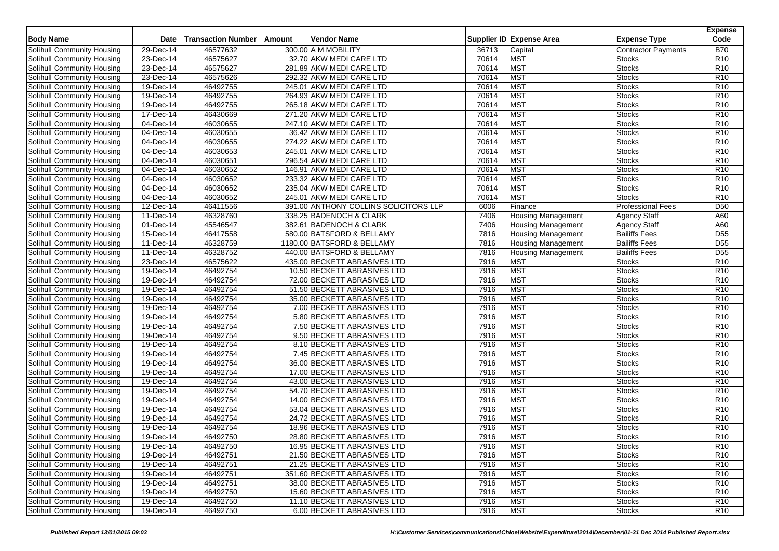|                                   |              |                           |        |                                       |       |                           |                            | <b>Expense</b>  |
|-----------------------------------|--------------|---------------------------|--------|---------------------------------------|-------|---------------------------|----------------------------|-----------------|
| <b>Body Name</b>                  | Date         | <b>Transaction Number</b> | Amount | Vendor Name                           |       | Supplier ID Expense Area  | <b>Expense Type</b>        | Code            |
| <b>Solihull Community Housing</b> | 29-Dec-14    | 46577632                  |        | 300.00 A M MOBILITY                   | 36713 | Capital                   | <b>Contractor Payments</b> | <b>B70</b>      |
| Solihull Community Housing        | 23-Dec-14    | 46575627                  |        | 32.70 AKW MEDI CARE LTD               | 70614 | <b>MST</b>                | Stocks                     | R <sub>10</sub> |
| Solihull Community Housing        | $23-Dec-14$  | 46575627                  |        | 281.89 AKW MEDI CARE LTD              | 70614 | <b>MST</b>                | <b>Stocks</b>              | R <sub>10</sub> |
| Solihull Community Housing        | 23-Dec-14    | 46575626                  |        | 292.32 AKW MEDI CARE LTD              | 70614 | <b>MST</b>                | Stocks                     | R <sub>10</sub> |
| Solihull Community Housing        | 19-Dec-14    | 46492755                  |        | 245.01 AKW MEDI CARE LTD              | 70614 | <b>MST</b>                | <b>Stocks</b>              | R <sub>10</sub> |
| Solihull Community Housing        | 19-Dec-14    | 46492755                  |        | 264.93 AKW MEDI CARE LTD              | 70614 | <b>MST</b>                | <b>Stocks</b>              | R <sub>10</sub> |
| Solihull Community Housing        | 19-Dec-14    | 46492755                  |        | 265.18 AKW MEDI CARE LTD              | 70614 | <b>MST</b>                | <b>Stocks</b>              | R <sub>10</sub> |
| <b>Solihull Community Housing</b> | 17-Dec-14    | 46430669                  |        | 271.20 AKW MEDI CARE LTD              | 70614 | <b>MST</b>                | <b>Stocks</b>              | R10             |
| Solihull Community Housing        | 04-Dec-14    | 46030655                  |        | 247.10 AKW MEDI CARE LTD              | 70614 | <b>MST</b>                | <b>Stocks</b>              | R <sub>10</sub> |
| <b>Solihull Community Housing</b> | 04-Dec-14    | 46030655                  |        | 36.42 AKW MEDI CARE LTD               | 70614 | <b>MST</b>                | <b>Stocks</b>              | R <sub>10</sub> |
| Solihull Community Housing        | 04-Dec-14    | 46030655                  |        | 274.22 AKW MEDI CARE LTD              | 70614 | <b>MST</b>                | <b>Stocks</b>              | R <sub>10</sub> |
| Solihull Community Housing        | 04-Dec-14    | 46030653                  |        | 245.01 AKW MEDI CARE LTD              | 70614 | <b>MST</b>                | <b>Stocks</b>              | R <sub>10</sub> |
| Solihull Community Housing        | 04-Dec-14    | 46030651                  |        | 296.54 AKW MEDI CARE LTD              | 70614 | <b>MST</b>                | <b>Stocks</b>              | R <sub>10</sub> |
| Solihull Community Housing        | 04-Dec-14    | 46030652                  |        | 146.91 AKW MEDI CARE LTD              | 70614 | <b>MST</b>                | <b>Stocks</b>              | R10             |
| Solihull Community Housing        | 04-Dec-14    | 46030652                  |        | 233.32 AKW MEDI CARE LTD              | 70614 | <b>MST</b>                | <b>Stocks</b>              | R10             |
| Solihull Community Housing        | 04-Dec-14    | 46030652                  |        | 235.04 AKW MEDI CARE LTD              | 70614 | <b>MST</b>                | <b>Stocks</b>              | R10             |
| Solihull Community Housing        | 04-Dec-14    | 46030652                  |        | 245.01 AKW MEDI CARE LTD              | 70614 | <b>MST</b>                | <b>Stocks</b>              | R <sub>10</sub> |
| Solihull Community Housing        | 12-Dec-14    | 46411556                  |        | 391.00 ANTHONY COLLINS SOLICITORS LLP | 6006  | Finance                   | <b>Professional Fees</b>   | D <sub>50</sub> |
| Solihull Community Housing        | 11-Dec-14    | 46328760                  |        | 338.25 BADENOCH & CLARK               | 7406  | <b>Housing Management</b> | <b>Agency Staff</b>        | A60             |
| Solihull Community Housing        | 01-Dec-14    | 45546547                  |        | 382.61 BADENOCH & CLARK               | 7406  | <b>Housing Management</b> | Agency Staff               | A60             |
| Solihull Community Housing        | 15-Dec-14    | 46417558                  |        | 580.00 BATSFORD & BELLAMY             | 7816  | <b>Housing Management</b> | <b>Bailiffs Fees</b>       | D <sub>55</sub> |
| Solihull Community Housing        | 11-Dec-14    | 46328759                  |        | 1180.00 BATSFORD & BELLAMY            | 7816  | <b>Housing Management</b> | <b>Bailiffs Fees</b>       | D <sub>55</sub> |
| Solihull Community Housing        | 11-Dec-14    | 46328752                  |        | 440.00 BATSFORD & BELLAMY             | 7816  | <b>Housing Management</b> | <b>Bailiffs Fees</b>       | D <sub>55</sub> |
| <b>Solihull Community Housing</b> | 23-Dec-14    | 46575622                  |        | 435.00 BECKETT ABRASIVES LTD          | 7916  | <b>MST</b>                | <b>Stocks</b>              | R <sub>10</sub> |
| Solihull Community Housing        | 19-Dec-14    | 46492754                  |        | 10.50 BECKETT ABRASIVES LTD           | 7916  | <b>MST</b>                | <b>Stocks</b>              | R10             |
| Solihull Community Housing        | 19-Dec-14    | 46492754                  |        | 72.00 BECKETT ABRASIVES LTD           | 7916  | <b>MST</b>                | <b>Stocks</b>              | R <sub>10</sub> |
| Solihull Community Housing        | 19-Dec-14    | 46492754                  |        | 51.50 BECKETT ABRASIVES LTD           | 7916  | <b>MST</b>                | <b>Stocks</b>              | R10             |
| Solihull Community Housing        | 19-Dec-14    | 46492754                  |        | 35.00 BECKETT ABRASIVES LTD           | 7916  | <b>MST</b>                | <b>Stocks</b>              | R10             |
| Solihull Community Housing        | 19-Dec-14    | 46492754                  |        | 7.00 BECKETT ABRASIVES LTD            | 7916  | <b>MST</b>                | Stocks                     | R <sub>10</sub> |
| Solihull Community Housing        | 19-Dec-14    | 46492754                  |        | 5.80 BECKETT ABRASIVES LTD            | 7916  | <b>MST</b>                | <b>Stocks</b>              | R10             |
| <b>Solihull Community Housing</b> | 19-Dec-14    | 46492754                  |        | 7.50 BECKETT ABRASIVES LTD            | 7916  | <b>MST</b>                | <b>Stocks</b>              | R10             |
| Solihull Community Housing        | 19-Dec-14    | 46492754                  |        | 9.50 BECKETT ABRASIVES LTD            | 7916  | <b>MST</b>                | <b>Stocks</b>              | R <sub>10</sub> |
| Solihull Community Housing        | 19-Dec-14    | 46492754                  |        | 8.10 BECKETT ABRASIVES LTD            | 7916  | <b>MST</b>                | <b>Stocks</b>              | R10             |
| Solihull Community Housing        | 19-Dec-14    | 46492754                  |        | 7.45 BECKETT ABRASIVES LTD            | 7916  | <b>MST</b>                | <b>Stocks</b>              | R <sub>10</sub> |
| Solihull Community Housing        | 19-Dec-14    | 46492754                  |        | 36.00 BECKETT ABRASIVES LTD           | 7916  | <b>MST</b>                | <b>Stocks</b>              | R <sub>10</sub> |
| <b>Solihull Community Housing</b> | 19-Dec-14    | 46492754                  |        | 17.00 BECKETT ABRASIVES LTD           | 7916  | <b>MST</b>                | <b>Stocks</b>              | R <sub>10</sub> |
| Solihull Community Housing        | 19-Dec-14    | 46492754                  |        | 43.00 BECKETT ABRASIVES LTD           | 7916  | <b>MST</b>                | <b>Stocks</b>              | R <sub>10</sub> |
| Solihull Community Housing        | 19-Dec-14    | 46492754                  |        | 54.70 BECKETT ABRASIVES LTD           | 7916  | <b>MST</b>                | <b>Stocks</b>              | R <sub>10</sub> |
| Solihull Community Housing        | 19-Dec-14    | 46492754                  |        | 14.00 BECKETT ABRASIVES LTD           | 7916  | <b>MST</b>                | <b>Stocks</b>              | R <sub>10</sub> |
| Solihull Community Housing        | 19-Dec-14    | 46492754                  |        | 53.04 BECKETT ABRASIVES LTD           | 7916  | <b>MST</b>                | <b>Stocks</b>              | R <sub>10</sub> |
| Solihull Community Housing        | 19-Dec-14    | 46492754                  |        | 24.72 BECKETT ABRASIVES LTD           | 7916  | <b>MST</b>                | <b>Stocks</b>              | R <sub>10</sub> |
| Solihull Community Housing        | 19-Dec-14    | 46492754                  |        | 18.96 BECKETT ABRASIVES LTD           | 7916  | <b>MST</b>                | <b>Stocks</b>              | R10             |
| <b>Solihull Community Housing</b> | 19-Dec-14    | 46492750                  |        | 28.80 BECKETT ABRASIVES LTD           | 7916  | <b>MST</b>                | <b>Stocks</b>              | R <sub>10</sub> |
| Solihull Community Housing        | 19-Dec-14    | 46492750                  |        | 16.95 BECKETT ABRASIVES LTD           | 7916  | <b>MST</b>                | <b>Stocks</b>              | R <sub>10</sub> |
| Solihull Community Housing        | $19$ -Dec-14 | 46492751                  |        | 21.50 BECKETT ABRASIVES LTD           | 7916  | <b>MST</b>                | <b>Stocks</b>              | R10             |
| Solihull Community Housing        | 19-Dec-14    | 46492751                  |        | 21.25 BECKETT ABRASIVES LTD           | 7916  | <b>MST</b>                | <b>Stocks</b>              | R <sub>10</sub> |
| Solihull Community Housing        | 19-Dec-14    | 46492751                  |        | 351.60 BECKETT ABRASIVES LTD          | 7916  | <b>MST</b>                | <b>Stocks</b>              | R <sub>10</sub> |
| Solihull Community Housing        | 19-Dec-14    | 46492751                  |        | 38.00 BECKETT ABRASIVES LTD           | 7916  | <b>MST</b>                | <b>Stocks</b>              | R <sub>10</sub> |
| Solihull Community Housing        | 19-Dec-14    | 46492750                  |        | 15.60 BECKETT ABRASIVES LTD           | 7916  | <b>MST</b>                | <b>Stocks</b>              | R <sub>10</sub> |
| Solihull Community Housing        | 19-Dec-14    | 46492750                  |        | 11.10 BECKETT ABRASIVES LTD           | 7916  | <b>MST</b>                | <b>Stocks</b>              | R <sub>10</sub> |
| Solihull Community Housing        | 19-Dec-14    | 46492750                  |        | 6.00 BECKETT ABRASIVES LTD            | 7916  | <b>MST</b>                | <b>Stocks</b>              | R <sub>10</sub> |
|                                   |              |                           |        |                                       |       |                           |                            |                 |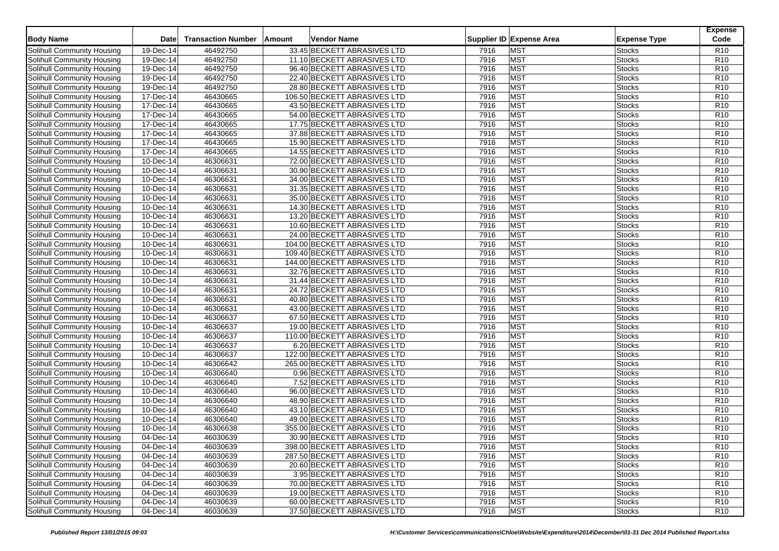| <b>Body Name</b>                  | Date                    | <b>Transaction Number</b> | Amount | Vendor Name                  |      | Supplier ID Expense Area | <b>Expense Type</b> | <b>Expense</b><br>Code |
|-----------------------------------|-------------------------|---------------------------|--------|------------------------------|------|--------------------------|---------------------|------------------------|
| Solihull Community Housing        | $\overline{19}$ -Dec-14 | 46492750                  |        | 33.45 BECKETT ABRASIVES LTD  | 7916 | <b>MST</b>               | Stocks              | R <sub>10</sub>        |
| Solihull Community Housing        | 19-Dec-14               | 46492750                  |        | 11.10 BECKETT ABRASIVES LTD  | 7916 | <b>MST</b>               | <b>Stocks</b>       | R <sub>10</sub>        |
| Solihull Community Housing        | 19-Dec-14               | 46492750                  |        | 96.40 BECKETT ABRASIVES LTD  | 7916 | <b>MST</b>               | <b>Stocks</b>       | R <sub>10</sub>        |
| Solihull Community Housing        | $19-Dec-14$             | 46492750                  |        | 22.40 BECKETT ABRASIVES LTD  | 7916 | <b>MST</b>               | <b>Stocks</b>       | R10                    |
| Solihull Community Housing        | 19-Dec-14               | 46492750                  |        | 28.80 BECKETT ABRASIVES LTD  | 7916 | <b>MST</b>               | <b>Stocks</b>       | R <sub>10</sub>        |
| Solihull Community Housing        | 17-Dec-14               | 46430665                  |        | 106.50 BECKETT ABRASIVES LTD | 7916 | <b>MST</b>               | <b>Stocks</b>       | R <sub>10</sub>        |
| Solihull Community Housing        | $17 - Dec-14$           | 46430665                  |        | 43.50 BECKETT ABRASIVES LTD  | 7916 | <b>MST</b>               | <b>Stocks</b>       | R <sub>10</sub>        |
| Solihull Community Housing        | 17-Dec-14               | 46430665                  |        | 54.00 BECKETT ABRASIVES LTD  | 7916 | <b>MST</b>               | Stocks              | R <sub>10</sub>        |
| Solihull Community Housing        | 17-Dec-14               | 46430665                  |        | 17.75 BECKETT ABRASIVES LTD  | 7916 | <b>MST</b>               | <b>Stocks</b>       | R <sub>10</sub>        |
| Solihull Community Housing        | $\overline{17}$ -Dec-14 | 46430665                  |        | 37.88 BECKETT ABRASIVES LTD  | 7916 | <b>MST</b>               | <b>Stocks</b>       | R <sub>10</sub>        |
| Solihull Community Housing        | 17-Dec-14               | 46430665                  |        | 15.90 BECKETT ABRASIVES LTD  | 7916 | <b>MST</b>               | <b>Stocks</b>       | R10                    |
| Solihull Community Housing        | 17-Dec-14               | 46430665                  |        | 14.55 BECKETT ABRASIVES LTD  | 7916 | <b>MST</b>               | <b>Stocks</b>       | R <sub>10</sub>        |
| Solihull Community Housing        | 10-Dec-14               | 46306631                  |        | 72.00 BECKETT ABRASIVES LTD  | 7916 | <b>MST</b>               | <b>Stocks</b>       | R10                    |
| Solihull Community Housing        | 10-Dec-14               | 46306631                  |        |                              | 7916 | <b>MST</b>               | Stocks              | R10                    |
|                                   | 10-Dec-14               | 46306631                  |        | 30.90 BECKETT ABRASIVES LTD  | 7916 | <b>MST</b>               |                     | R <sub>10</sub>        |
| Solihull Community Housing        |                         |                           |        | 34.00 BECKETT ABRASIVES LTD  |      |                          | <b>Stocks</b>       |                        |
| Solihull Community Housing        | 10-Dec-14               | 46306631                  |        | 31.35 BECKETT ABRASIVES LTD  | 7916 | <b>MST</b>               | <b>Stocks</b>       | R10                    |
| Solihull Community Housing        | 10-Dec-14               | 46306631                  |        | 35.00 BECKETT ABRASIVES LTD  | 7916 | <b>MST</b>               | <b>Stocks</b>       | R10                    |
| Solihull Community Housing        | 10-Dec-14               | 46306631                  |        | 14.30 BECKETT ABRASIVES LTD  | 7916 | <b>MST</b>               | <b>Stocks</b>       | R <sub>10</sub>        |
| Solihull Community Housing        | 10-Dec-14               | 46306631                  |        | 13.20 BECKETT ABRASIVES LTD  | 7916 | <b>MST</b>               | <b>Stocks</b>       | R <sub>10</sub>        |
| Solihull Community Housing        | 10-Dec-14               | 46306631                  |        | 10.60 BECKETT ABRASIVES LTD  | 7916 | <b>MST</b>               | Stocks              | R <sub>10</sub>        |
| Solihull Community Housing        | 10-Dec-14               | 46306631                  |        | 24.00 BECKETT ABRASIVES LTD  | 7916 | <b>MST</b>               | <b>Stocks</b>       | R <sub>10</sub>        |
| Solihull Community Housing        | 10-Dec-14               | 46306631                  |        | 104.00 BECKETT ABRASIVES LTD | 7916 | <b>MST</b>               | <b>Stocks</b>       | R10                    |
| Solihull Community Housing        | 10-Dec-14               | 46306631                  |        | 109.40 BECKETT ABRASIVES LTD | 7916 | <b>MST</b>               | Stocks              | R <sub>10</sub>        |
| Solihull Community Housing        | 10-Dec-14               | 46306631                  |        | 144.00 BECKETT ABRASIVES LTD | 7916 | <b>MST</b>               | <b>Stocks</b>       | R <sub>10</sub>        |
| Solihull Community Housing        | 10-Dec-14               | 46306631                  |        | 32.76 BECKETT ABRASIVES LTD  | 7916 | <b>MST</b>               | <b>Stocks</b>       | R <sub>10</sub>        |
| Solihull Community Housing        | 10-Dec-14               | 46306631                  |        | 31.44 BECKETT ABRASIVES LTD  | 7916 | <b>MST</b>               | Stocks              | R <sub>10</sub>        |
| Solihull Community Housing        | 10-Dec-14               | 46306631                  |        | 24.72 BECKETT ABRASIVES LTD  | 7916 | <b>MST</b>               | Stocks              | R <sub>10</sub>        |
| Solihull Community Housing        | 10-Dec-14               | 46306631                  |        | 40.80 BECKETT ABRASIVES LTD  | 7916 | <b>MST</b>               | <b>Stocks</b>       | R <sub>10</sub>        |
| Solihull Community Housing        | 10-Dec-14               | 46306631                  |        | 43.00 BECKETT ABRASIVES LTD  | 7916 | <b>MST</b>               | <b>Stocks</b>       | R <sub>10</sub>        |
| Solihull Community Housing        | 10-Dec-14               | 46306637                  |        | 67.50 BECKETT ABRASIVES LTD  | 7916 | <b>MST</b>               | Stocks              | R <sub>10</sub>        |
| Solihull Community Housing        | 10-Dec-14               | 46306637                  |        | 19.00 BECKETT ABRASIVES LTD  | 7916 | <b>MST</b>               | Stocks              | R <sub>10</sub>        |
| Solihull Community Housing        | 10-Dec-14               | 46306637                  |        | 110.00 BECKETT ABRASIVES LTD | 7916 | <b>MST</b>               | <b>Stocks</b>       | R10                    |
| Solihull Community Housing        | 10-Dec-14               | 46306637                  |        | 6.20 BECKETT ABRASIVES LTD   | 7916 | <b>MST</b>               | <b>Stocks</b>       | R <sub>10</sub>        |
| Solihull Community Housing        | 10-Dec-14               | 46306637                  |        | 122.00 BECKETT ABRASIVES LTD | 7916 | <b>MST</b>               | Stocks              | R <sub>10</sub>        |
| Solihull Community Housing        | 10-Dec-14               | 46306642                  |        | 265.00 BECKETT ABRASIVES LTD | 7916 | <b>MST</b>               | <b>Stocks</b>       | R <sub>10</sub>        |
| <b>Solihull Community Housing</b> | 10-Dec-14               | 46306640                  |        | 0.96 BECKETT ABRASIVES LTD   | 7916 | <b>MST</b>               | <b>Stocks</b>       | R <sub>10</sub>        |
| <b>Solihull Community Housing</b> | 10-Dec-14               | 46306640                  |        | 7.52 BECKETT ABRASIVES LTD   | 7916 | <b>MST</b>               | Stocks              | R <sub>10</sub>        |
| Solihull Community Housing        | 10-Dec-14               | 46306640                  |        | 96.00 BECKETT ABRASIVES LTD  | 7916 | <b>MST</b>               | <b>Stocks</b>       | R <sub>10</sub>        |
| Solihull Community Housing        | $10 - Dec-14$           | 46306640                  |        | 48.90 BECKETT ABRASIVES LTD  | 7916 | <b>MST</b>               | <b>Stocks</b>       | R10                    |
| Solihull Community Housing        | 10-Dec-14               | 46306640                  |        | 43.10 BECKETT ABRASIVES LTD  | 7916 | <b>MST</b>               | <b>Stocks</b>       | R <sub>10</sub>        |
| Solihull Community Housing        | 10-Dec-14               | 46306640                  |        | 49.00 BECKETT ABRASIVES LTD  | 7916 | <b>MST</b>               | <b>Stocks</b>       | R <sub>10</sub>        |
| Solihull Community Housing        | 10-Dec-14               | 46306638                  |        | 355.00 BECKETT ABRASIVES LTD | 7916 | <b>MST</b>               | <b>Stocks</b>       | R10                    |
| Solihull Community Housing        | 04-Dec-14               | 46030639                  |        | 30.90 BECKETT ABRASIVES LTD  | 7916 | <b>MST</b>               | Stocks              | R <sub>10</sub>        |
| Solihull Community Housing        | 04-Dec-14               | 46030639                  |        | 398.00 BECKETT ABRASIVES LTD | 7916 | <b>MST</b>               | <b>Stocks</b>       | R <sub>10</sub>        |
| Solihull Community Housing        | $\overline{04-D}$ ec-14 | 46030639                  |        | 287.50 BECKETT ABRASIVES LTD | 7916 | <b>MST</b>               | <b>Stocks</b>       | R <sub>10</sub>        |
| Solihull Community Housing        | 04-Dec-14               | 46030639                  |        | 20.60 BECKETT ABRASIVES LTD  | 7916 | <b>MST</b>               | <b>Stocks</b>       | R <sub>10</sub>        |
| Solihull Community Housing        | 04-Dec-14               | 46030639                  |        | 3.95 BECKETT ABRASIVES LTD   | 7916 | <b>MST</b>               | <b>Stocks</b>       | R <sub>10</sub>        |
| Solihull Community Housing        | 04-Dec-14               | 46030639                  |        | 70.00 BECKETT ABRASIVES LTD  | 7916 | <b>MST</b>               | <b>Stocks</b>       | R <sub>10</sub>        |
| Solihull Community Housing        | 04-Dec-14               | 46030639                  |        | 19.00 BECKETT ABRASIVES LTD  | 7916 | <b>MST</b>               | <b>Stocks</b>       | R <sub>10</sub>        |
| Solihull Community Housing        | 04-Dec-14               | 46030639                  |        | 60.00 BECKETT ABRASIVES LTD  | 7916 | <b>MST</b>               | <b>Stocks</b>       | R <sub>10</sub>        |
|                                   |                         |                           |        |                              |      | <b>MST</b>               |                     |                        |
| Solihull Community Housing        | 04-Dec-14               | 46030639                  |        | 37.50 BECKETT ABRASIVES LTD  | 7916 |                          | <b>Stocks</b>       | R <sub>10</sub>        |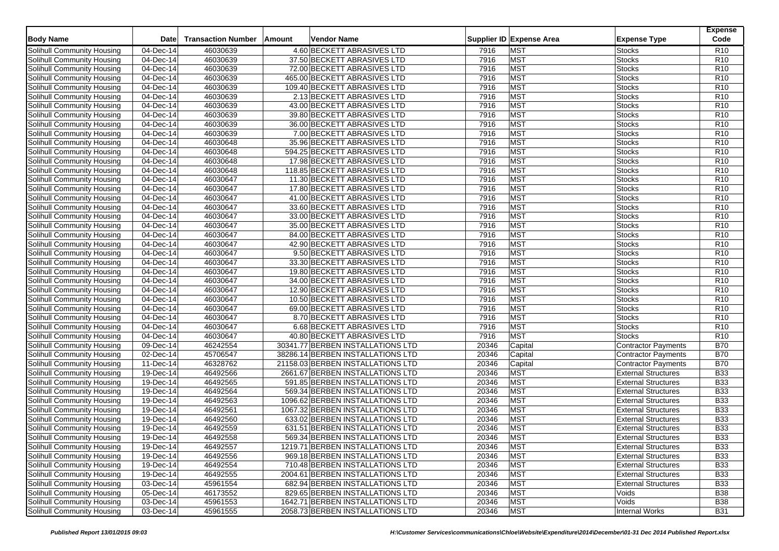| <b>Body Name</b>                  | <b>Date</b>             | <b>Transaction Number</b> | Amount | <b>Vendor Name</b>                |       | Supplier ID Expense Area | <b>Expense Type</b>        | <b>Expense</b><br>Code |
|-----------------------------------|-------------------------|---------------------------|--------|-----------------------------------|-------|--------------------------|----------------------------|------------------------|
| Solihull Community Housing        | 04-Dec-14               | 46030639                  |        | 4.60 BECKETT ABRASIVES LTD        | 7916  | <b>MST</b>               | Stocks                     | R <sub>10</sub>        |
| <b>Solihull Community Housing</b> | 04-Dec-14               | 46030639                  |        | 37.50 BECKETT ABRASIVES LTD       | 7916  | <b>MST</b>               | <b>Stocks</b>              | R <sub>10</sub>        |
| Solihull Community Housing        | 04-Dec-14               | 46030639                  |        | 72.00 BECKETT ABRASIVES LTD       | 7916  | <b>MST</b>               | <b>Stocks</b>              | R <sub>10</sub>        |
| Solihull Community Housing        | 04-Dec-14               | 46030639                  |        | 465.00 BECKETT ABRASIVES LTD      | 7916  | <b>MST</b>               | Stocks                     | R <sub>10</sub>        |
| Solihull Community Housing        | 04-Dec-14               | 46030639                  |        | 109.40 BECKETT ABRASIVES LTD      | 7916  | <b>MST</b>               | <b>Stocks</b>              | R <sub>10</sub>        |
| Solihull Community Housing        | 04-Dec-14               | 46030639                  |        | 2.13 BECKETT ABRASIVES LTD        | 7916  | <b>MST</b>               | <b>Stocks</b>              | R <sub>10</sub>        |
| Solihull Community Housing        | $\overline{04-Dec-14}$  | 46030639                  |        | 43.00 BECKETT ABRASIVES LTD       | 7916  | <b>MST</b>               | Stocks                     | R <sub>10</sub>        |
| Solihull Community Housing        | 04-Dec-14               | 46030639                  |        | 39.80 BECKETT ABRASIVES LTD       | 7916  | <b>MST</b>               | <b>Stocks</b>              | R <sub>10</sub>        |
| Solihull Community Housing        | 04-Dec-14               | 46030639                  |        | 36.00 BECKETT ABRASIVES LTD       | 7916  | <b>MST</b>               | <b>Stocks</b>              | R <sub>10</sub>        |
| Solihull Community Housing        | $\overline{04-Dec-14}$  | 46030639                  |        | 7.00 BECKETT ABRASIVES LTD        | 7916  | <b>MST</b>               | Stocks                     | R <sub>10</sub>        |
| Solihull Community Housing        | 04-Dec-14               | 46030648                  |        | 35.96 BECKETT ABRASIVES LTD       | 7916  | <b>MST</b>               | <b>Stocks</b>              | R10                    |
| Solihull Community Housing        | 04-Dec-14               | 46030648                  |        | 594.25 BECKETT ABRASIVES LTD      |       | <b>MST</b>               | <b>Stocks</b>              | R <sub>10</sub>        |
|                                   |                         |                           |        | 17.98 BECKETT ABRASIVES LTD       | 7916  | <b>MST</b>               |                            | R10                    |
| Solihull Community Housing        | 04-Dec-14               | 46030648                  |        |                                   | 7916  |                          | Stocks                     |                        |
| Solihull Community Housing        | 04-Dec-14               | 46030648                  |        | 118.85 BECKETT ABRASIVES LTD      | 7916  | <b>MST</b>               | <b>Stocks</b>              | R10                    |
| Solihull Community Housing        | 04-Dec-14               | 46030647                  |        | 11.30 BECKETT ABRASIVES LTD       | 7916  | <b>MST</b>               | <b>Stocks</b>              | R <sub>10</sub>        |
| Solihull Community Housing        | 04-Dec-14               | 46030647                  |        | 17.80 BECKETT ABRASIVES LTD       | 7916  | <b>MST</b>               | Stocks                     | R <sub>10</sub>        |
| Solihull Community Housing        | 04-Dec-14               | 46030647                  |        | 41.00 BECKETT ABRASIVES LTD       | 7916  | <b>MST</b>               | <b>Stocks</b>              | R10                    |
| Solihull Community Housing        | 04-Dec-14               | 46030647                  |        | 33.60 BECKETT ABRASIVES LTD       | 7916  | <b>MST</b>               | Stocks                     | R <sub>10</sub>        |
| Solihull Community Housing        | 04-Dec-14               | 46030647                  |        | 33.00 BECKETT ABRASIVES LTD       | 7916  | <b>MST</b>               | <b>Stocks</b>              | R <sub>10</sub>        |
| Solihull Community Housing        | 04-Dec-14               | 46030647                  |        | 35.00 BECKETT ABRASIVES LTD       | 7916  | <b>MST</b>               | Stocks                     | R <sub>10</sub>        |
| Solihull Community Housing        | 04-Dec-14               | 46030647                  |        | 84.00 BECKETT ABRASIVES LTD       | 7916  | <b>MST</b>               | <b>Stocks</b>              | R <sub>10</sub>        |
| Solihull Community Housing        | 04-Dec-14               | 46030647                  |        | 42.90 BECKETT ABRASIVES LTD       | 7916  | <b>MST</b>               | <b>Stocks</b>              | R10                    |
| Solihull Community Housing        | 04-Dec-14               | 46030647                  |        | 9.50 BECKETT ABRASIVES LTD        | 7916  | <b>MST</b>               | Stocks                     | R <sub>10</sub>        |
| Solihull Community Housing        | 04-Dec-14               | 46030647                  |        | 33.30 BECKETT ABRASIVES LTD       | 7916  | <b>MST</b>               | <b>Stocks</b>              | R <sub>10</sub>        |
| Solihull Community Housing        | 04-Dec-14               | 46030647                  |        | 19.80 BECKETT ABRASIVES LTD       | 7916  | <b>MST</b>               | <b>Stocks</b>              | R <sub>10</sub>        |
| Solihull Community Housing        | 04-Dec-14               | 46030647                  |        | 34.00 BECKETT ABRASIVES LTD       | 7916  | <b>MST</b>               | <b>Stocks</b>              | R <sub>10</sub>        |
| Solihull Community Housing        | 04-Dec-14               | 46030647                  |        | 12.90 BECKETT ABRASIVES LTD       | 7916  | <b>MST</b>               | <b>Stocks</b>              | R10                    |
| Solihull Community Housing        | 04-Dec-14               | 46030647                  |        | 10.50 BECKETT ABRASIVES LTD       | 7916  | <b>MST</b>               | Stocks                     | R <sub>10</sub>        |
| Solihull Community Housing        | 04-Dec-14               | 46030647                  |        | 69.00 BECKETT ABRASIVES LTD       | 7916  | <b>MST</b>               | Stocks                     | R <sub>10</sub>        |
| Solihull Community Housing        | 04-Dec-14               | 46030647                  |        | 8.70 BECKETT ABRASIVES LTD        | 7916  | <b>MST</b>               | Stocks                     | R <sub>10</sub>        |
| Solihull Community Housing        | 04-Dec-14               | 46030647                  |        | 6.68 BECKETT ABRASIVES LTD        | 7916  | <b>MST</b>               | <b>Stocks</b>              | R <sub>10</sub>        |
| Solihull Community Housing        | 04-Dec-14               | 46030647                  |        | 40.80 BECKETT ABRASIVES LTD       | 7916  | <b>MST</b>               | <b>Stocks</b>              | R <sub>10</sub>        |
| Solihull Community Housing        | 09-Dec-14               | 46242554                  |        | 30341.77 BERBEN INSTALLATIONS LTD | 20346 | Capital                  | Contractor Payments        | <b>B70</b>             |
| Solihull Community Housing        | 02-Dec-14               | 45706547                  |        | 38286.14 BERBEN INSTALLATIONS LTD | 20346 | Capital                  | <b>Contractor Payments</b> | <b>B70</b>             |
| Solihull Community Housing        | $\overline{11}$ -Dec-14 | 46328762                  |        | 21158.03 BERBEN INSTALLATIONS LTD | 20346 | Capital                  | <b>Contractor Payments</b> | <b>B70</b>             |
| Solihull Community Housing        | 19-Dec-14               | 46492566                  |        | 2661.67 BERBEN INSTALLATIONS LTD  | 20346 | <b>MST</b>               | <b>External Structures</b> | <b>B33</b>             |
| Solihull Community Housing        | 19-Dec-14               | 46492565                  |        | 591.85 BERBEN INSTALLATIONS LTD   | 20346 | <b>MST</b>               | <b>External Structures</b> | <b>B33</b>             |
| Solihull Community Housing        | $19$ -Dec-14            | 46492564                  |        | 569.34 BERBEN INSTALLATIONS LTD   | 20346 | <b>MST</b>               | <b>External Structures</b> | <b>B33</b>             |
| Solihull Community Housing        | $19-Dec-14$             | 46492563                  |        | 1096.62 BERBEN INSTALLATIONS LTD  | 20346 | <b>MST</b>               | <b>External Structures</b> | <b>B33</b>             |
| Solihull Community Housing        | 19-Dec-14               | 46492561                  |        | 1067.32 BERBEN INSTALLATIONS LTD  | 20346 | <b>MST</b>               | <b>External Structures</b> | <b>B33</b>             |
| Solihull Community Housing        | $19$ -Dec-14            | 46492560                  |        | 633.02 BERBEN INSTALLATIONS LTD   | 20346 | <b>MST</b>               | <b>External Structures</b> | <b>B33</b>             |
| Solihull Community Housing        | 19-Dec-14               | 46492559                  |        | 631.51 BERBEN INSTALLATIONS LTD   | 20346 | <b>MST</b>               | <b>External Structures</b> | <b>B33</b>             |
| Solihull Community Housing        | 19-Dec-14               | 46492558                  |        | 569.34 BERBEN INSTALLATIONS LTD   | 20346 | <b>MST</b>               | <b>External Structures</b> | <b>B33</b>             |
| Solihull Community Housing        | 19-Dec-14               | 46492557                  |        | 1219.71 BERBEN INSTALLATIONS LTD  | 20346 | <b>MST</b>               | <b>External Structures</b> | <b>B33</b>             |
| Solihull Community Housing        | 19-Dec-14               | 46492556                  |        | 969.18 BERBEN INSTALLATIONS LTD   | 20346 | <b>MST</b>               | <b>External Structures</b> | <b>B33</b>             |
| Solihull Community Housing        | 19-Dec-14               | 46492554                  |        | 710.48 BERBEN INSTALLATIONS LTD   | 20346 | <b>MST</b>               | <b>External Structures</b> | <b>B33</b>             |
| Solihull Community Housing        | 19-Dec-14               | 46492555                  |        | 2004.61 BERBEN INSTALLATIONS LTD  | 20346 | <b>MST</b>               | <b>External Structures</b> | <b>B33</b>             |
| Solihull Community Housing        | 03-Dec-14               | 45961554                  |        | 682.94 BERBEN INSTALLATIONS LTD   | 20346 | <b>MST</b>               | <b>External Structures</b> | <b>B33</b>             |
| Solihull Community Housing        | 05-Dec-14               | 46173552                  |        | 829.65 BERBEN INSTALLATIONS LTD   | 20346 | <b>MST</b>               | Voids                      | <b>B38</b>             |
| Solihull Community Housing        | 03-Dec-14               | 45961553                  |        | 1642.71 BERBEN INSTALLATIONS LTD  | 20346 | <b>MST</b>               | Voids                      | <b>B38</b>             |
| Solihull Community Housing        | 03-Dec-14               | 45961555                  |        | 2058.73 BERBEN INSTALLATIONS LTD  | 20346 | <b>MST</b>               | Internal Works             | <b>B31</b>             |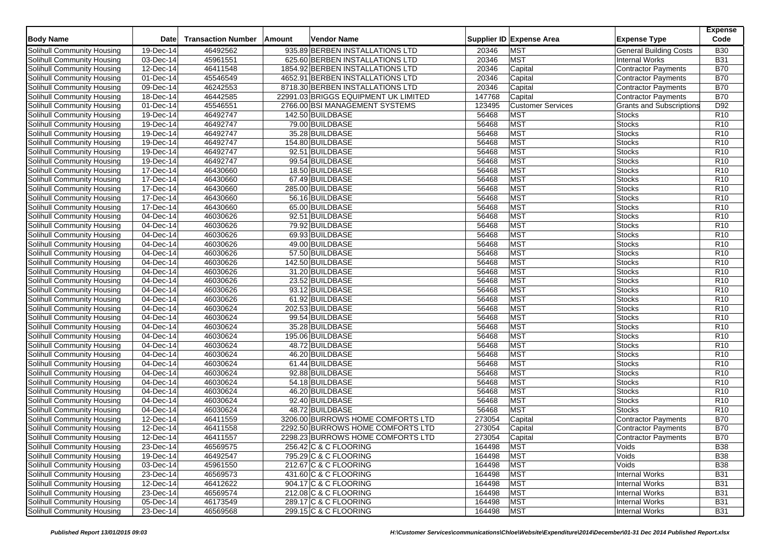| <b>Body Name</b>                  | Date                    | <b>Transaction Number</b> | <b>Amount</b> | Vendor Name                          |        | Supplier ID Expense Area | <b>Expense Type</b>             | <b>Expense</b><br>Code |
|-----------------------------------|-------------------------|---------------------------|---------------|--------------------------------------|--------|--------------------------|---------------------------------|------------------------|
| Solihull Community Housing        | 19-Dec-14               | 46492562                  |               | 935.89 BERBEN INSTALLATIONS LTD      | 20346  | <b>MST</b>               | <b>General Building Costs</b>   | <b>B30</b>             |
| Solihull Community Housing        | 03-Dec-14               | 45961551                  |               | 625.60 BERBEN INSTALLATIONS LTD      | 20346  | <b>MST</b>               | <b>Internal Works</b>           | <b>B31</b>             |
| Solihull Community Housing        | 12-Dec-14               | 46411548                  |               | 1854.92 BERBEN INSTALLATIONS LTD     | 20346  | Capital                  | Contractor Payments             | <b>B70</b>             |
| Solihull Community Housing        | 01-Dec-14               | 45546549                  |               | 4652.91 BERBEN INSTALLATIONS LTD     | 20346  | Capital                  | Contractor Payments             | <b>B70</b>             |
| Solihull Community Housing        | 09-Dec-14               | 46242553                  |               | 8718.30 BERBEN INSTALLATIONS LTD     | 20346  | Capital                  | Contractor Payments             | <b>B70</b>             |
| Solihull Community Housing        | 18-Dec-14               | 46442585                  |               | 22991.03 BRIGGS EQUIPMENT UK LIMITED | 147768 | Capital                  | Contractor Payments             | <b>B70</b>             |
| Solihull Community Housing        | 01-Dec-14               | 45546551                  |               | 2766.00 BSI MANAGEMENT SYSTEMS       | 123495 | <b>Customer Services</b> | <b>Grants and Subscriptions</b> | D92                    |
| Solihull Community Housing        | 19-Dec-14               | 46492747                  |               | 142.50 BUILDBASE                     | 56468  | <b>MST</b>               | <b>Stocks</b>                   | R <sub>10</sub>        |
| Solihull Community Housing        | 19-Dec-14               | 46492747                  |               | 79.00 BUILDBASE                      | 56468  | <b>MST</b>               | <b>Stocks</b>                   | R <sub>10</sub>        |
| Solihull Community Housing        | 19-Dec-14               | 46492747                  |               | 35.28 BUILDBASE                      | 56468  | <b>MST</b>               | Stocks                          | R <sub>10</sub>        |
| Solihull Community Housing        | 19-Dec-14               | 46492747                  |               | 154.80 BUILDBASE                     | 56468  | <b>MST</b>               | Stocks                          | R <sub>10</sub>        |
| Solihull Community Housing        | 19-Dec-14               | 46492747                  |               | 92.51 BUILDBASE                      | 56468  | <b>MST</b>               | <b>Stocks</b>                   | R <sub>10</sub>        |
| Solihull Community Housing        | 19-Dec-14               | 46492747                  |               | 99.54 BUILDBASE                      | 56468  | <b>MST</b>               | <b>Stocks</b>                   | R <sub>10</sub>        |
| Solihull Community Housing        | 17-Dec-14               | 46430660                  |               | 18.50 BUILDBASE                      | 56468  | <b>MST</b>               | Stocks                          | R <sub>10</sub>        |
| Solihull Community Housing        | 17-Dec-14               | 46430660                  |               | 67.49 BUILDBASE                      | 56468  | <b>MST</b>               | <b>Stocks</b>                   | R10                    |
| Solihull Community Housing        | $17 - Dec-14$           | 46430660                  |               | 285.00 BUILDBASE                     | 56468  | <b>MST</b>               | <b>Stocks</b>                   | R <sub>10</sub>        |
| Solihull Community Housing        | 17-Dec-14               | 46430660                  |               | 56.16 BUILDBASE                      | 56468  | <b>MST</b>               | Stocks                          | R <sub>10</sub>        |
| Solihull Community Housing        | 17-Dec-14               | 46430660                  |               | 65.00 BUILDBASE                      | 56468  | <b>MST</b>               | <b>Stocks</b>                   | R <sub>10</sub>        |
| Solihull Community Housing        | 04-Dec-14               | 46030626                  |               | 92.51 BUILDBASE                      | 56468  | <b>MST</b>               | Stocks                          | R10                    |
| Solihull Community Housing        | 04-Dec-14               | 46030626                  |               | 79.92 BUILDBASE                      | 56468  | <b>MST</b>               | Stocks                          | R <sub>10</sub>        |
| Solihull Community Housing        | 04-Dec-14               | 46030626                  |               | 69.93 BUILDBASE                      | 56468  | <b>MST</b>               | <b>Stocks</b>                   | R <sub>10</sub>        |
| Solihull Community Housing        | 04-Dec-14               | 46030626                  |               | 49.00 BUILDBASE                      | 56468  | <b>MST</b>               | <b>Stocks</b>                   | R <sub>10</sub>        |
| Solihull Community Housing        | 04-Dec-14               | 46030626                  |               | 57.50 BUILDBASE                      | 56468  | <b>MST</b>               | Stocks                          | R <sub>10</sub>        |
| Solihull Community Housing        | 04-Dec-14               | 46030626                  |               | 142.50 BUILDBASE                     | 56468  | <b>MST</b>               | <b>Stocks</b>                   | R <sub>10</sub>        |
| Solihull Community Housing        | 04-Dec-14               | 46030626                  |               | 31.20 BUILDBASE                      | 56468  | <b>MST</b>               | <b>Stocks</b>                   | R <sub>10</sub>        |
| Solihull Community Housing        | $\overline{04}$ -Dec-14 | 46030626                  |               | 23.52 BUILDBASE                      | 56468  | <b>MST</b>               | Stocks                          | R <sub>10</sub>        |
| Solihull Community Housing        | 04-Dec-14               | 46030626                  |               | 93.12 BUILDBASE                      | 56468  | <b>MST</b>               | <b>Stocks</b>                   | R <sub>10</sub>        |
| Solihull Community Housing        | 04-Dec-14               | 46030626                  |               | 61.92 BUILDBASE                      | 56468  | <b>MST</b>               | <b>Stocks</b>                   | R <sub>10</sub>        |
| Solihull Community Housing        | 04-Dec-14               | 46030624                  |               | 202.53 BUILDBASE                     | 56468  | <b>MST</b>               | Stocks                          | R <sub>10</sub>        |
| Solihull Community Housing        | 04-Dec-14               | 46030624                  |               | 99.54 BUILDBASE                      | 56468  | <b>MST</b>               | <b>Stocks</b>                   | R <sub>10</sub>        |
| Solihull Community Housing        | 04-Dec-14               | 46030624                  |               | 35.28 BUILDBASE                      | 56468  | <b>MST</b>               | Stocks                          | R <sub>10</sub>        |
| Solihull Community Housing        | 04-Dec-14               | 46030624                  |               | 195.06 BUILDBASE                     | 56468  | <b>MST</b>               | Stocks                          | R <sub>10</sub>        |
| Solihull Community Housing        | 04-Dec-14               | 46030624                  |               | 48.72 BUILDBASE                      | 56468  | <b>MST</b>               | <b>Stocks</b>                   | R <sub>10</sub>        |
| Solihull Community Housing        | 04-Dec-14               | 46030624                  |               | 46.20 BUILDBASE                      | 56468  | <b>MST</b>               | <b>Stocks</b>                   | R <sub>10</sub>        |
| Solihull Community Housing        | 04-Dec-14               | 46030624                  |               | 61.44 BUILDBASE                      | 56468  | <b>MST</b>               | Stocks                          | R <sub>10</sub>        |
| <b>Solihull Community Housing</b> | 04-Dec-14               | 46030624                  |               | 92.88 BUILDBASE                      | 56468  | <b>MST</b>               | <b>Stocks</b>                   | R <sub>10</sub>        |
| Solihull Community Housing        | 04-Dec-14               | 46030624                  |               | 54.18 BUILDBASE                      | 56468  | <b>MST</b>               | <b>Stocks</b>                   | R <sub>10</sub>        |
| Solihull Community Housing        | 04-Dec-14               | 46030624                  |               | 46.20 BUILDBASE                      | 56468  | <b>MST</b>               | Stocks                          | R <sub>10</sub>        |
| Solihull Community Housing        | 04-Dec-14               | 46030624                  |               | 92.40 BUILDBASE                      | 56468  | <b>MST</b>               | <b>Stocks</b>                   | R <sub>10</sub>        |
| <b>Solihull Community Housing</b> | 04-Dec-14               | 46030624                  |               | 48.72 BUILDBASE                      | 56468  | <b>MST</b>               | <b>Stocks</b>                   | R <sub>10</sub>        |
| Solihull Community Housing        | 12-Dec-14               | 46411559                  |               | 3206.00 BURROWS HOME COMFORTS LTD    | 273054 | Capital                  | Contractor Payments             | <b>B70</b>             |
| Solihull Community Housing        | 12-Dec-14               | 46411558                  |               | 2292.50 BURROWS HOME COMFORTS LTD    | 273054 | Capital                  | <b>Contractor Payments</b>      | <b>B70</b>             |
| <b>Solihull Community Housing</b> | 12-Dec-14               | 46411557                  |               | 2298.23 BURROWS HOME COMFORTS LTD    | 273054 | Capital                  | <b>Contractor Payments</b>      | <b>B70</b>             |
| Solihull Community Housing        | 23-Dec-14               | 46569575                  |               | 256.42 C & C FLOORING                | 164498 | <b>MST</b>               | Voids                           | <b>B38</b>             |
| Solihull Community Housing        | 19-Dec-14               | 46492547                  |               | 795.29 C & C FLOORING                | 164498 | <b>MST</b>               | Voids                           | <b>B38</b>             |
| Solihull Community Housing        | 03-Dec-14               | 45961550                  |               | 212.67 C & C FLOORING                | 164498 | <b>MST</b>               | Voids                           | <b>B38</b>             |
| Solihull Community Housing        | 23-Dec-14               | 46569573                  |               | 431.60 C & C FLOORING                | 164498 | <b>MST</b>               | <b>Internal Works</b>           | <b>B31</b>             |
| Solihull Community Housing        | 12-Dec-14               | 46412622                  |               | 904.17 C & C FLOORING                | 164498 | <b>MST</b>               | <b>Internal Works</b>           | <b>B31</b>             |
| Solihull Community Housing        | 23-Dec-14               | 46569574                  |               | 212.08 C & C FLOORING                | 164498 | <b>MST</b>               | Internal Works                  | <b>B31</b>             |
| Solihull Community Housing        | 05-Dec-14               | 46173549                  |               | 289.17 C & C FLOORING                | 164498 | <b>MST</b>               | Internal Works                  | <b>B31</b>             |
| Solihull Community Housing        | $23$ -Dec-14            | 46569568                  |               | 299.15 C & C FLOORING                | 164498 | <b>MST</b>               | Internal Works                  | <b>B31</b>             |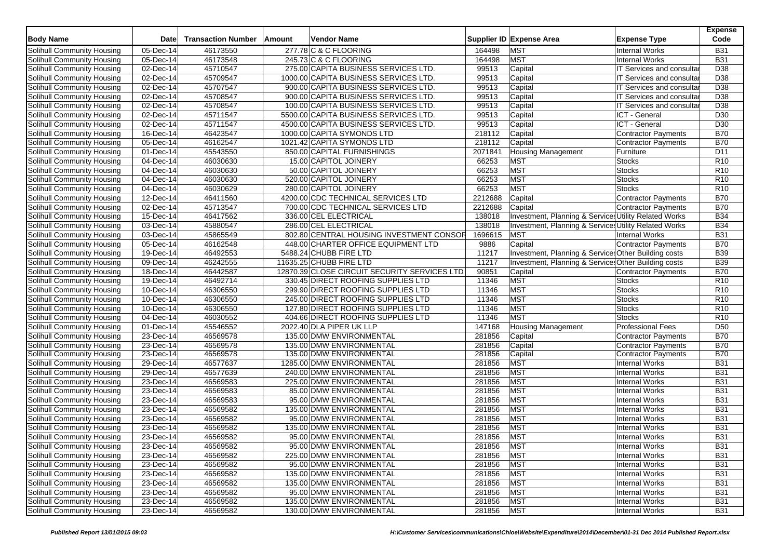| <b>Body Name</b>                  | <b>Date</b>                   | <b>Transaction Number</b> | Amount | <b>Vendor Name</b>                           |         | Supplier ID Expense Area                              | <b>Expense Type</b>              | <b>Expense</b><br>Code |
|-----------------------------------|-------------------------------|---------------------------|--------|----------------------------------------------|---------|-------------------------------------------------------|----------------------------------|------------------------|
| Solihull Community Housing        | 05-Dec-14                     | 46173550                  |        | 277.78 C & C FLOORING                        | 164498  | <b>MST</b>                                            | <b>Internal Works</b>            | <b>B31</b>             |
| Solihull Community Housing        | 05-Dec-14                     | 46173548                  |        | 245.73 C & C FLOORING                        | 164498  | <b>MST</b>                                            | <b>Internal Works</b>            | <b>B31</b>             |
| Solihull Community Housing        | 02-Dec-14                     | 45710547                  |        | 275.00 CAPITA BUSINESS SERVICES LTD          | 99513   | Capital                                               | IT Services and consultar        | D <sub>38</sub>        |
| Solihull Community Housing        | $\overline{02\text{-}$ Dec-14 | 45709547                  |        | 1000.00 CAPITA BUSINESS SERVICES LTD.        | 99513   | Capital                                               | IT Services and consultar        | D38                    |
| Solihull Community Housing        | 02-Dec-14                     | 45707547                  |        | 900.00 CAPITA BUSINESS SERVICES LTD.         | 99513   | Capital                                               | IT Services and consultar        | D38                    |
| Solihull Community Housing        | 02-Dec-14                     | 45708547                  |        | 900.00 CAPITA BUSINESS SERVICES LTD.         | 99513   | Capital                                               | IT Services and consultar        | D38                    |
| Solihull Community Housing        | $\overline{02\text{-}$ Dec-14 | 45708547                  |        | 100.00 CAPITA BUSINESS SERVICES LTD.         | 99513   | Capital                                               | <b>IT Services and consultar</b> | D <sub>38</sub>        |
| <b>Solihull Community Housing</b> | 02-Dec-14                     | 45711547                  |        | 5500.00 CAPITA BUSINESS SERVICES LTD.        | 99513   | Capital                                               | ICT - General                    | D <sub>30</sub>        |
| Solihull Community Housing        | 02-Dec-14                     | 45711547                  |        | 4500.00 CAPITA BUSINESS SERVICES LTD.        | 99513   | Capital                                               | ICT - General                    | D <sub>30</sub>        |
| Solihull Community Housing        | $16$ -Dec-14                  | 46423547                  |        | 1000.00 CAPITA SYMONDS LTD                   | 218112  | Capital                                               | Contractor Payments              | <b>B70</b>             |
| Solihull Community Housing        | 05-Dec-14                     | 46162547                  |        | 1021.42 CAPITA SYMONDS LTD                   | 218112  | Capital                                               | Contractor Payments              | <b>B70</b>             |
| Solihull Community Housing        | 01-Dec-14                     | 45543550                  |        | 850.00 CAPITAL FURNISHINGS                   | 2071841 | Housing Management                                    | Furniture                        | D11                    |
| Solihull Community Housing        | 04-Dec-14                     | 46030630                  |        | 15.00 CAPITOL JOINERY                        | 66253   | <b>MST</b>                                            | <b>Stocks</b>                    | R10                    |
| Solihull Community Housing        | 04-Dec-14                     | 46030630                  |        | 50.00 CAPITOL JOINERY                        | 66253   | <b>MST</b>                                            | <b>Stocks</b>                    | R <sub>10</sub>        |
| <b>Solihull Community Housing</b> | 04-Dec-14                     | 46030630                  |        | 520.00 CAPITOL JOINERY                       | 66253   | <b>MST</b>                                            | <b>Stocks</b>                    | R10                    |
| Solihull Community Housing        | 04-Dec-14                     | 46030629                  |        | 280.00 CAPITOL JOINERY                       | 66253   | <b>MST</b>                                            | <b>Stocks</b>                    | R <sub>10</sub>        |
| Solihull Community Housing        | 12-Dec-14                     | 46411560                  |        | 4200.00 CDC TECHNICAL SERVICES LTD           | 2212688 | Capital                                               | <b>Contractor Payments</b>       | <b>B70</b>             |
| Solihull Community Housing        | 02-Dec-14                     | 45713547                  |        | 700.00 CDC TECHNICAL SERVICES LTD            | 2212688 | Capital                                               | Contractor Payments              | <b>B70</b>             |
| Solihull Community Housing        | 15-Dec-14                     | 46417562                  |        | 336.00 CEL ELECTRICAL                        | 138018  | Investment, Planning & Services Utility Related Works |                                  | <b>B34</b>             |
| Solihull Community Housing        | 03-Dec-14                     | 45880547                  |        | 286.00 CEL ELECTRICAL                        | 138018  | Investment, Planning & Services Utility Related Works |                                  | <b>B34</b>             |
| Solihull Community Housing        | 03-Dec-14                     | 45865549                  |        | 802.80 CENTRAL HOUSING INVESTMENT CONSOR     | 1696615 | <b>MST</b>                                            | <b>Internal Works</b>            | <b>B31</b>             |
|                                   |                               | 46162548                  |        | 448.00 CHARTER OFFICE EQUIPMENT LTD          |         |                                                       |                                  | <b>B70</b>             |
| Solihull Community Housing        | 05-Dec-14                     |                           |        |                                              | 9886    | Capital                                               | Contractor Payments              |                        |
| Solihull Community Housing        | 19-Dec-14                     | 46492553                  |        | 5488.24 CHUBB FIRE LTD                       | 11217   | Investment, Planning & Service: Other Building costs  |                                  | <b>B39</b>             |
| Solihull Community Housing        | 09-Dec-14                     | 46242555                  |        | 11635.25 CHUBB FIRE LTD                      | 11217   | Investment, Planning & Services Other Building costs  |                                  | <b>B39</b>             |
| Solihull Community Housing        | 18-Dec-14                     | 46442587                  |        | 12870.39 CLOSE CIRCUIT SECURITY SERVICES LTD | 90851   | Capital                                               | <b>Contractor Payments</b>       | <b>B70</b>             |
| Solihull Community Housing        | 19-Dec-14                     | 46492714                  |        | 330.45 DIRECT ROOFING SUPPLIES LTD           | 11346   | <b>MST</b>                                            | <b>Stocks</b>                    | R10                    |
| Solihull Community Housing        | 10-Dec-14                     | 46306550                  |        | 299.90 DIRECT ROOFING SUPPLIES LTD           | 11346   | <b>MST</b>                                            | <b>Stocks</b>                    | R <sub>10</sub>        |
| Solihull Community Housing        | $10 - Dec-14$                 | 46306550                  |        | 245.00 DIRECT ROOFING SUPPLIES LTD           | 11346   | <b>MST</b>                                            | <b>Stocks</b>                    | R <sub>10</sub>        |
| Solihull Community Housing        | 10-Dec-14                     | 46306550                  |        | 127.80 DIRECT ROOFING SUPPLIES LTD           | 11346   | <b>MST</b>                                            | <b>Stocks</b>                    | R <sub>10</sub>        |
| Solihull Community Housing        | 04-Dec-14                     | 46030552                  |        | 404.66 DIRECT ROOFING SUPPLIES LTD           | 11346   | <b>MST</b>                                            | <b>Stocks</b>                    | R <sub>10</sub>        |
| Solihull Community Housing        | 01-Dec-14                     | 45546552                  |        | 2022.40 DLA PIPER UK LLP                     | 147168  | Housing Management                                    | <b>Professional Fees</b>         | D <sub>50</sub>        |
| Solihull Community Housing        | 23-Dec-14                     | 46569578                  |        | 135.00 DMW ENVIRONMENTAL                     | 281856  | Capital                                               | Contractor Payments              | <b>B70</b>             |
| Solihull Community Housing        | 23-Dec-14                     | 46569578                  |        | 135.00 DMW ENVIRONMENTAL                     | 281856  | Capital                                               | <b>Contractor Payments</b>       | <b>B70</b>             |
| Solihull Community Housing        | 23-Dec-14                     | 46569578                  |        | 135.00 DMW ENVIRONMENTAL                     | 281856  | Capital                                               | Contractor Payments              | <b>B70</b>             |
| Solihull Community Housing        | 29-Dec-14                     | 46577637                  |        | 1285.00 DMW ENVIRONMENTAL                    | 281856  | <b>MST</b>                                            | <b>Internal Works</b>            | <b>B31</b>             |
| Solihull Community Housing        | 29-Dec-14                     | 46577639                  |        | 240.00 DMW ENVIRONMENTAL                     | 281856  | <b>MST</b>                                            | <b>Internal Works</b>            | <b>B31</b>             |
| Solihull Community Housing        | 23-Dec-14                     | 46569583                  |        | 225.00 DMW ENVIRONMENTAL                     | 281856  | <b>MST</b>                                            | <b>Internal Works</b>            | <b>B31</b>             |
| Solihull Community Housing        | 23-Dec-14                     | 46569583                  |        | 85.00 DMW ENVIRONMENTAL                      | 281856  | <b>MST</b>                                            | <b>Internal Works</b>            | <b>B31</b>             |
| Solihull Community Housing        | $23$ -Dec-14                  | 46569583                  |        | 95.00 DMW ENVIRONMENTAL                      | 281856  | <b>MST</b>                                            | <b>Internal Works</b>            | <b>B31</b>             |
| Solihull Community Housing        | 23-Dec-14                     | 46569582                  |        | 135.00 DMW ENVIRONMENTAL                     | 281856  | <b>MST</b>                                            | <b>Internal Works</b>            | <b>B31</b>             |
| Solihull Community Housing        | 23-Dec-14                     | 46569582                  |        | 95.00 DMW ENVIRONMENTAL                      | 281856  | <b>MST</b>                                            | <b>Internal Works</b>            | <b>B31</b>             |
| Solihull Community Housing        | 23-Dec-14                     | 46569582                  |        | 135.00 DMW ENVIRONMENTAL                     | 281856  | <b>MST</b>                                            | <b>Internal Works</b>            | <b>B31</b>             |
| Solihull Community Housing        | 23-Dec-14                     | 46569582                  |        | 95.00 DMW ENVIRONMENTAL                      | 281856  | <b>MST</b>                                            | Internal Works                   | <b>B31</b>             |
| Solihull Community Housing        | 23-Dec-14                     | 46569582                  |        | 95.00 DMW ENVIRONMENTAL                      | 281856  | <b>MST</b>                                            | <b>Internal Works</b>            | <b>B31</b>             |
| Solihull Community Housing        | 23-Dec-14                     | 46569582                  |        | 225.00 DMW ENVIRONMENTAL                     | 281856  | <b>MST</b>                                            | <b>Internal Works</b>            | <b>B31</b>             |
| Solihull Community Housing        | 23-Dec-14                     | 46569582                  |        | 95.00 DMW ENVIRONMENTAL                      | 281856  | <b>MST</b>                                            | <b>Internal Works</b>            | <b>B31</b>             |
| Solihull Community Housing        | 23-Dec-14                     | 46569582                  |        | 135.00 DMW ENVIRONMENTAL                     | 281856  | <b>MST</b>                                            | <b>Internal Works</b>            | <b>B31</b>             |
| Solihull Community Housing        | 23-Dec-14                     | 46569582                  |        | 135.00 DMW ENVIRONMENTAL                     | 281856  | <b>MST</b>                                            | Internal Works                   | <b>B31</b>             |
| Solihull Community Housing        | 23-Dec-14                     | 46569582                  |        | 95.00 DMW ENVIRONMENTAL                      | 281856  | <b>MST</b>                                            | <b>Internal Works</b>            | <b>B31</b>             |
| Solihull Community Housing        | 23-Dec-14                     | 46569582                  |        | 135.00 DMW ENVIRONMENTAL                     | 281856  | <b>MST</b>                                            | <b>Internal Works</b>            | <b>B31</b>             |
| Solihull Community Housing        | 23-Dec-14                     | 46569582                  |        | 130.00 DMW ENVIRONMENTAL                     | 281856  | <b>MST</b>                                            | <b>Internal Works</b>            | <b>B31</b>             |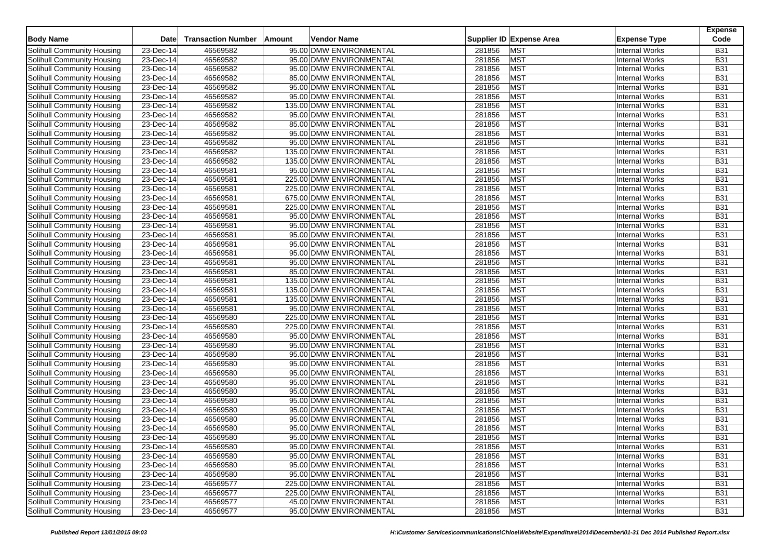|                                   |                         |                           |        |                          |        |                          |                       | <b>Expense</b> |
|-----------------------------------|-------------------------|---------------------------|--------|--------------------------|--------|--------------------------|-----------------------|----------------|
| <b>Body Name</b>                  | <b>Date</b>             | <b>Transaction Number</b> | Amount | <b>Vendor Name</b>       |        | Supplier ID Expense Area | <b>Expense Type</b>   | Code           |
| Solihull Community Housing        | 23-Dec-14               | 46569582                  |        | 95.00 DMW ENVIRONMENTAL  | 281856 | <b>MST</b>               | <b>Internal Works</b> | <b>B31</b>     |
| Solihull Community Housing        | 23-Dec-14               | 46569582                  |        | 95.00 DMW ENVIRONMENTAL  | 281856 | <b>MST</b>               | <b>Internal Works</b> | <b>B31</b>     |
| <b>Solihull Community Housing</b> | 23-Dec-14               | 46569582                  |        | 95.00 DMW ENVIRONMENTAL  | 281856 | <b>MST</b>               | <b>Internal Works</b> | <b>B31</b>     |
| Solihull Community Housing        | 23-Dec-14               | 46569582                  |        | 85.00 DMW ENVIRONMENTAL  | 281856 | <b>MST</b>               | <b>Internal Works</b> | <b>B31</b>     |
| <b>Solihull Community Housing</b> | 23-Dec-14               | 46569582                  |        | 95.00 DMW ENVIRONMENTAL  | 281856 | <b>MST</b>               | <b>Internal Works</b> | <b>B31</b>     |
| Solihull Community Housing        | 23-Dec-14               | 46569582                  |        | 95.00 DMW ENVIRONMENTAL  | 281856 | <b>MST</b>               | <b>Internal Works</b> | <b>B31</b>     |
| Solihull Community Housing        | 23-Dec-14               | 46569582                  |        | 135.00 DMW ENVIRONMENTAL | 281856 | <b>MST</b>               | <b>Internal Works</b> | <b>B31</b>     |
| Solihull Community Housing        | 23-Dec-14               | 46569582                  |        | 95.00 DMW ENVIRONMENTAL  | 281856 | <b>MST</b>               | <b>Internal Works</b> | <b>B31</b>     |
| Solihull Community Housing        | 23-Dec-14               | 46569582                  |        | 85.00 DMW ENVIRONMENTAL  | 281856 | <b>MST</b>               | <b>Internal Works</b> | <b>B31</b>     |
| Solihull Community Housing        | 23-Dec-14               | 46569582                  |        | 95.00 DMW ENVIRONMENTAL  | 281856 | <b>MST</b>               | <b>Internal Works</b> | <b>B31</b>     |
| Solihull Community Housing        | 23-Dec-14               | 46569582                  |        | 95.00 DMW ENVIRONMENTAL  | 281856 | <b>MST</b>               | <b>Internal Works</b> | <b>B31</b>     |
| Solihull Community Housing        | 23-Dec-14               | 46569582                  |        | 135.00 DMW ENVIRONMENTAL | 281856 | MST                      | <b>Internal Works</b> | <b>B31</b>     |
| Solihull Community Housing        | 23-Dec-14               | 46569582                  |        | 135.00 DMW ENVIRONMENTAL | 281856 | <b>MST</b>               | <b>Internal Works</b> | <b>B31</b>     |
| Solihull Community Housing        | 23-Dec-14               | 46569581                  |        | 95.00 DMW ENVIRONMENTAL  | 281856 | <b>MST</b>               | <b>Internal Works</b> | <b>B31</b>     |
| Solihull Community Housing        | 23-Dec-14               | 46569581                  |        | 225.00 DMW ENVIRONMENTAL | 281856 | <b>MST</b>               | <b>Internal Works</b> | <b>B31</b>     |
| Solihull Community Housing        | 23-Dec-14               | 46569581                  |        | 225.00 DMW ENVIRONMENTAL | 281856 | <b>MST</b>               | <b>Internal Works</b> | <b>B31</b>     |
| Solihull Community Housing        | 23-Dec-14               | 46569581                  |        | 675.00 DMW ENVIRONMENTAL | 281856 | MST                      | <b>Internal Works</b> | <b>B31</b>     |
| Solihull Community Housing        | 23-Dec-14               | 46569581                  |        | 225.00 DMW ENVIRONMENTAL | 281856 | <b>MST</b>               | <b>Internal Works</b> | <b>B31</b>     |
| Solihull Community Housing        | 23-Dec-14               | 46569581                  |        | 95.00 DMW ENVIRONMENTAL  | 281856 | <b>MST</b>               | <b>Internal Works</b> | <b>B31</b>     |
| Solihull Community Housing        | 23-Dec-14               | 46569581                  |        | 95.00 DMW ENVIRONMENTAL  | 281856 | <b>MST</b>               | <b>Internal Works</b> | <b>B31</b>     |
| Solihull Community Housing        | 23-Dec-14               | 46569581                  |        | 95.00 DMW ENVIRONMENTAL  | 281856 | <b>MST</b>               | Internal Works        | <b>B31</b>     |
| Solihull Community Housing        | 23-Dec-14               | 46569581                  |        | 95.00 DMW ENVIRONMENTAL  | 281856 | <b>MST</b>               | <b>Internal Works</b> | <b>B31</b>     |
| Solihull Community Housing        | 23-Dec-14               | 46569581                  |        | 95.00 DMW ENVIRONMENTAL  | 281856 | <b>MST</b>               | <b>Internal Works</b> | <b>B31</b>     |
| Solihull Community Housing        | 23-Dec-14               | 46569581                  |        | 95.00 DMW ENVIRONMENTAL  | 281856 | <b>MST</b>               | <b>Internal Works</b> | <b>B31</b>     |
| Solihull Community Housing        | 23-Dec-14               | 46569581                  |        | 85.00 DMW ENVIRONMENTAL  | 281856 | <b>MST</b>               | <b>Internal Works</b> | <b>B31</b>     |
| Solihull Community Housing        | 23-Dec-14               | 46569581                  |        | 135.00 DMW ENVIRONMENTAL | 281856 | MST                      | <b>Internal Works</b> | <b>B31</b>     |
| Solihull Community Housing        | 23-Dec-14               | 46569581                  |        | 135.00 DMW ENVIRONMENTAL | 281856 | MST                      | <b>Internal Works</b> | <b>B31</b>     |
| Solihull Community Housing        | 23-Dec-14               | 46569581                  |        | 135.00 DMW ENVIRONMENTAL | 281856 | MST                      | <b>Internal Works</b> | <b>B31</b>     |
| Solihull Community Housing        | $23$ -Dec-14            | 46569581                  |        | 95.00 DMW ENVIRONMENTAL  | 281856 | <b>MST</b>               | <b>Internal Works</b> | <b>B31</b>     |
| Solihull Community Housing        | $23$ -Dec-14            | 46569580                  |        | 225.00 DMW ENVIRONMENTAL | 281856 | <b>MST</b>               | <b>Internal Works</b> | <b>B31</b>     |
| Solihull Community Housing        | 23-Dec-14               | 46569580                  |        | 225.00 DMW ENVIRONMENTAL | 281856 | MST                      | <b>Internal Works</b> | <b>B31</b>     |
| Solihull Community Housing        | 23-Dec-14               | 46569580                  |        | 95.00 DMW ENVIRONMENTAL  | 281856 | <b>MST</b>               | <b>Internal Works</b> | <b>B31</b>     |
| Solihull Community Housing        | 23-Dec-14               | 46569580                  |        | 95.00 DMW ENVIRONMENTAL  | 281856 | <b>MST</b>               | <b>Internal Works</b> | <b>B31</b>     |
| Solihull Community Housing        | 23-Dec-14               | 46569580                  |        | 95.00 DMW ENVIRONMENTAL  | 281856 | <b>MST</b>               | <b>Internal Works</b> | <b>B31</b>     |
| Solihull Community Housing        | 23-Dec-14               | 46569580                  |        | 95.00 DMW ENVIRONMENTAL  | 281856 | <b>MST</b>               | <b>Internal Works</b> | <b>B31</b>     |
| Solihull Community Housing        | 23-Dec-14               | 46569580                  |        | 95.00 DMW ENVIRONMENTAL  | 281856 | <b>MST</b>               | <b>Internal Works</b> | <b>B31</b>     |
| Solihull Community Housing        | 23-Dec-14               | 46569580                  |        | 95.00 DMW ENVIRONMENTAL  | 281856 | <b>MST</b>               | <b>Internal Works</b> | <b>B31</b>     |
| Solihull Community Housing        | 23-Dec-14               | 46569580                  |        | 95.00 DMW ENVIRONMENTAL  | 281856 | <b>MST</b>               | <b>Internal Works</b> | <b>B31</b>     |
| Solihull Community Housing        | $23$ -Dec-14            | 46569580                  |        | 95.00 DMW ENVIRONMENTAL  | 281856 | <b>MST</b>               | Internal Works        | <b>B31</b>     |
| Solihull Community Housing        | 23-Dec-14               | 46569580                  |        | 95.00 DMW ENVIRONMENTAL  | 281856 | <b>MST</b>               | <b>Internal Works</b> | <b>B31</b>     |
| Solihull Community Housing        | 23-Dec-14               | 46569580                  |        | 95.00 DMW ENVIRONMENTAL  | 281856 | <b>MST</b>               | <b>Internal Works</b> | <b>B31</b>     |
| Solihull Community Housing        | 23-Dec-14               | 46569580                  |        | 95.00 DMW ENVIRONMENTAL  | 281856 | <b>MST</b>               | <b>Internal Works</b> | <b>B31</b>     |
| Solihull Community Housing        | 23-Dec-14               | 46569580                  |        | 95.00 DMW ENVIRONMENTAL  | 281856 | <b>MST</b>               | <b>Internal Works</b> | <b>B31</b>     |
| Solihull Community Housing        | 23-Dec-14               | 46569580                  |        | 95.00 DMW ENVIRONMENTAL  | 281856 | <b>MST</b>               | <b>Internal Works</b> | <b>B31</b>     |
| Solihull Community Housing        | $\overline{23}$ -Dec-14 | 46569580                  |        | 95.00 DMW ENVIRONMENTAL  | 281856 | <b>MST</b>               | Internal Works        | <b>B31</b>     |
| Solihull Community Housing        | 23-Dec-14               | 46569580                  |        | 95.00 DMW ENVIRONMENTAL  | 281856 | <b>MST</b>               | <b>Internal Works</b> | <b>B31</b>     |
| Solihull Community Housing        | 23-Dec-14               | 46569580                  |        | 95.00 DMW ENVIRONMENTAL  | 281856 | <b>MST</b>               | Internal Works        | <b>B31</b>     |
| Solihull Community Housing        | 23-Dec-14               | 46569577                  |        | 225.00 DMW ENVIRONMENTAL | 281856 | <b>MST</b>               | Internal Works        | <b>B31</b>     |
| Solihull Community Housing        | 23-Dec-14               | 46569577                  |        | 225.00 DMW ENVIRONMENTAL | 281856 | MST                      | Internal Works        | <b>B31</b>     |
| Solihull Community Housing        | 23-Dec-14               | 46569577                  |        | 45.00 DMW ENVIRONMENTAL  | 281856 | <b>MST</b>               | Internal Works        | <b>B31</b>     |
| Solihull Community Housing        | 23-Dec-14               | 46569577                  |        | 95.00 DMW ENVIRONMENTAL  | 281856 | <b>MST</b>               | Internal Works        | <b>B31</b>     |
|                                   |                         |                           |        |                          |        |                          |                       |                |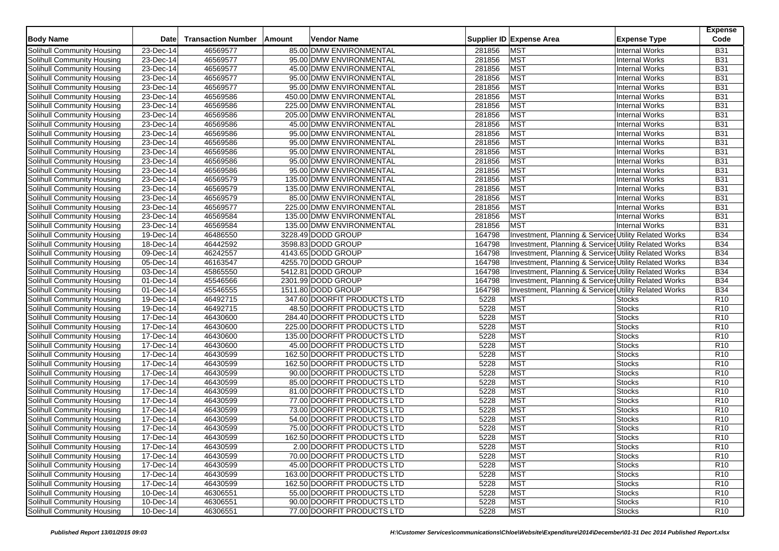| <b>Body Name</b>                  | Date                    | <b>Transaction Number</b> | Amount | Vendor Name                 |        | Supplier ID Expense Area                              | <b>Expense Type</b>   | <b>Expense</b><br>Code |
|-----------------------------------|-------------------------|---------------------------|--------|-----------------------------|--------|-------------------------------------------------------|-----------------------|------------------------|
| Solihull Community Housing        | 23-Dec-14               | 46569577                  |        | 85.00 DMW ENVIRONMENTAL     | 281856 | <b>MST</b>                                            | <b>Internal Works</b> | <b>B31</b>             |
| Solihull Community Housing        | 23-Dec-14               | 46569577                  |        | 95.00 DMW ENVIRONMENTAL     | 281856 | <b>MST</b>                                            | <b>Internal Works</b> | <b>B31</b>             |
| Solihull Community Housing        | 23-Dec-14               | 46569577                  |        | 45.00 DMW ENVIRONMENTAL     | 281856 | <b>MST</b>                                            | <b>Internal Works</b> | <b>B31</b>             |
| Solihull Community Housing        | 23-Dec-14               | 46569577                  |        | 95.00 DMW ENVIRONMENTAL     | 281856 | <b>MST</b>                                            | <b>Internal Works</b> | <b>B31</b>             |
| Solihull Community Housing        | 23-Dec-14               | 46569577                  |        | 95.00 DMW ENVIRONMENTAL     | 281856 | <b>MST</b>                                            | <b>Internal Works</b> | <b>B31</b>             |
| Solihull Community Housing        | 23-Dec-14               | 46569586                  |        | 450.00 DMW ENVIRONMENTAL    | 281856 | <b>MST</b>                                            | <b>Internal Works</b> | <b>B31</b>             |
| Solihull Community Housing        | 23-Dec-14               | 46569586                  |        | 225.00 DMW ENVIRONMENTAL    | 281856 | <b>MST</b>                                            | <b>Internal Works</b> | <b>B31</b>             |
| Solihull Community Housing        | 23-Dec-14               | 46569586                  |        | 205.00 DMW ENVIRONMENTAL    | 281856 | <b>MST</b>                                            | <b>Internal Works</b> | <b>B31</b>             |
| Solihull Community Housing        | 23-Dec-14               | 46569586                  |        | 45.00 DMW ENVIRONMENTAL     | 281856 | <b>MST</b>                                            | <b>Internal Works</b> | <b>B31</b>             |
| Solihull Community Housing        | 23-Dec-14               | 46569586                  |        | 95.00 DMW ENVIRONMENTAL     | 281856 | <b>MST</b>                                            | <b>Internal Works</b> | <b>B31</b>             |
| Solihull Community Housing        | 23-Dec-14               | 46569586                  |        | 95.00 DMW ENVIRONMENTAL     | 281856 | <b>MST</b>                                            | <b>Internal Works</b> | <b>B31</b>             |
| Solihull Community Housing        | 23-Dec-14               | 46569586                  |        | 95.00 DMW ENVIRONMENTAL     | 281856 | <b>MST</b>                                            | <b>Internal Works</b> | <b>B31</b>             |
| Solihull Community Housing        | $\overline{23}$ -Dec-14 | 46569586                  |        | 95.00 DMW ENVIRONMENTAL     | 281856 | <b>MST</b>                                            | <b>Internal Works</b> | <b>B31</b>             |
| Solihull Community Housing        | 23-Dec-14               | 46569586                  |        | 95.00 DMW ENVIRONMENTAL     | 281856 | <b>MST</b>                                            | <b>Internal Works</b> | <b>B31</b>             |
| Solihull Community Housing        | 23-Dec-14               | 46569579                  |        | 135.00 DMW ENVIRONMENTAL    | 281856 | <b>MST</b>                                            | <b>Internal Works</b> | <b>B31</b>             |
| Solihull Community Housing        | $23-Dec-14$             | 46569579                  |        | 135.00 DMW ENVIRONMENTAL    | 281856 | <b>MST</b>                                            | <b>Internal Works</b> | <b>B31</b>             |
| Solihull Community Housing        | 23-Dec-14               | 46569579                  |        | 85.00 DMW ENVIRONMENTAL     | 281856 | <b>MST</b>                                            | <b>Internal Works</b> | <b>B31</b>             |
| Solihull Community Housing        | 23-Dec-14               | 46569577                  |        | 225.00 DMW ENVIRONMENTAL    | 281856 | <b>MST</b>                                            | <b>Internal Works</b> | <b>B31</b>             |
| Solihull Community Housing        | 23-Dec-14               | 46569584                  |        | 135.00 DMW ENVIRONMENTAL    | 281856 | <b>MST</b>                                            | <b>Internal Works</b> | <b>B31</b>             |
| Solihull Community Housing        | 23-Dec-14               | 46569584                  |        | 135.00 DMW ENVIRONMENTAL    | 281856 | <b>MST</b>                                            | <b>Internal Works</b> | <b>B31</b>             |
| Solihull Community Housing        | 19-Dec-14               | 46486550                  |        | 3228.49 DODD GROUP          | 164798 | Investment, Planning & Services Utility Related Works |                       | <b>B34</b>             |
| Solihull Community Housing        | 18-Dec-14               | 46442592                  |        | 3598.83 DODD GROUP          | 164798 | Investment, Planning & Services Utility Related Works |                       | <b>B34</b>             |
| Solihull Community Housing        | 09-Dec-14               | 46242557                  |        | 4143.65 DODD GROUP          | 164798 | Investment, Planning & Services Utility Related Works |                       | <b>B34</b>             |
| Solihull Community Housing        | 05-Dec-14               | 46163547                  |        | 4255.70 DODD GROUP          | 164798 | Investment, Planning & Services Utility Related Works |                       | <b>B34</b>             |
| Solihull Community Housing        | 03-Dec-14               | 45865550                  |        | 5412.81 DODD GROUP          | 164798 | Investment, Planning & Services Utility Related Works |                       | <b>B34</b>             |
| Solihull Community Housing        | 01-Dec-14               | 45546566                  |        | 2301.99 DODD GROUP          | 164798 | Investment, Planning & Services Utility Related Works |                       | <b>B34</b>             |
| Solihull Community Housing        | 01-Dec-14               | 45546555                  |        | 1511.80 DODD GROUP          | 164798 | Investment, Planning & Service Utility Related Works  |                       | <b>B34</b>             |
| Solihull Community Housing        | 19-Dec-14               | 46492715                  |        | 347.60 DOORFIT PRODUCTS LTD | 5228   | <b>MST</b>                                            | <b>Stocks</b>         | R <sub>10</sub>        |
| Solihull Community Housing        | 19-Dec-14               | 46492715                  |        | 48.50 DOORFIT PRODUCTS LTD  | 5228   | <b>MST</b>                                            | <b>Stocks</b>         | R <sub>10</sub>        |
| Solihull Community Housing        | 17-Dec-14               | 46430600                  |        | 284.40 DOORFIT PRODUCTS LTD | 5228   | <b>MST</b>                                            | <b>Stocks</b>         | R <sub>10</sub>        |
| Solihull Community Housing        | 17-Dec-14               | 46430600                  |        | 225.00 DOORFIT PRODUCTS LTD | 5228   | <b>MST</b>                                            | <b>Stocks</b>         | R <sub>10</sub>        |
| Solihull Community Housing        | 17-Dec-14               | 46430600                  |        | 135.00 DOORFIT PRODUCTS LTD | 5228   | <b>MST</b>                                            | <b>Stocks</b>         | R10                    |
| Solihull Community Housing        | 17-Dec-14               | 46430600                  |        | 45.00 DOORFIT PRODUCTS LTD  | 5228   | <b>MST</b>                                            | Stocks                | R <sub>10</sub>        |
| Solihull Community Housing        | 17-Dec-14               | 46430599                  |        | 162.50 DOORFIT PRODUCTS LTD | 5228   | <b>MST</b>                                            | Stocks                | R <sub>10</sub>        |
| Solihull Community Housing        | 17-Dec-14               | 46430599                  |        | 162.50 DOORFIT PRODUCTS LTD | 5228   | <b>MST</b>                                            | <b>Stocks</b>         | R10                    |
| <b>Solihull Community Housing</b> | 17-Dec-14               | 46430599                  |        | 90.00 DOORFIT PRODUCTS LTD  | 5228   | <b>MST</b>                                            | <b>Stocks</b>         | R <sub>10</sub>        |
| Solihull Community Housing        | 17-Dec-14               | 46430599                  |        | 85.00 DOORFIT PRODUCTS LTD  | 5228   | <b>MST</b>                                            | <b>Stocks</b>         | R <sub>10</sub>        |
| Solihull Community Housing        | $\overline{17}$ -Dec-14 | 46430599                  |        | 81.00 DOORFIT PRODUCTS LTD  | 5228   | <b>MST</b>                                            | <b>Stocks</b>         | R10                    |
| Solihull Community Housing        | 17-Dec-14               | 46430599                  |        | 77.00 DOORFIT PRODUCTS LTD  | 5228   | <b>MST</b>                                            | Stocks                | R10                    |
| Solihull Community Housing        | 17-Dec-14               | 46430599                  |        | 73.00 DOORFIT PRODUCTS LTD  | 5228   | <b>MST</b>                                            | <b>Stocks</b>         | R10                    |
| Solihull Community Housing        | 17-Dec-14               | 46430599                  |        | 54.00 DOORFIT PRODUCTS LTD  | 5228   | <b>MST</b>                                            | <b>Stocks</b>         | R10                    |
| Solihull Community Housing        | 17-Dec-14               | 46430599                  |        | 75.00 DOORFIT PRODUCTS LTD  | 5228   | <b>MST</b>                                            | <b>Stocks</b>         | R10                    |
| Solihull Community Housing        | 17-Dec-14               | 46430599                  |        | 162.50 DOORFIT PRODUCTS LTD | 5228   | <b>MST</b>                                            | Stocks                | R <sub>10</sub>        |
| Solihull Community Housing        | 17-Dec-14               | 46430599                  |        | 2.00 DOORFIT PRODUCTS LTD   | 5228   | <b>MST</b>                                            | <b>Stocks</b>         | R <sub>10</sub>        |
| Solihull Community Housing        | 17-Dec-14               | 46430599                  |        | 70.00 DOORFIT PRODUCTS LTD  | 5228   | <b>MST</b>                                            | <b>Stocks</b>         | R <sub>10</sub>        |
| Solihull Community Housing        | 17-Dec-14               | 46430599                  |        | 45.00 DOORFIT PRODUCTS LTD  | 5228   | <b>MST</b>                                            | <b>Stocks</b>         | R <sub>10</sub>        |
| Solihull Community Housing        | 17-Dec-14               | 46430599                  |        | 163.00 DOORFIT PRODUCTS LTD | 5228   | <b>MST</b>                                            | <b>Stocks</b>         | R <sub>10</sub>        |
| Solihull Community Housing        | 17-Dec-14               | 46430599                  |        | 162.50 DOORFIT PRODUCTS LTD | 5228   | <b>MST</b>                                            | <b>Stocks</b>         | R <sub>10</sub>        |
| Solihull Community Housing        | 10-Dec-14               | 46306551                  |        | 55.00 DOORFIT PRODUCTS LTD  | 5228   | <b>MST</b>                                            | <b>Stocks</b>         | R <sub>10</sub>        |
| <b>Solihull Community Housing</b> | 10-Dec-14               | 46306551                  |        | 90.00 DOORFIT PRODUCTS LTD  | 5228   | <b>MST</b>                                            | <b>Stocks</b>         | R <sub>10</sub>        |
| Solihull Community Housing        | $\overline{10}$ -Dec-14 | 46306551                  |        | 77.00 DOORFIT PRODUCTS LTD  | 5228   | <b>MST</b>                                            | <b>Stocks</b>         | R <sub>10</sub>        |
|                                   |                         |                           |        |                             |        |                                                       |                       |                        |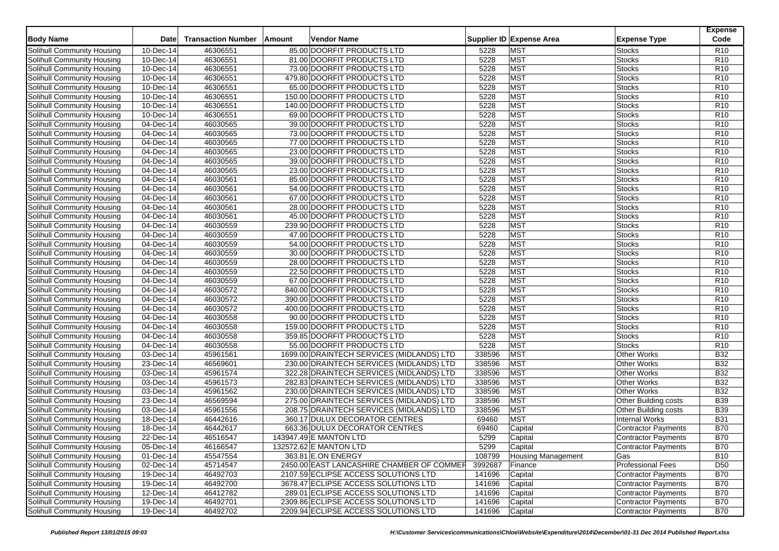| <b>Body Name</b>                                         | Date                    | <b>Transaction Number</b> | Amount | Vendor Name            |                                           |         | Supplier ID Expense Area  | <b>Expense Type</b>         | <b>Expense</b><br>Code |
|----------------------------------------------------------|-------------------------|---------------------------|--------|------------------------|-------------------------------------------|---------|---------------------------|-----------------------------|------------------------|
| Solihull Community Housing                               | 10-Dec-14               | 46306551                  |        |                        | 85.00 DOORFIT PRODUCTS LTD                | 5228    | <b>MST</b>                | Stocks                      | R <sub>10</sub>        |
| Solihull Community Housing                               | 10-Dec-14               | 46306551                  |        |                        | 81.00 DOORFIT PRODUCTS LTD                | 5228    | <b>MST</b>                | <b>Stocks</b>               | R <sub>10</sub>        |
| Solihull Community Housing                               | 10-Dec-14               | 46306551                  |        |                        | 73.00 DOORFIT PRODUCTS LTD                | 5228    | <b>MST</b>                | <b>Stocks</b>               | R <sub>10</sub>        |
| Solihull Community Housing                               | 10-Dec-14               | 46306551                  |        |                        | 479.80 DOORFIT PRODUCTS LTD               | 5228    | <b>MST</b>                | <b>Stocks</b>               | R10                    |
| Solihull Community Housing                               | 10-Dec-14               | 46306551                  |        |                        | 65.00 DOORFIT PRODUCTS LTD                | 5228    | <b>MST</b>                | <b>Stocks</b>               | R <sub>10</sub>        |
| Solihull Community Housing                               | 10-Dec-14               | 46306551                  |        |                        | 150.00 DOORFIT PRODUCTS LTD               | 5228    | <b>MST</b>                | <b>Stocks</b>               | R <sub>10</sub>        |
| Solihull Community Housing                               | 10-Dec-14               | 46306551                  |        |                        | 140.00 DOORFIT PRODUCTS LTD               | 5228    | <b>MST</b>                | <b>Stocks</b>               | R10                    |
| Solihull Community Housing                               | 10-Dec-14               | 46306551                  |        |                        | 69.00 DOORFIT PRODUCTS LTD                | 5228    | <b>MST</b>                | Stocks                      | R <sub>10</sub>        |
| Solihull Community Housing                               | 04-Dec-14               | 46030565                  |        |                        | 39.00 DOORFIT PRODUCTS LTD                | 5228    | <b>MST</b>                | <b>Stocks</b>               | R <sub>10</sub>        |
| Solihull Community Housing                               | 04-Dec-14               | 46030565                  |        |                        | 73.00 DOORFIT PRODUCTS LTD                | 5228    | <b>MST</b>                | <b>Stocks</b>               | R10                    |
| Solihull Community Housing                               | 04-Dec-14               | 46030565                  |        |                        | 77.00 DOORFIT PRODUCTS LTD                | 5228    | <b>MST</b>                | <b>Stocks</b>               | R <sub>10</sub>        |
| Solihull Community Housing                               | 04-Dec-14               | 46030565                  |        |                        | 23.00 DOORFIT PRODUCTS LTD                | 5228    | <b>MST</b>                | <b>Stocks</b>               | R <sub>10</sub>        |
|                                                          | 04-Dec-14               | 46030565                  |        |                        | 39.00 DOORFIT PRODUCTS LTD                | 5228    | <b>MST</b>                | <b>Stocks</b>               | R10                    |
| Solihull Community Housing<br>Solihull Community Housing | 04-Dec-14               | 46030565                  |        |                        |                                           | 5228    | <b>MST</b>                |                             | R10                    |
|                                                          | 04-Dec-14               | 46030561                  |        |                        | 23.00 DOORFIT PRODUCTS LTD                | 5228    | <b>MST</b>                | Stocks                      | R <sub>10</sub>        |
| Solihull Community Housing                               |                         |                           |        |                        | 85.00 DOORFIT PRODUCTS LTD                |         |                           | Stocks                      |                        |
| Solihull Community Housing                               | 04-Dec-14               | 46030561                  |        |                        | 54.00 DOORFIT PRODUCTS LTD                | 5228    | <b>MST</b>                | Stocks                      | R10                    |
| Solihull Community Housing                               | 04-Dec-14               | 46030561                  |        |                        | 67.00 DOORFIT PRODUCTS LTD                | 5228    | <b>MST</b>                | <b>Stocks</b>               | R10                    |
| Solihull Community Housing                               | 04-Dec-14               | 46030561                  |        |                        | 28.00 DOORFIT PRODUCTS LTD                | 5228    | <b>MST</b>                | <b>Stocks</b>               | R <sub>10</sub>        |
| Solihull Community Housing                               | 04-Dec-14               | 46030561                  |        |                        | 45.00 DOORFIT PRODUCTS LTD                | 5228    | <b>MST</b>                | <b>Stocks</b>               | R10                    |
| Solihull Community Housing                               | 04-Dec-14               | 46030559                  |        |                        | 239.90 DOORFIT PRODUCTS LTD               | 5228    | <b>MST</b>                | <b>Stocks</b>               | R <sub>10</sub>        |
| Solihull Community Housing                               | 04-Dec-14               | 46030559                  |        |                        | 47.00 DOORFIT PRODUCTS LTD                | 5228    | <b>MST</b>                | <b>Stocks</b>               | R <sub>10</sub>        |
| Solihull Community Housing                               | 04-Dec-14               | 46030559                  |        |                        | 54.00 DOORFIT PRODUCTS LTD                | 5228    | <b>MST</b>                | <b>Stocks</b>               | R10                    |
| Solihull Community Housing                               | 04-Dec-14               | 46030559                  |        |                        | 30.00 DOORFIT PRODUCTS LTD                | 5228    | <b>MST</b>                | Stocks                      | R <sub>10</sub>        |
| Solihull Community Housing                               | 04-Dec-14               | 46030559                  |        |                        | 28.00 DOORFIT PRODUCTS LTD                | 5228    | <b>MST</b>                | <b>Stocks</b>               | R <sub>10</sub>        |
| Solihull Community Housing                               | 04-Dec-14               | 46030559                  |        |                        | 22.50 DOORFIT PRODUCTS LTD                | 5228    | <b>MST</b>                | <b>Stocks</b>               | R <sub>10</sub>        |
| Solihull Community Housing                               | 04-Dec-14               | 46030559                  |        |                        | 67.00 DOORFIT PRODUCTS LTD                | 5228    | <b>MST</b>                | Stocks                      | R <sub>10</sub>        |
| Solihull Community Housing                               | 04-Dec-14               | 46030572                  |        |                        | 840.00 DOORFIT PRODUCTS LTD               | 5228    | <b>MST</b>                | Stocks                      | R <sub>10</sub>        |
| Solihull Community Housing                               | 04-Dec-14               | 46030572                  |        |                        | 390.00 DOORFIT PRODUCTS LTD               | 5228    | <b>MST</b>                | <b>Stocks</b>               | R <sub>10</sub>        |
| Solihull Community Housing                               | 04-Dec-14               | 46030572                  |        |                        | 400.00 DOORFIT PRODUCTS LTD               | 5228    | <b>MST</b>                | <b>Stocks</b>               | R <sub>10</sub>        |
| Solihull Community Housing                               | 04-Dec-14               | 46030558                  |        |                        | 90.00 DOORFIT PRODUCTS LTD                | 5228    | <b>MST</b>                | <b>Stocks</b>               | R <sub>10</sub>        |
| Solihull Community Housing                               | 04-Dec-14               | 46030558                  |        |                        | 159.00 DOORFIT PRODUCTS LTD               | 5228    | <b>MST</b>                | <b>Stocks</b>               | R <sub>10</sub>        |
| Solihull Community Housing                               | 04-Dec-14               | 46030558                  |        |                        | 359.85 DOORFIT PRODUCTS LTD               | 5228    | <b>MST</b>                | <b>Stocks</b>               | R10                    |
| Solihull Community Housing                               | 04-Dec-14               | 46030558                  |        |                        | 55.00 DOORFIT PRODUCTS LTD                | 5228    | <b>MST</b>                | <b>Stocks</b>               | R <sub>10</sub>        |
| Solihull Community Housing                               | 03-Dec-14               | 45961561                  |        |                        | 1699.00 DRAINTECH SERVICES (MIDLANDS) LTD | 338596  | <b>MST</b>                | <b>Other Works</b>          | <b>B32</b>             |
| Solihull Community Housing                               | $\overline{23}$ -Dec-14 | 46569601                  |        |                        | 230.00 DRAINTECH SERVICES (MIDLANDS) LTD  | 338596  | <b>MST</b>                | Other Works                 | <b>B32</b>             |
| Solihull Community Housing                               | 03-Dec-14               | 45961574                  |        |                        | 322.28 DRAINTECH SERVICES (MIDLANDS) LTD  | 338596  | <b>MST</b>                | <b>Other Works</b>          | <b>B32</b>             |
| <b>Solihull Community Housing</b>                        | 03-Dec-14               | 45961573                  |        |                        | 282.83 DRAINTECH SERVICES (MIDLANDS) LTD  | 338596  | <b>MST</b>                | <b>Other Works</b>          | <b>B32</b>             |
| Solihull Community Housing                               | 03-Dec-14               | 45961562                  |        |                        | 230.00 DRAINTECH SERVICES (MIDLANDS) LTD  | 338596  | <b>MST</b>                | <b>Other Works</b>          | <b>B32</b>             |
| Solihull Community Housing                               | 23-Dec-14               | 46569594                  |        |                        | 275.00 DRAINTECH SERVICES (MIDLANDS) LTD  | 338596  | <b>MST</b>                | Other Building costs        | <b>B39</b>             |
| Solihull Community Housing                               | 03-Dec-14               | 45961556                  |        |                        | 208.75 DRAINTECH SERVICES (MIDLANDS) LTD  | 338596  | <b>MST</b>                | <b>Other Building costs</b> | <b>B39</b>             |
| Solihull Community Housing                               | 18-Dec-14               | 46442616                  |        |                        | 360.17 DULUX DECORATOR CENTRES            | 69460   | <b>MST</b>                | <b>Internal Works</b>       | <b>B31</b>             |
| Solihull Community Housing                               | 18-Dec-14               | 46442617                  |        |                        | 663.36 DULUX DECORATOR CENTRES            | 69460   | Capital                   | <b>Contractor Payments</b>  | <b>B70</b>             |
| <b>Solihull Community Housing</b>                        | 22-Dec-14               | 46516547                  |        | 143947.49 E MANTON LTD |                                           | 5299    | Capital                   | Contractor Payments         | <b>B70</b>             |
| Solihull Community Housing                               | 05-Dec-14               | 46166547                  |        | 132572.62 E MANTON LTD |                                           | 5299    | Capital                   | Contractor Payments         | <b>B70</b>             |
| Solihull Community Housing                               | 01-Dec-14               | 45547554                  |        | 363.81 E.ON ENERGY     |                                           | 108799  | <b>Housing Management</b> | Gas                         | <b>B10</b>             |
| Solihull Community Housing                               | 02-Dec-14               | 45714547                  |        |                        | 2450.00 EAST LANCASHIRE CHAMBER OF COMMER | 3992687 | Finance                   | <b>Professional Fees</b>    | D <sub>50</sub>        |
| Solihull Community Housing                               | 19-Dec-14               | 46492703                  |        |                        | 2107.59 ECLIPSE ACCESS SOLUTIONS LTD      | 141696  | Capital                   | Contractor Payments         | <b>B70</b>             |
| Solihull Community Housing                               | 19-Dec-14               | 46492700                  |        |                        | 3678.47 ECLIPSE ACCESS SOLUTIONS LTD      | 141696  | Capital                   | Contractor Payments         | <b>B70</b>             |
| Solihull Community Housing                               | 12-Dec-14               | 46412782                  |        |                        | 289.01 ECLIPSE ACCESS SOLUTIONS LTD       | 141696  | Capital                   | Contractor Payments         | <b>B70</b>             |
| Solihull Community Housing                               | 19-Dec-14               | 46492701                  |        |                        | 2309.86 ECLIPSE ACCESS SOLUTIONS LTD      | 141696  | Capital                   | Contractor Payments         | <b>B70</b>             |
| Solihull Community Housing                               | 19-Dec-14               | 46492702                  |        |                        | 2209.94 ECLIPSE ACCESS SOLUTIONS LTD      | 141696  | Capital                   | Contractor Payments         | <b>B70</b>             |
|                                                          |                         |                           |        |                        |                                           |         |                           |                             |                        |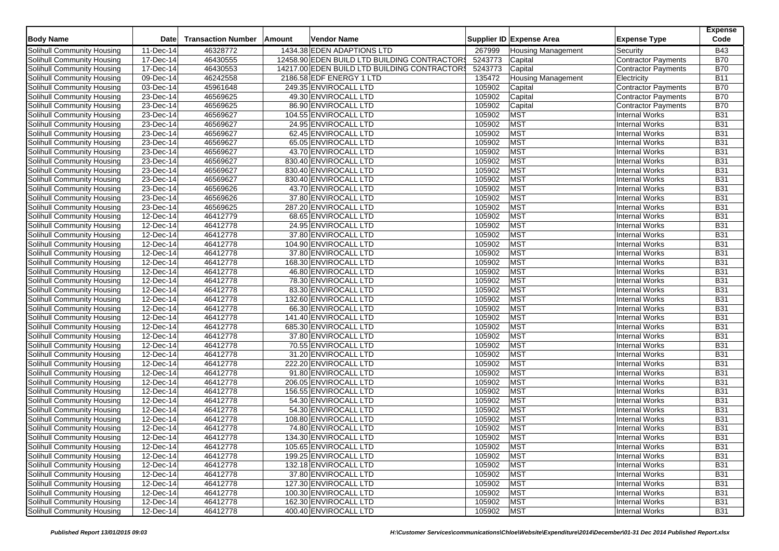| <b>Body Name</b>                  | <b>Date</b>                   | <b>Transaction Number</b> | Amount | <b>Vendor Name</b>                           |         | Supplier ID Expense Area  | <b>Expense Type</b>        | <b>Expense</b><br>Code |
|-----------------------------------|-------------------------------|---------------------------|--------|----------------------------------------------|---------|---------------------------|----------------------------|------------------------|
| Solihull Community Housing        | 11-Dec-14                     | 46328772                  |        | 1434.38 EDEN ADAPTIONS LTD                   | 267999  | <b>Housing Management</b> | Security                   | <b>B43</b>             |
| Solihull Community Housing        | 17-Dec-14                     | 46430555                  |        | 12458.90 EDEN BUILD LTD BUILDING CONTRACTORS | 5243773 | Capital                   | <b>Contractor Payments</b> | <b>B70</b>             |
| Solihull Community Housing        | 17-Dec-14                     | 46430553                  |        | 14217.00 EDEN BUILD LTD BUILDING CONTRACTORS | 5243773 | Capital                   | <b>Contractor Payments</b> | <b>B70</b>             |
| Solihull Community Housing        | $\overline{09\text{-}$ Dec-14 | 46242558                  |        | 2186.58 EDF ENERGY 1 LTD                     | 135472  | <b>Housing Management</b> | Electricity                | <b>B11</b>             |
| Solihull Community Housing        | 03-Dec-14                     | 45961648                  |        | 249.35 ENVIROCALL LTD                        | 105902  | Capital                   | <b>Contractor Payments</b> | <b>B70</b>             |
| Solihull Community Housing        | 23-Dec-14                     | 46569625                  |        | 49.30 ENVIROCALL LTD                         | 105902  | Capital                   | Contractor Payments        | <b>B70</b>             |
| Solihull Community Housing        | $23$ -Dec-14                  | 46569625                  |        | 86.90 ENVIROCALL LTD                         | 105902  | Capital                   | <b>Contractor Payments</b> | <b>B70</b>             |
| <b>Solihull Community Housing</b> | 23-Dec-14                     | 46569627                  |        | 104.55 ENVIROCALL LTD                        | 105902  | <b>MST</b>                | <b>Internal Works</b>      | <b>B31</b>             |
| Solihull Community Housing        | 23-Dec-14                     | 46569627                  |        | 24.95 ENVIROCALL LTD                         | 105902  | <b>MST</b>                | <b>Internal Works</b>      | <b>B31</b>             |
| Solihull Community Housing        | $23$ -Dec-14                  | 46569627                  |        | 62.45 ENVIROCALL LTD                         | 105902  | <b>MST</b>                | <b>Internal Works</b>      | <b>B31</b>             |
| Solihull Community Housing        | 23-Dec-14                     | 46569627                  |        | 65.05 ENVIROCALL LTD                         | 105902  | <b>MST</b>                | <b>Internal Works</b>      | <b>B31</b>             |
| Solihull Community Housing        | 23-Dec-14                     | 46569627                  |        | 43.70 ENVIROCALL LTD                         | 105902  | <b>MST</b>                | <b>Internal Works</b>      | <b>B31</b>             |
| Solihull Community Housing        | 23-Dec-14                     | 46569627                  |        | 830.40 ENVIROCALL LTD                        | 105902  | <b>MST</b>                | <b>Internal Works</b>      | <b>B31</b>             |
| Solihull Community Housing        | 23-Dec-14                     | 46569627                  |        | 830.40 ENVIROCALL LTD                        | 105902  | <b>MST</b>                | <b>Internal Works</b>      | <b>B31</b>             |
| Solihull Community Housing        | 23-Dec-14                     | 46569627                  |        | 830.40 ENVIROCALL LTD                        | 105902  | <b>MST</b>                | <b>Internal Works</b>      | <b>B31</b>             |
| Solihull Community Housing        | 23-Dec-14                     | 46569626                  |        | 43.70 ENVIROCALL LTD                         | 105902  | <b>MST</b>                | <b>Internal Works</b>      | <b>B31</b>             |
| Solihull Community Housing        | 23-Dec-14                     | 46569626                  |        | 37.80 ENVIROCALL LTD                         | 105902  | <b>MST</b>                | <b>Internal Works</b>      | <b>B31</b>             |
| Solihull Community Housing        | 23-Dec-14                     | 46569625                  |        | 287.20 ENVIROCALL LTD                        | 105902  | <b>MST</b>                | <b>Internal Works</b>      | <b>B31</b>             |
| Solihull Community Housing        | 12-Dec-14                     | 46412779                  |        | 68.65 ENVIROCALL LTD                         | 105902  | <b>MST</b>                | <b>Internal Works</b>      | <b>B31</b>             |
| Solihull Community Housing        | 12-Dec-14                     | 46412778                  |        | 24.95 ENVIROCALL LTD                         | 105902  | <b>MST</b>                | <b>Internal Works</b>      | <b>B31</b>             |
| Solihull Community Housing        | 12-Dec-14                     | 46412778                  |        | 37.80 ENVIROCALL LTD                         | 105902  | <b>MST</b>                | <b>Internal Works</b>      | <b>B31</b>             |
| <b>Solihull Community Housing</b> | $12$ -Dec-14                  | 46412778                  |        | 104.90 ENVIROCALL LTD                        | 105902  | <b>MST</b>                | <b>Internal Works</b>      | <b>B31</b>             |
| Solihull Community Housing        | 12-Dec-14                     | 46412778                  |        | 37.80 ENVIROCALL LTD                         | 105902  | <b>MST</b>                | <b>Internal Works</b>      | <b>B31</b>             |
| Solihull Community Housing        | 12-Dec-14                     | 46412778                  |        | 168.30 ENVIROCALL LTD                        | 105902  | <b>MST</b>                | <b>Internal Works</b>      | <b>B31</b>             |
| Solihull Community Housing        | $12$ -Dec-14                  | 46412778                  |        | 46.80 ENVIROCALL LTD                         | 105902  | <b>MST</b>                | <b>Internal Works</b>      | <b>B31</b>             |
| Solihull Community Housing        | 12-Dec-14                     | 46412778                  |        | 78.30 ENVIROCALL LTD                         | 105902  | <b>MST</b>                | <b>Internal Works</b>      | <b>B31</b>             |
| Solihull Community Housing        | 12-Dec-14                     | 46412778                  |        | 83.30 ENVIROCALL LTD                         | 105902  | <b>MST</b>                | <b>Internal Works</b>      | <b>B31</b>             |
| Solihull Community Housing        | 12-Dec-14                     | 46412778                  |        | 132.60 ENVIROCALL LTD                        | 105902  | <b>MST</b>                | <b>Internal Works</b>      | <b>B31</b>             |
| Solihull Community Housing        | 12-Dec-14                     | 46412778                  |        | 66.30 ENVIROCALL LTD                         | 105902  | <b>MST</b>                | <b>Internal Works</b>      | <b>B31</b>             |
| Solihull Community Housing        | 12-Dec-14                     | 46412778                  |        | 141.40 ENVIROCALL LTD                        | 105902  | <b>MST</b>                | <b>Internal Works</b>      | <b>B31</b>             |
| Solihull Community Housing        | 12-Dec-14                     | 46412778                  |        | 685.30 ENVIROCALL LTD                        | 105902  | <b>MST</b>                | <b>Internal Works</b>      | <b>B31</b>             |
| Solihull Community Housing        | 12-Dec-14                     | 46412778                  |        | 37.80 ENVIROCALL LTD                         | 105902  | <b>MST</b>                | <b>Internal Works</b>      | <b>B31</b>             |
| Solihull Community Housing        | 12-Dec-14                     | 46412778                  |        | 70.55 ENVIROCALL LTD                         | 105902  | <b>MST</b>                | <b>Internal Works</b>      | <b>B31</b>             |
| Solihull Community Housing        | 12-Dec-14                     | 46412778                  |        | 31.20 ENVIROCALL LTD                         | 105902  | <b>MST</b>                | <b>Internal Works</b>      | <b>B31</b>             |
| Solihull Community Housing        | $\overline{12}$ -Dec-14       | 46412778                  |        | 222.20 ENVIROCALL LTD                        | 105902  | <b>MST</b>                | <b>Internal Works</b>      | <b>B31</b>             |
| <b>Solihull Community Housing</b> | 12-Dec-14                     | 46412778                  |        | 91.80 ENVIROCALL LTD                         | 105902  | <b>MST</b>                | <b>Internal Works</b>      | <b>B31</b>             |
| Solihull Community Housing        | 12-Dec-14                     | 46412778                  |        | 206.05 ENVIROCALL LTD                        | 105902  | <b>MST</b>                | <b>Internal Works</b>      | <b>B31</b>             |
| Solihull Community Housing        | 12-Dec-14                     | 46412778                  |        | 156.55 ENVIROCALL LTD                        | 105902  | <b>MST</b>                | <b>Internal Works</b>      | <b>B31</b>             |
| Solihull Community Housing        | 12-Dec-14                     | 46412778                  |        | 54.30 ENVIROCALL LTD                         | 105902  | <b>MST</b>                | <b>Internal Works</b>      | <b>B31</b>             |
| Solihull Community Housing        | 12-Dec-14                     | 46412778                  |        | 54.30 ENVIROCALL LTD                         | 105902  | <b>MST</b>                | <b>Internal Works</b>      | <b>B31</b>             |
| Solihull Community Housing        | 12-Dec-14                     | 46412778                  |        | 108.80 ENVIROCALL LTD                        | 105902  | <b>MST</b>                | <b>Internal Works</b>      | <b>B31</b>             |
| Solihull Community Housing        | 12-Dec-14                     | 46412778                  |        | 74.80 ENVIROCALL LTD                         | 105902  | <b>MST</b>                | <b>Internal Works</b>      | <b>B31</b>             |
| Solihull Community Housing        | 12-Dec-14                     | 46412778                  |        | 134.30 ENVIROCALL LTD                        | 105902  | <b>MST</b>                | <b>Internal Works</b>      | <b>B31</b>             |
| Solihull Community Housing        | 12-Dec-14                     | 46412778                  |        | 105.65 ENVIROCALL LTD                        | 105902  | <b>MST</b>                | Internal Works             | <b>B31</b>             |
| Solihull Community Housing        | 12-Dec-14                     | 46412778                  |        | 199.25 ENVIROCALL LTD                        | 105902  | <b>MST</b>                | <b>Internal Works</b>      | <b>B31</b>             |
| Solihull Community Housing        | 12-Dec-14                     | 46412778                  |        | 132.18 ENVIROCALL LTD                        | 105902  | <b>MST</b>                | <b>Internal Works</b>      | <b>B31</b>             |
| Solihull Community Housing        | 12-Dec-14                     | 46412778                  |        | 37.80 ENVIROCALL LTD                         | 105902  | <b>MST</b>                | Internal Works             | <b>B31</b>             |
| Solihull Community Housing        | 12-Dec-14                     | 46412778                  |        | 127.30 ENVIROCALL LTD                        | 105902  | <b>MST</b>                | <b>Internal Works</b>      | <b>B31</b>             |
| Solihull Community Housing        | 12-Dec-14                     | 46412778                  |        | 100.30 ENVIROCALL LTD                        | 105902  | <b>MST</b>                | <b>Internal Works</b>      | <b>B31</b>             |
| Solihull Community Housing        | 12-Dec-14                     | 46412778                  |        | 162.30 ENVIROCALL LTD                        | 105902  | <b>MST</b>                | <b>Internal Works</b>      | <b>B31</b>             |
| Solihull Community Housing        | 12-Dec-14                     | 46412778                  |        | 400.40 ENVIROCALL LTD                        | 105902  | <b>MST</b>                | Internal Works             | <b>B31</b>             |
|                                   |                               |                           |        |                                              |         |                           |                            |                        |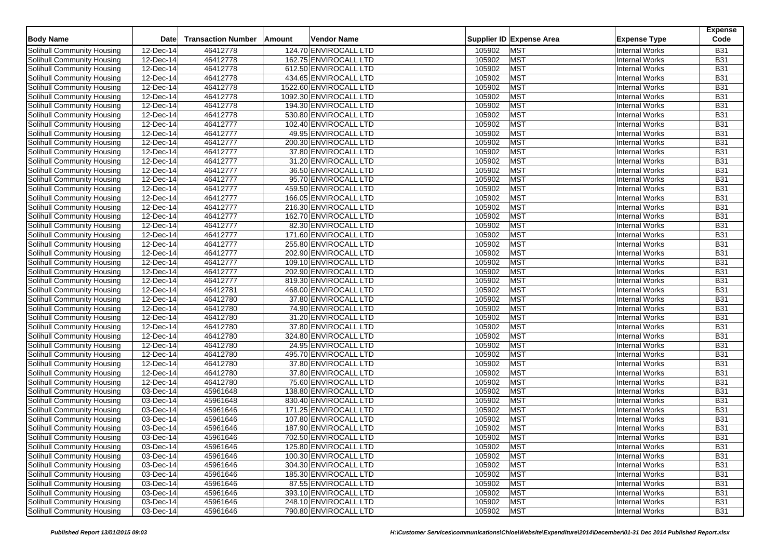| <b>Body Name</b>                  | <b>Date</b>  | <b>Transaction Number</b> | Amount | <b>Vendor Name</b>     |        | Supplier ID Expense Area | <b>Expense Type</b>   | <b>Expense</b><br>Code |
|-----------------------------------|--------------|---------------------------|--------|------------------------|--------|--------------------------|-----------------------|------------------------|
| Solihull Community Housing        | 12-Dec-14    | 46412778                  |        | 124.70 ENVIROCALL LTD  | 105902 | <b>MST</b>               | <b>Internal Works</b> | <b>B31</b>             |
| Solihull Community Housing        | 12-Dec-14    | 46412778                  |        | 162.75 ENVIROCALL LTD  | 105902 | <b>MST</b>               | <b>Internal Works</b> | <b>B31</b>             |
| Solihull Community Housing        | 12-Dec-14    | 46412778                  |        | 612.50 ENVIROCALL LTD  | 105902 | <b>MST</b>               | <b>Internal Works</b> | <b>B31</b>             |
| Solihull Community Housing        | 12-Dec-14    | 46412778                  |        | 434.65 ENVIROCALL LTD  | 105902 | <b>MST</b>               | <b>Internal Works</b> | <b>B31</b>             |
| Solihull Community Housing        | 12-Dec-14    | 46412778                  |        | 1522.60 ENVIROCALL LTD | 105902 | <b>MST</b>               | <b>Internal Works</b> | <b>B31</b>             |
| Solihull Community Housing        | 12-Dec-14    | 46412778                  |        | 1092.30 ENVIROCALL LTD | 105902 | MST                      | <b>Internal Works</b> | <b>B31</b>             |
| Solihull Community Housing        | $12$ -Dec-14 | 46412778                  |        | 194.30 ENVIROCALL LTD  | 105902 | <b>MST</b>               | <b>Internal Works</b> | <b>B31</b>             |
| Solihull Community Housing        | 12-Dec-14    | 46412778                  |        | 530.80 ENVIROCALL LTD  | 105902 | <b>MST</b>               | <b>Internal Works</b> | <b>B31</b>             |
|                                   | 12-Dec-14    | 46412777                  |        |                        |        | MST                      | <b>Internal Works</b> | <b>B31</b>             |
| Solihull Community Housing        |              |                           |        | 102.40 ENVIROCALL LTD  | 105902 |                          |                       |                        |
| Solihull Community Housing        | $12$ -Dec-14 | 46412777                  |        | 49.95 ENVIROCALL LTD   | 105902 | <b>MST</b>               | <b>Internal Works</b> | <b>B31</b>             |
| Solihull Community Housing        | 12-Dec-14    | 46412777                  |        | 200.30 ENVIROCALL LTD  | 105902 | <b>MST</b>               | <b>Internal Works</b> | <b>B31</b>             |
| Solihull Community Housing        | 12-Dec-14    | 46412777                  |        | 37.80 ENVIROCALL LTD   | 105902 | MST                      | <b>Internal Works</b> | <b>B31</b>             |
| Solihull Community Housing        | 12-Dec-14    | 46412777                  |        | 31.20 ENVIROCALL LTD   | 105902 | <b>MST</b>               | <b>Internal Works</b> | <b>B31</b>             |
| Solihull Community Housing        | 12-Dec-14    | 46412777                  |        | 36.50 ENVIROCALL LTD   | 105902 | <b>MST</b>               | <b>Internal Works</b> | <b>B31</b>             |
| Solihull Community Housing        | 12-Dec-14    | 46412777                  |        | 95.70 ENVIROCALL LTD   | 105902 | <b>MST</b>               | <b>Internal Works</b> | <b>B31</b>             |
| Solihull Community Housing        | 12-Dec-14    | 46412777                  |        | 459.50 ENVIROCALL LTD  | 105902 | <b>MST</b>               | <b>Internal Works</b> | <b>B31</b>             |
| Solihull Community Housing        | 12-Dec-14    | 46412777                  |        | 166.05 ENVIROCALL LTD  | 105902 | <b>MST</b>               | <b>Internal Works</b> | <b>B31</b>             |
| Solihull Community Housing        | 12-Dec-14    | 46412777                  |        | 216.30 ENVIROCALL LTD  | 105902 | MST                      | <b>Internal Works</b> | <b>B31</b>             |
| Solihull Community Housing        | 12-Dec-14    | 46412777                  |        | 162.70 ENVIROCALL LTD  | 105902 | <b>MST</b>               | <b>Internal Works</b> | <b>B31</b>             |
| Solihull Community Housing        | 12-Dec-14    | 46412777                  |        | 82.30 ENVIROCALL LTD   | 105902 | MST                      | <b>Internal Works</b> | <b>B31</b>             |
| Solihull Community Housing        | 12-Dec-14    | 46412777                  |        | 171.60 ENVIROCALL LTD  | 105902 | MST                      | <b>Internal Works</b> | <b>B31</b>             |
| Solihull Community Housing        | 12-Dec-14    | 46412777                  |        | 255.80 ENVIROCALL LTD  | 105902 | <b>MST</b>               | <b>Internal Works</b> | <b>B31</b>             |
| Solihull Community Housing        | 12-Dec-14    | 46412777                  |        | 202.90 ENVIROCALL LTD  | 105902 | <b>MST</b>               | <b>Internal Works</b> | <b>B31</b>             |
| Solihull Community Housing        | 12-Dec-14    | 46412777                  |        | 109.10 ENVIROCALL LTD  | 105902 | MST                      | <b>Internal Works</b> | <b>B31</b>             |
| Solihull Community Housing        | 12-Dec-14    | 46412777                  |        | 202.90 ENVIROCALL LTD  | 105902 | MST                      | <b>Internal Works</b> | <b>B31</b>             |
| Solihull Community Housing        | 12-Dec-14    | 46412777                  |        | 819.30 ENVIROCALL LTD  | 105902 | MST                      | <b>Internal Works</b> | <b>B31</b>             |
| Solihull Community Housing        | 12-Dec-14    | 46412781                  |        | 468.00 ENVIROCALL LTD  | 105902 | <b>MST</b>               | <b>Internal Works</b> | <b>B31</b>             |
| Solihull Community Housing        | 12-Dec-14    | 46412780                  |        | 37.80 ENVIROCALL LTD   | 105902 | <b>MST</b>               | <b>Internal Works</b> | <b>B31</b>             |
| Solihull Community Housing        | 12-Dec-14    | 46412780                  |        | 74.90 ENVIROCALL LTD   | 105902 | <b>MST</b>               | <b>Internal Works</b> | <b>B31</b>             |
| Solihull Community Housing        | 12-Dec-14    | 46412780                  |        | 31.20 ENVIROCALL LTD   | 105902 | <b>MST</b>               | <b>Internal Works</b> | <b>B31</b>             |
| Solihull Community Housing        | 12-Dec-14    | 46412780                  |        | 37.80 ENVIROCALL LTD   | 105902 | <b>MST</b>               | <b>Internal Works</b> | <b>B31</b>             |
| Solihull Community Housing        | 12-Dec-14    | 46412780                  |        | 324.80 ENVIROCALL LTD  | 105902 | <b>MST</b>               | <b>Internal Works</b> | <b>B31</b>             |
| Solihull Community Housing        | 12-Dec-14    | 46412780                  |        | 24.95 ENVIROCALL LTD   | 105902 | <b>MST</b>               | Internal Works        | <b>B31</b>             |
| Solihull Community Housing        | 12-Dec-14    | 46412780                  |        | 495.70 ENVIROCALL LTD  | 105902 | MST                      | <b>Internal Works</b> | <b>B31</b>             |
| Solihull Community Housing        | 12-Dec-14    | 46412780                  |        | 37.80 ENVIROCALL LTD   | 105902 | MST                      | <b>Internal Works</b> | <b>B31</b>             |
| <b>Solihull Community Housing</b> | 12-Dec-14    | 46412780                  |        | 37.80 ENVIROCALL LTD   | 105902 | <b>MST</b>               | <b>Internal Works</b> | <b>B31</b>             |
| Solihull Community Housing        | 12-Dec-14    | 46412780                  |        | 75.60 ENVIROCALL LTD   | 105902 | MST                      | <b>Internal Works</b> | <b>B31</b>             |
| Solihull Community Housing        | 03-Dec-14    | 45961648                  |        | 138.80 ENVIROCALL LTD  | 105902 | MST                      | <b>Internal Works</b> | <b>B31</b>             |
| Solihull Community Housing        | 03-Dec-14    | 45961648                  |        | 830.40 ENVIROCALL LTD  | 105902 | <b>MST</b>               | <b>Internal Works</b> | <b>B31</b>             |
| Solihull Community Housing        | 03-Dec-14    | 45961646                  |        | 171.25 ENVIROCALL LTD  | 105902 | <b>MST</b>               | <b>Internal Works</b> | <b>B31</b>             |
| Solihull Community Housing        | 03-Dec-14    | 45961646                  |        | 107.80 ENVIROCALL LTD  | 105902 | MST                      | <b>Internal Works</b> | <b>B31</b>             |
| Solihull Community Housing        | 03-Dec-14    | 45961646                  |        | 187.90 ENVIROCALL LTD  | 105902 | <b>MST</b>               | <b>Internal Works</b> | <b>B31</b>             |
| Solihull Community Housing        | 03-Dec-14    | 45961646                  |        | 702.50 ENVIROCALL LTD  | 105902 | <b>MST</b>               | <b>Internal Works</b> | <b>B31</b>             |
| Solihull Community Housing        | 03-Dec-14    | 45961646                  |        | 125.80 ENVIROCALL LTD  | 105902 | <b>MST</b>               | <b>Internal Works</b> | <b>B31</b>             |
| Solihull Community Housing        | 03-Dec-14    | 45961646                  |        | 100.30 ENVIROCALL LTD  | 105902 | <b>MST</b>               | Internal Works        | <b>B31</b>             |
| Solihull Community Housing        | 03-Dec-14    | 45961646                  |        | 304.30 ENVIROCALL LTD  | 105902 | <b>MST</b>               | Internal Works        | <b>B31</b>             |
| Solihull Community Housing        | 03-Dec-14    | 45961646                  |        | 185.30 ENVIROCALL LTD  | 105902 | <b>MST</b>               | <b>Internal Works</b> | <b>B31</b>             |
| Solihull Community Housing        | 03-Dec-14    | 45961646                  |        | 87.55 ENVIROCALL LTD   | 105902 | <b>MST</b>               | Internal Works        | <b>B31</b>             |
| Solihull Community Housing        | 03-Dec-14    | 45961646                  |        | 393.10 ENVIROCALL LTD  | 105902 | <b>MST</b>               | Internal Works        | <b>B31</b>             |
| Solihull Community Housing        | 03-Dec-14    | 45961646                  |        | 248.10 ENVIROCALL LTD  | 105902 | <b>MST</b>               | Internal Works        | <b>B31</b>             |
| Solihull Community Housing        | 03-Dec-14    | 45961646                  |        | 790.80 ENVIROCALL LTD  | 105902 | <b>MST</b>               | <b>Internal Works</b> | <b>B31</b>             |
|                                   |              |                           |        |                        |        |                          |                       |                        |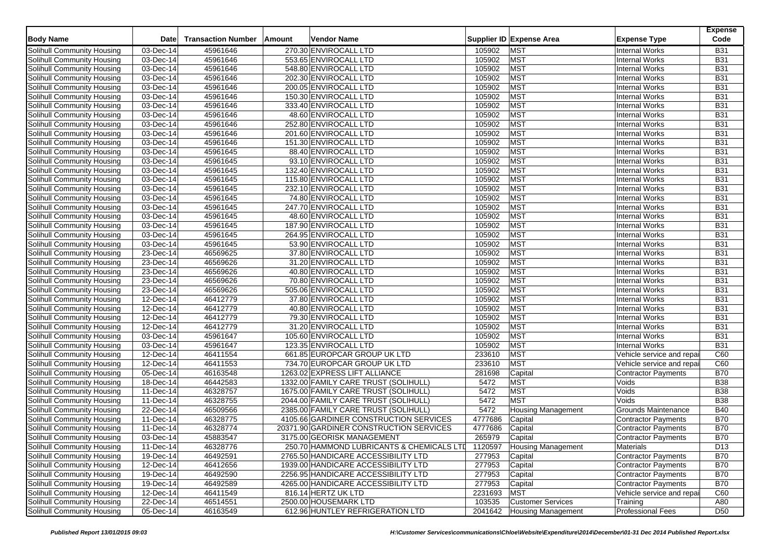| <b>Body Name</b>           | <b>Date</b>             | <b>Transaction Number</b> | Amount | <b>Vendor Name</b>                        |         | Supplier ID Expense Area  | <b>Expense Type</b>        | <b>Expense</b><br>Code |
|----------------------------|-------------------------|---------------------------|--------|-------------------------------------------|---------|---------------------------|----------------------------|------------------------|
| Solihull Community Housing | 03-Dec-14               | 45961646                  |        | 270.30 ENVIROCALL LTD                     | 105902  | <b>MST</b>                | Internal Works             | <b>B31</b>             |
| Solihull Community Housing | 03-Dec-14               | 45961646                  |        | 553.65 ENVIROCALL LTD                     | 105902  | <b>MST</b>                | <b>Internal Works</b>      | <b>B31</b>             |
| Solihull Community Housing | 03-Dec-14               | 45961646                  |        | 548.80 ENVIROCALL LTD                     | 105902  | <b>MST</b>                | <b>Internal Works</b>      | <b>B31</b>             |
| Solihull Community Housing | 03-Dec-14               | 45961646                  |        | 202.30 ENVIROCALL LTD                     | 105902  | <b>MST</b>                | <b>Internal Works</b>      | <b>B31</b>             |
| Solihull Community Housing | 03-Dec-14               | 45961646                  |        | 200.05 ENVIROCALL LTD                     | 105902  | <b>MST</b>                | <b>Internal Works</b>      | <b>B31</b>             |
| Solihull Community Housing | 03-Dec-14               | 45961646                  |        | 150.30 ENVIROCALL LTD                     | 105902  | MST                       | <b>Internal Works</b>      | <b>B31</b>             |
| Solihull Community Housing | 03-Dec-14               | 45961646                  |        | 333.40 ENVIROCALL LTD                     | 105902  | <b>MST</b>                | <b>Internal Works</b>      | <b>B31</b>             |
| Solihull Community Housing | 03-Dec-14               | 45961646                  |        | 48.60 ENVIROCALL LTD                      | 105902  | <b>MST</b>                | <b>Internal Works</b>      | <b>B31</b>             |
| Solihull Community Housing | 03-Dec-14               | 45961646                  |        | 252.80 ENVIROCALL LTD                     | 105902  | MST                       | <b>Internal Works</b>      | <b>B31</b>             |
| Solihull Community Housing | 03-Dec-14               | 45961646                  |        | 201.60 ENVIROCALL LTD                     | 105902  | <b>MST</b>                | <b>Internal Works</b>      | <b>B31</b>             |
| Solihull Community Housing | 03-Dec-14               | 45961646                  |        | 151.30 ENVIROCALL LTD                     | 105902  | <b>MST</b>                | <b>Internal Works</b>      | <b>B31</b>             |
|                            | 03-Dec-14               | 45961645                  |        |                                           | 105902  | MST                       | <b>Internal Works</b>      | <b>B31</b>             |
| Solihull Community Housing |                         |                           |        | 88.40 ENVIROCALL LTD                      |         | <b>MST</b>                |                            | <b>B31</b>             |
| Solihull Community Housing | 03-Dec-14               | 45961645                  |        | 93.10 ENVIROCALL LTD                      | 105902  |                           | <b>Internal Works</b>      |                        |
| Solihull Community Housing | 03-Dec-14               | 45961645                  |        | 132.40 ENVIROCALL LTD                     | 105902  | <b>MST</b>                | <b>Internal Works</b>      | <b>B31</b>             |
| Solihull Community Housing | 03-Dec-14               | 45961645                  |        | 115.80 ENVIROCALL LTD                     | 105902  | <b>MST</b>                | <b>Internal Works</b>      | <b>B31</b>             |
| Solihull Community Housing | 03-Dec-14               | 45961645                  |        | 232.10 ENVIROCALL LTD                     | 105902  | <b>MST</b>                | <b>Internal Works</b>      | <b>B31</b>             |
| Solihull Community Housing | 03-Dec-14               | 45961645                  |        | 74.80 ENVIROCALL LTD                      | 105902  | <b>MST</b>                | <b>Internal Works</b>      | <b>B31</b>             |
| Solihull Community Housing | $\overline{03}$ -Dec-14 | 45961645                  |        | 247.70 ENVIROCALL LTD                     | 105902  | MST                       | <b>Internal Works</b>      | <b>B31</b>             |
| Solihull Community Housing | 03-Dec-14               | 45961645                  |        | 48.60 ENVIROCALL LTD                      | 105902  | <b>MST</b>                | <b>Internal Works</b>      | <b>B31</b>             |
| Solihull Community Housing | 03-Dec-14               | 45961645                  |        | 187.90 ENVIROCALL LTD                     | 105902  | MST                       | <b>Internal Works</b>      | <b>B31</b>             |
| Solihull Community Housing | 03-Dec-14               | 45961645                  |        | 264.95 ENVIROCALL LTD                     | 105902  | MST                       | <b>Internal Works</b>      | <b>B31</b>             |
| Solihull Community Housing | 03-Dec-14               | 45961645                  |        | 53.90 ENVIROCALL LTD                      | 105902  | <b>MST</b>                | <b>Internal Works</b>      | <b>B31</b>             |
| Solihull Community Housing | 23-Dec-14               | 46569625                  |        | 37.80 ENVIROCALL LTD                      | 105902  | MST                       | <b>Internal Works</b>      | <b>B31</b>             |
| Solihull Community Housing | 23-Dec-14               | 46569626                  |        | 31.20 ENVIROCALL LTD                      | 105902  | MST                       | <b>Internal Works</b>      | <b>B31</b>             |
| Solihull Community Housing | 23-Dec-14               | 46569626                  |        | 40.80 ENVIROCALL LTD                      | 105902  | MST                       | <b>Internal Works</b>      | <b>B31</b>             |
| Solihull Community Housing | 23-Dec-14               | 46569626                  |        | 70.80 ENVIROCALL LTD                      | 105902  | MST                       | <b>Internal Works</b>      | <b>B31</b>             |
| Solihull Community Housing | 23-Dec-14               | 46569626                  |        | 505.06 ENVIROCALL LTD                     | 105902  | <b>MST</b>                | <b>Internal Works</b>      | <b>B31</b>             |
| Solihull Community Housing | 12-Dec-14               | 46412779                  |        | 37.80 ENVIROCALL LTD                      | 105902  | <b>MST</b>                | <b>Internal Works</b>      | <b>B31</b>             |
| Solihull Community Housing | 12-Dec-14               | 46412779                  |        | 40.80 ENVIROCALL LTD                      | 105902  | <b>MST</b>                | <b>Internal Works</b>      | <b>B31</b>             |
| Solihull Community Housing | 12-Dec-14               | 46412779                  |        | 79.30 ENVIROCALL LTD                      | 105902  | <b>MST</b>                | Internal Works             | <b>B31</b>             |
| Solihull Community Housing | 12-Dec-14               | 46412779                  |        | 31.20 ENVIROCALL LTD                      | 105902  | MST                       | <b>Internal Works</b>      | <b>B31</b>             |
| Solihull Community Housing | 03-Dec-14               | 45961647                  |        | 105.60 ENVIROCALL LTD                     | 105902  | MST                       | <b>Internal Works</b>      | <b>B31</b>             |
| Solihull Community Housing | 03-Dec-14               | 45961647                  |        | 123.35 ENVIROCALL LTD                     | 105902  | <b>MST</b>                | <b>Internal Works</b>      | <b>B31</b>             |
| Solihull Community Housing | 12-Dec-14               | 46411554                  |        | 661.85 EUROPCAR GROUP UK LTD              | 233610  | <b>MST</b>                | Vehicle service and repai  | C60                    |
| Solihull Community Housing | $\overline{12}$ -Dec-14 | 46411553                  |        | 734.70 EUROPCAR GROUP UK LTD              | 233610  | <b>MST</b>                | Vehicle service and repai  | C60                    |
| Solihull Community Housing | 05-Dec-14               | 46163548                  |        | 1263.02 EXPRESS LIFT ALLIANCE             | 281698  | Capital                   | <b>Contractor Payments</b> | <b>B70</b>             |
| Solihull Community Housing | 18-Dec-14               | 46442583                  |        | 1332.00 FAMILY CARE TRUST (SOLIHULL)      | 5472    | <b>MST</b>                | Voids                      | <b>B38</b>             |
| Solihull Community Housing | 11-Dec-14               | 46328757                  |        | 1675.00 FAMILY CARE TRUST (SOLIHULL)      | 5472    | <b>MST</b>                | Voids                      | <b>B</b> 38            |
| Solihull Community Housing | $11-Dec-14$             | 46328755                  |        | 2044.00 FAMILY CARE TRUST (SOLIHULL)      | 5472    | <b>MST</b>                | Voids                      | <b>B38</b>             |
| Solihull Community Housing | 22-Dec-14               | 46509566                  |        | 2385.00 FAMILY CARE TRUST (SOLIHULL)      | 5472    | <b>Housing Management</b> | <b>Grounds Maintenance</b> | <b>B40</b>             |
| Solihull Community Housing | 11-Dec-14               | 46328775                  |        | 4105.66 GARDINER CONSTRUCTION SERVICES    | 4777686 | Capital                   | Contractor Payments        | <b>B70</b>             |
| Solihull Community Housing | 11-Dec-14               | 46328774                  |        | 20371.90 GARDINER CONSTRUCTION SERVICES   | 4777686 | Capital                   | <b>Contractor Payments</b> | <b>B70</b>             |
| Solihull Community Housing | 03-Dec-14               | 45883547                  |        | 3175.00 GEORISK MANAGEMENT                | 265979  | Capital                   | <b>Contractor Payments</b> | <b>B70</b>             |
| Solihull Community Housing | 11-Dec-14               | 46328776                  |        | 250.70 HAMMOND LUBRICANTS & CHEMICALS LTD | 1120597 | <b>Housing Management</b> | Materials                  | D <sub>13</sub>        |
| Solihull Community Housing | 19-Dec-14               | 46492591                  |        | 2765.50 HANDICARE ACCESSIBILITY LTD       | 277953  | Capital                   | Contractor Payments        | <b>B70</b>             |
| Solihull Community Housing | 12-Dec-14               | 46412656                  |        | 1939.00 HANDICARE ACCESSIBILITY LTD       | 277953  | Capital                   | Contractor Payments        | <b>B70</b>             |
| Solihull Community Housing | 19-Dec-14               | 46492590                  |        | 2256.95 HANDICARE ACCESSIBILITY LTD       | 277953  | Capital                   | Contractor Payments        | <b>B70</b>             |
| Solihull Community Housing | 19-Dec-14               | 46492589                  |        | 4265.00 HANDICARE ACCESSIBILITY LTD       | 277953  | Capital                   | Contractor Payments        | <b>B70</b>             |
| Solihull Community Housing | 12-Dec-14               | 46411549                  |        | 816.14 HERTZ UK LTD                       | 2231693 | <b>MST</b>                | Vehicle service and repai  | C60                    |
| Solihull Community Housing | 22-Dec-14               | 46514551                  |        | 2500.00 HOUSEMARK LTD                     | 103535  | <b>Customer Services</b>  | Training                   | A80                    |
|                            | $\overline{05}$ -Dec-14 |                           |        |                                           |         |                           |                            |                        |
| Solihull Community Housing |                         | 46163549                  |        | 612.96 HUNTLEY REFRIGERATION LTD          | 2041642 | Housing Management        | <b>Professional Fees</b>   | D <sub>50</sub>        |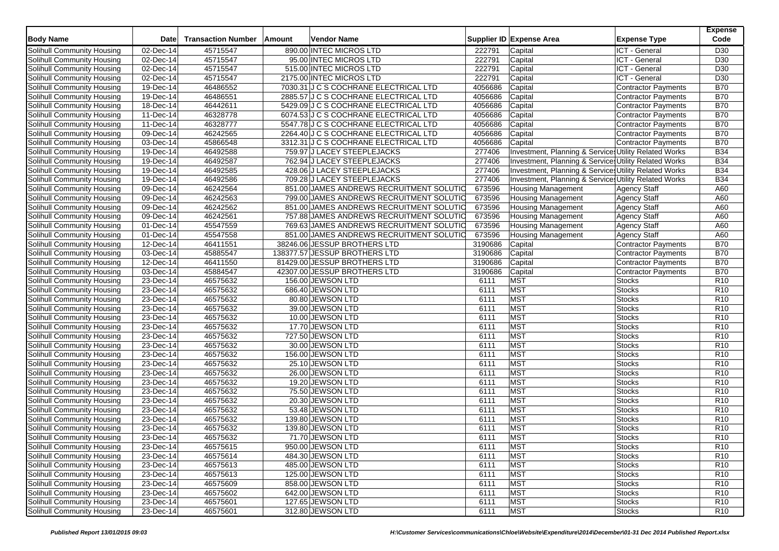| <b>Body Name</b>                  | <b>Date</b>             | <b>Transaction Number</b> | Amount | <b>Vendor Name</b>                       |         | Supplier ID Expense Area                              | <b>Expense Type</b>        | <b>Expense</b><br>Code |
|-----------------------------------|-------------------------|---------------------------|--------|------------------------------------------|---------|-------------------------------------------------------|----------------------------|------------------------|
| Solihull Community Housing        | 02-Dec-14               | 45715547                  |        | 890.00 INTEC MICROS LTD                  | 222791  | Capital                                               | ICT - General              | D30                    |
| <b>Solihull Community Housing</b> | 02-Dec-14               | 45715547                  |        | 95.00 INTEC MICROS LTD                   | 222791  | Capital                                               | ICT - General              | D <sub>30</sub>        |
| Solihull Community Housing        | 02-Dec-14               | 45715547                  |        | 515.00 INTEC MICROS LTD                  | 222791  | Capital                                               | ICT - General              | D <sub>30</sub>        |
| Solihull Community Housing        | 02-Dec-14               | 45715547                  |        | 2175.00 INTEC MICROS LTD                 | 222791  | Capital                                               | ICT - General              | D <sub>30</sub>        |
| Solihull Community Housing        | 19-Dec-14               | 46486552                  |        | 7030.31 J C S COCHRANE ELECTRICAL LTD    | 4056686 | Capital                                               | Contractor Payments        | <b>B70</b>             |
| Solihull Community Housing        | 19-Dec-14               | 46486551                  |        | 2885.57 J C S COCHRANE ELECTRICAL LTD    | 4056686 | Capital                                               | <b>Contractor Payments</b> | <b>B70</b>             |
| Solihull Community Housing        | 18-Dec-14               | 46442611                  |        | 5429.09 J C S COCHRANE ELECTRICAL LTD    | 4056686 | Capital                                               | Contractor Payments        | <b>B70</b>             |
| Solihull Community Housing        | 11-Dec-14               | 46328778                  |        | 6074.53 J C S COCHRANE ELECTRICAL LTD    | 4056686 | Capital                                               | <b>Contractor Payments</b> | <b>B70</b>             |
| Solihull Community Housing        | 11-Dec-14               | 46328777                  |        | 5547.78 J C S COCHRANE ELECTRICAL LTD    | 4056686 | Capital                                               | Contractor Payments        | <b>B70</b>             |
| Solihull Community Housing        | $\overline{09}$ -Dec-14 | 46242565                  |        | 2264.40 J C S COCHRANE ELECTRICAL LTD    | 4056686 | Capital                                               | Contractor Payments        | <b>B70</b>             |
| Solihull Community Housing        | 03-Dec-14               | 45866548                  |        | 3312.31 J C S COCHRANE ELECTRICAL LTD    | 4056686 | Capital                                               | <b>Contractor Payments</b> | <b>B70</b>             |
| Solihull Community Housing        | 19-Dec-14               | 46492588                  |        | 759.97 J LACEY STEEPLEJACKS              | 277406  | Investment, Planning & Services Utility Related Works |                            | <b>B34</b>             |
| Solihull Community Housing        | $19-Dec-14$             | 46492587                  |        | 762.94 J LACEY STEEPLEJACKS              | 277406  | Investment, Planning & Services Utility Related Works |                            | <b>B34</b>             |
| Solihull Community Housing        | 19-Dec-14               | 46492585                  |        | 428.06 J LACEY STEEPLEJACKS              | 277406  | Investment, Planning & Services Utility Related Works |                            | <b>B34</b>             |
| Solihull Community Housing        | 19-Dec-14               | 46492586                  |        | 709.28 J LACEY STEEPLEJACKS              | 277406  | Investment, Planning & Services Utility Related Works |                            | <b>B34</b>             |
| Solihull Community Housing        | $\overline{09}$ -Dec-14 | 46242564                  |        | 851.00 JAMES ANDREWS RECRUITMENT SOLUTIO | 673596  | <b>Housing Management</b>                             | <b>Agency Staff</b>        | A60                    |
| Solihull Community Housing        | 09-Dec-14               | 46242563                  |        | 799.00 JAMES ANDREWS RECRUITMENT SOLUTIO | 673596  | <b>Housing Management</b>                             | <b>Agency Staff</b>        | A60                    |
| Solihull Community Housing        | 09-Dec-14               | 46242562                  |        | 851.00 JAMES ANDREWS RECRUITMENT SOLUTIO | 673596  | <b>Housing Management</b>                             | <b>Agency Staff</b>        | A60                    |
| Solihull Community Housing        | 09-Dec-14               | 46242561                  |        | 757.88 JAMES ANDREWS RECRUITMENT SOLUTIO | 673596  | <b>Housing Management</b>                             | <b>Agency Staff</b>        | A60                    |
| Solihull Community Housing        | 01-Dec-14               | 45547559                  |        | 769.63 JAMES ANDREWS RECRUITMENT SOLUTIO | 673596  | <b>Housing Management</b>                             | <b>Agency Staff</b>        | A60                    |
| Solihull Community Housing        | 01-Dec-14               | 45547558                  |        | 851.00 JAMES ANDREWS RECRUITMENT SOLUTIO | 673596  | <b>Housing Management</b>                             | <b>Agency Staff</b>        | A60                    |
| Solihull Community Housing        | 12-Dec-14               | 46411551                  |        | 38246.06 JESSUP BROTHERS LTD             | 3190686 | Capital                                               | <b>Contractor Payments</b> | <b>B70</b>             |
| Solihull Community Housing        | 03-Dec-14               | 45885547                  |        | 138377.57 JESSUP BROTHERS LTD            | 3190686 | Capital                                               | Contractor Payments        | <b>B70</b>             |
| Solihull Community Housing        | 12-Dec-14               | 46411550                  |        | 81429.00 JESSUP BROTHERS LTD             | 3190686 | Capital                                               | Contractor Payments        | <b>B70</b>             |
| Solihull Community Housing        | 03-Dec-14               | 45884547                  |        | 42307.00 JESSUP BROTHERS LTD             | 3190686 | Capital                                               | <b>Contractor Payments</b> | <b>B70</b>             |
| Solihull Community Housing        | 23-Dec-14               | 46575632                  |        | 156.00 JEWSON LTD                        | 6111    | <b>MST</b>                                            | <b>Stocks</b>              | R <sub>10</sub>        |
| Solihull Community Housing        | 23-Dec-14               | 46575632                  |        | 686.40 JEWSON LTD                        | 6111    | <b>MST</b>                                            | <b>Stocks</b>              | R <sub>10</sub>        |
| Solihull Community Housing        | 23-Dec-14               | 46575632                  |        | 80.80 JEWSON LTD                         | 6111    | <b>MST</b>                                            | <b>Stocks</b>              | R <sub>10</sub>        |
| <b>Solihull Community Housing</b> | 23-Dec-14               | 46575632                  |        | 39.00 JEWSON LTD                         | 6111    | <b>MST</b>                                            | <b>Stocks</b>              | R <sub>10</sub>        |
| Solihull Community Housing        | 23-Dec-14               | 46575632                  |        | 10.00 JEWSON LTD                         | 6111    | <b>MST</b>                                            | <b>Stocks</b>              | R <sub>10</sub>        |
| Solihull Community Housing        | 23-Dec-14               | 46575632                  |        | 17.70 JEWSON LTD                         | 6111    | <b>MST</b>                                            | <b>Stocks</b>              | R <sub>10</sub>        |
| Solihull Community Housing        | 23-Dec-14               | 46575632                  |        | 727.50 JEWSON LTD                        | 6111    | <b>MST</b>                                            | <b>Stocks</b>              | R10                    |
| Solihull Community Housing        | 23-Dec-14               | 46575632                  |        | 30.00 JEWSON LTD                         | 6111    | <b>MST</b>                                            | Stocks                     | R <sub>10</sub>        |
| Solihull Community Housing        | 23-Dec-14               | 46575632                  |        | 156.00 JEWSON LTD                        | 6111    | <b>MST</b>                                            | <b>Stocks</b>              | R <sub>10</sub>        |
| Solihull Community Housing        | 23-Dec-14               | 46575632                  |        | 25.10 JEWSON LTD                         | 6111    | <b>MST</b>                                            | <b>Stocks</b>              | R10                    |
| Solihull Community Housing        | $23-Dec-14$             | 46575632                  |        | 26.00 JEWSON LTD                         | 6111    | <b>MST</b>                                            | <b>Stocks</b>              | R <sub>10</sub>        |
| Solihull Community Housing        | 23-Dec-14               | 46575632                  |        | 19.20 JEWSON LTD                         | 6111    | <b>MST</b>                                            | <b>Stocks</b>              | R <sub>10</sub>        |
| Solihull Community Housing        | $23$ -Dec-14            | 46575632                  |        | 75.50 JEWSON LTD                         | 6111    | <b>MST</b>                                            | <b>Stocks</b>              | R <sub>10</sub>        |
| Solihull Community Housing        | $23$ -Dec-14            | 46575632                  |        | 20.30 JEWSON LTD                         | 6111    | <b>MST</b>                                            | <b>Stocks</b>              | R10                    |
| Solihull Community Housing        | 23-Dec-14               | 46575632                  |        | 53.48 JEWSON LTD                         | 6111    | <b>MST</b>                                            | <b>Stocks</b>              | R10                    |
| Solihull Community Housing        | 23-Dec-14               | 46575632                  |        | 139.80 JEWSON LTD                        | 6111    | <b>MST</b>                                            | <b>Stocks</b>              | R <sub>10</sub>        |
| Solihull Community Housing        | 23-Dec-14               | 46575632                  |        | 139.80 JEWSON LTD                        | 6111    | <b>MST</b>                                            | <b>Stocks</b>              | R10                    |
| Solihull Community Housing        | 23-Dec-14               | 46575632                  |        | 71.70 JEWSON LTD                         | 6111    | <b>MST</b>                                            | <b>Stocks</b>              | R <sub>10</sub>        |
| Solihull Community Housing        | 23-Dec-14               | 46575615                  |        | 950.00 JEWSON LTD                        | 6111    | <b>MST</b>                                            | <b>Stocks</b>              | R <sub>10</sub>        |
| Solihull Community Housing        | 23-Dec-14               | 46575614                  |        | 484.30 JEWSON LTD                        | 6111    | <b>MST</b>                                            | <b>Stocks</b>              | R <sub>10</sub>        |
| Solihull Community Housing        | 23-Dec-14               | 46575613                  |        | 485.00 JEWSON LTD                        | 6111    | <b>MST</b>                                            | <b>Stocks</b>              | R <sub>10</sub>        |
| Solihull Community Housing        | 23-Dec-14               | 46575613                  |        | 125.00 JEWSON LTD                        | 6111    | <b>MST</b>                                            | <b>Stocks</b>              | R <sub>10</sub>        |
| Solihull Community Housing        | 23-Dec-14               | 46575609                  |        | 858.00 JEWSON LTD                        | 6111    | <b>MST</b>                                            | <b>Stocks</b>              | R <sub>10</sub>        |
| Solihull Community Housing        | 23-Dec-14               | 46575602                  |        | 642.00 JEWSON LTD                        | 6111    | <b>MST</b>                                            | <b>Stocks</b>              | R <sub>10</sub>        |
| Solihull Community Housing        | 23-Dec-14               | 46575601                  |        | 127.65 JEWSON LTD                        | 6111    | <b>MST</b>                                            | <b>Stocks</b>              | R <sub>10</sub>        |
| Solihull Community Housing        | 23-Dec-14               | 46575601                  |        | 312.80 JEWSON LTD                        | 6111    | <b>MST</b>                                            | <b>Stocks</b>              | <b>R10</b>             |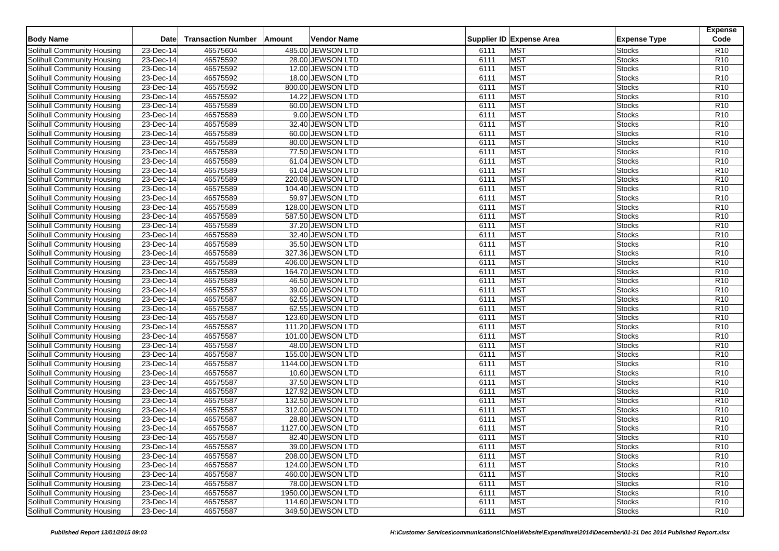| <b>Body Name</b>                  | <b>Date</b>  | <b>Transaction Number</b> | Amount | Vendor Name        |      | Supplier ID Expense Area | <b>Expense Type</b> | <b>Expense</b><br>Code |
|-----------------------------------|--------------|---------------------------|--------|--------------------|------|--------------------------|---------------------|------------------------|
| Solihull Community Housing        | 23-Dec-14    | 46575604                  |        | 485.00 JEWSON LTD  | 6111 | <b>MST</b>               | <b>Stocks</b>       | R <sub>10</sub>        |
| Solihull Community Housing        | 23-Dec-14    | 46575592                  |        | 28.00 JEWSON LTD   | 6111 | <b>MST</b>               | <b>Stocks</b>       | R <sub>10</sub>        |
| Solihull Community Housing        | 23-Dec-14    | 46575592                  |        | 12.00 JEWSON LTD   | 6111 | <b>MST</b>               | <b>Stocks</b>       | R10                    |
| Solihull Community Housing        | 23-Dec-14    | 46575592                  |        | 18.00 JEWSON LTD   | 6111 | <b>MST</b>               | <b>Stocks</b>       | R <sub>10</sub>        |
| Solihull Community Housing        | 23-Dec-14    | 46575592                  |        | 800.00 JEWSON LTD  | 6111 | <b>MST</b>               | <b>Stocks</b>       | R <sub>10</sub>        |
| Solihull Community Housing        | 23-Dec-14    | 46575592                  |        | 14.22 JEWSON LTD   | 6111 | <b>MST</b>               | <b>Stocks</b>       | R <sub>10</sub>        |
| Solihull Community Housing        | $23-Dec-14$  | 46575589                  |        | 60.00 JEWSON LTD   | 6111 | <b>MST</b>               | <b>Stocks</b>       | R <sub>10</sub>        |
| Solihull Community Housing        | 23-Dec-14    | 46575589                  |        | 9.00 JEWSON LTD    | 6111 | <b>MST</b>               | <b>Stocks</b>       | R <sub>10</sub>        |
| Solihull Community Housing        | 23-Dec-14    | 46575589                  |        | 32.40 JEWSON LTD   | 6111 | <b>MST</b>               | <b>Stocks</b>       | R <sub>10</sub>        |
| Solihull Community Housing        | $23$ -Dec-14 | 46575589                  |        | 60.00 JEWSON LTD   | 6111 | <b>MST</b>               | <b>Stocks</b>       | R <sub>10</sub>        |
| Solihull Community Housing        | 23-Dec-14    | 46575589                  |        | 80.00 JEWSON LTD   | 6111 | <b>MST</b>               | Stocks              | R <sub>10</sub>        |
| Solihull Community Housing        | 23-Dec-14    | 46575589                  |        | 77.50 JEWSON LTD   | 6111 | <b>MST</b>               | <b>Stocks</b>       | R <sub>10</sub>        |
| Solihull Community Housing        | 23-Dec-14    | 46575589                  |        | 61.04 JEWSON LTD   | 6111 | <b>MST</b>               | <b>Stocks</b>       | R <sub>10</sub>        |
| Solihull Community Housing        | 23-Dec-14    | 46575589                  |        | 61.04 JEWSON LTD   | 6111 | <b>MST</b>               | <b>Stocks</b>       | R <sub>10</sub>        |
| Solihull Community Housing        | 23-Dec-14    | 46575589                  |        | 220.08 JEWSON LTD  | 6111 | <b>MST</b>               | <b>Stocks</b>       | R10                    |
| Solihull Community Housing        | 23-Dec-14    | 46575589                  |        | 104.40 JEWSON LTD  | 6111 | <b>MST</b>               | <b>Stocks</b>       | R <sub>10</sub>        |
| Solihull Community Housing        | 23-Dec-14    | 46575589                  |        | 59.97 JEWSON LTD   | 6111 | <b>MST</b>               | <b>Stocks</b>       | R10                    |
| Solihull Community Housing        | 23-Dec-14    | 46575589                  |        | 128.00 JEWSON LTD  | 6111 | <b>MST</b>               | <b>Stocks</b>       | R <sub>10</sub>        |
| Solihull Community Housing        | $23$ -Dec-14 | 46575589                  |        | 587.50 JEWSON LTD  | 6111 | <b>MST</b>               | <b>Stocks</b>       | R <sub>10</sub>        |
| Solihull Community Housing        | 23-Dec-14    | 46575589                  |        | 37.20 JEWSON LTD   | 6111 | <b>MST</b>               | <b>Stocks</b>       | R <sub>10</sub>        |
| Solihull Community Housing        | 23-Dec-14    | 46575589                  |        | 32.40 JEWSON LTD   | 6111 | <b>MST</b>               | <b>Stocks</b>       | R <sub>10</sub>        |
| Solihull Community Housing        | 23-Dec-14    | 46575589                  |        | 35.50 JEWSON LTD   | 6111 | <b>MST</b>               | <b>Stocks</b>       | R <sub>10</sub>        |
| Solihull Community Housing        | 23-Dec-14    | 46575589                  |        | 327.36 JEWSON LTD  | 6111 | <b>MST</b>               | <b>Stocks</b>       | R <sub>10</sub>        |
| Solihull Community Housing        | 23-Dec-14    | 46575589                  |        | 406.00 JEWSON LTD  | 6111 | <b>MST</b>               | <b>Stocks</b>       | R <sub>10</sub>        |
| Solihull Community Housing        | 23-Dec-14    | 46575589                  |        | 164.70 JEWSON LTD  | 6111 | <b>MST</b>               | <b>Stocks</b>       | R <sub>10</sub>        |
| Solihull Community Housing        | 23-Dec-14    | 46575589                  |        | 46.50 JEWSON LTD   | 6111 | <b>MST</b>               | <b>Stocks</b>       | R <sub>10</sub>        |
| Solihull Community Housing        | 23-Dec-14    | 46575587                  |        | 39.00 JEWSON LTD   | 6111 | <b>MST</b>               | <b>Stocks</b>       | R10                    |
| Solihull Community Housing        | 23-Dec-14    | 46575587                  |        | 62.55 JEWSON LTD   | 6111 | <b>MST</b>               | <b>Stocks</b>       | R <sub>10</sub>        |
| <b>Solihull Community Housing</b> | 23-Dec-14    | 46575587                  |        | 62.55 JEWSON LTD   | 6111 | <b>MST</b>               | <b>Stocks</b>       | R <sub>10</sub>        |
| Solihull Community Housing        | 23-Dec-14    | 46575587                  |        | 123.60 JEWSON LTD  | 6111 | <b>MST</b>               | <b>Stocks</b>       | R10                    |
| Solihull Community Housing        | 23-Dec-14    | 46575587                  |        | 111.20 JEWSON LTD  | 6111 | <b>MST</b>               | Stocks              | R <sub>10</sub>        |
| Solihull Community Housing        | 23-Dec-14    | 46575587                  |        | 101.00 JEWSON LTD  | 6111 | <b>MST</b>               | <b>Stocks</b>       | R10                    |
| Solihull Community Housing        | 23-Dec-14    | 46575587                  |        | 48.00 JEWSON LTD   | 6111 | <b>MST</b>               | <b>Stocks</b>       | R10                    |
| Solihull Community Housing        | 23-Dec-14    | 46575587                  |        | 155.00 JEWSON LTD  | 6111 | <b>MST</b>               | <b>Stocks</b>       | R <sub>10</sub>        |
| Solihull Community Housing        | 23-Dec-14    | 46575587                  |        | 1144.00 JEWSON LTD | 6111 | <b>MST</b>               | <b>Stocks</b>       | R <sub>10</sub>        |
| Solihull Community Housing        | 23-Dec-14    | 46575587                  |        | 10.60 JEWSON LTD   | 6111 | <b>MST</b>               | <b>Stocks</b>       | R <sub>10</sub>        |
| Solihull Community Housing        | 23-Dec-14    | 46575587                  |        | 37.50 JEWSON LTD   | 6111 | <b>MST</b>               | <b>Stocks</b>       | R <sub>10</sub>        |
| Solihull Community Housing        | 23-Dec-14    | 46575587                  |        | 127.92 JEWSON LTD  | 6111 | <b>MST</b>               | <b>Stocks</b>       | R <sub>10</sub>        |
| Solihull Community Housing        | $23$ -Dec-14 | 46575587                  |        | 132.50 JEWSON LTD  | 6111 | <b>MST</b>               | Stocks              | R10                    |
| Solihull Community Housing        | 23-Dec-14    | 46575587                  |        | 312.00 JEWSON LTD  | 6111 | <b>MST</b>               | Stocks              | R <sub>10</sub>        |
| Solihull Community Housing        | 23-Dec-14    | 46575587                  |        | 28.80 JEWSON LTD   | 6111 | <b>MST</b>               | <b>Stocks</b>       | R <sub>10</sub>        |
| Solihull Community Housing        | 23-Dec-14    | 46575587                  |        | 1127.00 JEWSON LTD | 6111 | <b>MST</b>               | <b>Stocks</b>       | R <sub>10</sub>        |
| Solihull Community Housing        | 23-Dec-14    | 46575587                  |        | 82.40 JEWSON LTD   | 6111 | <b>MST</b>               | <b>Stocks</b>       | R <sub>10</sub>        |
| Solihull Community Housing        | 23-Dec-14    | 46575587                  |        | 39.00 JEWSON LTD   | 6111 | <b>MST</b>               | Stocks              | R <sub>10</sub>        |
| Solihull Community Housing        | $23$ -Dec-14 | 46575587                  |        | 208.00 JEWSON LTD  | 6111 | <b>MST</b>               | <b>Stocks</b>       | R <sub>10</sub>        |
| Solihull Community Housing        | 23-Dec-14    | 46575587                  |        | 124.00 JEWSON LTD  | 6111 | <b>MST</b>               | <b>Stocks</b>       | R <sub>10</sub>        |
| Solihull Community Housing        | 23-Dec-14    | 46575587                  |        | 460.00 JEWSON LTD  | 6111 | <b>MST</b>               | <b>Stocks</b>       | R <sub>10</sub>        |
| Solihull Community Housing        | 23-Dec-14    | 46575587                  |        | 78.00 JEWSON LTD   | 6111 | <b>MST</b>               | <b>Stocks</b>       | R <sub>10</sub>        |
| Solihull Community Housing        | 23-Dec-14    | 46575587                  |        | 1950.00 JEWSON LTD | 6111 | <b>MST</b>               | <b>Stocks</b>       | R <sub>10</sub>        |
| Solihull Community Housing        | 23-Dec-14    | 46575587                  |        | 114.60 JEWSON LTD  | 6111 | <b>MST</b>               | <b>Stocks</b>       | R <sub>10</sub>        |
| Solihull Community Housing        | 23-Dec-14    | 46575587                  |        | 349.50 JEWSON LTD  | 6111 | <b>MST</b>               | <b>Stocks</b>       | R <sub>10</sub>        |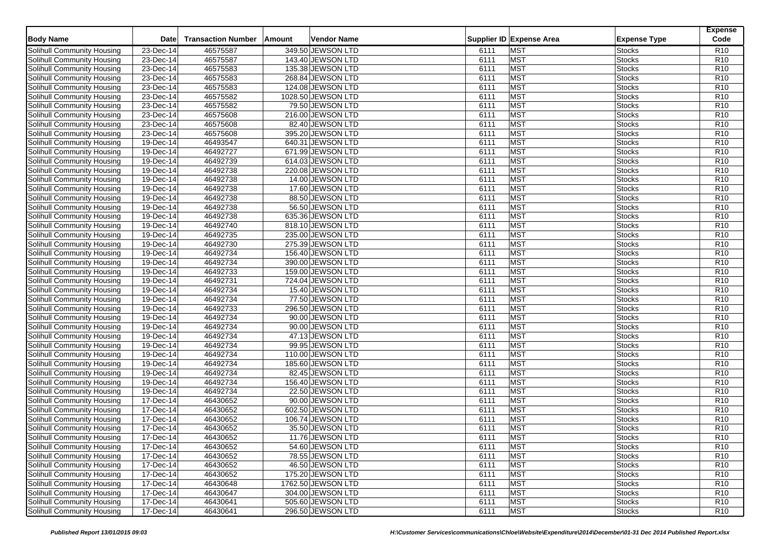| <b>Body Name</b>           | <b>Date</b>   | <b>Transaction Number</b> | Amount | <b>Vendor Name</b> |      | Supplier ID Expense Area | <b>Expense Type</b> | <b>Expense</b><br>Code |
|----------------------------|---------------|---------------------------|--------|--------------------|------|--------------------------|---------------------|------------------------|
| Solihull Community Housing | 23-Dec-14     | 46575587                  |        | 349.50 JEWSON LTD  | 6111 | <b>MST</b>               | Stocks              | R <sub>10</sub>        |
| Solihull Community Housing | 23-Dec-14     | 46575587                  |        | 143.40 JEWSON LTD  | 6111 | <b>MST</b>               | <b>Stocks</b>       | R <sub>10</sub>        |
| Solihull Community Housing | 23-Dec-14     | 46575583                  |        | 135.38 JEWSON LTD  | 6111 | <b>MST</b>               | <b>Stocks</b>       | R <sub>10</sub>        |
| Solihull Community Housing | 23-Dec-14     | 46575583                  |        | 268.84 JEWSON LTD  | 6111 | <b>MST</b>               | Stocks              | R10                    |
| Solihull Community Housing | 23-Dec-14     | 46575583                  |        | 124.08 JEWSON LTD  | 6111 | <b>MST</b>               | <b>Stocks</b>       | R10                    |
| Solihull Community Housing | 23-Dec-14     | 46575582                  |        | 1028.50 JEWSON LTD | 6111 | <b>MST</b>               | <b>Stocks</b>       | R <sub>10</sub>        |
| Solihull Community Housing | 23-Dec-14     | 46575582                  |        | 79.50 JEWSON LTD   | 6111 | <b>MST</b>               | Stocks              | R10                    |
| Solihull Community Housing | 23-Dec-14     | 46575608                  |        | 216.00 JEWSON LTD  | 6111 | <b>MST</b>               | Stocks              | R <sub>10</sub>        |
| Solihull Community Housing | 23-Dec-14     | 46575608                  |        | 82.40 JEWSON LTD   | 6111 | <b>MST</b>               | <b>Stocks</b>       | R <sub>10</sub>        |
| Solihull Community Housing | $23$ -Dec-14  | 46575608                  |        | 395.20 JEWSON LTD  | 6111 | <b>MST</b>               | Stocks              | R10                    |
| Solihull Community Housing | 19-Dec-14     | 46493547                  |        | 640.31 JEWSON LTD  | 6111 | <b>MST</b>               | <b>Stocks</b>       | R10                    |
| Solihull Community Housing | 19-Dec-14     | 46492727                  |        | 671.99 JEWSON LTD  | 6111 | <b>MST</b>               | <b>Stocks</b>       | R <sub>10</sub>        |
| Solihull Community Housing | $19-Dec-14$   | 46492739                  |        | 614.03 JEWSON LTD  | 6111 | <b>MST</b>               | Stocks              | R10                    |
|                            | 19-Dec-14     | 46492738                  |        |                    | 6111 | <b>MST</b>               | Stocks              | R10                    |
| Solihull Community Housing | 19-Dec-14     | 46492738                  |        | 220.08 JEWSON LTD  | 6111 | <b>MST</b>               |                     | R <sub>10</sub>        |
| Solihull Community Housing |               |                           |        | 14.00 JEWSON LTD   |      |                          | Stocks              |                        |
| Solihull Community Housing | $19-Dec-14$   | 46492738                  |        | 17.60 JEWSON LTD   | 6111 | <b>MST</b>               | Stocks              | R10                    |
| Solihull Community Housing | 19-Dec-14     | 46492738                  |        | 88.50 JEWSON LTD   | 6111 | <b>MST</b>               | <b>Stocks</b>       | R10                    |
| Solihull Community Housing | 19-Dec-14     | 46492738                  |        | 56.50 JEWSON LTD   | 6111 | <b>MST</b>               | Stocks              | R <sub>10</sub>        |
| Solihull Community Housing | 19-Dec-14     | 46492738                  |        | 635.36 JEWSON LTD  | 6111 | <b>MST</b>               | <b>Stocks</b>       | R10                    |
| Solihull Community Housing | 19-Dec-14     | 46492740                  |        | 818.10 JEWSON LTD  | 6111 | <b>MST</b>               | Stocks              | R10                    |
| Solihull Community Housing | 19-Dec-14     | 46492735                  |        | 235.00 JEWSON LTD  | 6111 | <b>MST</b>               | <b>Stocks</b>       | R <sub>10</sub>        |
| Solihull Community Housing | 19-Dec-14     | 46492730                  |        | 275.39 JEWSON LTD  | 6111 | <b>MST</b>               | <b>Stocks</b>       | R10                    |
| Solihull Community Housing | 19-Dec-14     | 46492734                  |        | 156.40 JEWSON LTD  | 6111 | <b>MST</b>               | Stocks              | R10                    |
| Solihull Community Housing | 19-Dec-14     | 46492734                  |        | 390.00 JEWSON LTD  | 6111 | <b>MST</b>               | <b>Stocks</b>       | R <sub>10</sub>        |
| Solihull Community Housing | 19-Dec-14     | 46492733                  |        | 159.00 JEWSON LTD  | 6111 | <b>MST</b>               | <b>Stocks</b>       | R <sub>10</sub>        |
| Solihull Community Housing | 19-Dec-14     | 46492731                  |        | 724.04 JEWSON LTD  | 6111 | <b>MST</b>               | <b>Stocks</b>       | R <sub>10</sub>        |
| Solihull Community Housing | 19-Dec-14     | 46492734                  |        | 15.40 JEWSON LTD   | 6111 | <b>MST</b>               | Stocks              | R10                    |
| Solihull Community Housing | 19-Dec-14     | 46492734                  |        | 77.50 JEWSON LTD   | 6111 | <b>MST</b>               | <b>Stocks</b>       | R <sub>10</sub>        |
| Solihull Community Housing | 19-Dec-14     | 46492733                  |        | 296.50 JEWSON LTD  | 6111 | <b>MST</b>               | Stocks              | R <sub>10</sub>        |
| Solihull Community Housing | 19-Dec-14     | 46492734                  |        | 90.00 JEWSON LTD   | 6111 | <b>MST</b>               | <b>Stocks</b>       | R10                    |
| Solihull Community Housing | 19-Dec-14     | 46492734                  |        | 90.00 JEWSON LTD   | 6111 | <b>MST</b>               | Stocks              | R <sub>10</sub>        |
| Solihull Community Housing | 19-Dec-14     | 46492734                  |        | 47.13 JEWSON LTD   | 6111 | <b>MST</b>               | Stocks              | R10                    |
| Solihull Community Housing | 19-Dec-14     | 46492734                  |        | 99.95 JEWSON LTD   | 6111 | <b>MST</b>               | <b>Stocks</b>       | R10                    |
| Solihull Community Housing | 19-Dec-14     | 46492734                  |        | 110.00 JEWSON LTD  | 6111 | MST                      | <b>Stocks</b>       | R <sub>10</sub>        |
| Solihull Community Housing | 19-Dec-14     | 46492734                  |        | 185.60 JEWSON LTD  | 6111 | MST                      | Stocks              | R10                    |
| Solihull Community Housing | 19-Dec-14     | 46492734                  |        | 82.45 JEWSON LTD   | 6111 | <b>MST</b>               | <b>Stocks</b>       | R <sub>10</sub>        |
| Solihull Community Housing | 19-Dec-14     | 46492734                  |        | 156.40 JEWSON LTD  | 6111 | MST                      | <b>Stocks</b>       | R <sub>10</sub>        |
| Solihull Community Housing | 19-Dec-14     | 46492734                  |        | 22.50 JEWSON LTD   | 6111 | <b>MST</b>               | Stocks              | R10                    |
| Solihull Community Housing | $17 - Dec-14$ | 46430652                  |        | 90.00 JEWSON LTD   | 6111 | <b>MST</b>               | <b>Stocks</b>       | R10                    |
| Solihull Community Housing | 17-Dec-14     | 46430652                  |        | 602.50 JEWSON LTD  | 6111 | <b>MST</b>               | <b>Stocks</b>       | R10                    |
| Solihull Community Housing | 17-Dec-14     | 46430652                  |        | 106.74 JEWSON LTD  | 6111 | <b>MST</b>               | Stocks              | R10                    |
| Solihull Community Housing | 17-Dec-14     | 46430652                  |        | 35.50 JEWSON LTD   | 6111 | <b>MST</b>               | <b>Stocks</b>       | R10                    |
| Solihull Community Housing | 17-Dec-14     | 46430652                  |        | 11.76 JEWSON LTD   | 6111 | <b>MST</b>               | <b>Stocks</b>       | R <sub>10</sub>        |
| Solihull Community Housing | 17-Dec-14     | 46430652                  |        | 54.60 JEWSON LTD   | 6111 | <b>MST</b>               | <b>Stocks</b>       | R <sub>10</sub>        |
| Solihull Community Housing | 17-Dec-14     | 46430652                  |        | 78.55 JEWSON LTD   | 6111 | <b>MST</b>               | <b>Stocks</b>       | R <sub>10</sub>        |
| Solihull Community Housing | 17-Dec-14     | 46430652                  |        | 46.50 JEWSON LTD   | 6111 | <b>MST</b>               | <b>Stocks</b>       | R <sub>10</sub>        |
| Solihull Community Housing | 17-Dec-14     | 46430652                  |        | 175.20 JEWSON LTD  | 6111 | <b>MST</b>               | <b>Stocks</b>       | R <sub>10</sub>        |
| Solihull Community Housing | 17-Dec-14     | 46430648                  |        | 1762.50 JEWSON LTD | 6111 | <b>MST</b>               | <b>Stocks</b>       | R <sub>10</sub>        |
| Solihull Community Housing | 17-Dec-14     | 46430647                  |        | 304.00 JEWSON LTD  | 6111 | <b>MST</b>               | <b>Stocks</b>       | R <sub>10</sub>        |
| Solihull Community Housing | 17-Dec-14     | 46430641                  |        | 505.60 JEWSON LTD  | 6111 | <b>MST</b>               |                     | R <sub>10</sub>        |
|                            |               |                           |        |                    |      |                          | <b>Stocks</b>       |                        |
| Solihull Community Housing | 17-Dec-14     | 46430641                  |        | 296.50 JEWSON LTD  | 6111 | <b>MST</b>               | <b>Stocks</b>       | <b>R10</b>             |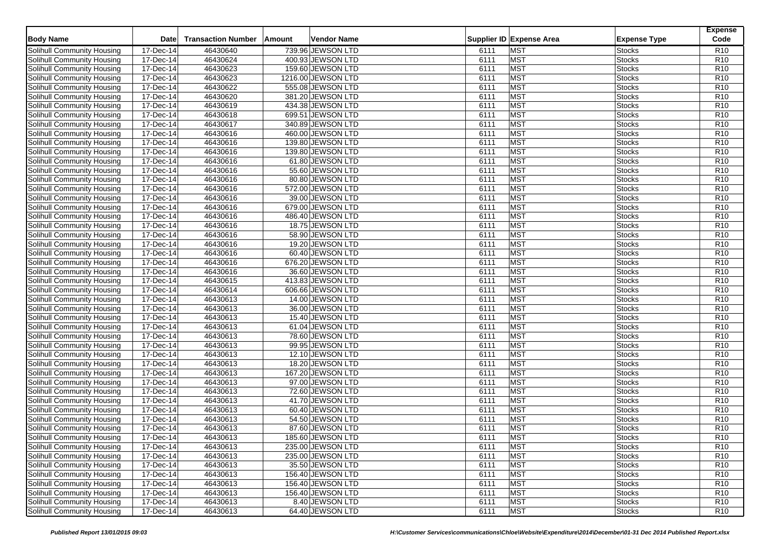| <b>Body Name</b>           | <b>Date</b>   | <b>Transaction Number</b> | Amount | <b>Vendor Name</b> |      | Supplier ID Expense Area | <b>Expense Type</b> | <b>Expense</b><br>Code |
|----------------------------|---------------|---------------------------|--------|--------------------|------|--------------------------|---------------------|------------------------|
| Solihull Community Housing | 17-Dec-14     | 46430640                  |        | 739.96 JEWSON LTD  | 6111 | <b>MST</b>               | Stocks              | R <sub>10</sub>        |
| Solihull Community Housing | 17-Dec-14     | 46430624                  |        | 400.93 JEWSON LTD  | 6111 | <b>MST</b>               | <b>Stocks</b>       | R10                    |
| Solihull Community Housing | 17-Dec-14     | 46430623                  |        | 159.60 JEWSON LTD  | 6111 | <b>MST</b>               | <b>Stocks</b>       | R <sub>10</sub>        |
| Solihull Community Housing | 17-Dec-14     | 46430623                  |        | 1216.00 JEWSON LTD | 6111 | <b>MST</b>               | Stocks              | R <sub>10</sub>        |
| Solihull Community Housing | 17-Dec-14     | 46430622                  |        | 555.08 JEWSON LTD  | 6111 | <b>MST</b>               | <b>Stocks</b>       | R10                    |
| Solihull Community Housing | 17-Dec-14     | 46430620                  |        | 381.20 JEWSON LTD  | 6111 | <b>MST</b>               | <b>Stocks</b>       | R <sub>10</sub>        |
| Solihull Community Housing | 17-Dec-14     | 46430619                  |        | 434.38 JEWSON LTD  | 6111 | <b>MST</b>               | Stocks              | R10                    |
| Solihull Community Housing | 17-Dec-14     | 46430618                  |        | 699.51 JEWSON LTD  | 6111 | <b>MST</b>               | Stocks              | R <sub>10</sub>        |
| Solihull Community Housing | 17-Dec-14     | 46430617                  |        | 340.89 JEWSON LTD  | 6111 | <b>MST</b>               | <b>Stocks</b>       | R <sub>10</sub>        |
| Solihull Community Housing | 17-Dec-14     | 46430616                  |        | 460.00 JEWSON LTD  | 6111 | <b>MST</b>               | Stocks              | R10                    |
| Solihull Community Housing | 17-Dec-14     | 46430616                  |        | 139.80 JEWSON LTD  | 6111 | <b>MST</b>               | <b>Stocks</b>       | R10                    |
| Solihull Community Housing | 17-Dec-14     | 46430616                  |        | 139.80 JEWSON LTD  | 6111 | <b>MST</b>               | <b>Stocks</b>       | R <sub>10</sub>        |
| Solihull Community Housing | 17-Dec-14     | 46430616                  |        | 61.80 JEWSON LTD   | 6111 | <b>MST</b>               | Stocks              | R10                    |
| Solihull Community Housing | 17-Dec-14     | 46430616                  |        | 55.60 JEWSON LTD   | 6111 | <b>MST</b>               | Stocks              | R10                    |
| Solihull Community Housing | 17-Dec-14     | 46430616                  |        | 80.80 JEWSON LTD   | 6111 | <b>MST</b>               | Stocks              | R10                    |
| Solihull Community Housing | 17-Dec-14     | 46430616                  |        | 572.00 JEWSON LTD  | 6111 | <b>MST</b>               | Stocks              | R10                    |
| Solihull Community Housing | 17-Dec-14     | 46430616                  |        | 39.00 JEWSON LTD   | 6111 | <b>MST</b>               | <b>Stocks</b>       | R10                    |
| Solihull Community Housing | 17-Dec-14     | 46430616                  |        | 679.00 JEWSON LTD  | 6111 | <b>MST</b>               | Stocks              | R <sub>10</sub>        |
| Solihull Community Housing | 17-Dec-14     | 46430616                  |        | 486.40 JEWSON LTD  | 6111 | <b>MST</b>               | <b>Stocks</b>       | R10                    |
| Solihull Community Housing | 17-Dec-14     | 46430616                  |        | 18.75 JEWSON LTD   | 6111 | <b>MST</b>               | Stocks              | R10                    |
| Solihull Community Housing | 17-Dec-14     | 46430616                  |        | 58.90 JEWSON LTD   | 6111 | <b>MST</b>               | <b>Stocks</b>       | R <sub>10</sub>        |
|                            | 17-Dec-14     | 46430616                  |        | 19.20 JEWSON LTD   | 6111 | <b>MST</b>               | <b>Stocks</b>       | R10                    |
| Solihull Community Housing |               |                           |        |                    |      |                          |                     |                        |
| Solihull Community Housing | 17-Dec-14     | 46430616                  |        | 60.40 JEWSON LTD   | 6111 | <b>MST</b>               | Stocks              | R10                    |
| Solihull Community Housing | 17-Dec-14     | 46430616                  |        | 676.20 JEWSON LTD  | 6111 | <b>MST</b>               | <b>Stocks</b>       | R <sub>10</sub>        |
| Solihull Community Housing | 17-Dec-14     | 46430616                  |        | 36.60 JEWSON LTD   | 6111 | <b>MST</b>               | <b>Stocks</b>       | R <sub>10</sub>        |
| Solihull Community Housing | 17-Dec-14     | 46430615                  |        | 413.83 JEWSON LTD  | 6111 | <b>MST</b>               | <b>Stocks</b>       | R <sub>10</sub>        |
| Solihull Community Housing | 17-Dec-14     | 46430614                  |        | 606.66 JEWSON LTD  | 6111 | <b>MST</b>               | Stocks              | R10                    |
| Solihull Community Housing | 17-Dec-14     | 46430613                  |        | 14.00 JEWSON LTD   | 6111 | MST                      | <b>Stocks</b>       | R <sub>10</sub>        |
| Solihull Community Housing | 17-Dec-14     | 46430613                  |        | 36.00 JEWSON LTD   | 6111 | <b>MST</b>               | Stocks              | R <sub>10</sub>        |
| Solihull Community Housing | 17-Dec-14     | 46430613                  |        | 15.40 JEWSON LTD   | 6111 | MST                      | <b>Stocks</b>       | R10                    |
| Solihull Community Housing | 17-Dec-14     | 46430613                  |        | 61.04 JEWSON LTD   | 6111 | <b>MST</b>               | Stocks              | R <sub>10</sub>        |
| Solihull Community Housing | 17-Dec-14     | 46430613                  |        | 78.60 JEWSON LTD   | 6111 | <b>MST</b>               | Stocks              | R10                    |
| Solihull Community Housing | 17-Dec-14     | 46430613                  |        | 99.95 JEWSON LTD   | 6111 | <b>MST</b>               | <b>Stocks</b>       | R10                    |
| Solihull Community Housing | 17-Dec-14     | 46430613                  |        | 12.10 JEWSON LTD   | 6111 | MST                      | <b>Stocks</b>       | R <sub>10</sub>        |
| Solihull Community Housing | 17-Dec-14     | 46430613                  |        | 18.20 JEWSON LTD   | 6111 | MST                      | Stocks              | R10                    |
| Solihull Community Housing | $17 - Dec-14$ | 46430613                  |        | 167.20 JEWSON LTD  | 6111 | <b>MST</b>               | <b>Stocks</b>       | R <sub>10</sub>        |
| Solihull Community Housing | 17-Dec-14     | 46430613                  |        | 97.00 JEWSON LTD   | 6111 | MST                      | <b>Stocks</b>       | R <sub>10</sub>        |
| Solihull Community Housing | 17-Dec-14     | 46430613                  |        | 72.60 JEWSON LTD   | 6111 | <b>MST</b>               | Stocks              | R10                    |
| Solihull Community Housing | $17 - Dec-14$ | 46430613                  |        | 41.70 JEWSON LTD   | 6111 | <b>MST</b>               | <b>Stocks</b>       | R10                    |
| Solihull Community Housing | 17-Dec-14     | 46430613                  |        | 60.40 JEWSON LTD   | 6111 | <b>MST</b>               | <b>Stocks</b>       | R10                    |
| Solihull Community Housing | 17-Dec-14     | 46430613                  |        | 54.50 JEWSON LTD   | 6111 | <b>MST</b>               | Stocks              | R10                    |
| Solihull Community Housing | 17-Dec-14     | 46430613                  |        | 87.60 JEWSON LTD   | 6111 | <b>MST</b>               | Stocks              | R10                    |
| Solihull Community Housing | 17-Dec-14     | 46430613                  |        | 185.60 JEWSON LTD  | 6111 | <b>MST</b>               | <b>Stocks</b>       | R <sub>10</sub>        |
| Solihull Community Housing | 17-Dec-14     | 46430613                  |        | 235.00 JEWSON LTD  | 6111 | <b>MST</b>               | <b>Stocks</b>       | R <sub>10</sub>        |
| Solihull Community Housing | 17-Dec-14     | 46430613                  |        | 235.00 JEWSON LTD  | 6111 | <b>MST</b>               | <b>Stocks</b>       | R <sub>10</sub>        |
| Solihull Community Housing | 17-Dec-14     | 46430613                  |        | 35.50 JEWSON LTD   | 6111 | <b>MST</b>               | <b>Stocks</b>       | R <sub>10</sub>        |
| Solihull Community Housing | 17-Dec-14     | 46430613                  |        | 156.40 JEWSON LTD  | 6111 | <b>MST</b>               | <b>Stocks</b>       | R <sub>10</sub>        |
| Solihull Community Housing | 17-Dec-14     | 46430613                  |        | 156.40 JEWSON LTD  | 6111 | <b>MST</b>               | <b>Stocks</b>       | R <sub>10</sub>        |
| Solihull Community Housing | 17-Dec-14     | 46430613                  |        | 156.40 JEWSON LTD  | 6111 | <b>MST</b>               | <b>Stocks</b>       | R <sub>10</sub>        |
| Solihull Community Housing | 17-Dec-14     | 46430613                  |        | 8.40 JEWSON LTD    | 6111 | <b>MST</b>               | <b>Stocks</b>       | R <sub>10</sub>        |
| Solihull Community Housing | 17-Dec-14     | 46430613                  |        | 64.40 JEWSON LTD   | 6111 | <b>MST</b>               | <b>Stocks</b>       | <b>R10</b>             |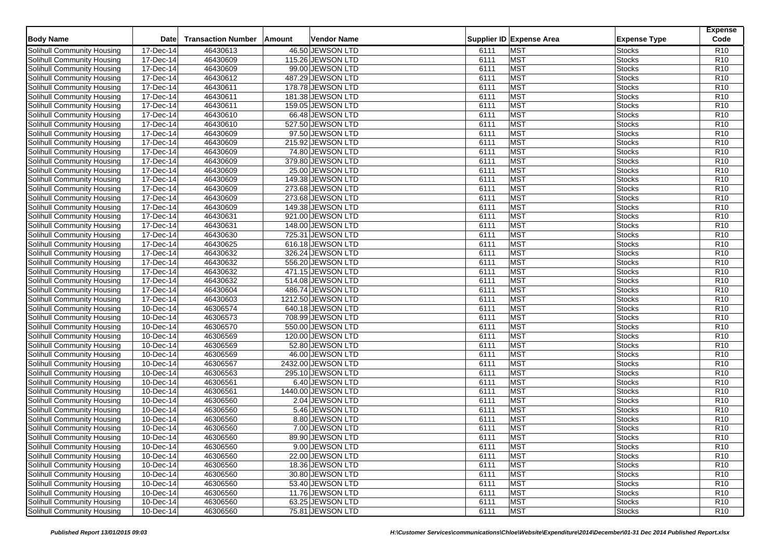| <b>Body Name</b>           | <b>Date</b>   | <b>Transaction Number</b> | Amount | <b>Vendor Name</b> |      | Supplier ID Expense Area | <b>Expense Type</b> | <b>Expense</b><br>Code |
|----------------------------|---------------|---------------------------|--------|--------------------|------|--------------------------|---------------------|------------------------|
| Solihull Community Housing | 17-Dec-14     | 46430613                  |        | 46.50 JEWSON LTD   | 6111 | <b>MST</b>               | Stocks              | R <sub>10</sub>        |
| Solihull Community Housing | 17-Dec-14     | 46430609                  |        | 115.26 JEWSON LTD  | 6111 | <b>MST</b>               | <b>Stocks</b>       | R <sub>10</sub>        |
| Solihull Community Housing | 17-Dec-14     | 46430609                  |        | 99.00 JEWSON LTD   | 6111 | <b>MST</b>               | <b>Stocks</b>       | R <sub>10</sub>        |
| Solihull Community Housing | 17-Dec-14     | 46430612                  |        | 487.29 JEWSON LTD  | 6111 | <b>MST</b>               | <b>Stocks</b>       | R10                    |
| Solihull Community Housing | 17-Dec-14     | 46430611                  |        | 178.78 JEWSON LTD  | 6111 | <b>MST</b>               | <b>Stocks</b>       | R10                    |
| Solihull Community Housing | 17-Dec-14     | 46430611                  |        | 181.38 JEWSON LTD  | 6111 | <b>MST</b>               | <b>Stocks</b>       | R <sub>10</sub>        |
| Solihull Community Housing | 17-Dec-14     | 46430611                  |        | 159.05 JEWSON LTD  | 6111 | <b>MST</b>               | <b>Stocks</b>       | R10                    |
| Solihull Community Housing | 17-Dec-14     | 46430610                  |        | 66.48 JEWSON LTD   | 6111 | <b>MST</b>               | Stocks              | R <sub>10</sub>        |
| Solihull Community Housing | 17-Dec-14     | 46430610                  |        | 527.50 JEWSON LTD  | 6111 | <b>MST</b>               | <b>Stocks</b>       | R <sub>10</sub>        |
| Solihull Community Housing | 17-Dec-14     | 46430609                  |        | 97.50 JEWSON LTD   | 6111 | <b>MST</b>               | <b>Stocks</b>       | R10                    |
| Solihull Community Housing | 17-Dec-14     | 46430609                  |        | 215.92 JEWSON LTD  | 6111 | <b>MST</b>               | <b>Stocks</b>       | R10                    |
| Solihull Community Housing | 17-Dec-14     | 46430609                  |        | 74.80 JEWSON LTD   | 6111 | <b>MST</b>               | <b>Stocks</b>       | R <sub>10</sub>        |
| Solihull Community Housing | 17-Dec-14     | 46430609                  |        | 379.80 JEWSON LTD  | 6111 | <b>MST</b>               | <b>Stocks</b>       | R10                    |
| Solihull Community Housing | 17-Dec-14     | 46430609                  |        | 25.00 JEWSON LTD   | 6111 | <b>MST</b>               | Stocks              | R10                    |
| Solihull Community Housing | 17-Dec-14     | 46430609                  |        | 149.38 JEWSON LTD  | 6111 | <b>MST</b>               | <b>Stocks</b>       | R <sub>10</sub>        |
| Solihull Community Housing | $17 - Dec-14$ | 46430609                  |        | 273.68 JEWSON LTD  | 6111 | <b>MST</b>               | <b>Stocks</b>       | R10                    |
| Solihull Community Housing | 17-Dec-14     | 46430609                  |        | 273.68 JEWSON LTD  | 6111 | <b>MST</b>               | <b>Stocks</b>       | R10                    |
| Solihull Community Housing | 17-Dec-14     | 46430609                  |        | 149.38 JEWSON LTD  | 6111 | <b>MST</b>               | <b>Stocks</b>       | R <sub>10</sub>        |
| Solihull Community Housing | 17-Dec-14     | 46430631                  |        | 921.00 JEWSON LTD  | 6111 | <b>MST</b>               | <b>Stocks</b>       | R10                    |
| Solihull Community Housing | 17-Dec-14     | 46430631                  |        | 148.00 JEWSON LTD  | 6111 | <b>MST</b>               | Stocks              | R10                    |
| Solihull Community Housing | 17-Dec-14     | 46430630                  |        | 725.31 JEWSON LTD  | 6111 | <b>MST</b>               | <b>Stocks</b>       | R <sub>10</sub>        |
| Solihull Community Housing | 17-Dec-14     | 46430625                  |        | 616.18 JEWSON LTD  | 6111 | <b>MST</b>               | <b>Stocks</b>       | R10                    |
|                            |               | 46430632                  |        | 326.24 JEWSON LTD  | 6111 | <b>MST</b>               |                     | R10                    |
| Solihull Community Housing | 17-Dec-14     |                           |        | 556.20 JEWSON LTD  |      |                          | <b>Stocks</b>       |                        |
| Solihull Community Housing | 17-Dec-14     | 46430632                  |        |                    | 6111 | <b>MST</b>               | <b>Stocks</b>       | R <sub>10</sub>        |
| Solihull Community Housing | 17-Dec-14     | 46430632                  |        | 471.15 JEWSON LTD  | 6111 | <b>MST</b>               | <b>Stocks</b>       | R <sub>10</sub>        |
| Solihull Community Housing | 17-Dec-14     | 46430632                  |        | 514.08 JEWSON LTD  | 6111 | <b>MST</b>               | <b>Stocks</b>       | R <sub>10</sub>        |
| Solihull Community Housing | 17-Dec-14     | 46430604                  |        | 486.74 JEWSON LTD  | 6111 | <b>MST</b>               | <b>Stocks</b>       | R10                    |
| Solihull Community Housing | 17-Dec-14     | 46430603                  |        | 1212.50 JEWSON LTD | 6111 | <b>MST</b>               | <b>Stocks</b>       | R <sub>10</sub>        |
| Solihull Community Housing | 10-Dec-14     | 46306574                  |        | 640.18 JEWSON LTD  | 6111 | <b>MST</b>               | <b>Stocks</b>       | R <sub>10</sub>        |
| Solihull Community Housing | 10-Dec-14     | 46306573                  |        | 708.99 JEWSON LTD  | 6111 | <b>MST</b>               | <b>Stocks</b>       | R10                    |
| Solihull Community Housing | 10-Dec-14     | 46306570                  |        | 550.00 JEWSON LTD  | 6111 | <b>MST</b>               | <b>Stocks</b>       | R <sub>10</sub>        |
| Solihull Community Housing | 10-Dec-14     | 46306569                  |        | 120.00 JEWSON LTD  | 6111 | <b>MST</b>               | <b>Stocks</b>       | R10                    |
| Solihull Community Housing | 10-Dec-14     | 46306569                  |        | 52.80 JEWSON LTD   | 6111 | <b>MST</b>               | <b>Stocks</b>       | R10                    |
| Solihull Community Housing | 10-Dec-14     | 46306569                  |        | 46.00 JEWSON LTD   | 6111 | <b>MST</b>               | <b>Stocks</b>       | R <sub>10</sub>        |
| Solihull Community Housing | 10-Dec-14     | 46306567                  |        | 2432.00 JEWSON LTD | 6111 | <b>MST</b>               | <b>Stocks</b>       | R <sub>10</sub>        |
| Solihull Community Housing | 10-Dec-14     | 46306563                  |        | 295.10 JEWSON LTD  | 6111 | <b>MST</b>               | <b>Stocks</b>       | R <sub>10</sub>        |
| Solihull Community Housing | 10-Dec-14     | 46306561                  |        | 6.40 JEWSON LTD    | 6111 | <b>MST</b>               | <b>Stocks</b>       | R <sub>10</sub>        |
| Solihull Community Housing | 10-Dec-14     | 46306561                  |        | 1440.00 JEWSON LTD | 6111 | <b>MST</b>               | <b>Stocks</b>       | R <sub>10</sub>        |
| Solihull Community Housing | 10-Dec-14     | 46306560                  |        | 2.04 JEWSON LTD    | 6111 | <b>MST</b>               | <b>Stocks</b>       | R10                    |
| Solihull Community Housing | 10-Dec-14     | 46306560                  |        | 5.46 JEWSON LTD    | 6111 | <b>MST</b>               | <b>Stocks</b>       | R10                    |
| Solihull Community Housing | 10-Dec-14     | 46306560                  |        | 8.80 JEWSON LTD    | 6111 | <b>MST</b>               | <b>Stocks</b>       | R10                    |
| Solihull Community Housing | 10-Dec-14     | 46306560                  |        | 7.00 JEWSON LTD    | 6111 | <b>MST</b>               | <b>Stocks</b>       | R10                    |
| Solihull Community Housing | 10-Dec-14     | 46306560                  |        | 89.90 JEWSON LTD   | 6111 | <b>MST</b>               | <b>Stocks</b>       | R <sub>10</sub>        |
| Solihull Community Housing | 10-Dec-14     | 46306560                  |        | 9.00 JEWSON LTD    | 6111 | <b>MST</b>               | <b>Stocks</b>       | R <sub>10</sub>        |
| Solihull Community Housing | 10-Dec-14     | 46306560                  |        | 22.00 JEWSON LTD   | 6111 | <b>MST</b>               | <b>Stocks</b>       | R <sub>10</sub>        |
| Solihull Community Housing | 10-Dec-14     | 46306560                  |        | 18.36 JEWSON LTD   | 6111 | <b>MST</b>               | <b>Stocks</b>       | R <sub>10</sub>        |
| Solihull Community Housing | 10-Dec-14     | 46306560                  |        | 30.80 JEWSON LTD   | 6111 | <b>MST</b>               | <b>Stocks</b>       | R <sub>10</sub>        |
| Solihull Community Housing | 10-Dec-14     | 46306560                  |        | 53.40 JEWSON LTD   | 6111 | <b>MST</b>               | <b>Stocks</b>       | R <sub>10</sub>        |
| Solihull Community Housing | 10-Dec-14     | 46306560                  |        | 11.76 JEWSON LTD   | 6111 | <b>MST</b>               | <b>Stocks</b>       | R <sub>10</sub>        |
| Solihull Community Housing | 10-Dec-14     | 46306560                  |        | 63.25 JEWSON LTD   | 6111 | <b>MST</b>               | <b>Stocks</b>       | R <sub>10</sub>        |
| Solihull Community Housing | 10-Dec-14     | 46306560                  |        | 75.81 JEWSON LTD   | 6111 | <b>MST</b>               | <b>Stocks</b>       | R <sub>10</sub>        |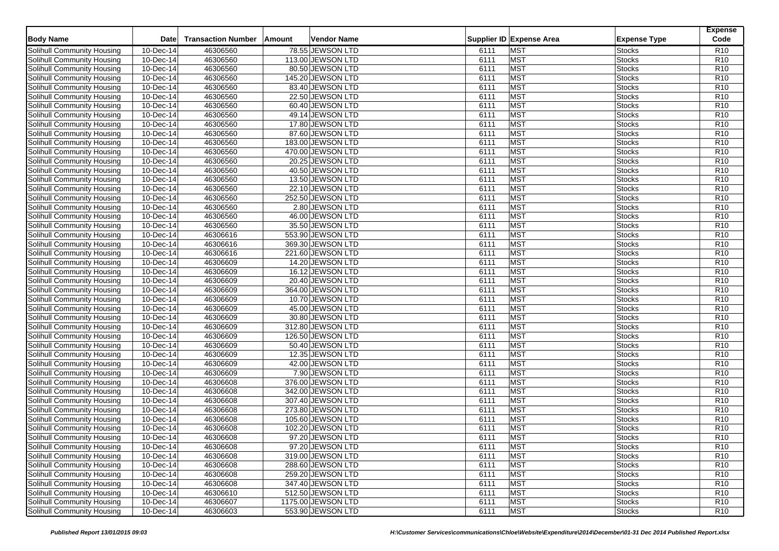| <b>Body Name</b>                  | <b>Date</b>             | <b>Transaction Number</b> | Amount | <b>Vendor Name</b>                    |      | Supplier ID Expense Area | <b>Expense Type</b> | <b>Expense</b><br>Code |
|-----------------------------------|-------------------------|---------------------------|--------|---------------------------------------|------|--------------------------|---------------------|------------------------|
| Solihull Community Housing        | 10-Dec-14               | 46306560                  |        | 78.55 JEWSON LTD                      | 6111 | MST                      | Stocks              | R <sub>10</sub>        |
| Solihull Community Housing        | 10-Dec-14               | 46306560                  |        | 113.00 JEWSON LTD                     | 6111 | MST                      | <b>Stocks</b>       | R <sub>10</sub>        |
| Solihull Community Housing        | 10-Dec-14               | 46306560                  |        | 80.50 JEWSON LTD                      | 6111 | <b>MST</b>               | <b>Stocks</b>       | R <sub>10</sub>        |
| Solihull Community Housing        | 10-Dec-14               | 46306560                  |        | 145.20 JEWSON LTD                     | 6111 | <b>MST</b>               | <b>Stocks</b>       | R10                    |
| Solihull Community Housing        | 10-Dec-14               | 46306560                  |        | 83.40 JEWSON LTD                      | 6111 | <b>MST</b>               | <b>Stocks</b>       | R10                    |
| Solihull Community Housing        | 10-Dec-14               | 46306560                  |        | 22.50 JEWSON LTD                      | 6111 | MST                      | <b>Stocks</b>       | R <sub>10</sub>        |
| Solihull Community Housing        | 10-Dec-14               | 46306560                  |        | 60.40 JEWSON LTD                      | 6111 | MST                      | <b>Stocks</b>       | R10                    |
| <b>Solihull Community Housing</b> | 10-Dec-14               | 46306560                  |        | 49.14 JEWSON LTD                      | 6111 | <b>MST</b>               | Stocks              | R <sub>10</sub>        |
| Solihull Community Housing        | 10-Dec-14               | 46306560                  |        | 17.80 JEWSON LTD                      | 6111 | MST                      | <b>Stocks</b>       | R <sub>10</sub>        |
| Solihull Community Housing        | $10 - Dec-14$           | 46306560                  |        | 87.60 JEWSON LTD                      | 6111 | <b>MST</b>               | <b>Stocks</b>       | R10                    |
| Solihull Community Housing        | 10-Dec-14               | 46306560                  |        | 183.00 JEWSON LTD                     | 6111 | <b>MST</b>               | <b>Stocks</b>       | R10                    |
| Solihull Community Housing        | 10-Dec-14               | 46306560                  |        | 470.00 JEWSON LTD                     | 6111 | <b>MST</b>               | <b>Stocks</b>       | R <sub>10</sub>        |
| Solihull Community Housing        | $10 - Dec-14$           | 46306560                  |        | 20.25 JEWSON LTD                      | 6111 | <b>MST</b>               | <b>Stocks</b>       | R10                    |
| Solihull Community Housing        | 10-Dec-14               | 46306560                  |        | 40.50 JEWSON LTD                      | 6111 | <b>MST</b>               | Stocks              | R10                    |
| Solihull Community Housing        | 10-Dec-14               | 46306560                  |        | 13.50 JEWSON LTD                      | 6111 | <b>MST</b>               | <b>Stocks</b>       | R <sub>10</sub>        |
|                                   | $10 - Dec-14$           | 46306560                  |        |                                       | 6111 | <b>MST</b>               |                     | R10                    |
| Solihull Community Housing        |                         | 46306560                  |        | 22.10 JEWSON LTD<br>252.50 JEWSON LTD | 6111 | <b>MST</b>               | <b>Stocks</b>       | R10                    |
| Solihull Community Housing        | 10-Dec-14<br>10-Dec-14  | 46306560                  |        | 2.80 JEWSON LTD                       | 6111 | <b>MST</b>               | <b>Stocks</b>       |                        |
| Solihull Community Housing        |                         |                           |        |                                       |      |                          | <b>Stocks</b>       | R <sub>10</sub>        |
| Solihull Community Housing        | 10-Dec-14               | 46306560                  |        | 46.00 JEWSON LTD                      | 6111 | <b>MST</b>               | <b>Stocks</b>       | R10                    |
| Solihull Community Housing        | 10-Dec-14               | 46306560                  |        | 35.50 JEWSON LTD                      | 6111 | <b>MST</b>               | Stocks              | R10                    |
| Solihull Community Housing        | 10-Dec-14               | 46306616                  |        | 553.90 JEWSON LTD                     | 6111 | <b>MST</b>               | <b>Stocks</b>       | R <sub>10</sub>        |
| Solihull Community Housing        | 10-Dec-14               | 46306616                  |        | 369.30 JEWSON LTD                     | 6111 | <b>MST</b>               | <b>Stocks</b>       | R10                    |
| Solihull Community Housing        | 10-Dec-14               | 46306616                  |        | 221.60 JEWSON LTD                     | 6111 | <b>MST</b>               | <b>Stocks</b>       | R10                    |
| Solihull Community Housing        | 10-Dec-14               | 46306609                  |        | 14.20 JEWSON LTD                      | 6111 | <b>MST</b>               | <b>Stocks</b>       | R <sub>10</sub>        |
| Solihull Community Housing        | 10-Dec-14               | 46306609                  |        | 16.12 JEWSON LTD                      | 6111 | <b>MST</b>               | <b>Stocks</b>       | R <sub>10</sub>        |
| Solihull Community Housing        | 10-Dec-14               | 46306609                  |        | 20.40 JEWSON LTD                      | 6111 | <b>MST</b>               | <b>Stocks</b>       | R <sub>10</sub>        |
| Solihull Community Housing        | 10-Dec-14               | 46306609                  |        | 364.00 JEWSON LTD                     | 6111 | <b>MST</b>               | <b>Stocks</b>       | R10                    |
| Solihull Community Housing        | 10-Dec-14               | 46306609                  |        | 10.70 JEWSON LTD                      | 6111 | <b>MST</b>               | <b>Stocks</b>       | R <sub>10</sub>        |
| Solihull Community Housing        | 10-Dec-14               | 46306609                  |        | 45.00 JEWSON LTD                      | 6111 | <b>MST</b>               | <b>Stocks</b>       | R <sub>10</sub>        |
| Solihull Community Housing        | 10-Dec-14               | 46306609                  |        | 30.80 JEWSON LTD                      | 6111 | MST                      | <b>Stocks</b>       | R10                    |
| Solihull Community Housing        | 10-Dec-14               | 46306609                  |        | 312.80 JEWSON LTD                     | 6111 | <b>MST</b>               | <b>Stocks</b>       | R <sub>10</sub>        |
| Solihull Community Housing        | 10-Dec-14               | 46306609                  |        | 126.50 JEWSON LTD                     | 6111 | <b>MST</b>               | <b>Stocks</b>       | R10                    |
| Solihull Community Housing        | 10-Dec-14               | 46306609                  |        | 50.40 JEWSON LTD                      | 6111 | <b>MST</b>               | <b>Stocks</b>       | R10                    |
| Solihull Community Housing        | 10-Dec-14               | 46306609                  |        | 12.35 JEWSON LTD                      | 6111 | MST                      | <b>Stocks</b>       | R <sub>10</sub>        |
| Solihull Community Housing        | 10-Dec-14               | 46306609                  |        | 42.00 JEWSON LTD                      | 6111 | MST                      | <b>Stocks</b>       | R10                    |
| Solihull Community Housing        | 10-Dec-14               | 46306609                  |        | 7.90 JEWSON LTD                       | 6111 | <b>MST</b>               | <b>Stocks</b>       | R <sub>10</sub>        |
| Solihull Community Housing        | 10-Dec-14               | 46306608                  |        | 376.00 JEWSON LTD                     | 6111 | MST                      | <b>Stocks</b>       | R <sub>10</sub>        |
| Solihull Community Housing        | $\overline{10}$ -Dec-14 | 46306608                  |        | 342.00 JEWSON LTD                     | 6111 | <b>MST</b>               | Stocks              | R10                    |
| Solihull Community Housing        | 10-Dec-14               | 46306608                  |        | 307.40 JEWSON LTD                     | 6111 | <b>MST</b>               | <b>Stocks</b>       | R10                    |
| Solihull Community Housing        | 10-Dec-14               | 46306608                  |        | 273.80 JEWSON LTD                     | 6111 | <b>MST</b>               | <b>Stocks</b>       | R10                    |
| Solihull Community Housing        | 10-Dec-14               | 46306608                  |        | 105.60 JEWSON LTD                     | 6111 | <b>MST</b>               | Stocks              | R10                    |
| Solihull Community Housing        | 10-Dec-14               | 46306608                  |        | 102.20 JEWSON LTD                     | 6111 | <b>MST</b>               | <b>Stocks</b>       | R10                    |
| Solihull Community Housing        | 10-Dec-14               | 46306608                  |        | 97.20 JEWSON LTD                      | 6111 | <b>MST</b>               | <b>Stocks</b>       | R <sub>10</sub>        |
| Solihull Community Housing        | 10-Dec-14               | 46306608                  |        | 97.20 JEWSON LTD                      | 6111 | <b>MST</b>               | <b>Stocks</b>       | R <sub>10</sub>        |
| Solihull Community Housing        | 10-Dec-14               | 46306608                  |        | 319.00 JEWSON LTD                     | 6111 | <b>MST</b>               | <b>Stocks</b>       | R <sub>10</sub>        |
| Solihull Community Housing        | 10-Dec-14               | 46306608                  |        | 288.60 JEWSON LTD                     | 6111 | <b>MST</b>               | <b>Stocks</b>       | R <sub>10</sub>        |
| Solihull Community Housing        | 10-Dec-14               | 46306608                  |        | 259.20 JEWSON LTD                     | 6111 | <b>MST</b>               | <b>Stocks</b>       | R <sub>10</sub>        |
| Solihull Community Housing        | 10-Dec-14               | 46306608                  |        | 347.40 JEWSON LTD                     | 6111 | <b>MST</b>               | <b>Stocks</b>       | R <sub>10</sub>        |
| Solihull Community Housing        | 10-Dec-14               | 46306610                  |        | 512.50 JEWSON LTD                     | 6111 | <b>MST</b>               | <b>Stocks</b>       | R <sub>10</sub>        |
| Solihull Community Housing        | 10-Dec-14               | 46306607                  |        | 1175.00 JEWSON LTD                    | 6111 | <b>MST</b>               | <b>Stocks</b>       | R <sub>10</sub>        |
| Solihull Community Housing        | 10-Dec-14               | 46306603                  |        | 553.90 JEWSON LTD                     | 6111 | <b>MST</b>               | <b>Stocks</b>       | <b>R10</b>             |
|                                   |                         |                           |        |                                       |      |                          |                     |                        |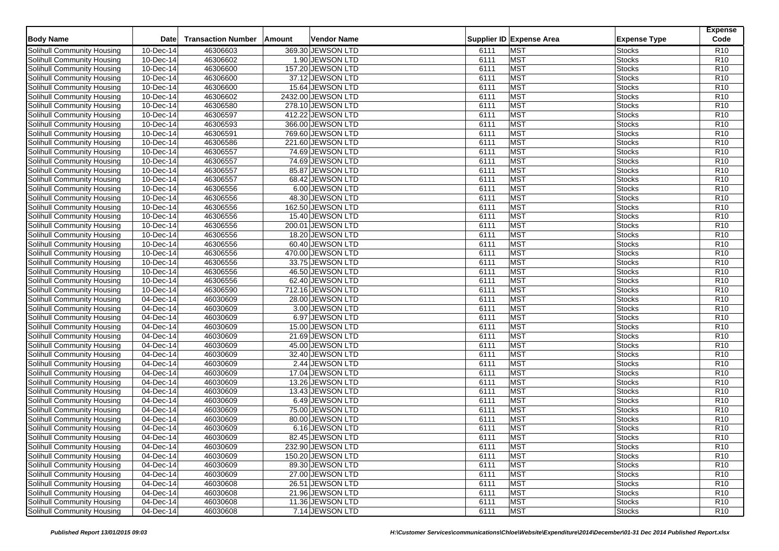| <b>Body Name</b>                  | <b>Date</b>            | <b>Transaction Number</b> | Amount | <b>Vendor Name</b>                  |      | Supplier ID Expense Area | <b>Expense Type</b> | <b>Expense</b><br>Code |
|-----------------------------------|------------------------|---------------------------|--------|-------------------------------------|------|--------------------------|---------------------|------------------------|
| Solihull Community Housing        | 10-Dec-14              | 46306603                  |        | 369.30 JEWSON LTD                   | 6111 | <b>MST</b>               | Stocks              | R <sub>10</sub>        |
| Solihull Community Housing        | 10-Dec-14              | 46306602                  |        | 1.90 JEWSON LTD                     | 6111 | <b>MST</b>               | <b>Stocks</b>       | R10                    |
| Solihull Community Housing        | 10-Dec-14              | 46306600                  |        | 157.20 JEWSON LTD                   | 6111 | <b>MST</b>               | <b>Stocks</b>       | R <sub>10</sub>        |
| Solihull Community Housing        | 10-Dec-14              | 46306600                  |        | 37.12 JEWSON LTD                    | 6111 | <b>MST</b>               | Stocks              | R10                    |
| Solihull Community Housing        | 10-Dec-14              | 46306600                  |        | 15.64 JEWSON LTD                    | 6111 | <b>MST</b>               | <b>Stocks</b>       | R10                    |
| Solihull Community Housing        | 10-Dec-14              | 46306602                  |        | 2432.00 JEWSON LTD                  | 6111 | <b>MST</b>               | <b>Stocks</b>       | R <sub>10</sub>        |
| Solihull Community Housing        | 10-Dec-14              | 46306580                  |        | 278.10 JEWSON LTD                   | 6111 | <b>MST</b>               | Stocks              | R10                    |
| Solihull Community Housing        | 10-Dec-14              | 46306597                  |        | 412.22 JEWSON LTD                   | 6111 | <b>MST</b>               | Stocks              | R <sub>10</sub>        |
| Solihull Community Housing        | 10-Dec-14              | 46306593                  |        | 366.00 JEWSON LTD                   | 6111 | <b>MST</b>               | <b>Stocks</b>       | R <sub>10</sub>        |
| Solihull Community Housing        | $10 - Dec-14$          | 46306591                  |        | 769.60 JEWSON LTD                   | 6111 | <b>MST</b>               | Stocks              | R10                    |
| Solihull Community Housing        | 10-Dec-14              | 46306586                  |        | 221.60 JEWSON LTD                   | 6111 | <b>MST</b>               | <b>Stocks</b>       | R10                    |
| Solihull Community Housing        | 10-Dec-14              | 46306557                  |        | 74.69 JEWSON LTD                    | 6111 | <b>MST</b>               | <b>Stocks</b>       | R <sub>10</sub>        |
| Solihull Community Housing        | 10-Dec-14              | 46306557                  |        | 74.69 JEWSON LTD                    | 6111 | <b>MST</b>               | Stocks              | R10                    |
| Solihull Community Housing        | 10-Dec-14              | 46306557                  |        | 85.87 JEWSON LTD                    | 6111 | <b>MST</b>               | Stocks              | R10                    |
| Solihull Community Housing        | 10-Dec-14              | 46306557                  |        | 68.42 JEWSON LTD                    | 6111 | <b>MST</b>               | <b>Stocks</b>       | R <sub>10</sub>        |
|                                   | $10 - Dec-14$          | 46306556                  |        |                                     | 6111 | <b>MST</b>               |                     | R10                    |
| Solihull Community Housing        |                        | 46306556                  |        | 6.00 JEWSON LTD<br>48.30 JEWSON LTD | 6111 | <b>MST</b>               | <b>Stocks</b>       | R10                    |
| Solihull Community Housing        | 10-Dec-14<br>10-Dec-14 | 46306556                  |        | 162.50 JEWSON LTD                   | 6111 | <b>MST</b>               | <b>Stocks</b>       |                        |
| Solihull Community Housing        |                        |                           |        |                                     |      |                          | <b>Stocks</b>       | R <sub>10</sub>        |
| Solihull Community Housing        | 10-Dec-14              | 46306556                  |        | 15.40 JEWSON LTD                    | 6111 | <b>MST</b>               | <b>Stocks</b>       | R10                    |
| Solihull Community Housing        | 10-Dec-14              | 46306556                  |        | 200.01 JEWSON LTD                   | 6111 | <b>MST</b>               | <b>Stocks</b>       | R10                    |
| Solihull Community Housing        | 10-Dec-14              | 46306556                  |        | 18.20 JEWSON LTD                    | 6111 | <b>MST</b>               | <b>Stocks</b>       | R <sub>10</sub>        |
| Solihull Community Housing        | 10-Dec-14              | 46306556                  |        | 60.40 JEWSON LTD                    | 6111 | <b>MST</b>               | <b>Stocks</b>       | R10                    |
| Solihull Community Housing        | 10-Dec-14              | 46306556                  |        | 470.00 JEWSON LTD                   | 6111 | <b>MST</b>               | <b>Stocks</b>       | R10                    |
| Solihull Community Housing        | 10-Dec-14              | 46306556                  |        | 33.75 JEWSON LTD                    | 6111 | <b>MST</b>               | <b>Stocks</b>       | R <sub>10</sub>        |
| Solihull Community Housing        | 10-Dec-14              | 46306556                  |        | 46.50 JEWSON LTD                    | 6111 | <b>MST</b>               | <b>Stocks</b>       | R <sub>10</sub>        |
| Solihull Community Housing        | 10-Dec-14              | 46306556                  |        | 62.40 JEWSON LTD                    | 6111 | <b>MST</b>               | <b>Stocks</b>       | R <sub>10</sub>        |
| Solihull Community Housing        | 10-Dec-14              | 46306590                  |        | 712.16 JEWSON LTD                   | 6111 | <b>MST</b>               | <b>Stocks</b>       | R10                    |
| Solihull Community Housing        | 04-Dec-14              | 46030609                  |        | 28.00 JEWSON LTD                    | 6111 | <b>MST</b>               | <b>Stocks</b>       | R <sub>10</sub>        |
| Solihull Community Housing        | 04-Dec-14              | 46030609                  |        | 3.00 JEWSON LTD                     | 6111 | <b>MST</b>               | <b>Stocks</b>       | R <sub>10</sub>        |
| Solihull Community Housing        | 04-Dec-14              | 46030609                  |        | 6.97 JEWSON LTD                     | 6111 | <b>MST</b>               | <b>Stocks</b>       | R10                    |
| Solihull Community Housing        | 04-Dec-14              | 46030609                  |        | 15.00 JEWSON LTD                    | 6111 | <b>MST</b>               | <b>Stocks</b>       | R <sub>10</sub>        |
| Solihull Community Housing        | 04-Dec-14              | 46030609                  |        | 21.69 JEWSON LTD                    | 6111 | <b>MST</b>               | <b>Stocks</b>       | R10                    |
| Solihull Community Housing        | 04-Dec-14              | 46030609                  |        | 45.00 JEWSON LTD                    | 6111 | <b>MST</b>               | <b>Stocks</b>       | R10                    |
| Solihull Community Housing        | 04-Dec-14              | 46030609                  |        | 32.40 JEWSON LTD                    | 6111 | <b>MST</b>               | <b>Stocks</b>       | R <sub>10</sub>        |
| Solihull Community Housing        | 04-Dec-14              | 46030609                  |        | 2.44 JEWSON LTD                     | 6111 | <b>MST</b>               | <b>Stocks</b>       | R10                    |
| Solihull Community Housing        | 04-Dec-14              | 46030609                  |        | 17.04 JEWSON LTD                    | 6111 | <b>MST</b>               | <b>Stocks</b>       | R <sub>10</sub>        |
| Solihull Community Housing        | 04-Dec-14              | 46030609                  |        | 13.26 JEWSON LTD                    | 6111 | <b>MST</b>               | <b>Stocks</b>       | R <sub>10</sub>        |
| Solihull Community Housing        | 04-Dec-14              | 46030609                  |        | 13.43 JEWSON LTD                    | 6111 | <b>MST</b>               | <b>Stocks</b>       | R10                    |
| Solihull Community Housing        | 04-Dec-14              | 46030609                  |        | 6.49 JEWSON LTD                     | 6111 | <b>MST</b>               | <b>Stocks</b>       | R10                    |
| Solihull Community Housing        | 04-Dec-14              | 46030609                  |        | 75.00 JEWSON LTD                    | 6111 | <b>MST</b>               | <b>Stocks</b>       | R10                    |
| Solihull Community Housing        | 04-Dec-14              | 46030609                  |        | 80.00 JEWSON LTD                    | 6111 | <b>MST</b>               | <b>Stocks</b>       | R10                    |
| Solihull Community Housing        | 04-Dec-14              | 46030609                  |        | 6.16 JEWSON LTD                     | 6111 | <b>MST</b>               | Stocks              | R10                    |
| Solihull Community Housing        | 04-Dec-14              | 46030609                  |        | 82.45 JEWSON LTD                    | 6111 | <b>MST</b>               | <b>Stocks</b>       | R <sub>10</sub>        |
| Solihull Community Housing        | 04-Dec-14              | 46030609                  |        | 232.90 JEWSON LTD                   | 6111 | <b>MST</b>               | <b>Stocks</b>       | R <sub>10</sub>        |
| Solihull Community Housing        | 04-Dec-14              | 46030609                  |        | 150.20 JEWSON LTD                   | 6111 | <b>MST</b>               | <b>Stocks</b>       | R <sub>10</sub>        |
| Solihull Community Housing        | 04-Dec-14              | 46030609                  |        | 89.30 JEWSON LTD                    | 6111 | <b>MST</b>               | <b>Stocks</b>       | R <sub>10</sub>        |
| Solihull Community Housing        | 04-Dec-14              | 46030609                  |        | 27.00 JEWSON LTD                    | 6111 | <b>MST</b>               | <b>Stocks</b>       | R <sub>10</sub>        |
| Solihull Community Housing        | 04-Dec-14              | 46030608                  |        | 26.51 JEWSON LTD                    | 6111 | <b>MST</b>               | <b>Stocks</b>       | R <sub>10</sub>        |
| Solihull Community Housing        | 04-Dec-14              | 46030608                  |        | 21.96 JEWSON LTD                    | 6111 | <b>MST</b>               | <b>Stocks</b>       | R <sub>10</sub>        |
| <b>Solihull Community Housing</b> | 04-Dec-14              | 46030608                  |        | 11.36 JEWSON LTD                    | 6111 | <b>MST</b>               | <b>Stocks</b>       | R <sub>10</sub>        |
| Solihull Community Housing        | 04-Dec-14              | 46030608                  |        | 7.14 JEWSON LTD                     | 6111 | <b>MST</b>               | <b>Stocks</b>       | R <sub>10</sub>        |
|                                   |                        |                           |        |                                     |      |                          |                     |                        |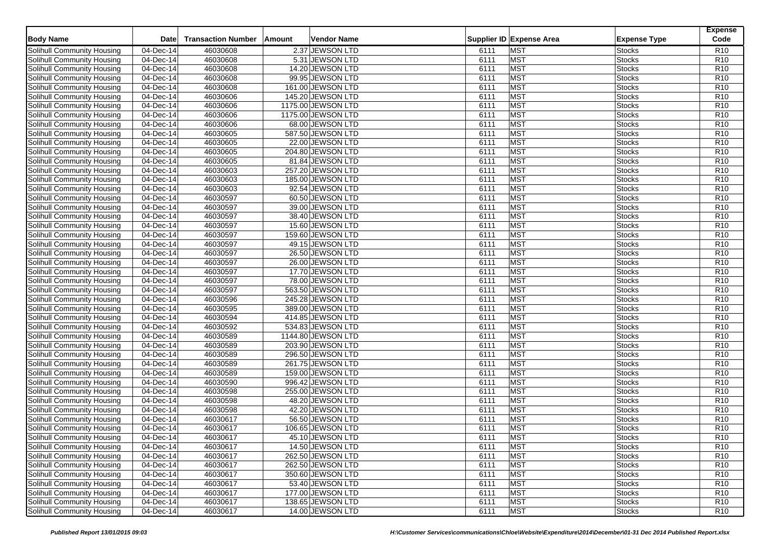| <b>Body Name</b>                  | <b>Date</b>            | <b>Transaction Number</b> | Amount | <b>Vendor Name</b> |      | Supplier ID Expense Area | <b>Expense Type</b> | <b>Expense</b><br>Code |
|-----------------------------------|------------------------|---------------------------|--------|--------------------|------|--------------------------|---------------------|------------------------|
| Solihull Community Housing        | 04-Dec-14              | 46030608                  |        | 2.37 JEWSON LTD    | 6111 | <b>MST</b>               | Stocks              | R <sub>10</sub>        |
| <b>Solihull Community Housing</b> | 04-Dec-14              | 46030608                  |        | 5.31 JEWSON LTD    | 6111 | <b>MST</b>               | <b>Stocks</b>       | R10                    |
| Solihull Community Housing        | 04-Dec-14              | 46030608                  |        | 14.20 JEWSON LTD   | 6111 | <b>MST</b>               | <b>Stocks</b>       | R <sub>10</sub>        |
| Solihull Community Housing        | 04-Dec-14              | 46030608                  |        | 99.95 JEWSON LTD   | 6111 | <b>MST</b>               | <b>Stocks</b>       | R10                    |
| Solihull Community Housing        | 04-Dec-14              | 46030608                  |        | 161.00 JEWSON LTD  | 6111 | <b>MST</b>               | <b>Stocks</b>       | R10                    |
| Solihull Community Housing        | 04-Dec-14              | 46030606                  |        | 145.20 JEWSON LTD  | 6111 | <b>MST</b>               | <b>Stocks</b>       | R <sub>10</sub>        |
| Solihull Community Housing        | 04-Dec-14              | 46030606                  |        | 1175.00 JEWSON LTD | 6111 | <b>MST</b>               | <b>Stocks</b>       | R <sub>10</sub>        |
| <b>Solihull Community Housing</b> | 04-Dec-14              | 46030606                  |        | 1175.00 JEWSON LTD | 6111 | <b>MST</b>               | Stocks              | R <sub>10</sub>        |
| Solihull Community Housing        | 04-Dec-14              | 46030606                  |        | 68.00 JEWSON LTD   | 6111 | <b>MST</b>               | <b>Stocks</b>       | R <sub>10</sub>        |
| Solihull Community Housing        | $\overline{04-Dec-14}$ | 46030605                  |        | 587.50 JEWSON LTD  | 6111 | <b>MST</b>               | <b>Stocks</b>       | R10                    |
| Solihull Community Housing        | 04-Dec-14              | 46030605                  |        | 22.00 JEWSON LTD   | 6111 | <b>MST</b>               | <b>Stocks</b>       | R10                    |
| Solihull Community Housing        | 04-Dec-14              | 46030605                  |        | 204.80 JEWSON LTD  | 6111 | <b>MST</b>               | <b>Stocks</b>       | R <sub>10</sub>        |
| Solihull Community Housing        | 04-Dec-14              | 46030605                  |        | 81.84 JEWSON LTD   | 6111 | <b>MST</b>               | <b>Stocks</b>       | R10                    |
| Solihull Community Housing        | 04-Dec-14              | 46030603                  |        | 257.20 JEWSON LTD  | 6111 | <b>MST</b>               | Stocks              | R10                    |
| Solihull Community Housing        | 04-Dec-14              | 46030603                  |        | 185.00 JEWSON LTD  | 6111 | <b>MST</b>               | <b>Stocks</b>       | R <sub>10</sub>        |
| Solihull Community Housing        | $\overline{04-Dec-14}$ | 46030603                  |        | 92.54 JEWSON LTD   | 6111 | <b>MST</b>               | <b>Stocks</b>       | R10                    |
| Solihull Community Housing        | 04-Dec-14              | 46030597                  |        | 60.50 JEWSON LTD   | 6111 | <b>MST</b>               | <b>Stocks</b>       | R10                    |
| Solihull Community Housing        | 04-Dec-14              | 46030597                  |        | 39.00 JEWSON LTD   | 6111 | <b>MST</b>               | <b>Stocks</b>       | R <sub>10</sub>        |
| Solihull Community Housing        | 04-Dec-14              | 46030597                  |        | 38.40 JEWSON LTD   | 6111 | <b>MST</b>               | <b>Stocks</b>       | R10                    |
| Solihull Community Housing        | 04-Dec-14              | 46030597                  |        | 15.60 JEWSON LTD   | 6111 | <b>MST</b>               | <b>Stocks</b>       | R10                    |
| Solihull Community Housing        | 04-Dec-14              | 46030597                  |        | 159.60 JEWSON LTD  | 6111 | <b>MST</b>               | <b>Stocks</b>       | R <sub>10</sub>        |
| Solihull Community Housing        | 04-Dec-14              | 46030597                  |        | 49.15 JEWSON LTD   | 6111 | <b>MST</b>               | <b>Stocks</b>       | R10                    |
| Solihull Community Housing        | 04-Dec-14              | 46030597                  |        | 26.50 JEWSON LTD   | 6111 | <b>MST</b>               | <b>Stocks</b>       | R10                    |
| Solihull Community Housing        | 04-Dec-14              | 46030597                  |        | 26.00 JEWSON LTD   | 6111 | <b>MST</b>               | <b>Stocks</b>       | R <sub>10</sub>        |
| Solihull Community Housing        | 04-Dec-14              | 46030597                  |        | 17.70 JEWSON LTD   | 6111 | <b>MST</b>               | <b>Stocks</b>       | R <sub>10</sub>        |
| Solihull Community Housing        | 04-Dec-14              | 46030597                  |        | 78.00 JEWSON LTD   | 6111 | <b>MST</b>               | <b>Stocks</b>       | R <sub>10</sub>        |
| Solihull Community Housing        | 04-Dec-14              | 46030597                  |        | 563.50 JEWSON LTD  | 6111 | <b>MST</b>               | <b>Stocks</b>       | R10                    |
| Solihull Community Housing        | 04-Dec-14              | 46030596                  |        | 245.28 JEWSON LTD  | 6111 | <b>MST</b>               | <b>Stocks</b>       | R <sub>10</sub>        |
| Solihull Community Housing        | 04-Dec-14              | 46030595                  |        | 389.00 JEWSON LTD  | 6111 | <b>MST</b>               | <b>Stocks</b>       | R <sub>10</sub>        |
| Solihull Community Housing        | 04-Dec-14              | 46030594                  |        | 414.85 JEWSON LTD  | 6111 | <b>MST</b>               | <b>Stocks</b>       | R10                    |
| Solihull Community Housing        | 04-Dec-14              | 46030592                  |        | 534.83 JEWSON LTD  | 6111 | <b>MST</b>               | <b>Stocks</b>       | R <sub>10</sub>        |
| Solihull Community Housing        | 04-Dec-14              | 46030589                  |        | 1144.80 JEWSON LTD | 6111 | <b>MST</b>               | <b>Stocks</b>       | R <sub>10</sub>        |
| Solihull Community Housing        | 04-Dec-14              | 46030589                  |        | 203.90 JEWSON LTD  | 6111 | <b>MST</b>               | <b>Stocks</b>       | R10                    |
| Solihull Community Housing        | 04-Dec-14              | 46030589                  |        | 296.50 JEWSON LTD  | 6111 | <b>MST</b>               | <b>Stocks</b>       | R <sub>10</sub>        |
| Solihull Community Housing        | 04-Dec-14              | 46030589                  |        | 261.75 JEWSON LTD  | 6111 | <b>MST</b>               | <b>Stocks</b>       | R10                    |
| Solihull Community Housing        | 04-Dec-14              | 46030589                  |        | 159.00 JEWSON LTD  | 6111 | <b>MST</b>               | <b>Stocks</b>       | R <sub>10</sub>        |
| Solihull Community Housing        | 04-Dec-14              | 46030590                  |        | 996.42 JEWSON LTD  | 6111 | <b>MST</b>               | <b>Stocks</b>       | R <sub>10</sub>        |
| Solihull Community Housing        | 04-Dec-14              | 46030598                  |        | 255.00 JEWSON LTD  | 6111 | <b>MST</b>               | <b>Stocks</b>       | R10                    |
| Solihull Community Housing        | 04-Dec-14              | 46030598                  |        | 48.20 JEWSON LTD   | 6111 | <b>MST</b>               | <b>Stocks</b>       | R10                    |
| Solihull Community Housing        | 04-Dec-14              | 46030598                  |        | 42.20 JEWSON LTD   | 6111 | <b>MST</b>               | <b>Stocks</b>       | R10                    |
| Solihull Community Housing        | 04-Dec-14              | 46030617                  |        | 56.50 JEWSON LTD   | 6111 | <b>MST</b>               | <b>Stocks</b>       | R10                    |
| Solihull Community Housing        | 04-Dec-14              | 46030617                  |        | 106.65 JEWSON LTD  | 6111 | <b>MST</b>               | <b>Stocks</b>       | R10                    |
| Solihull Community Housing        | 04-Dec-14              | 46030617                  |        | 45.10 JEWSON LTD   | 6111 | <b>MST</b>               | <b>Stocks</b>       | R <sub>10</sub>        |
| Solihull Community Housing        | 04-Dec-14              | 46030617                  |        | 14.50 JEWSON LTD   | 6111 | <b>MST</b>               | <b>Stocks</b>       | R <sub>10</sub>        |
| Solihull Community Housing        | 04-Dec-14              | 46030617                  |        | 262.50 JEWSON LTD  | 6111 | <b>MST</b>               | <b>Stocks</b>       | R <sub>10</sub>        |
| Solihull Community Housing        | 04-Dec-14              | 46030617                  |        | 262.50 JEWSON LTD  | 6111 | <b>MST</b>               | <b>Stocks</b>       | R <sub>10</sub>        |
| Solihull Community Housing        | 04-Dec-14              | 46030617                  |        | 350.60 JEWSON LTD  | 6111 | <b>MST</b>               | <b>Stocks</b>       | R <sub>10</sub>        |
| Solihull Community Housing        | 04-Dec-14              | 46030617                  |        | 53.40 JEWSON LTD   | 6111 | <b>MST</b>               | <b>Stocks</b>       | R <sub>10</sub>        |
| Solihull Community Housing        | 04-Dec-14              | 46030617                  |        | 177.00 JEWSON LTD  | 6111 | <b>MST</b>               | <b>Stocks</b>       | R <sub>10</sub>        |
| Solihull Community Housing        | 04-Dec-14              | 46030617                  |        | 138.65 JEWSON LTD  | 6111 | <b>MST</b>               | <b>Stocks</b>       | R <sub>10</sub>        |
| Solihull Community Housing        | 04-Dec-14              | 46030617                  |        | 14.00 JEWSON LTD   | 6111 | <b>MST</b>               | <b>Stocks</b>       | R <sub>10</sub>        |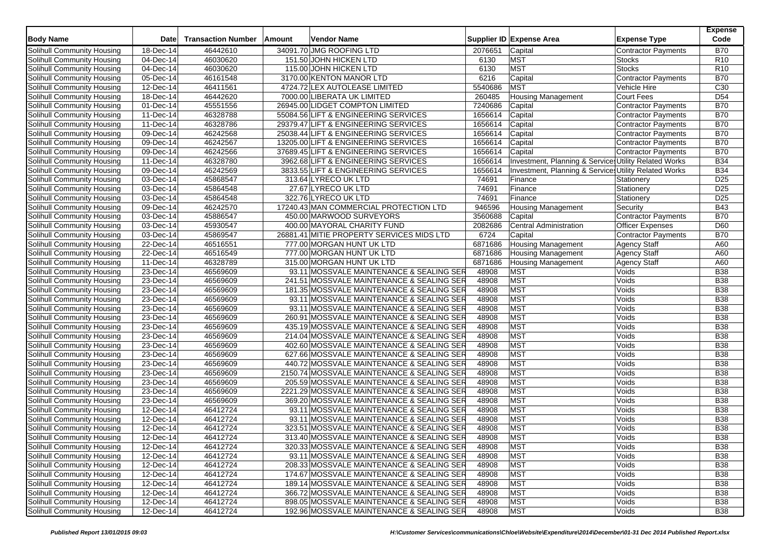| <b>Body Name</b>                  | <b>Date</b>             | <b>Transaction Number</b> | Amount | <b>Vendor Name</b>                         |         | Supplier ID Expense Area                                         | <b>Expense Type</b>        | <b>Expense</b><br>Code |
|-----------------------------------|-------------------------|---------------------------|--------|--------------------------------------------|---------|------------------------------------------------------------------|----------------------------|------------------------|
| Solihull Community Housing        | 18-Dec-14               | 46442610                  |        | 34091.70 JMG ROOFING LTD                   | 2076651 | Capital                                                          | <b>Contractor Payments</b> | <b>B70</b>             |
| Solihull Community Housing        | 04-Dec-14               | 46030620                  |        | 151.50 JOHN HICKEN LTD                     | 6130    | <b>MST</b>                                                       | <b>Stocks</b>              | R <sub>10</sub>        |
| Solihull Community Housing        | 04-Dec-14               | 46030620                  |        | 115.00 JOHN HICKEN LTD                     | 6130    | <b>MST</b>                                                       | <b>Stocks</b>              | R <sub>10</sub>        |
| Solihull Community Housing        | 05-Dec-14               | 46161548                  |        | 3170.00 KENTON MANOR LTD                   | 6216    | Capital                                                          | Contractor Payments        | <b>B70</b>             |
| Solihull Community Housing        | 12-Dec-14               | 46411561                  |        | 4724.72 LEX AUTOLEASE LIMITED              | 5540686 | <b>MST</b>                                                       | Vehicle Hire               | C30                    |
| Solihull Community Housing        | 18-Dec-14               | 46442620                  |        | 7000.00 LIBERATA UK LIMITED                | 260485  | <b>Housing Management</b>                                        | Court Fees                 | D <sub>54</sub>        |
| Solihull Community Housing        | 01-Dec-14               | 45551556                  |        | 26945.00 LIDGET COMPTON LIMITED            | 7240686 | Capital                                                          | <b>Contractor Payments</b> | <b>B70</b>             |
| <b>Solihull Community Housing</b> | 11-Dec-14               | 46328788                  |        | 55084.56 LIFT & ENGINEERING SERVICES       | 1656614 | Capital                                                          | <b>Contractor Payments</b> | <b>B70</b>             |
| Solihull Community Housing        | 11-Dec-14               | 46328786                  |        | 29379.47 LIFT & ENGINEERING SERVICES       | 1656614 | Capital                                                          | <b>Contractor Payments</b> | <b>B70</b>             |
| Solihull Community Housing        | $\overline{09}$ -Dec-14 | 46242568                  |        | 25038.44 LIFT & ENGINEERING SERVICES       | 1656614 | Capital                                                          | Contractor Payments        | <b>B70</b>             |
| Solihull Community Housing        | 09-Dec-14               | 46242567                  |        | 13205.00 LIFT & ENGINEERING SERVICES       | 1656614 | Capital                                                          | Contractor Payments        | <b>B70</b>             |
| Solihull Community Housing        | 09-Dec-14               | 46242566                  |        | 37689.45 LIFT & ENGINEERING SERVICES       | 1656614 | Capital                                                          | <b>Contractor Payments</b> | <b>B70</b>             |
| Solihull Community Housing        | 11-Dec-14               | 46328780                  |        | 3962.68 LIFT & ENGINEERING SERVICES        | 1656614 | Investment, Planning & Services Utility Related Works            |                            | <b>B34</b>             |
| Solihull Community Housing        | $\overline{09}$ -Dec-14 | 46242569                  |        | 3833.55 LIFT & ENGINEERING SERVICES        | 1656614 | <b>Investment, Planning &amp; Services Utility Related Works</b> |                            | <b>B34</b>             |
| Solihull Community Housing        | 03-Dec-14               | 45868547                  |        | 313.64 LYRECO UK LTD                       | 74691   | Finance                                                          | Stationery                 | D25                    |
| Solihull Community Housing        | 03-Dec-14               | 45864548                  |        | 27.67 LYRECO UK LTD                        | 74691   | Finance                                                          | Stationery                 | D25                    |
| Solihull Community Housing        | 03-Dec-14               | 45864548                  |        | 322.76 LYRECO UK LTD                       | 74691   | Finance                                                          | Stationery                 | D <sub>25</sub>        |
| Solihull Community Housing        | $\overline{09}$ -Dec-14 | 46242570                  |        | 17240.43 MAN COMMERCIAL PROTECTION LTD     | 946596  | <b>Housing Management</b>                                        | Security                   | <b>B43</b>             |
| Solihull Community Housing        | 03-Dec-14               | 45886547                  |        | 450.00 MARWOOD SURVEYORS                   | 3560688 | Capital                                                          | <b>Contractor Payments</b> | <b>B70</b>             |
| Solihull Community Housing        | 03-Dec-14               | 45930547                  |        | 400.00 MAYORAL CHARITY FUND                | 2082686 | Central Administration                                           | Officer Expenses           | D60                    |
| Solihull Community Housing        | 03-Dec-14               | 45869547                  |        | 26881.41 MITIE PROPERTY SERVICES MIDS LTD  | 6724    | Capital                                                          | <b>Contractor Payments</b> | <b>B70</b>             |
| Solihull Community Housing        | 22-Dec-14               | 46516551                  |        | 777.00 MORGAN HUNT UK LTD                  | 6871686 | <b>Housing Management</b>                                        | <b>Agency Staff</b>        | A60                    |
| Solihull Community Housing        | 22-Dec-14               | 46516549                  |        | 777.00 MORGAN HUNT UK LTD                  | 6871686 | <b>Housing Management</b>                                        | <b>Agency Staff</b>        | A60                    |
| Solihull Community Housing        | 11-Dec-14               | 46328789                  |        | 315.00 MORGAN HUNT UK LTD                  | 6871686 | <b>Housing Management</b>                                        | <b>Agency Staff</b>        | A60                    |
| Solihull Community Housing        | 23-Dec-14               | 46569609                  |        | 93.11 MOSSVALE MAINTENANCE & SEALING SER   | 48908   | <b>MST</b>                                                       | Voids                      | <b>B38</b>             |
| Solihull Community Housing        | 23-Dec-14               | 46569609                  |        | 241.51 MOSSVALE MAINTENANCE & SEALING SER  | 48908   | MST                                                              | Voids                      | <b>B38</b>             |
| Solihull Community Housing        | 23-Dec-14               | 46569609                  |        | 181.35 MOSSVALE MAINTENANCE & SEALING SER  | 48908   | MST                                                              | Voids                      | <b>B38</b>             |
| Solihull Community Housing        | 23-Dec-14               | 46569609                  |        | 93.11 MOSSVALE MAINTENANCE & SEALING SER   | 48908   | <b>MST</b>                                                       | Voids                      | <b>B38</b>             |
| Solihull Community Housing        | 23-Dec-14               | 46569609                  |        | 93.11 MOSSVALE MAINTENANCE & SEALING SER   | 48908   | <b>MST</b>                                                       | Voids                      | <b>B38</b>             |
| Solihull Community Housing        | 23-Dec-14               | 46569609                  |        | 260.91 MOSSVALE MAINTENANCE & SEALING SER  | 48908   | MST                                                              | Voids                      | <b>B38</b>             |
| Solihull Community Housing        | 23-Dec-14               | 46569609                  |        | 435.19 MOSSVALE MAINTENANCE & SEALING SER  | 48908   | <b>MST</b>                                                       | Voids                      | <b>B38</b>             |
| Solihull Community Housing        | 23-Dec-14               | 46569609                  |        | 214.04 MOSSVALE MAINTENANCE & SEALING SER  | 48908   | MST                                                              | Voids                      | <b>B</b> 38            |
| Solihull Community Housing        | 23-Dec-14               | 46569609                  |        | 402.60 MOSSVALE MAINTENANCE & SEALING SER  | 48908   | MST                                                              | Voids                      | <b>B38</b>             |
| Solihull Community Housing        | 23-Dec-14               | 46569609                  |        | 627.66 MOSSVALE MAINTENANCE & SEALING SER  | 48908   | MST                                                              | Voids                      | <b>B38</b>             |
| Solihull Community Housing        | $23$ -Dec-14            | 46569609                  |        | 440.72 MOSSVALE MAINTENANCE & SEALING SER  | 48908   | MST                                                              | Voids                      | <b>B38</b>             |
| <b>Solihull Community Housing</b> | 23-Dec-14               | 46569609                  |        | 2150.74 MOSSVALE MAINTENANCE & SEALING SER | 48908   | MST                                                              | Voids                      | <b>B38</b>             |
| Solihull Community Housing        | 23-Dec-14               | 46569609                  |        | 205.59 MOSSVALE MAINTENANCE & SEALING SER  | 48908   | MST                                                              | Voids                      | <b>B38</b>             |
| Solihull Community Housing        | $23$ -Dec-14            | 46569609                  |        | 2221.29 MOSSVALE MAINTENANCE & SEALING SER | 48908   | MST                                                              | Voids                      | <b>B38</b>             |
| Solihull Community Housing        | 23-Dec-14               | 46569609                  |        | 369.20 MOSSVALE MAINTENANCE & SEALING SER  | 48908   | MST                                                              | Voids                      | <b>B38</b>             |
| Solihull Community Housing        | 12-Dec-14               | 46412724                  |        | 93.11 MOSSVALE MAINTENANCE & SEALING SER   | 48908   | <b>MST</b>                                                       | Voids                      | <b>B38</b>             |
| Solihull Community Housing        | 12-Dec-14               | 46412724                  |        | 93.11 MOSSVALE MAINTENANCE & SEALING SER   | 48908   | <b>MST</b>                                                       | Voids                      | <b>B</b> 38            |
| Solihull Community Housing        | 12-Dec-14               | 46412724                  |        | 323.51 MOSSVALE MAINTENANCE & SEALING SER  | 48908   | <b>MST</b>                                                       | Voids                      | <b>B38</b>             |
| <b>Solihull Community Housing</b> | 12-Dec-14               | 46412724                  |        | 313.40 MOSSVALE MAINTENANCE & SEALING SER  | 48908   | <b>MST</b>                                                       | Voids                      | <b>B38</b>             |
| Solihull Community Housing        | 12-Dec-14               | 46412724                  |        | 320.33 MOSSVALE MAINTENANCE & SEALING SER  | 48908   | <b>MST</b>                                                       | Voids                      | <b>B38</b>             |
| Solihull Community Housing        | 12-Dec-14               | 46412724                  |        | 93.11 MOSSVALE MAINTENANCE & SEALING SER   | 48908   | <b>MST</b>                                                       | Voids                      | <b>B38</b>             |
| Solihull Community Housing        | 12-Dec-14               | 46412724                  |        | 208.33 MOSSVALE MAINTENANCE & SEALING SER  | 48908   | <b>MST</b>                                                       | Voids                      | <b>B38</b>             |
| Solihull Community Housing        | 12-Dec-14               | 46412724                  |        | 174.67 MOSSVALE MAINTENANCE & SEALING SER  | 48908   | <b>MST</b>                                                       | Voids                      | <b>B38</b>             |
| Solihull Community Housing        | 12-Dec-14               | 46412724                  |        | 189.14 MOSSVALE MAINTENANCE & SEALING SER  | 48908   | <b>MST</b>                                                       | Voids                      | <b>B38</b>             |
| Solihull Community Housing        | 12-Dec-14               | 46412724                  |        | 366.72 MOSSVALE MAINTENANCE & SEALING SER  | 48908   | <b>MST</b>                                                       | Voids                      | <b>B38</b>             |
| Solihull Community Housing        | 12-Dec-14               | 46412724                  |        | 898.05 MOSSVALE MAINTENANCE & SEALING SER  | 48908   | <b>MST</b>                                                       | Voids                      | <b>B38</b>             |
| Solihull Community Housing        | 12-Dec-14               | 46412724                  |        | 192.96 MOSSVALE MAINTENANCE & SEALING SER  | 48908   | <b>MST</b>                                                       | Voids                      | <b>B38</b>             |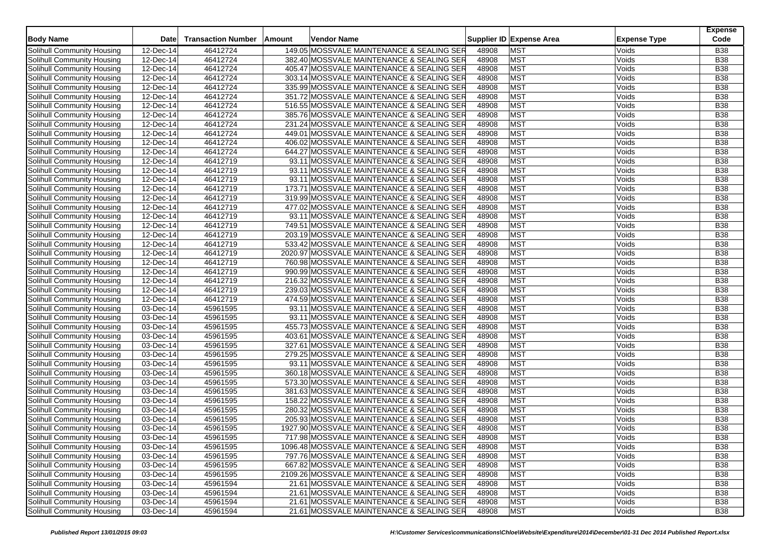| <b>Body Name</b>                  | <b>Date</b>             | <b>Transaction Number</b> | Amount | <b>Vendor Name</b>                         |       | Supplier ID Expense Area | <b>Expense Type</b> | <b>Expense</b><br>Code |
|-----------------------------------|-------------------------|---------------------------|--------|--------------------------------------------|-------|--------------------------|---------------------|------------------------|
| Solihull Community Housing        | 12-Dec-14               | 46412724                  |        | 149.05 MOSSVALE MAINTENANCE & SEALING SER  | 48908 | <b>MST</b>               | Voids               | <b>B38</b>             |
| Solihull Community Housing        | 12-Dec-14               | 46412724                  |        | 382.40 MOSSVALE MAINTENANCE & SEALING SER  | 48908 | <b>MST</b>               | Voids               | <b>B38</b>             |
| Solihull Community Housing        | 12-Dec-14               | 46412724                  |        | 405.47 MOSSVALE MAINTENANCE & SEALING SER  | 48908 | <b>MST</b>               | Voids               | <b>B38</b>             |
| Solihull Community Housing        | 12-Dec-14               | 46412724                  |        | 303.14 MOSSVALE MAINTENANCE & SEALING SER  | 48908 | <b>MST</b>               | Voids               | <b>B38</b>             |
| Solihull Community Housing        | 12-Dec-14               | 46412724                  |        | 335.99 MOSSVALE MAINTENANCE & SEALING SER  | 48908 | <b>MST</b>               | Voids               | <b>B38</b>             |
| Solihull Community Housing        | 12-Dec-14               | 46412724                  |        | 351.72 MOSSVALE MAINTENANCE & SEALING SER  | 48908 | <b>MST</b>               | Voids               | <b>B38</b>             |
| Solihull Community Housing        | $12$ -Dec-14            | 46412724                  |        | 516.55 MOSSVALE MAINTENANCE & SEALING SER  | 48908 | <b>MST</b>               | Voids               | <b>B38</b>             |
| Solihull Community Housing        | 12-Dec-14               | 46412724                  |        | 385.76 MOSSVALE MAINTENANCE & SEALING SER  | 48908 | MST                      | Voids               | <b>B</b> 38            |
| Solihull Community Housing        | 12-Dec-14               | 46412724                  |        | 231.24 MOSSVALE MAINTENANCE & SEALING SER  | 48908 | <b>MST</b>               | Voids               | <b>B38</b>             |
| Solihull Community Housing        | $12$ -Dec-14            | 46412724                  |        | 449.01 MOSSVALE MAINTENANCE & SEALING SER  | 48908 | <b>MST</b>               | Voids               | <b>B38</b>             |
| Solihull Community Housing        | 12-Dec-14               | 46412724                  |        | 406.02 MOSSVALE MAINTENANCE & SEALING SER  | 48908 | <b>MST</b>               | Voids               | <b>B38</b>             |
| Solihull Community Housing        | 12-Dec-14               | 46412724                  |        | 644.27 MOSSVALE MAINTENANCE & SEALING SER  | 48908 | <b>MST</b>               | Voids               | <b>B38</b>             |
| Solihull Community Housing        | 12-Dec-14               | 46412719                  |        | 93.11 MOSSVALE MAINTENANCE & SEALING SER   | 48908 | <b>MST</b>               | Voids               | <b>B38</b>             |
| Solihull Community Housing        | 12-Dec-14               | 46412719                  |        | 93.11 MOSSVALE MAINTENANCE & SEALING SER   | 48908 | <b>MST</b>               | Voids               | <b>B38</b>             |
| Solihull Community Housing        | 12-Dec-14               | 46412719                  |        | 93.11 MOSSVALE MAINTENANCE & SEALING SER   | 48908 | <b>MST</b>               | Voids               | <b>B38</b>             |
| Solihull Community Housing        | 12-Dec-14               | 46412719                  |        | 173.71 MOSSVALE MAINTENANCE & SEALING SER  | 48908 | <b>MST</b>               | Voids               | <b>B</b> 38            |
| Solihull Community Housing        | 12-Dec-14               | 46412719                  |        | 319.99 MOSSVALE MAINTENANCE & SEALING SER  | 48908 | <b>MST</b>               | Voids               | <b>B38</b>             |
| Solihull Community Housing        | 12-Dec-14               | 46412719                  |        | 477.02 MOSSVALE MAINTENANCE & SEALING SER  | 48908 | <b>MST</b>               | Voids               | <b>B38</b>             |
| Solihull Community Housing        | $12$ -Dec-14            | 46412719                  |        | 93.11 MOSSVALE MAINTENANCE & SEALING SER   | 48908 | <b>MST</b>               | Voids               | <b>B</b> 38            |
| Solihull Community Housing        | $\overline{12}$ -Dec-14 | 46412719                  |        | 749.51 MOSSVALE MAINTENANCE & SEALING SER  | 48908 | <b>MST</b>               | Voids               | <b>B38</b>             |
| Solihull Community Housing        | 12-Dec-14               | 46412719                  |        | 203.19 MOSSVALE MAINTENANCE & SEALING SER  | 48908 | <b>MST</b>               | Voids               | <b>B38</b>             |
| Solihull Community Housing        | 12-Dec-14               | 46412719                  |        | 533.42 MOSSVALE MAINTENANCE & SEALING SER  | 48908 | <b>MST</b>               | Voids               | <b>B38</b>             |
| Solihull Community Housing        | 12-Dec-14               | 46412719                  |        | 2020.97 MOSSVALE MAINTENANCE & SEALING SER | 48908 | <b>MST</b>               | Voids               | <b>B38</b>             |
| Solihull Community Housing        | 12-Dec-14               | 46412719                  |        | 760.98 MOSSVALE MAINTENANCE & SEALING SER  | 48908 | <b>MST</b>               | Voids               | <b>B38</b>             |
| Solihull Community Housing        | $12$ -Dec-14            | 46412719                  |        | 990.99 MOSSVALE MAINTENANCE & SEALING SER  | 48908 | <b>MST</b>               | Voids               | <b>B38</b>             |
| Solihull Community Housing        | 12-Dec-14               | 46412719                  |        | 216.32 MOSSVALE MAINTENANCE & SEALING SER  | 48908 | <b>MST</b>               | Voids               | <b>B38</b>             |
| Solihull Community Housing        | 12-Dec-14               | 46412719                  |        | 239.03 MOSSVALE MAINTENANCE & SEALING SER  | 48908 | <b>MST</b>               | Voids               | <b>B38</b>             |
| Solihull Community Housing        | 12-Dec-14               | 46412719                  |        | 474.59 MOSSVALE MAINTENANCE & SEALING SER  | 48908 | <b>MST</b>               | Voids               | <b>B38</b>             |
| Solihull Community Housing        | 03-Dec-14               | 45961595                  |        | 93.11 MOSSVALE MAINTENANCE & SEALING SER   | 48908 | <b>MST</b>               | Voids               | <b>B38</b>             |
| Solihull Community Housing        | 03-Dec-14               | 45961595                  |        | 93.11 MOSSVALE MAINTENANCE & SEALING SER   | 48908 | <b>MST</b>               | Voids               | <b>B38</b>             |
| Solihull Community Housing        | 03-Dec-14               | 45961595                  |        | 455.73 MOSSVALE MAINTENANCE & SEALING SER  | 48908 | <b>MST</b>               | Voids               | <b>B</b> 38            |
| Solihull Community Housing        | 03-Dec-14               | 45961595                  |        | 403.61 MOSSVALE MAINTENANCE & SEALING SER  | 48908 | <b>MST</b>               | Voids               | <b>B38</b>             |
| Solihull Community Housing        | 03-Dec-14               | 45961595                  |        | 327.61 MOSSVALE MAINTENANCE & SEALING SER  | 48908 | <b>MST</b>               | Voids               | <b>B38</b>             |
| Solihull Community Housing        | 03-Dec-14               | 45961595                  |        | 279.25 MOSSVALE MAINTENANCE & SEALING SER  | 48908 | <b>MST</b>               | Voids               | <b>B38</b>             |
| Solihull Community Housing        | 03-Dec-14               | 45961595                  |        | 93.11 MOSSVALE MAINTENANCE & SEALING SER   | 48908 | <b>MST</b>               | Voids               | <b>B38</b>             |
| <b>Solihull Community Housing</b> | 03-Dec-14               | 45961595                  |        | 360.18 MOSSVALE MAINTENANCE & SEALING SER  | 48908 | <b>MST</b>               | Voids               | <b>B38</b>             |
| Solihull Community Housing        | 03-Dec-14               | 45961595                  |        | 573.30 MOSSVALE MAINTENANCE & SEALING SER  | 48908 | <b>MST</b>               | Voids               | <b>B38</b>             |
| Solihull Community Housing        | 03-Dec-14               | 45961595                  |        | 381.63 MOSSVALE MAINTENANCE & SEALING SER  | 48908 | <b>MST</b>               | Voids               | <b>B38</b>             |
| Solihull Community Housing        | 03-Dec-14               | 45961595                  |        | 158.22 MOSSVALE MAINTENANCE & SEALING SER  | 48908 | <b>MST</b>               | Voids               | <b>B38</b>             |
| Solihull Community Housing        | 03-Dec-14               | 45961595                  |        | 280.32 MOSSVALE MAINTENANCE & SEALING SER  | 48908 | <b>MST</b>               | Voids               | <b>B38</b>             |
| Solihull Community Housing        | 03-Dec-14               | 45961595                  |        | 205.93 MOSSVALE MAINTENANCE & SEALING SER  | 48908 | <b>MST</b>               | Voids               | <b>B38</b>             |
| Solihull Community Housing        | 03-Dec-14               | 45961595                  |        | 1927.90 MOSSVALE MAINTENANCE & SEALING SER | 48908 | <b>MST</b>               | Voids               | <b>B38</b>             |
| Solihull Community Housing        | 03-Dec-14               | 45961595                  |        | 717.98 MOSSVALE MAINTENANCE & SEALING SER  | 48908 | <b>MST</b>               | Voids               | <b>B38</b>             |
| Solihull Community Housing        | 03-Dec-14               | 45961595                  |        | 1096.48 MOSSVALE MAINTENANCE & SEALING SER | 48908 | <b>MST</b>               | Voids               | <b>B38</b>             |
| Solihull Community Housing        | 03-Dec-14               | 45961595                  |        | 797.76 MOSSVALE MAINTENANCE & SEALING SER  | 48908 | <b>MST</b>               | Voids               | <b>B38</b>             |
| Solihull Community Housing        | 03-Dec-14               | 45961595                  |        | 667.82 MOSSVALE MAINTENANCE & SEALING SER  | 48908 | <b>MST</b>               | Voids               | <b>B38</b>             |
| Solihull Community Housing        | 03-Dec-14               | 45961595                  |        | 2109.26 MOSSVALE MAINTENANCE & SEALING SER | 48908 | <b>MST</b>               | Voids               | <b>B38</b>             |
| Solihull Community Housing        | 03-Dec-14               | 45961594                  |        | 21.61 MOSSVALE MAINTENANCE & SEALING SER   | 48908 | <b>MST</b>               | Voids               | <b>B38</b>             |
| Solihull Community Housing        | 03-Dec-14               | 45961594                  |        | 21.61 MOSSVALE MAINTENANCE & SEALING SER   | 48908 | <b>MST</b>               | Voids               | <b>B38</b>             |
| Solihull Community Housing        | 03-Dec-14               | 45961594                  |        | 21.61 MOSSVALE MAINTENANCE & SEALING SER   | 48908 | <b>MST</b>               | Voids               | <b>B38</b>             |
| Solihull Community Housing        | 03-Dec-14               | 45961594                  |        | 21.61 MOSSVALE MAINTENANCE & SEALING SER   | 48908 | <b>MST</b>               | Voids               | <b>B38</b>             |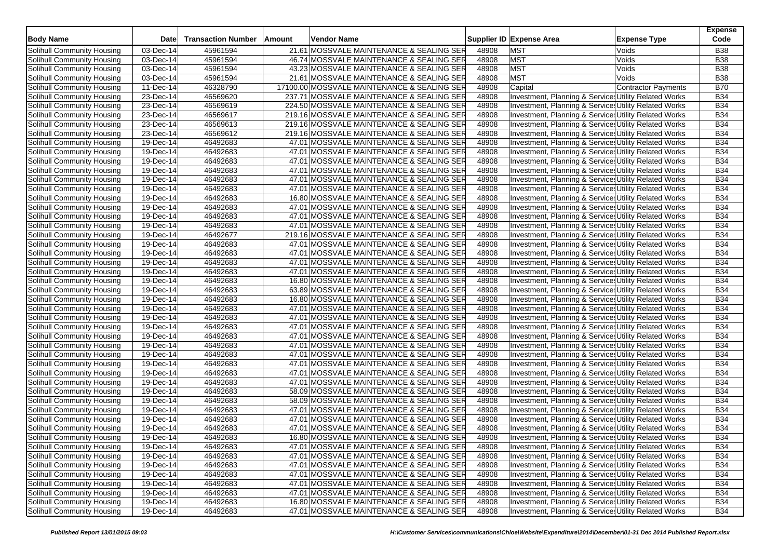| <b>Body Name</b>           | <b>Date</b>  | <b>Transaction Number</b> | Amount | <b>Vendor Name</b>                          |       | Supplier ID Expense Area                                        | <b>Expense Type</b>        | <b>Expense</b><br>Code |
|----------------------------|--------------|---------------------------|--------|---------------------------------------------|-------|-----------------------------------------------------------------|----------------------------|------------------------|
| Solihull Community Housing | 03-Dec-14    | 45961594                  |        | 21.61 MOSSVALE MAINTENANCE & SEALING SER    | 48908 | <b>MST</b>                                                      | Voids                      | <b>B38</b>             |
| Solihull Community Housing | 03-Dec-14    | 45961594                  |        | 46.74 MOSSVALE MAINTENANCE & SEALING SER    | 48908 | <b>MST</b>                                                      | Voids                      | <b>B38</b>             |
| Solihull Community Housing | 03-Dec-14    | 45961594                  |        | 43.23 MOSSVALE MAINTENANCE & SEALING SER    | 48908 | <b>MST</b>                                                      | Voids                      | <b>B38</b>             |
| Solihull Community Housing | 03-Dec-14    | 45961594                  |        | 21.61 MOSSVALE MAINTENANCE & SEALING SER    | 48908 | <b>MST</b>                                                      | Voids                      | <b>B38</b>             |
| Solihull Community Housing | 11-Dec-14    | 46328790                  |        | 17100.00 MOSSVALE MAINTENANCE & SEALING SER | 48908 | Capital                                                         | <b>Contractor Payments</b> | <b>B70</b>             |
| Solihull Community Housing | 23-Dec-14    | 46569620                  |        | 237.71 MOSSVALE MAINTENANCE & SEALING SER   | 48908 | Investment, Planning & Services Utility Related Works           |                            | <b>B34</b>             |
| Solihull Community Housing | 23-Dec-14    | 46569619                  |        | 224.50 MOSSVALE MAINTENANCE & SEALING SER   | 48908 | Investment, Planning & Services Utility Related Works           |                            | <b>B34</b>             |
| Solihull Community Housing | 23-Dec-14    | 46569617                  |        | 219.16 MOSSVALE MAINTENANCE & SEALING SER   | 48908 | Investment, Planning & Services Utility Related Works           |                            | <b>B34</b>             |
| Solihull Community Housing | 23-Dec-14    | 46569613                  |        | 219.16 MOSSVALE MAINTENANCE & SEALING SER   | 48908 | Investment, Planning & Service: Utility Related Works           |                            | <b>B34</b>             |
| Solihull Community Housing | 23-Dec-14    | 46569612                  |        | 219.16 MOSSVALE MAINTENANCE & SEALING SER   | 48908 | Investment, Planning & Services Utility Related Works           |                            | <b>B34</b>             |
| Solihull Community Housing | 19-Dec-14    | 46492683                  |        | 47.01 MOSSVALE MAINTENANCE & SEALING SER    | 48908 | Investment, Planning & Services Utility Related Works           |                            | <b>B34</b>             |
| Solihull Community Housing | 19-Dec-14    | 46492683                  |        | 47.01 MOSSVALE MAINTENANCE & SEALING SER    | 48908 | Investment, Planning & Services Utility Related Works           |                            | <b>B34</b>             |
| Solihull Community Housing | 19-Dec-14    | 46492683                  |        | 47.01 MOSSVALE MAINTENANCE & SEALING SER    | 48908 | Investment, Planning & Services Utility Related Works           |                            | <b>B34</b>             |
| Solihull Community Housing | 19-Dec-14    | 46492683                  |        | 47.01 MOSSVALE MAINTENANCE & SEALING SER    | 48908 | Investment, Planning & Services Utility Related Works           |                            | <b>B34</b>             |
| Solihull Community Housing | 19-Dec-14    | 46492683                  |        | 47.01 MOSSVALE MAINTENANCE & SEALING SER    | 48908 | Investment, Planning & Services Utility Related Works           |                            | <b>B34</b>             |
| Solihull Community Housing | 19-Dec-14    | 46492683                  |        | 47.01 MOSSVALE MAINTENANCE & SEALING SER    | 48908 | Investment, Planning & Services Utility Related Works           |                            | <b>B34</b>             |
| Solihull Community Housing | $19$ -Dec-14 | 46492683                  |        | 16.80 MOSSVALE MAINTENANCE & SEALING SER    | 48908 | Investment, Planning & Service Utility Related Works            |                            | <b>B34</b>             |
| Solihull Community Housing | 19-Dec-14    | 46492683                  |        | 47.01 MOSSVALE MAINTENANCE & SEALING SER    | 48908 | Investment, Planning & Services Utility Related Works           |                            | <b>B34</b>             |
| Solihull Community Housing | 19-Dec-14    | 46492683                  |        | 47.01 MOSSVALE MAINTENANCE & SEALING SER    | 48908 | Investment, Planning & Services Utility Related Works           |                            | <b>B34</b>             |
| Solihull Community Housing | 19-Dec-14    | 46492683                  |        | 47.01 MOSSVALE MAINTENANCE & SEALING SER    | 48908 | Investment, Planning & Service: Utility Related Works           |                            | <b>B34</b>             |
| Solihull Community Housing | 19-Dec-14    | 46492677                  |        | 219.16 MOSSVALE MAINTENANCE & SEALING SER   | 48908 | Investment, Planning & Services Utility Related Works           |                            | <b>B34</b>             |
| Solihull Community Housing | 19-Dec-14    | 46492683                  |        | 47.01 MOSSVALE MAINTENANCE & SEALING SER    | 48908 | Investment, Planning & Services Utility Related Works           |                            | <b>B34</b>             |
| Solihull Community Housing | 19-Dec-14    | 46492683                  |        | 47.01 MOSSVALE MAINTENANCE & SEALING SER    | 48908 | Investment, Planning & Service: Utility Related Works           |                            | <b>B34</b>             |
| Solihull Community Housing | 19-Dec-14    | 46492683                  |        | 47.01 MOSSVALE MAINTENANCE & SEALING SER    | 48908 | <b>Investment, Planning &amp; Service Utility Related Works</b> |                            | <b>B34</b>             |
| Solihull Community Housing | 19-Dec-14    | 46492683                  |        | 47.01 MOSSVALE MAINTENANCE & SEALING SER    | 48908 | Investment, Planning & Services Utility Related Works           |                            | <b>B34</b>             |
| Solihull Community Housing | 19-Dec-14    | 46492683                  |        | 16.80 MOSSVALE MAINTENANCE & SEALING SER    | 48908 | Investment, Planning & Services Utility Related Works           |                            | <b>B34</b>             |
| Solihull Community Housing | 19-Dec-14    | 46492683                  |        | 63.89 MOSSVALE MAINTENANCE & SEALING SER    | 48908 | Investment, Planning & Services Utility Related Works           |                            | <b>B34</b>             |
| Solihull Community Housing | 19-Dec-14    | 46492683                  |        | 16.80 MOSSVALE MAINTENANCE & SEALING SER    | 48908 | Investment, Planning & Services Utility Related Works           |                            | <b>B34</b>             |
| Solihull Community Housing | 19-Dec-14    | 46492683                  |        | 47.01 MOSSVALE MAINTENANCE & SEALING SER    | 48908 | Investment, Planning & Services Utility Related Works           |                            | <b>B34</b>             |
| Solihull Community Housing | $19-Dec-14$  | 46492683                  |        | 47.01 MOSSVALE MAINTENANCE & SEALING SER    | 48908 | Investment, Planning & Services Utility Related Works           |                            | <b>B34</b>             |
| Solihull Community Housing | 19-Dec-14    | 46492683                  |        | 47.01 MOSSVALE MAINTENANCE & SEALING SER    | 48908 | Investment, Planning & Service: Utility Related Works           |                            | <b>B34</b>             |
| Solihull Community Housing | 19-Dec-14    | 46492683                  |        | 47.01 MOSSVALE MAINTENANCE & SEALING SER    | 48908 | Investment, Planning & Service Utility Related Works            |                            | <b>B34</b>             |
| Solihull Community Housing | $19-Dec-14$  | 46492683                  |        | 47.01 MOSSVALE MAINTENANCE & SEALING SER    | 48908 | Investment, Planning & Services Utility Related Works           |                            | <b>B34</b>             |
| Solihull Community Housing | 19-Dec-14    | 46492683                  |        | 47.01 MOSSVALE MAINTENANCE & SEALING SER    | 48908 | Investment, Planning & Service: Utility Related Works           |                            | <b>B34</b>             |
| Solihull Community Housing | 19-Dec-14    | 46492683                  |        | 47.01 MOSSVALE MAINTENANCE & SEALING SER    | 48908 | Investment, Planning & Service Utility Related Works            |                            | <b>B34</b>             |
| Solihull Community Housing | 19-Dec-14    | 46492683                  |        | 47.01 MOSSVALE MAINTENANCE & SEALING SER    | 48908 | Investment, Planning & Services Utility Related Works           |                            | <b>B34</b>             |
| Solihull Community Housing | 19-Dec-14    | 46492683                  |        | 47.01 MOSSVALE MAINTENANCE & SEALING SER    | 48908 | Investment, Planning & Services Utility Related Works           |                            | <b>B34</b>             |
| Solihull Community Housing | 19-Dec-14    | 46492683                  |        | 58.09 MOSSVALE MAINTENANCE & SEALING SER    | 48908 | Investment, Planning & Services Utility Related Works           |                            | <b>B34</b>             |
| Solihull Community Housing | $19-Dec-14$  | 46492683                  |        | 58.09 MOSSVALE MAINTENANCE & SEALING SER    | 48908 | Investment, Planning & Services Utility Related Works           |                            | <b>B34</b>             |
| Solihull Community Housing | 19-Dec-14    | 46492683                  |        | 47.01 MOSSVALE MAINTENANCE & SEALING SER    | 48908 | Investment, Planning & Service Utility Related Works            |                            | <b>B34</b>             |
| Solihull Community Housing | 19-Dec-14    | 46492683                  |        | 47.01 MOSSVALE MAINTENANCE & SEALING SER    | 48908 | Investment, Planning & Services Utility Related Works           |                            | <b>B34</b>             |
| Solihull Community Housing | 19-Dec-14    | 46492683                  |        | 47.01 MOSSVALE MAINTENANCE & SEALING SER    | 48908 | Investment, Planning & Services Utility Related Works           |                            | <b>B34</b>             |
| Solihull Community Housing | 19-Dec-14    | 46492683                  |        | 16.80 MOSSVALE MAINTENANCE & SEALING SER    | 48908 | Investment, Planning & Service: Utility Related Works           |                            | <b>B34</b>             |
| Solihull Community Housing | 19-Dec-14    | 46492683                  |        | 47.01 MOSSVALE MAINTENANCE & SEALING SER    | 48908 | Investment, Planning & Services Utility Related Works           |                            | <b>B34</b>             |
| Solihull Community Housing | $19$ -Dec-14 | 46492683                  |        | 47.01 MOSSVALE MAINTENANCE & SEALING SER    | 48908 | Investment, Planning & Services Utility Related Works           |                            | <b>B34</b>             |
| Solihull Community Housing | 19-Dec-14    | 46492683                  |        | 47.01 MOSSVALE MAINTENANCE & SEALING SER    | 48908 | Investment, Planning & Services Utility Related Works           |                            | <b>B34</b>             |
| Solihull Community Housing | 19-Dec-14    | 46492683                  |        | 47.01 MOSSVALE MAINTENANCE & SEALING SER    | 48908 | Investment, Planning & Services Utility Related Works           |                            | <b>B34</b>             |
| Solihull Community Housing | 19-Dec-14    | 46492683                  |        | 47.01 MOSSVALE MAINTENANCE & SEALING SER    | 48908 | Investment, Planning & Services Utility Related Works           |                            | <b>B34</b>             |
| Solihull Community Housing | 19-Dec-14    | 46492683                  |        | 47.01 MOSSVALE MAINTENANCE & SEALING SER    | 48908 | Investment, Planning & Services Utility Related Works           |                            | <b>B34</b>             |
| Solihull Community Housing | 19-Dec-14    | 46492683                  |        | 16.80 MOSSVALE MAINTENANCE & SEALING SER    | 48908 | Investment, Planning & Services Utility Related Works           |                            | <b>B34</b>             |
| Solihull Community Housing | 19-Dec-14    | 46492683                  |        | 47.01 MOSSVALE MAINTENANCE & SEALING SER    | 48908 | Investment, Planning & Services Utility Related Works           |                            | <b>B34</b>             |
|                            |              |                           |        |                                             |       |                                                                 |                            |                        |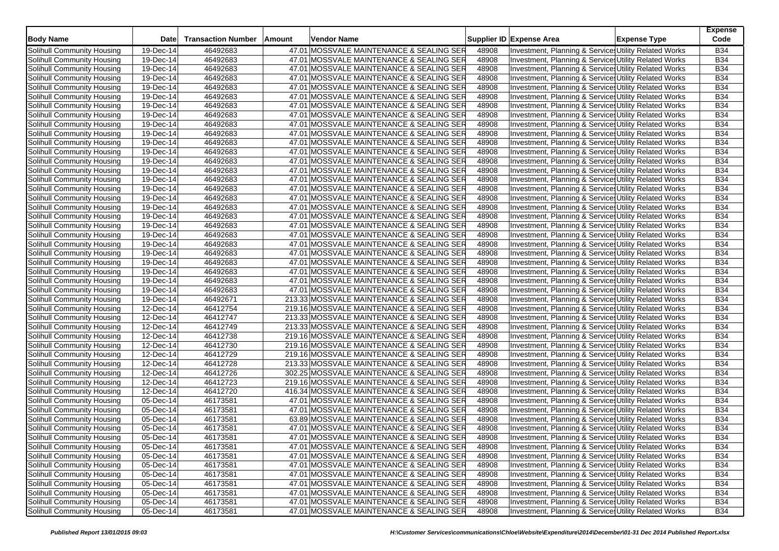| <b>Body Name</b>           | <b>Date</b>             | <b>Transaction Number</b> | Amount | <b>Vendor Name</b>                        |       | Supplier ID Expense Area                              | <b>Expense Type</b> | <b>Expense</b><br>Code |
|----------------------------|-------------------------|---------------------------|--------|-------------------------------------------|-------|-------------------------------------------------------|---------------------|------------------------|
| Solihull Community Housing | 19-Dec-14               | 46492683                  |        | 47.01 MOSSVALE MAINTENANCE & SEALING SER  | 48908 | Investment, Planning & Services Utility Related Works |                     | <b>B34</b>             |
| Solihull Community Housing | 19-Dec-14               | 46492683                  |        | 47.01 MOSSVALE MAINTENANCE & SEALING SER  | 48908 | Investment, Planning & Service: Utility Related Works |                     | <b>B34</b>             |
| Solihull Community Housing | 19-Dec-14               | 46492683                  |        | 47.01 MOSSVALE MAINTENANCE & SEALING SER  | 48908 | Investment, Planning & Services Utility Related Works |                     | <b>B34</b>             |
| Solihull Community Housing | 19-Dec-14               | 46492683                  |        | 47.01 MOSSVALE MAINTENANCE & SEALING SER  | 48908 | Investment, Planning & Services Utility Related Works |                     | <b>B34</b>             |
| Solihull Community Housing | 19-Dec-14               | 46492683                  |        | 47.01 MOSSVALE MAINTENANCE & SEALING SER  | 48908 | Investment, Planning & Services Utility Related Works |                     | <b>B34</b>             |
| Solihull Community Housing | 19-Dec-14               | 46492683                  |        | 47.01 MOSSVALE MAINTENANCE & SEALING SER  | 48908 | Investment, Planning & Services Utility Related Works |                     | <b>B34</b>             |
| Solihull Community Housing | 19-Dec-14               | 46492683                  |        | 47.01 MOSSVALE MAINTENANCE & SEALING SER  | 48908 | Investment, Planning & Service: Utility Related Works |                     | <b>B34</b>             |
| Solihull Community Housing | 19-Dec-14               | 46492683                  |        | 47.01 MOSSVALE MAINTENANCE & SEALING SER  | 48908 | Investment, Planning & Services Utility Related Works |                     | <b>B34</b>             |
| Solihull Community Housing | 19-Dec-14               | 46492683                  |        | 47.01 MOSSVALE MAINTENANCE & SEALING SER  | 48908 | Investment, Planning & Service: Utility Related Works |                     | <b>B34</b>             |
| Solihull Community Housing | 19-Dec-14               | 46492683                  |        | 47.01 MOSSVALE MAINTENANCE & SEALING SER  | 48908 | Investment, Planning & Service: Utility Related Works |                     | <b>B34</b>             |
| Solihull Community Housing | 19-Dec-14               | 46492683                  |        | 47.01 MOSSVALE MAINTENANCE & SEALING SER  | 48908 | Investment, Planning & Services Utility Related Works |                     | <b>B34</b>             |
| Solihull Community Housing | 19-Dec-14               | 46492683                  |        | 47.01 MOSSVALE MAINTENANCE & SEALING SER  | 48908 | Investment, Planning & Services Utility Related Works |                     | <b>B34</b>             |
| Solihull Community Housing | 19-Dec-14               | 46492683                  |        | 47.01 MOSSVALE MAINTENANCE & SEALING SER  | 48908 | Investment, Planning & Services Utility Related Works |                     | <b>B34</b>             |
| Solihull Community Housing | 19-Dec-14               | 46492683                  |        | 47.01 MOSSVALE MAINTENANCE & SEALING SER  | 48908 | Investment, Planning & Services Utility Related Works |                     | <b>B34</b>             |
| Solihull Community Housing | 19-Dec-14               | 46492683                  |        | 47.01 MOSSVALE MAINTENANCE & SEALING SER  | 48908 | Investment, Planning & Services Utility Related Works |                     | <b>B34</b>             |
| Solihull Community Housing | $19$ -Dec-14            | 46492683                  |        | 47.01 MOSSVALE MAINTENANCE & SEALING SER  | 48908 | Investment, Planning & Services Utility Related Works |                     | <b>B34</b>             |
| Solihull Community Housing | 19-Dec-14               | 46492683                  |        | 47.01 MOSSVALE MAINTENANCE & SEALING SER  | 48908 | Investment, Planning & Services Utility Related Works |                     | <b>B34</b>             |
| Solihull Community Housing | 19-Dec-14               | 46492683                  |        | 47.01 MOSSVALE MAINTENANCE & SEALING SER  | 48908 | Investment, Planning & Services Utility Related Works |                     | <b>B34</b>             |
| Solihull Community Housing | 19-Dec-14               | 46492683                  |        | 47.01 MOSSVALE MAINTENANCE & SEALING SER  | 48908 | Investment, Planning & Services Utility Related Works |                     | <b>B34</b>             |
| Solihull Community Housing | 19-Dec-14               | 46492683                  |        | 47.01 MOSSVALE MAINTENANCE & SEALING SER  | 48908 | Investment, Planning & Service: Utility Related Works |                     | <b>B34</b>             |
| Solihull Community Housing | 19-Dec-14               | 46492683                  |        | 47.01 MOSSVALE MAINTENANCE & SEALING SER  | 48908 | Investment, Planning & Services Utility Related Works |                     | <b>B34</b>             |
| Solihull Community Housing | 19-Dec-14               | 46492683                  |        | 47.01 MOSSVALE MAINTENANCE & SEALING SER  | 48908 | Investment, Planning & Services Utility Related Works |                     | <b>B34</b>             |
| Solihull Community Housing | 19-Dec-14               | 46492683                  |        | 47.01 MOSSVALE MAINTENANCE & SEALING SER  | 48908 | Investment, Planning & Service: Utility Related Works |                     | <b>B34</b>             |
| Solihull Community Housing | 19-Dec-14               | 46492683                  |        | 47.01 MOSSVALE MAINTENANCE & SEALING SER  | 48908 | Investment, Planning & Service: Utility Related Works |                     | <b>B34</b>             |
| Solihull Community Housing | 19-Dec-14               | 46492683                  |        | 47.01 MOSSVALE MAINTENANCE & SEALING SER  | 48908 | Investment, Planning & Services Utility Related Works |                     | <b>B34</b>             |
| Solihull Community Housing | 19-Dec-14               | 46492683                  |        | 47.01 MOSSVALE MAINTENANCE & SEALING SER  | 48908 | Investment, Planning & Service: Utility Related Works |                     | <b>B34</b>             |
| Solihull Community Housing | 19-Dec-14               | 46492683                  |        | 47.01 MOSSVALE MAINTENANCE & SEALING SER  | 48908 | Investment, Planning & Services Utility Related Works |                     | <b>B34</b>             |
| Solihull Community Housing | 19-Dec-14               | 46492671                  |        | 213.33 MOSSVALE MAINTENANCE & SEALING SER | 48908 | Investment, Planning & Services Utility Related Works |                     | <b>B34</b>             |
| Solihull Community Housing | 12-Dec-14               | 46412754                  |        | 219.16 MOSSVALE MAINTENANCE & SEALING SER | 48908 | Investment, Planning & Services Utility Related Works |                     | <b>B34</b>             |
| Solihull Community Housing | 12-Dec-14               | 46412747                  |        | 213.33 MOSSVALE MAINTENANCE & SEALING SER | 48908 | Investment, Planning & Services Utility Related Works |                     | <b>B34</b>             |
| Solihull Community Housing | 12-Dec-14               | 46412749                  |        | 213.33 MOSSVALE MAINTENANCE & SEALING SER | 48908 | Investment, Planning & Service: Utility Related Works |                     | <b>B34</b>             |
| Solihull Community Housing | 12-Dec-14               | 46412738                  |        | 219.16 MOSSVALE MAINTENANCE & SEALING SER | 48908 | Investment, Planning & Services Utility Related Works |                     | <b>B34</b>             |
| Solihull Community Housing | $12$ -Dec-14            | 46412730                  |        | 219.16 MOSSVALE MAINTENANCE & SEALING SER | 48908 | Investment, Planning & Services Utility Related Works |                     | <b>B34</b>             |
| Solihull Community Housing | 12-Dec-14               | 46412729                  |        | 219.16 MOSSVALE MAINTENANCE & SEALING SER | 48908 | Investment, Planning & Service: Utility Related Works |                     | <b>B34</b>             |
| Solihull Community Housing | $12$ -Dec-14            | 46412728                  |        | 213.33 MOSSVALE MAINTENANCE & SEALING SER | 48908 | Investment, Planning & Services Utility Related Works |                     | <b>B34</b>             |
| Solihull Community Housing | 12-Dec-14               | 46412726                  |        | 302.25 MOSSVALE MAINTENANCE & SEALING SER | 48908 | Investment, Planning & Services Utility Related Works |                     | <b>B34</b>             |
| Solihull Community Housing | 12-Dec-14               | 46412723                  |        | 219.16 MOSSVALE MAINTENANCE & SEALING SER | 48908 | Investment, Planning & Services Utility Related Works |                     | <b>B34</b>             |
| Solihull Community Housing | 12-Dec-14               | 46412720                  |        | 416.34 MOSSVALE MAINTENANCE & SEALING SER | 48908 | Investment, Planning & Service: Utility Related Works |                     | <b>B34</b>             |
| Solihull Community Housing | $\overline{05}$ -Dec-14 | 46173581                  |        | 47.01 MOSSVALE MAINTENANCE & SEALING SER  | 48908 | Investment, Planning & Services Utility Related Works |                     | <b>B34</b>             |
| Solihull Community Housing | 05-Dec-14               | 46173581                  |        | 47.01 MOSSVALE MAINTENANCE & SEALING SER  | 48908 | Investment, Planning & Service: Utility Related Works |                     | <b>B34</b>             |
| Solihull Community Housing | 05-Dec-14               | 46173581                  |        | 63.89 MOSSVALE MAINTENANCE & SEALING SER  | 48908 | Investment, Planning & Services Utility Related Works |                     | <b>B34</b>             |
| Solihull Community Housing | $\overline{05}$ -Dec-14 | 46173581                  |        | 47.01 MOSSVALE MAINTENANCE & SEALING SER  | 48908 | Investment, Planning & Services Utility Related Works |                     | <b>B34</b>             |
| Solihull Community Housing | 05-Dec-14               | 46173581                  |        | 47.01 MOSSVALE MAINTENANCE & SEALING SER  | 48908 | Investment, Planning & Service: Utility Related Works |                     | <b>B34</b>             |
| Solihull Community Housing | 05-Dec-14               | 46173581                  |        | 47.01 MOSSVALE MAINTENANCE & SEALING SER  | 48908 | Investment, Planning & Services Utility Related Works |                     | <b>B34</b>             |
| Solihull Community Housing | $\overline{05}$ -Dec-14 | 46173581                  |        | 47.01 MOSSVALE MAINTENANCE & SEALING SER  | 48908 | Investment, Planning & Services Utility Related Works |                     | <b>B34</b>             |
| Solihull Community Housing | 05-Dec-14               | 46173581                  |        | 47.01 MOSSVALE MAINTENANCE & SEALING SER  | 48908 | Investment, Planning & Services Utility Related Works |                     | <b>B34</b>             |
| Solihull Community Housing | 05-Dec-14               | 46173581                  |        | 47.01 MOSSVALE MAINTENANCE & SEALING SER  | 48908 | Investment, Planning & Services Utility Related Works |                     | <b>B34</b>             |
| Solihull Community Housing | 05-Dec-14               | 46173581                  |        | 47.01 MOSSVALE MAINTENANCE & SEALING SER  | 48908 | Investment, Planning & Services Utility Related Works |                     | <b>B34</b>             |
| Solihull Community Housing | 05-Dec-14               | 46173581                  |        | 47.01 MOSSVALE MAINTENANCE & SEALING SER  | 48908 | Investment, Planning & Services Utility Related Works |                     | <b>B34</b>             |
| Solihull Community Housing | 05-Dec-14               | 46173581                  |        | 47.01 MOSSVALE MAINTENANCE & SEALING SER  | 48908 | Investment, Planning & Services Utility Related Works |                     | <b>B34</b>             |
| Solihull Community Housing | 05-Dec-14               | 46173581                  |        | 47.01 MOSSVALE MAINTENANCE & SEALING SER  | 48908 | Investment, Planning & Services Utility Related Works |                     | <b>B34</b>             |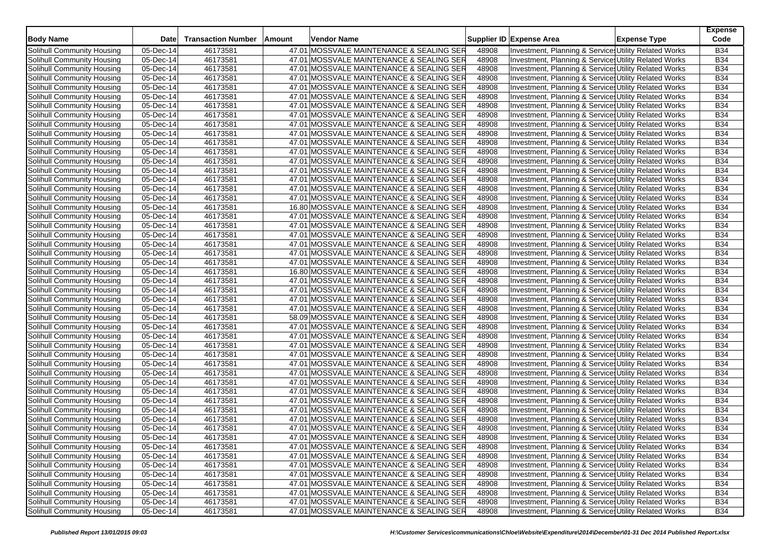| <b>Body Name</b>           | Date                    | <b>Transaction Number</b> | Amount | Vendor Name                              |       | Supplier ID Expense Area                              | <b>Expense Type</b> | <b>Expense</b><br>Code |
|----------------------------|-------------------------|---------------------------|--------|------------------------------------------|-------|-------------------------------------------------------|---------------------|------------------------|
| Solihull Community Housing | 05-Dec-14               | 46173581                  |        | 47.01 MOSSVALE MAINTENANCE & SEALING SER | 48908 | Investment, Planning & Services Utility Related Works |                     | <b>B34</b>             |
| Solihull Community Housing | 05-Dec-14               | 46173581                  |        | 47.01 MOSSVALE MAINTENANCE & SEALING SER | 48908 | Investment, Planning & Service: Utility Related Works |                     | <b>B34</b>             |
| Solihull Community Housing | 05-Dec-14               | 46173581                  |        | 47.01 MOSSVALE MAINTENANCE & SEALING SER | 48908 | Investment, Planning & Service: Utility Related Works |                     | <b>B34</b>             |
| Solihull Community Housing | 05-Dec-14               | 46173581                  |        | 47.01 MOSSVALE MAINTENANCE & SEALING SER | 48908 | Investment, Planning & Services Utility Related Works |                     | <b>B34</b>             |
| Solihull Community Housing | 05-Dec-14               | 46173581                  |        | 47.01 MOSSVALE MAINTENANCE & SEALING SER | 48908 | Investment, Planning & Service: Utility Related Works |                     | <b>B34</b>             |
| Solihull Community Housing | 05-Dec-14               | 46173581                  |        | 47.01 MOSSVALE MAINTENANCE & SEALING SER | 48908 | Investment, Planning & Services Utility Related Works |                     | <b>B34</b>             |
| Solihull Community Housing | 05-Dec-14               | 46173581                  |        | 47.01 MOSSVALE MAINTENANCE & SEALING SER | 48908 | Investment, Planning & Service: Utility Related Works |                     | <b>B34</b>             |
| Solihull Community Housing | 05-Dec-14               | 46173581                  |        | 47.01 MOSSVALE MAINTENANCE & SEALING SER | 48908 | Investment, Planning & Services Utility Related Works |                     | <b>B34</b>             |
| Solihull Community Housing | 05-Dec-14               | 46173581                  |        | 47.01 MOSSVALE MAINTENANCE & SEALING SER | 48908 | Investment, Planning & Services Utility Related Works |                     | <b>B34</b>             |
| Solihull Community Housing | 05-Dec-14               | 46173581                  |        | 47.01 MOSSVALE MAINTENANCE & SEALING SER | 48908 | Investment, Planning & Services Utility Related Works |                     | <b>B34</b>             |
| Solihull Community Housing | 05-Dec-14               | 46173581                  |        | 47.01 MOSSVALE MAINTENANCE & SEALING SER | 48908 | Investment, Planning & Services Utility Related Works |                     | <b>B34</b>             |
| Solihull Community Housing | 05-Dec-14               | 46173581                  |        | 47.01 MOSSVALE MAINTENANCE & SEALING SER | 48908 | Investment, Planning & Service: Utility Related Works |                     | <b>B34</b>             |
| Solihull Community Housing | 05-Dec-14               | 46173581                  |        | 47.01 MOSSVALE MAINTENANCE & SEALING SER | 48908 | Investment, Planning & Services Utility Related Works |                     | <b>B34</b>             |
| Solihull Community Housing | 05-Dec-14               | 46173581                  |        | 47.01 MOSSVALE MAINTENANCE & SEALING SER | 48908 | Investment, Planning & Service: Utility Related Works |                     | <b>B34</b>             |
| Solihull Community Housing | 05-Dec-14               | 46173581                  |        | 47.01 MOSSVALE MAINTENANCE & SEALING SER | 48908 | Investment, Planning & Services Utility Related Works |                     | <b>B34</b>             |
| Solihull Community Housing | 05-Dec-14               | 46173581                  |        | 47.01 MOSSVALE MAINTENANCE & SEALING SER | 48908 | Investment, Planning & Service: Utility Related Works |                     | <b>B34</b>             |
| Solihull Community Housing | $\overline{05}$ -Dec-14 | 46173581                  |        | 47.01 MOSSVALE MAINTENANCE & SEALING SER | 48908 | Investment, Planning & Service: Utility Related Works |                     | <b>B34</b>             |
| Solihull Community Housing | 05-Dec-14               | 46173581                  |        | 16.80 MOSSVALE MAINTENANCE & SEALING SER | 48908 | Investment, Planning & Services Utility Related Works |                     | <b>B34</b>             |
| Solihull Community Housing | 05-Dec-14               | 46173581                  |        | 47.01 MOSSVALE MAINTENANCE & SEALING SER | 48908 | Investment, Planning & Services Utility Related Works |                     | <b>B34</b>             |
| Solihull Community Housing | 05-Dec-14               | 46173581                  |        | 47.01 MOSSVALE MAINTENANCE & SEALING SER | 48908 | Investment, Planning & Service: Utility Related Works |                     | <b>B34</b>             |
| Solihull Community Housing | $\overline{05}$ -Dec-14 | 46173581                  |        | 47.01 MOSSVALE MAINTENANCE & SEALING SER | 48908 | Investment, Planning & Service: Utility Related Works |                     | <b>B34</b>             |
| Solihull Community Housing | $05$ -Dec-14            | 46173581                  |        | 47.01 MOSSVALE MAINTENANCE & SEALING SER | 48908 | Investment, Planning & Service: Utility Related Works |                     | <b>B34</b>             |
| Solihull Community Housing | 05-Dec-14               | 46173581                  |        | 47.01 MOSSVALE MAINTENANCE & SEALING SER | 48908 | Investment, Planning & Service: Utility Related Works |                     | <b>B34</b>             |
| Solihull Community Housing | $\overline{05}$ -Dec-14 | 46173581                  |        | 47.01 MOSSVALE MAINTENANCE & SEALING SER | 48908 | Investment, Planning & Service: Utility Related Works |                     | <b>B34</b>             |
| Solihull Community Housing | 05-Dec-14               | 46173581                  |        | 16.80 MOSSVALE MAINTENANCE & SEALING SER | 48908 | Investment, Planning & Services Utility Related Works |                     | <b>B34</b>             |
| Solihull Community Housing | 05-Dec-14               | 46173581                  |        | 47.01 MOSSVALE MAINTENANCE & SEALING SER | 48908 | Investment, Planning & Service: Utility Related Works |                     | <b>B34</b>             |
| Solihull Community Housing | 05-Dec-14               | 46173581                  |        | 47.01 MOSSVALE MAINTENANCE & SEALING SER | 48908 | Investment, Planning & Services Utility Related Works |                     | <b>B34</b>             |
| Solihull Community Housing | 05-Dec-14               | 46173581                  |        | 47.01 MOSSVALE MAINTENANCE & SEALING SER | 48908 | Investment, Planning & Service: Utility Related Works |                     | <b>B34</b>             |
| Solihull Community Housing | 05-Dec-14               | 46173581                  |        | 47.01 MOSSVALE MAINTENANCE & SEALING SER | 48908 | Investment, Planning & Services Utility Related Works |                     | <b>B34</b>             |
| Solihull Community Housing | 05-Dec-14               | 46173581                  |        | 58.09 MOSSVALE MAINTENANCE & SEALING SER | 48908 | Investment, Planning & Services Utility Related Works |                     | <b>B34</b>             |
| Solihull Community Housing | 05-Dec-14               | 46173581                  |        | 47.01 MOSSVALE MAINTENANCE & SEALING SER | 48908 | Investment, Planning & Service: Utility Related Works |                     | <b>B34</b>             |
| Solihull Community Housing | 05-Dec-14               | 46173581                  |        | 47.01 MOSSVALE MAINTENANCE & SEALING SER | 48908 | Investment, Planning & Services Utility Related Works |                     | <b>B34</b>             |
| Solihull Community Housing | $\overline{05}$ -Dec-14 | 46173581                  |        | 47.01 MOSSVALE MAINTENANCE & SEALING SER | 48908 | Investment, Planning & Service: Utility Related Works |                     | <b>B34</b>             |
| Solihull Community Housing | $05$ -Dec-14            | 46173581                  |        | 47.01 MOSSVALE MAINTENANCE & SEALING SER | 48908 | Investment, Planning & Service: Utility Related Works |                     | <b>B34</b>             |
| Solihull Community Housing | 05-Dec-14               | 46173581                  |        | 47.01 MOSSVALE MAINTENANCE & SEALING SER | 48908 | Investment, Planning & Services Utility Related Works |                     | <b>B34</b>             |
| Solihull Community Housing | 05-Dec-14               | 46173581                  |        | 47.01 MOSSVALE MAINTENANCE & SEALING SER | 48908 | Investment, Planning & Services Utility Related Works |                     | <b>B34</b>             |
| Solihull Community Housing | $05$ -Dec-14            | 46173581                  |        | 47.01 MOSSVALE MAINTENANCE & SEALING SER | 48908 | Investment, Planning & Service: Utility Related Works |                     | <b>B34</b>             |
| Solihull Community Housing | 05-Dec-14               | 46173581                  |        | 47.01 MOSSVALE MAINTENANCE & SEALING SER | 48908 | Investment, Planning & Services Utility Related Works |                     | <b>B34</b>             |
| Solihull Community Housing | $\overline{05}$ -Dec-14 | 46173581                  |        | 47.01 MOSSVALE MAINTENANCE & SEALING SER | 48908 | Investment, Planning & Services Utility Related Works |                     | <b>B34</b>             |
| Solihull Community Housing | 05-Dec-14               | 46173581                  |        | 47.01 MOSSVALE MAINTENANCE & SEALING SER | 48908 | Investment, Planning & Service: Utility Related Works |                     | <b>B34</b>             |
| Solihull Community Housing | 05-Dec-14               | 46173581                  |        | 47.01 MOSSVALE MAINTENANCE & SEALING SER | 48908 | Investment, Planning & Services Utility Related Works |                     | <b>B34</b>             |
| Solihull Community Housing | $\overline{05}$ -Dec-14 | 46173581                  |        | 47.01 MOSSVALE MAINTENANCE & SEALING SER | 48908 | Investment, Planning & Services Utility Related Works |                     | <b>B34</b>             |
| Solihull Community Housing | 05-Dec-14               | 46173581                  |        | 47.01 MOSSVALE MAINTENANCE & SEALING SER | 48908 | Investment, Planning & Service, Utility Related Works |                     | <b>B34</b>             |
| Solihull Community Housing | 05-Dec-14               | 46173581                  |        | 47.01 MOSSVALE MAINTENANCE & SEALING SER | 48908 | Investment, Planning & Services Utility Related Works |                     | <b>B34</b>             |
| Solihull Community Housing | $\overline{05}$ -Dec-14 | 46173581                  |        | 47.01 MOSSVALE MAINTENANCE & SEALING SER | 48908 | Investment, Planning & Services Utility Related Works |                     | <b>B34</b>             |
| Solihull Community Housing | 05-Dec-14               | 46173581                  |        | 47.01 MOSSVALE MAINTENANCE & SEALING SER | 48908 | Investment, Planning & Services Utility Related Works |                     | <b>B34</b>             |
| Solihull Community Housing | 05-Dec-14               | 46173581                  |        | 47.01 MOSSVALE MAINTENANCE & SEALING SER | 48908 | Investment, Planning & Services Utility Related Works |                     | <b>B34</b>             |
| Solihull Community Housing | 05-Dec-14               | 46173581                  |        | 47.01 MOSSVALE MAINTENANCE & SEALING SER | 48908 | Investment, Planning & Services Utility Related Works |                     | <b>B34</b>             |
| Solihull Community Housing | 05-Dec-14               | 46173581                  |        | 47.01 MOSSVALE MAINTENANCE & SEALING SER | 48908 | Investment, Planning & Services Utility Related Works |                     | <b>B34</b>             |
| Solihull Community Housing | 05-Dec-14               | 46173581                  |        | 47.01 MOSSVALE MAINTENANCE & SEALING SER | 48908 | Investment, Planning & Services Utility Related Works |                     | <b>B34</b>             |
| Solihull Community Housing | 05-Dec-14               | 46173581                  |        | 47.01 MOSSVALE MAINTENANCE & SEALING SER | 48908 | Investment, Planning & Services Utility Related Works |                     | <b>B34</b>             |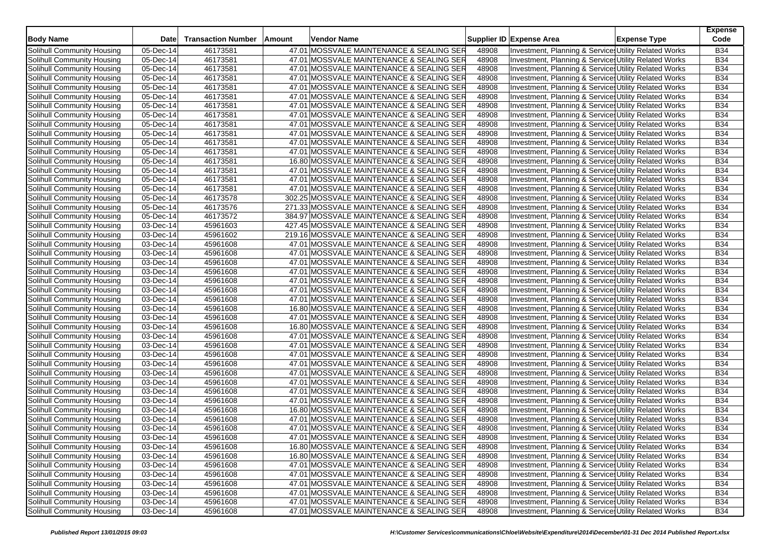| <b>Body Name</b>           | Date                    | <b>Transaction Number</b> | Amount | <b>Vendor Name</b>                        |       | Supplier ID Expense Area                              | <b>Expense Type</b> | <b>Expense</b><br>Code |
|----------------------------|-------------------------|---------------------------|--------|-------------------------------------------|-------|-------------------------------------------------------|---------------------|------------------------|
| Solihull Community Housing | 05-Dec-14               | 46173581                  |        | 47.01 MOSSVALE MAINTENANCE & SEALING SER  | 48908 | Investment, Planning & Services Utility Related Works |                     | <b>B34</b>             |
| Solihull Community Housing | 05-Dec-14               | 46173581                  |        | 47.01 MOSSVALE MAINTENANCE & SEALING SER  | 48908 | Investment, Planning & Service: Utility Related Works |                     | <b>B34</b>             |
| Solihull Community Housing | 05-Dec-14               | 46173581                  |        | 47.01 MOSSVALE MAINTENANCE & SEALING SER  | 48908 | Investment, Planning & Service: Utility Related Works |                     | <b>B34</b>             |
| Solihull Community Housing | 05-Dec-14               | 46173581                  |        | 47.01 MOSSVALE MAINTENANCE & SEALING SER  | 48908 | Investment, Planning & Services Utility Related Works |                     | <b>B34</b>             |
| Solihull Community Housing | 05-Dec-14               | 46173581                  |        | 47.01 MOSSVALE MAINTENANCE & SEALING SER  | 48908 | Investment, Planning & Service: Utility Related Works |                     | <b>B34</b>             |
| Solihull Community Housing | 05-Dec-14               | 46173581                  |        | 47.01 MOSSVALE MAINTENANCE & SEALING SER  | 48908 | Investment, Planning & Services Utility Related Works |                     | <b>B34</b>             |
| Solihull Community Housing | 05-Dec-14               | 46173581                  |        | 47.01 MOSSVALE MAINTENANCE & SEALING SER  | 48908 | Investment, Planning & Service: Utility Related Works |                     | <b>B34</b>             |
| Solihull Community Housing | 05-Dec-14               | 46173581                  |        | 47.01 MOSSVALE MAINTENANCE & SEALING SER  | 48908 | Investment, Planning & Services Utility Related Works |                     | <b>B34</b>             |
| Solihull Community Housing | 05-Dec-14               | 46173581                  |        | 47.01 MOSSVALE MAINTENANCE & SEALING SER  | 48908 | Investment, Planning & Services Utility Related Works |                     | <b>B34</b>             |
| Solihull Community Housing | 05-Dec-14               | 46173581                  |        | 47.01 MOSSVALE MAINTENANCE & SEALING SER  | 48908 | Investment, Planning & Services Utility Related Works |                     | <b>B34</b>             |
| Solihull Community Housing | 05-Dec-14               | 46173581                  |        | 47.01 MOSSVALE MAINTENANCE & SEALING SER  | 48908 | Investment, Planning & Services Utility Related Works |                     | <b>B34</b>             |
| Solihull Community Housing | 05-Dec-14               | 46173581                  |        | 47.01 MOSSVALE MAINTENANCE & SEALING SER  | 48908 | Investment, Planning & Service: Utility Related Works |                     | <b>B34</b>             |
| Solihull Community Housing | 05-Dec-14               | 46173581                  |        | 16.80 MOSSVALE MAINTENANCE & SEALING SER  | 48908 | Investment, Planning & Services Utility Related Works |                     | <b>B34</b>             |
| Solihull Community Housing | 05-Dec-14               | 46173581                  |        | 47.01 MOSSVALE MAINTENANCE & SEALING SER  | 48908 | Investment, Planning & Service: Utility Related Works |                     | <b>B34</b>             |
| Solihull Community Housing | 05-Dec-14               | 46173581                  |        | 47.01 MOSSVALE MAINTENANCE & SEALING SER  | 48908 | Investment, Planning & Services Utility Related Works |                     | <b>B34</b>             |
| Solihull Community Housing | $\overline{0}$ 5-Dec-14 | 46173581                  |        | 47.01 MOSSVALE MAINTENANCE & SEALING SER  | 48908 | Investment, Planning & Service: Utility Related Works |                     | <b>B34</b>             |
| Solihull Community Housing | $\overline{05}$ -Dec-14 | 46173578                  |        | 302.25 MOSSVALE MAINTENANCE & SEALING SER | 48908 | Investment, Planning & Service: Utility Related Works |                     | <b>B34</b>             |
| Solihull Community Housing | 05-Dec-14               | 46173576                  |        | 271.33 MOSSVALE MAINTENANCE & SEALING SER | 48908 | Investment, Planning & Services Utility Related Works |                     | <b>B34</b>             |
| Solihull Community Housing | 05-Dec-14               | 46173572                  |        | 384.97 MOSSVALE MAINTENANCE & SEALING SER | 48908 | Investment, Planning & Services Utility Related Works |                     | <b>B34</b>             |
| Solihull Community Housing | 03-Dec-14               | 45961603                  |        | 427.45 MOSSVALE MAINTENANCE & SEALING SER | 48908 | Investment, Planning & Service: Utility Related Works |                     | <b>B34</b>             |
| Solihull Community Housing | $\overline{03}$ -Dec-14 | 45961602                  |        | 219.16 MOSSVALE MAINTENANCE & SEALING SER | 48908 | Investment, Planning & Service: Utility Related Works |                     | <b>B34</b>             |
| Solihull Community Housing | $03$ -Dec-14            | 45961608                  |        | 47.01 MOSSVALE MAINTENANCE & SEALING SER  | 48908 | Investment, Planning & Service: Utility Related Works |                     | <b>B34</b>             |
| Solihull Community Housing | 03-Dec-14               | 45961608                  |        | 47.01 MOSSVALE MAINTENANCE & SEALING SER  | 48908 | Investment, Planning & Service: Utility Related Works |                     | <b>B34</b>             |
| Solihull Community Housing | $\overline{03}$ -Dec-14 | 45961608                  |        | 47.01 MOSSVALE MAINTENANCE & SEALING SER  | 48908 | Investment, Planning & Service: Utility Related Works |                     | <b>B34</b>             |
| Solihull Community Housing | 03-Dec-14               | 45961608                  |        | 47.01 MOSSVALE MAINTENANCE & SEALING SER  | 48908 | Investment, Planning & Services Utility Related Works |                     | <b>B34</b>             |
| Solihull Community Housing | 03-Dec-14               | 45961608                  |        | 47.01 MOSSVALE MAINTENANCE & SEALING SER  | 48908 | Investment, Planning & Service: Utility Related Works |                     | <b>B34</b>             |
| Solihull Community Housing | 03-Dec-14               | 45961608                  |        | 47.01 MOSSVALE MAINTENANCE & SEALING SER  | 48908 | Investment, Planning & Services Utility Related Works |                     | <b>B34</b>             |
| Solihull Community Housing | 03-Dec-14               | 45961608                  |        | 47.01 MOSSVALE MAINTENANCE & SEALING SER  | 48908 | Investment, Planning & Service: Utility Related Works |                     | <b>B34</b>             |
| Solihull Community Housing | 03-Dec-14               | 45961608                  |        | 16.80 MOSSVALE MAINTENANCE & SEALING SER  | 48908 | Investment, Planning & Services Utility Related Works |                     | <b>B34</b>             |
| Solihull Community Housing | $\overline{03}$ -Dec-14 | 45961608                  |        | 47.01 MOSSVALE MAINTENANCE & SEALING SER  | 48908 | Investment, Planning & Services Utility Related Works |                     | <b>B34</b>             |
| Solihull Community Housing | 03-Dec-14               | 45961608                  |        | 16.80 MOSSVALE MAINTENANCE & SEALING SER  | 48908 | Investment, Planning & Service: Utility Related Works |                     | <b>B34</b>             |
| Solihull Community Housing | 03-Dec-14               | 45961608                  |        | 47.01 MOSSVALE MAINTENANCE & SEALING SER  | 48908 | Investment, Planning & Services Utility Related Works |                     | <b>B34</b>             |
| Solihull Community Housing | $\overline{03}$ -Dec-14 | 45961608                  |        | 47.01 MOSSVALE MAINTENANCE & SEALING SER  | 48908 | Investment, Planning & Service: Utility Related Works |                     | <b>B34</b>             |
| Solihull Community Housing | $03$ -Dec-14            | 45961608                  |        | 47.01 MOSSVALE MAINTENANCE & SEALING SER  | 48908 | Investment, Planning & Service: Utility Related Works |                     | <b>B34</b>             |
| Solihull Community Housing | 03-Dec-14               | 45961608                  |        | 47.01 MOSSVALE MAINTENANCE & SEALING SER  | 48908 | Investment, Planning & Services Utility Related Works |                     | <b>B34</b>             |
| Solihull Community Housing | 03-Dec-14               | 45961608                  |        | 47.01 MOSSVALE MAINTENANCE & SEALING SER  | 48908 | Investment, Planning & Services Utility Related Works |                     | <b>B34</b>             |
| Solihull Community Housing | $03$ -Dec-14            | 45961608                  |        | 47.01 MOSSVALE MAINTENANCE & SEALING SER  | 48908 | Investment, Planning & Service: Utility Related Works |                     | <b>B34</b>             |
| Solihull Community Housing | 03-Dec-14               | 45961608                  |        | 47.01 MOSSVALE MAINTENANCE & SEALING SER  | 48908 | Investment, Planning & Services Utility Related Works |                     | <b>B34</b>             |
| Solihull Community Housing | 03-Dec-14               | 45961608                  |        | 47.01 MOSSVALE MAINTENANCE & SEALING SER  | 48908 | Investment, Planning & Services Utility Related Works |                     | <b>B34</b>             |
| Solihull Community Housing | $03$ -Dec-14            | 45961608                  |        | 16.80 MOSSVALE MAINTENANCE & SEALING SER  | 48908 | Investment, Planning & Service: Utility Related Works |                     | <b>B34</b>             |
| Solihull Community Housing | 03-Dec-14               | 45961608                  |        | 47.01 MOSSVALE MAINTENANCE & SEALING SER  | 48908 | Investment, Planning & Services Utility Related Works |                     | <b>B34</b>             |
| Solihull Community Housing | $\overline{03}$ -Dec-14 | 45961608                  |        | 47.01 MOSSVALE MAINTENANCE & SEALING SER  | 48908 | Investment, Planning & Services Utility Related Works |                     | <b>B34</b>             |
| Solihull Community Housing | 03-Dec-14               | 45961608                  |        | 47.01 MOSSVALE MAINTENANCE & SEALING SER  | 48908 | Investment, Planning & Service, Utility Related Works |                     | <b>B34</b>             |
| Solihull Community Housing | 03-Dec-14               | 45961608                  |        | 16.80 MOSSVALE MAINTENANCE & SEALING SER  | 48908 | Investment, Planning & Services Utility Related Works |                     | <b>B34</b>             |
| Solihull Community Housing | $\overline{03}$ -Dec-14 | 45961608                  |        | 16.80 MOSSVALE MAINTENANCE & SEALING SER  | 48908 | Investment, Planning & Services Utility Related Works |                     | <b>B34</b>             |
| Solihull Community Housing | 03-Dec-14               | 45961608                  |        | 47.01 MOSSVALE MAINTENANCE & SEALING SER  | 48908 | Investment, Planning & Services Utility Related Works |                     | <b>B34</b>             |
| Solihull Community Housing | 03-Dec-14               | 45961608                  |        | 47.01 MOSSVALE MAINTENANCE & SEALING SER  | 48908 | Investment, Planning & Services Utility Related Works |                     | <b>B34</b>             |
| Solihull Community Housing | 03-Dec-14               | 45961608                  |        | 47.01 MOSSVALE MAINTENANCE & SEALING SER  | 48908 | Investment, Planning & Services Utility Related Works |                     | <b>B34</b>             |
| Solihull Community Housing | 03-Dec-14               | 45961608                  |        | 47.01 MOSSVALE MAINTENANCE & SEALING SER  | 48908 | Investment, Planning & Services Utility Related Works |                     | <b>B34</b>             |
| Solihull Community Housing | 03-Dec-14               | 45961608                  |        | 47.01 MOSSVALE MAINTENANCE & SEALING SER  | 48908 | Investment, Planning & Services Utility Related Works |                     | <b>B34</b>             |
| Solihull Community Housing | 03-Dec-14               | 45961608                  |        | 47.01 MOSSVALE MAINTENANCE & SEALING SER  | 48908 | Investment, Planning & Services Utility Related Works |                     | <b>B34</b>             |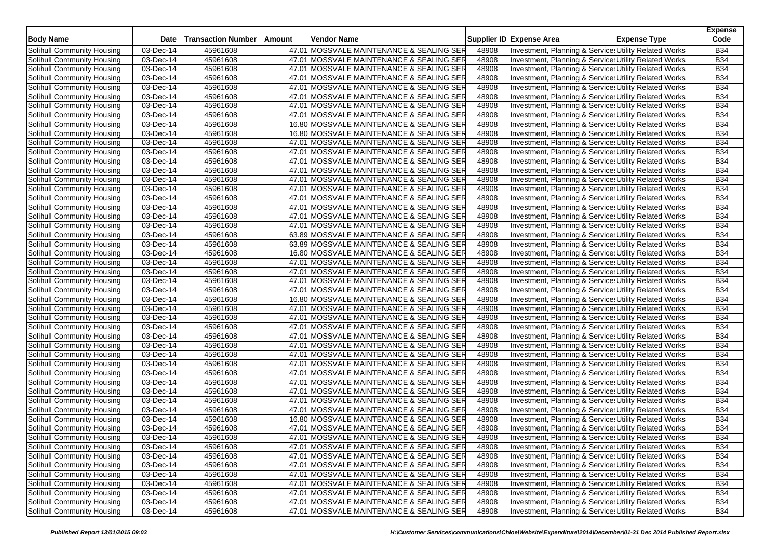| <b>Body Name</b>           | Date                    | <b>Transaction Number</b> | Amount | Vendor Name                              |       | Supplier ID Expense Area                              | <b>Expense Type</b> | <b>Expense</b><br>Code |
|----------------------------|-------------------------|---------------------------|--------|------------------------------------------|-------|-------------------------------------------------------|---------------------|------------------------|
| Solihull Community Housing | 03-Dec-14               | 45961608                  |        | 47.01 MOSSVALE MAINTENANCE & SEALING SER | 48908 | Investment, Planning & Service: Utility Related Works |                     | <b>B34</b>             |
| Solihull Community Housing | 03-Dec-14               | 45961608                  |        | 47.01 MOSSVALE MAINTENANCE & SEALING SER | 48908 | Investment, Planning & Service: Utility Related Works |                     | <b>B34</b>             |
| Solihull Community Housing | 03-Dec-14               | 45961608                  |        | 47.01 MOSSVALE MAINTENANCE & SEALING SER | 48908 | Investment, Planning & Services Utility Related Works |                     | <b>B34</b>             |
| Solihull Community Housing | 03-Dec-14               | 45961608                  |        | 47.01 MOSSVALE MAINTENANCE & SEALING SER | 48908 | Investment, Planning & Service: Utility Related Works |                     | <b>B34</b>             |
| Solihull Community Housing | 03-Dec-14               | 45961608                  |        | 47.01 MOSSVALE MAINTENANCE & SEALING SER | 48908 | Investment, Planning & Service: Utility Related Works |                     | <b>B34</b>             |
| Solihull Community Housing | 03-Dec-14               | 45961608                  |        | 47.01 MOSSVALE MAINTENANCE & SEALING SER | 48908 | Investment, Planning & Services Utility Related Works |                     | <b>B34</b>             |
| Solihull Community Housing | $\overline{0}$ 3-Dec-14 | 45961608                  |        | 47.01 MOSSVALE MAINTENANCE & SEALING SER | 48908 | Investment, Planning & Services Utility Related Works |                     | <b>B34</b>             |
| Solihull Community Housing | 03-Dec-14               | 45961608                  |        | 47.01 MOSSVALE MAINTENANCE & SEALING SER | 48908 | Investment, Planning & Services Utility Related Works |                     | <b>B34</b>             |
| Solihull Community Housing | 03-Dec-14               | 45961608                  |        | 16.80 MOSSVALE MAINTENANCE & SEALING SER | 48908 | Investment, Planning & Services Utility Related Works |                     | <b>B34</b>             |
| Solihull Community Housing | 03-Dec-14               | 45961608                  |        | 16.80 MOSSVALE MAINTENANCE & SEALING SER | 48908 | Investment, Planning & Service: Utility Related Works |                     | <b>B34</b>             |
| Solihull Community Housing | 03-Dec-14               | 45961608                  |        | 47.01 MOSSVALE MAINTENANCE & SEALING SER | 48908 | Investment, Planning & Services Utility Related Works |                     | <b>B34</b>             |
| Solihull Community Housing | 03-Dec-14               | 45961608                  |        | 47.01 MOSSVALE MAINTENANCE & SEALING SER | 48908 | Investment, Planning & Service: Utility Related Works |                     | <b>B34</b>             |
| Solihull Community Housing | 03-Dec-14               | 45961608                  |        | 47.01 MOSSVALE MAINTENANCE & SEALING SER | 48908 | Investment, Planning & Services Utility Related Works |                     | <b>B34</b>             |
| Solihull Community Housing | 03-Dec-14               | 45961608                  |        | 47.01 MOSSVALE MAINTENANCE & SEALING SER | 48908 | Investment, Planning & Service: Utility Related Works |                     | <b>B34</b>             |
| Solihull Community Housing | 03-Dec-14               | 45961608                  |        | 47.01 MOSSVALE MAINTENANCE & SEALING SER | 48908 | Investment, Planning & Services Utility Related Works |                     | <b>B34</b>             |
| Solihull Community Housing | 03-Dec-14               | 45961608                  |        | 47.01 MOSSVALE MAINTENANCE & SEALING SER | 48908 | Investment, Planning & Services Utility Related Works |                     | <b>B34</b>             |
| Solihull Community Housing | 03-Dec-14               | 45961608                  |        | 47.01 MOSSVALE MAINTENANCE & SEALING SER | 48908 | Investment, Planning & Service: Utility Related Works |                     | <b>B34</b>             |
| Solihull Community Housing | 03-Dec-14               | 45961608                  |        | 47.01 MOSSVALE MAINTENANCE & SEALING SER | 48908 | Investment, Planning & Service Utility Related Works  |                     | <b>B34</b>             |
| Solihull Community Housing | 03-Dec-14               | 45961608                  |        | 47.01 MOSSVALE MAINTENANCE & SEALING SER | 48908 | Investment, Planning & Service: Utility Related Works |                     | <b>B34</b>             |
| Solihull Community Housing | 03-Dec-14               | 45961608                  |        | 47.01 MOSSVALE MAINTENANCE & SEALING SER | 48908 | Investment, Planning & Services Utility Related Works |                     | <b>B34</b>             |
| Solihull Community Housing | 03-Dec-14               | 45961608                  |        | 63.89 MOSSVALE MAINTENANCE & SEALING SER | 48908 | Investment, Planning & Service: Utility Related Works |                     | <b>B34</b>             |
| Solihull Community Housing | 03-Dec-14               | 45961608                  |        | 63.89 MOSSVALE MAINTENANCE & SEALING SER | 48908 | Investment, Planning & Services Utility Related Works |                     | <b>B34</b>             |
| Solihull Community Housing | 03-Dec-14               | 45961608                  |        | 16.80 MOSSVALE MAINTENANCE & SEALING SER | 48908 | Investment, Planning & Services Utility Related Works |                     | <b>B34</b>             |
| Solihull Community Housing | 03-Dec-14               | 45961608                  |        | 47.01 MOSSVALE MAINTENANCE & SEALING SER | 48908 | Investment, Planning & Service: Utility Related Works |                     | <b>B34</b>             |
| Solihull Community Housing | 03-Dec-14               | 45961608                  |        | 47.01 MOSSVALE MAINTENANCE & SEALING SER | 48908 | Investment, Planning & Services Utility Related Works |                     | <b>B34</b>             |
| Solihull Community Housing | 03-Dec-14               | 45961608                  |        | 47.01 MOSSVALE MAINTENANCE & SEALING SER | 48908 | Investment, Planning & Services Utility Related Works |                     | <b>B34</b>             |
| Solihull Community Housing | 03-Dec-14               | 45961608                  |        | 47.01 MOSSVALE MAINTENANCE & SEALING SER | 48908 | Investment, Planning & Service Utility Related Works  |                     | <b>B34</b>             |
| Solihull Community Housing | $\overline{03}$ -Dec-14 | 45961608                  |        | 16.80 MOSSVALE MAINTENANCE & SEALING SER | 48908 | Investment, Planning & Service: Utility Related Works |                     | <b>B34</b>             |
| Solihull Community Housing | 03-Dec-14               | 45961608                  |        | 47.01 MOSSVALE MAINTENANCE & SEALING SER | 48908 | Investment, Planning & Services Utility Related Works |                     | <b>B34</b>             |
| Solihull Community Housing | 03-Dec-14               | 45961608                  |        | 47.01 MOSSVALE MAINTENANCE & SEALING SER | 48908 | Investment, Planning & Services Utility Related Works |                     | <b>B34</b>             |
| Solihull Community Housing | 03-Dec-14               | 45961608                  |        | 47.01 MOSSVALE MAINTENANCE & SEALING SER | 48908 | Investment, Planning & Service: Utility Related Works |                     | <b>B34</b>             |
| Solihull Community Housing | 03-Dec-14               | 45961608                  |        | 47.01 MOSSVALE MAINTENANCE & SEALING SER | 48908 | Investment, Planning & Service: Utility Related Works |                     | <b>B34</b>             |
| Solihull Community Housing | 03-Dec-14               | 45961608                  |        | 47.01 MOSSVALE MAINTENANCE & SEALING SER | 48908 | Investment, Planning & Service: Utility Related Works |                     | <b>B34</b>             |
| Solihull Community Housing | $\overline{0}$ 3-Dec-14 | 45961608                  |        | 47.01 MOSSVALE MAINTENANCE & SEALING SER | 48908 | Investment, Planning & Services Utility Related Works |                     | <b>B34</b>             |
| Solihull Community Housing | 03-Dec-14               | 45961608                  |        | 47.01 MOSSVALE MAINTENANCE & SEALING SER | 48908 | Investment, Planning & Services Utility Related Works |                     | <b>B34</b>             |
| Solihull Community Housing | 03-Dec-14               | 45961608                  |        | 47.01 MOSSVALE MAINTENANCE & SEALING SER | 48908 | Investment, Planning & Services Utility Related Works |                     | <b>B34</b>             |
| Solihull Community Housing | 03-Dec-14               | 45961608                  |        | 47.01 MOSSVALE MAINTENANCE & SEALING SER | 48908 | Investment, Planning & Services Utility Related Works |                     | <b>B34</b>             |
| Solihull Community Housing | 03-Dec-14               | 45961608                  |        | 47.01 MOSSVALE MAINTENANCE & SEALING SER | 48908 | Investment, Planning & Service: Utility Related Works |                     | <b>B34</b>             |
| Solihull Community Housing | 03-Dec-14               | 45961608                  |        | 47.01 MOSSVALE MAINTENANCE & SEALING SER | 48908 | Investment, Planning & Services Utility Related Works |                     | <b>B34</b>             |
| Solihull Community Housing | $\overline{03}$ -Dec-14 | 45961608                  |        | 47.01 MOSSVALE MAINTENANCE & SEALING SER | 48908 | Investment, Planning & Services Utility Related Works |                     | <b>B34</b>             |
| Solihull Community Housing | 03-Dec-14               | 45961608                  |        | 16.80 MOSSVALE MAINTENANCE & SEALING SER | 48908 | Investment, Planning & Services Utility Related Works |                     | <b>B34</b>             |
| Solihull Community Housing | 03-Dec-14               | 45961608                  |        | 47.01 MOSSVALE MAINTENANCE & SEALING SER | 48908 | Investment, Planning & Services Utility Related Works |                     | <b>B34</b>             |
| Solihull Community Housing | 03-Dec-14               | 45961608                  |        | 47.01 MOSSVALE MAINTENANCE & SEALING SER | 48908 | Investment, Planning & Service Utility Related Works  |                     | <b>B34</b>             |
| Solihull Community Housing | 03-Dec-14               | 45961608                  |        | 47.01 MOSSVALE MAINTENANCE & SEALING SER | 48908 | Investment, Planning & Services Utility Related Works |                     | <b>B34</b>             |
| Solihull Community Housing | 03-Dec-14               | 45961608                  |        | 47.01 MOSSVALE MAINTENANCE & SEALING SER | 48908 | Investment, Planning & Services Utility Related Works |                     | <b>B34</b>             |
| Solihull Community Housing | 03-Dec-14               | 45961608                  |        | 47.01 MOSSVALE MAINTENANCE & SEALING SER | 48908 | Investment, Planning & Services Utility Related Works |                     | <b>B34</b>             |
| Solihull Community Housing | 03-Dec-14               | 45961608                  |        | 47.01 MOSSVALE MAINTENANCE & SEALING SER | 48908 | Investment, Planning & Services Utility Related Works |                     | <b>B34</b>             |
| Solihull Community Housing | 03-Dec-14               | 45961608                  |        | 47.01 MOSSVALE MAINTENANCE & SEALING SER | 48908 | Investment, Planning & Service Utility Related Works  |                     | <b>B34</b>             |
| Solihull Community Housing | 03-Dec-14               | 45961608                  |        | 47.01 MOSSVALE MAINTENANCE & SEALING SER | 48908 | Investment, Planning & Services Utility Related Works |                     | <b>B34</b>             |
| Solihull Community Housing | 03-Dec-14               | 45961608                  |        | 47.01 MOSSVALE MAINTENANCE & SEALING SER | 48908 | Investment, Planning & Service Utility Related Works  |                     | <b>B34</b>             |
| Solihull Community Housing | 03-Dec-14               | 45961608                  |        | 47.01 MOSSVALE MAINTENANCE & SEALING SER | 48908 | Investment, Planning & Services Utility Related Works |                     | <b>B34</b>             |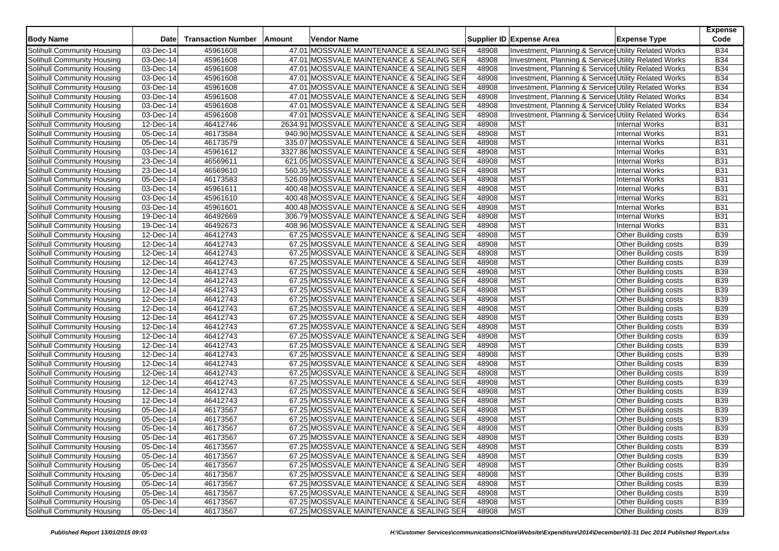| <b>Body Name</b>                  | <b>Date</b>             | <b>Transaction Number</b> | Amount | <b>Vendor Name</b>                         |       | Supplier ID Expense Area                              | <b>Expense Type</b>         | <b>Expense</b><br>Code |
|-----------------------------------|-------------------------|---------------------------|--------|--------------------------------------------|-------|-------------------------------------------------------|-----------------------------|------------------------|
| Solihull Community Housing        | 03-Dec-14               | 45961608                  |        | 47.01 MOSSVALE MAINTENANCE & SEALING SER   | 48908 | Investment, Planning & Services Utility Related Works |                             | <b>B34</b>             |
| Solihull Community Housing        | 03-Dec-14               | 45961608                  |        | 47.01 MOSSVALE MAINTENANCE & SEALING SER   | 48908 | Investment, Planning & Services Utility Related Works |                             | <b>B34</b>             |
| Solihull Community Housing        | 03-Dec-14               | 45961608                  |        | 47.01 MOSSVALE MAINTENANCE & SEALING SER   | 48908 | Investment, Planning & Service Utility Related Works  |                             | <b>B34</b>             |
| Solihull Community Housing        | 03-Dec-14               | 45961608                  |        | 47.01 MOSSVALE MAINTENANCE & SEALING SER   | 48908 | Investment, Planning & Services Utility Related Works |                             | <b>B34</b>             |
| Solihull Community Housing        | $\overline{03}$ -Dec-14 | 45961608                  |        | 47.01 MOSSVALE MAINTENANCE & SEALING SER   | 48908 | Investment, Planning & Services Utility Related Works |                             | <b>B34</b>             |
| Solihull Community Housing        | 03-Dec-14               | 45961608                  |        | 47.01 MOSSVALE MAINTENANCE & SEALING SER   | 48908 | Investment, Planning & Services Utility Related Works |                             | <b>B34</b>             |
| Solihull Community Housing        | 03-Dec-14               | 45961608                  |        | 47.01 MOSSVALE MAINTENANCE & SEALING SER   | 48908 | Investment, Planning & Services Utility Related Works |                             | <b>B34</b>             |
| <b>Solihull Community Housing</b> | 03-Dec-14               | 45961608                  |        | 47.01 MOSSVALE MAINTENANCE & SEALING SER   | 48908 | Investment, Planning & Services Utility Related Works |                             | <b>B34</b>             |
| Solihull Community Housing        | 12-Dec-14               | 46412746                  |        | 2634.91 MOSSVALE MAINTENANCE & SEALING SER | 48908 | <b>MST</b>                                            | <b>Internal Works</b>       | <b>B31</b>             |
| Solihull Community Housing        | 05-Dec-14               | 46173584                  |        | 940.90 MOSSVALE MAINTENANCE & SEALING SER  | 48908 | <b>MST</b>                                            | <b>Internal Works</b>       | <b>B31</b>             |
| Solihull Community Housing        | 05-Dec-14               | 46173579                  |        | 335.07 MOSSVALE MAINTENANCE & SEALING SER  | 48908 | <b>MST</b>                                            | <b>Internal Works</b>       | <b>B31</b>             |
| Solihull Community Housing        | 03-Dec-14               | 45961612                  |        | 3327.86 MOSSVALE MAINTENANCE & SEALING SER | 48908 | <b>MST</b>                                            | <b>Internal Works</b>       | <b>B31</b>             |
| Solihull Community Housing        | 23-Dec-14               | 46569611                  |        | 621.05 MOSSVALE MAINTENANCE & SEALING SER  | 48908 | <b>MST</b>                                            | <b>Internal Works</b>       | <b>B31</b>             |
| Solihull Community Housing        | $23$ -Dec-14            | 46569610                  |        | 560.35 MOSSVALE MAINTENANCE & SEALING SER  | 48908 | <b>MST</b>                                            | <b>Internal Works</b>       | <b>B31</b>             |
| Solihull Community Housing        | $05$ -Dec-14            | 46173583                  |        | 526.09 MOSSVALE MAINTENANCE & SEALING SER  | 48908 | <b>MST</b>                                            | <b>Internal Works</b>       | <b>B31</b>             |
| Solihull Community Housing        | 03-Dec-14               | 45961611                  |        | 400.48 MOSSVALE MAINTENANCE & SEALING SER  | 48908 | <b>MST</b>                                            | <b>Internal Works</b>       | <b>B31</b>             |
| Solihull Community Housing        | 03-Dec-14               | 45961610                  |        | 400.48 MOSSVALE MAINTENANCE & SEALING SER  | 48908 | <b>MST</b>                                            | <b>Internal Works</b>       | <b>B31</b>             |
| Solihull Community Housing        | $\overline{03}$ -Dec-14 | 45961601                  |        | 400.48 MOSSVALE MAINTENANCE & SEALING SER  | 48908 | <b>MST</b>                                            | <b>Internal Works</b>       | <b>B31</b>             |
| Solihull Community Housing        | 19-Dec-14               | 46492669                  |        | 306.79 MOSSVALE MAINTENANCE & SEALING SER  | 48908 | <b>MST</b>                                            | <b>Internal Works</b>       | <b>B31</b>             |
| Solihull Community Housing        | 19-Dec-14               | 46492673                  |        | 408.96 MOSSVALE MAINTENANCE & SEALING SER  | 48908 | <b>MST</b>                                            | <b>Internal Works</b>       | <b>B31</b>             |
| Solihull Community Housing        | 12-Dec-14               | 46412743                  |        | 67.25 MOSSVALE MAINTENANCE & SEALING SER   | 48908 | <b>MST</b>                                            | Other Building costs        | <b>B39</b>             |
| Solihull Community Housing        | 12-Dec-14               | 46412743                  |        | 67.25 MOSSVALE MAINTENANCE & SEALING SER   | 48908 | <b>MST</b>                                            | Other Building costs        | <b>B39</b>             |
| Solihull Community Housing        | 12-Dec-14               | 46412743                  |        | 67.25 MOSSVALE MAINTENANCE & SEALING SER   | 48908 | <b>MST</b>                                            | Other Building costs        | <b>B39</b>             |
| Solihull Community Housing        | 12-Dec-14               | 46412743                  |        | 67.25 MOSSVALE MAINTENANCE & SEALING SER   | 48908 | <b>MST</b>                                            | Other Building costs        | <b>B39</b>             |
| Solihull Community Housing        | 12-Dec-14               | 46412743                  |        | 67.25 MOSSVALE MAINTENANCE & SEALING SER   | 48908 | <b>MST</b>                                            | <b>Other Building costs</b> | <b>B39</b>             |
| Solihull Community Housing        | 12-Dec-14               | 46412743                  |        | 67.25 MOSSVALE MAINTENANCE & SEALING SER   | 48908 | <b>MST</b>                                            | Other Building costs        | <b>B39</b>             |
| Solihull Community Housing        | 12-Dec-14               | 46412743                  |        | 67.25 MOSSVALE MAINTENANCE & SEALING SER   | 48908 | <b>MST</b>                                            | Other Building costs        | <b>B39</b>             |
| Solihull Community Housing        | 12-Dec-14               | 46412743                  |        | 67.25 MOSSVALE MAINTENANCE & SEALING SER   | 48908 | <b>MST</b>                                            | Other Building costs        | <b>B39</b>             |
| Solihull Community Housing        | 12-Dec-14               | 46412743                  |        | 67.25 MOSSVALE MAINTENANCE & SEALING SER   | 48908 | <b>MST</b>                                            | <b>Other Building costs</b> | <b>B39</b>             |
| Solihull Community Housing        | 12-Dec-14               | 46412743                  |        | 67.25 MOSSVALE MAINTENANCE & SEALING SER   | 48908 | <b>MST</b>                                            | Other Building costs        | <b>B39</b>             |
| Solihull Community Housing        | 12-Dec-14               | 46412743                  |        | 67.25 MOSSVALE MAINTENANCE & SEALING SER   | 48908 | <b>MST</b>                                            | <b>Other Building costs</b> | <b>B39</b>             |
| Solihull Community Housing        | 12-Dec-14               | 46412743                  |        | 67.25 MOSSVALE MAINTENANCE & SEALING SER   | 48908 | <b>MST</b>                                            | <b>Other Building costs</b> | <b>B39</b>             |
| Solihull Community Housing        | 12-Dec-14               | 46412743                  |        | 67.25 MOSSVALE MAINTENANCE & SEALING SER   | 48908 | <b>MST</b>                                            | Other Building costs        | <b>B39</b>             |
| Solihull Community Housing        | 12-Dec-14               | 46412743                  |        | 67.25 MOSSVALE MAINTENANCE & SEALING SER   | 48908 | <b>MST</b>                                            | <b>Other Building costs</b> | <b>B39</b>             |
| Solihull Community Housing        | $12$ -Dec-14            | 46412743                  |        | 67.25 MOSSVALE MAINTENANCE & SEALING SER   | 48908 | <b>MST</b>                                            | Other Building costs        | <b>B39</b>             |
| Solihull Community Housing        | $12$ -Dec-14            | 46412743                  |        | 67.25 MOSSVALE MAINTENANCE & SEALING SER   | 48908 | <b>MST</b>                                            | Other Building costs        | <b>B39</b>             |
| Solihull Community Housing        | 12-Dec-14               | 46412743                  |        | 67.25 MOSSVALE MAINTENANCE & SEALING SER   | 48908 | <b>MST</b>                                            | <b>Other Building costs</b> | <b>B39</b>             |
| Solihull Community Housing        | 12-Dec-14               | 46412743                  |        | 67.25 MOSSVALE MAINTENANCE & SEALING SER   | 48908 | <b>MST</b>                                            | <b>Other Building costs</b> | <b>B39</b>             |
| Solihull Community Housing        | $12$ -Dec-14            | 46412743                  |        | 67.25 MOSSVALE MAINTENANCE & SEALING SER   | 48908 | <b>MST</b>                                            | Other Building costs        | <b>B39</b>             |
| Solihull Community Housing        | 05-Dec-14               | 46173567                  |        | 67.25 MOSSVALE MAINTENANCE & SEALING SER   | 48908 | <b>MST</b>                                            | <b>Other Building costs</b> | <b>B39</b>             |
| Solihull Community Housing        | 05-Dec-14               | 46173567                  |        | 67.25 MOSSVALE MAINTENANCE & SEALING SER   | 48908 | <b>MST</b>                                            | Other Building costs        | <b>B39</b>             |
| Solihull Community Housing        | $\overline{05}$ -Dec-14 | 46173567                  |        | 67.25 MOSSVALE MAINTENANCE & SEALING SER   | 48908 | <b>MST</b>                                            | Other Building costs        | <b>B39</b>             |
| Solihull Community Housing        | 05-Dec-14               | 46173567                  |        | 67.25 MOSSVALE MAINTENANCE & SEALING SER   | 48908 | <b>MST</b>                                            | <b>Other Building costs</b> | <b>B39</b>             |
| Solihull Community Housing        | 05-Dec-14               | 46173567                  |        | 67.25 MOSSVALE MAINTENANCE & SEALING SER   | 48908 | <b>MST</b>                                            | Other Building costs        | <b>B39</b>             |
| Solihull Community Housing        | 05-Dec-14               | 46173567                  |        | 67.25 MOSSVALE MAINTENANCE & SEALING SER   | 48908 | <b>MST</b>                                            | Other Building costs        | <b>B39</b>             |
| Solihull Community Housing        | 05-Dec-14               | 46173567                  |        | 67.25 MOSSVALE MAINTENANCE & SEALING SER   | 48908 | <b>MST</b>                                            | Other Building costs        | <b>B39</b>             |
| Solihull Community Housing        | 05-Dec-14               | 46173567                  |        | 67.25 MOSSVALE MAINTENANCE & SEALING SER   | 48908 | <b>MST</b>                                            | Other Building costs        | <b>B39</b>             |
| Solihull Community Housing        | 05-Dec-14               | 46173567                  |        | 67.25 MOSSVALE MAINTENANCE & SEALING SER   | 48908 | <b>MST</b>                                            | Other Building costs        | <b>B39</b>             |
| Solihull Community Housing        | 05-Dec-14               | 46173567                  |        | 67.25 MOSSVALE MAINTENANCE & SEALING SER   | 48908 | <b>MST</b>                                            | Other Building costs        | <b>B39</b>             |
| Solihull Community Housing        | 05-Dec-14               | 46173567                  |        | 67.25 MOSSVALE MAINTENANCE & SEALING SER   | 48908 | <b>MST</b>                                            | Other Building costs        | <b>B39</b>             |
| Solihull Community Housing        | $\overline{05}$ -Dec-14 | 46173567                  |        | 67.25 MOSSVALE MAINTENANCE & SEALING SER   | 48908 | <b>MST</b>                                            | Other Building costs        | <b>B39</b>             |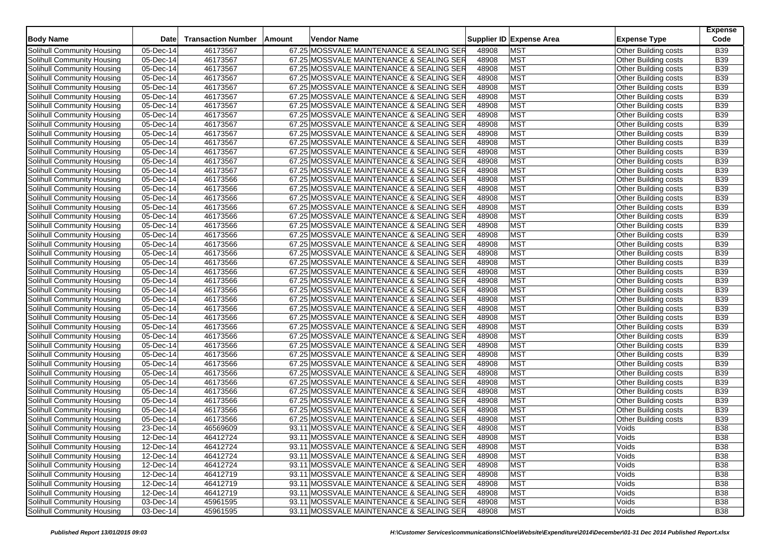| <b>Body Name</b>                  | <b>Date</b>             | <b>Transaction Number</b> | Amount | <b>Vendor Name</b>                       |       | Supplier ID Expense Area | <b>Expense Type</b>         | <b>Expense</b><br>Code |
|-----------------------------------|-------------------------|---------------------------|--------|------------------------------------------|-------|--------------------------|-----------------------------|------------------------|
| Solihull Community Housing        | 05-Dec-14               | 46173567                  |        | 67.25 MOSSVALE MAINTENANCE & SEALING SER | 48908 | <b>MST</b>               | Other Building costs        | <b>B39</b>             |
| Solihull Community Housing        | 05-Dec-14               | 46173567                  |        | 67.25 MOSSVALE MAINTENANCE & SEALING SER | 48908 | <b>MST</b>               | <b>Other Building costs</b> | <b>B39</b>             |
| Solihull Community Housing        | 05-Dec-14               | 46173567                  |        | 67.25 MOSSVALE MAINTENANCE & SEALING SER | 48908 | <b>MST</b>               | Other Building costs        | <b>B39</b>             |
| Solihull Community Housing        | 05-Dec-14               | 46173567                  |        | 67.25 MOSSVALE MAINTENANCE & SEALING SER | 48908 | <b>MST</b>               | Other Building costs        | <b>B39</b>             |
| Solihull Community Housing        | 05-Dec-14               | 46173567                  |        | 67.25 MOSSVALE MAINTENANCE & SEALING SER | 48908 | <b>MST</b>               | Other Building costs        | <b>B39</b>             |
| Solihull Community Housing        | 05-Dec-14               | 46173567                  |        | 67.25 MOSSVALE MAINTENANCE & SEALING SER | 48908 | <b>MST</b>               | Other Building costs        | <b>B39</b>             |
| Solihull Community Housing        | 05-Dec-14               | 46173567                  |        | 67.25 MOSSVALE MAINTENANCE & SEALING SER | 48908 | <b>MST</b>               | <b>Other Building costs</b> | <b>B39</b>             |
| <b>Solihull Community Housing</b> | 05-Dec-14               | 46173567                  |        | 67.25 MOSSVALE MAINTENANCE & SEALING SER | 48908 | <b>MST</b>               | Other Building costs        | <b>B39</b>             |
| Solihull Community Housing        | 05-Dec-14               | 46173567                  |        | 67.25 MOSSVALE MAINTENANCE & SEALING SER | 48908 | <b>MST</b>               | Other Building costs        | <b>B39</b>             |
| Solihull Community Housing        | 05-Dec-14               | 46173567                  |        | 67.25 MOSSVALE MAINTENANCE & SEALING SER | 48908 | <b>MST</b>               | Other Building costs        | <b>B39</b>             |
| Solihull Community Housing        | 05-Dec-14               | 46173567                  |        | 67.25 MOSSVALE MAINTENANCE & SEALING SER | 48908 | <b>MST</b>               | Other Building costs        | <b>B39</b>             |
| Solihull Community Housing        | 05-Dec-14               | 46173567                  |        | 67.25 MOSSVALE MAINTENANCE & SEALING SER | 48908 | <b>MST</b>               | Other Building costs        | <b>B39</b>             |
| Solihull Community Housing        | 05-Dec-14               | 46173567                  |        | 67.25 MOSSVALE MAINTENANCE & SEALING SER | 48908 | <b>MST</b>               | Other Building costs        | <b>B39</b>             |
| Solihull Community Housing        | $\overline{05}$ -Dec-14 | 46173567                  |        | 67.25 MOSSVALE MAINTENANCE & SEALING SER | 48908 | <b>MST</b>               | <b>Other Building costs</b> | <b>B39</b>             |
| Solihull Community Housing        | $05$ -Dec-14            | 46173566                  |        | 67.25 MOSSVALE MAINTENANCE & SEALING SER | 48908 | <b>MST</b>               | Other Building costs        | <b>B39</b>             |
| Solihull Community Housing        | 05-Dec-14               | 46173566                  |        | 67.25 MOSSVALE MAINTENANCE & SEALING SER | 48908 | <b>MST</b>               | Other Building costs        | <b>B39</b>             |
| Solihull Community Housing        | 05-Dec-14               | 46173566                  |        | 67.25 MOSSVALE MAINTENANCE & SEALING SER | 48908 | <b>MST</b>               | Other Building costs        | <b>B39</b>             |
| Solihull Community Housing        | $\overline{05}$ -Dec-14 | 46173566                  |        | 67.25 MOSSVALE MAINTENANCE & SEALING SER | 48908 | <b>MST</b>               | Other Building costs        | <b>B39</b>             |
| Solihull Community Housing        | 05-Dec-14               | 46173566                  |        | 67.25 MOSSVALE MAINTENANCE & SEALING SER | 48908 | <b>MST</b>               | Other Building costs        | <b>B39</b>             |
| Solihull Community Housing        | 05-Dec-14               | 46173566                  |        | 67.25 MOSSVALE MAINTENANCE & SEALING SER | 48908 | <b>MST</b>               | Other Building costs        | <b>B39</b>             |
| Solihull Community Housing        | 05-Dec-14               | 46173566                  |        | 67.25 MOSSVALE MAINTENANCE & SEALING SER | 48908 | <b>MST</b>               | Other Building costs        | <b>B39</b>             |
| Solihull Community Housing        | 05-Dec-14               | 46173566                  |        | 67.25 MOSSVALE MAINTENANCE & SEALING SER | 48908 | <b>MST</b>               | Other Building costs        | <b>B39</b>             |
| Solihull Community Housing        | 05-Dec-14               | 46173566                  |        | 67.25 MOSSVALE MAINTENANCE & SEALING SER | 48908 | <b>MST</b>               | Other Building costs        | <b>B39</b>             |
| Solihull Community Housing        | 05-Dec-14               | 46173566                  |        | 67.25 MOSSVALE MAINTENANCE & SEALING SER | 48908 | <b>MST</b>               | Other Building costs        | <b>B39</b>             |
| Solihull Community Housing        | 05-Dec-14               | 46173566                  |        | 67.25 MOSSVALE MAINTENANCE & SEALING SER | 48908 | <b>MST</b>               | <b>Other Building costs</b> | <b>B39</b>             |
| Solihull Community Housing        | 05-Dec-14               | 46173566                  |        | 67.25 MOSSVALE MAINTENANCE & SEALING SER | 48908 | <b>MST</b>               | Other Building costs        | <b>B39</b>             |
| Solihull Community Housing        | 05-Dec-14               | 46173566                  |        | 67.25 MOSSVALE MAINTENANCE & SEALING SER | 48908 | <b>MST</b>               | Other Building costs        | <b>B39</b>             |
| Solihull Community Housing        | 05-Dec-14               | 46173566                  |        | 67.25 MOSSVALE MAINTENANCE & SEALING SER | 48908 | <b>MST</b>               | Other Building costs        | <b>B39</b>             |
| Solihull Community Housing        | 05-Dec-14               | 46173566                  |        | 67.25 MOSSVALE MAINTENANCE & SEALING SER | 48908 | <b>MST</b>               | Other Building costs        | <b>B39</b>             |
| Solihull Community Housing        | 05-Dec-14               | 46173566                  |        | 67.25 MOSSVALE MAINTENANCE & SEALING SER | 48908 | <b>MST</b>               | Other Building costs        | <b>B39</b>             |
| Solihull Community Housing        | 05-Dec-14               | 46173566                  |        | 67.25 MOSSVALE MAINTENANCE & SEALING SER | 48908 | <b>MST</b>               | <b>Other Building costs</b> | <b>B39</b>             |
| Solihull Community Housing        | 05-Dec-14               | 46173566                  |        | 67.25 MOSSVALE MAINTENANCE & SEALING SER | 48908 | <b>MST</b>               | <b>Other Building costs</b> | <b>B39</b>             |
| Solihull Community Housing        | 05-Dec-14               | 46173566                  |        | 67.25 MOSSVALE MAINTENANCE & SEALING SER | 48908 | <b>MST</b>               | Other Building costs        | <b>B39</b>             |
| Solihull Community Housing        | 05-Dec-14               | 46173566                  |        | 67.25 MOSSVALE MAINTENANCE & SEALING SER | 48908 | <b>MST</b>               | <b>Other Building costs</b> | <b>B39</b>             |
| Solihull Community Housing        | 05-Dec-14               | 46173566                  |        | 67.25 MOSSVALE MAINTENANCE & SEALING SER | 48908 | <b>MST</b>               | Other Building costs        | <b>B39</b>             |
| Solihull Community Housing        | 05-Dec-14               | 46173566                  |        | 67.25 MOSSVALE MAINTENANCE & SEALING SER | 48908 | <b>MST</b>               | Other Building costs        | <b>B39</b>             |
| Solihull Community Housing        | 05-Dec-14               | 46173566                  |        | 67.25 MOSSVALE MAINTENANCE & SEALING SER | 48908 | <b>MST</b>               | <b>Other Building costs</b> | <b>B39</b>             |
| Solihull Community Housing        | 05-Dec-14               | 46173566                  |        | 67.25 MOSSVALE MAINTENANCE & SEALING SER | 48908 | <b>MST</b>               | Other Building costs        | <b>B39</b>             |
| Solihull Community Housing        | 05-Dec-14               | 46173566                  |        | 67.25 MOSSVALE MAINTENANCE & SEALING SER | 48908 | <b>MST</b>               | Other Building costs        | <b>B39</b>             |
| Solihull Community Housing        | 05-Dec-14               | 46173566                  |        | 67.25 MOSSVALE MAINTENANCE & SEALING SER | 48908 | <b>MST</b>               | <b>Other Building costs</b> | <b>B39</b>             |
| Solihull Community Housing        | 05-Dec-14               | 46173566                  |        | 67.25 MOSSVALE MAINTENANCE & SEALING SER | 48908 | <b>MST</b>               | Other Building costs        | <b>B39</b>             |
| Solihull Community Housing        | 23-Dec-14               | 46569609                  |        | 93.11 MOSSVALE MAINTENANCE & SEALING SER | 48908 | <b>MST</b>               | Voids                       | <b>B38</b>             |
| Solihull Community Housing        | 12-Dec-14               | 46412724                  |        | 93.11 MOSSVALE MAINTENANCE & SEALING SER | 48908 | <b>MST</b>               | Voids                       | <b>B38</b>             |
| Solihull Community Housing        | 12-Dec-14               | 46412724                  |        | 93.11 MOSSVALE MAINTENANCE & SEALING SER | 48908 | <b>MST</b>               | Voids                       | <b>B38</b>             |
| Solihull Community Housing        | 12-Dec-14               | 46412724                  |        | 93.11 MOSSVALE MAINTENANCE & SEALING SER | 48908 | <b>MST</b>               | Voids                       | <b>B38</b>             |
| Solihull Community Housing        | 12-Dec-14               | 46412724                  |        | 93.11 MOSSVALE MAINTENANCE & SEALING SER | 48908 | <b>MST</b>               | Voids                       | <b>B38</b>             |
| Solihull Community Housing        | 12-Dec-14               | 46412719                  |        | 93.11 MOSSVALE MAINTENANCE & SEALING SER | 48908 | <b>MST</b>               | Voids                       | <b>B38</b>             |
| Solihull Community Housing        | 12-Dec-14               | 46412719                  |        | 93.11 MOSSVALE MAINTENANCE & SEALING SER | 48908 | <b>MST</b>               | Voids                       | <b>B38</b>             |
| Solihull Community Housing        | 12-Dec-14               | 46412719                  |        | 93.11 MOSSVALE MAINTENANCE & SEALING SER | 48908 | <b>MST</b>               | Voids                       | <b>B38</b>             |
| Solihull Community Housing        | 03-Dec-14               | 45961595                  |        | 93.11 MOSSVALE MAINTENANCE & SEALING SER | 48908 | <b>MST</b>               | Voids                       | <b>B38</b>             |
| Solihull Community Housing        | 03-Dec-14               | 45961595                  |        | 93.11 MOSSVALE MAINTENANCE & SEALING SER | 48908 | <b>MST</b>               | Voids                       | <b>B38</b>             |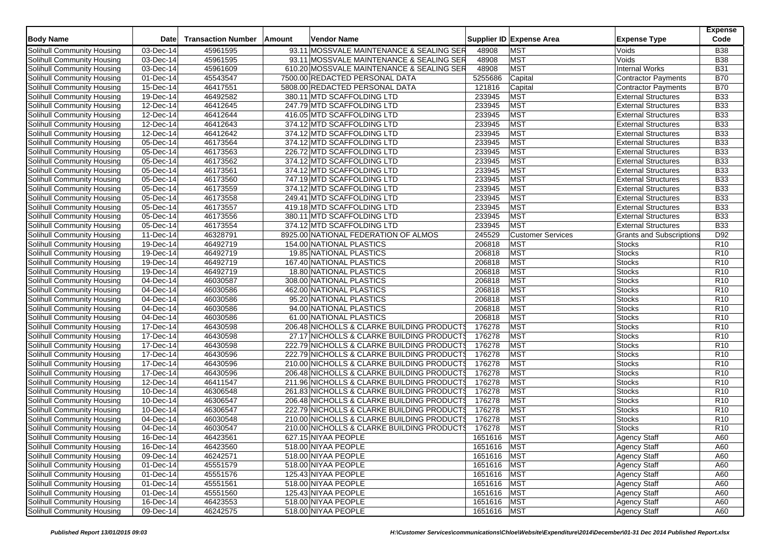| <b>Body Name</b>                  | Date                    | <b>Transaction Number</b> | Amount | Vendor Name                                |             | Supplier ID Expense Area | <b>Expense Type</b>             | <b>Expense</b><br>Code |
|-----------------------------------|-------------------------|---------------------------|--------|--------------------------------------------|-------------|--------------------------|---------------------------------|------------------------|
| Solihull Community Housing        | 03-Dec-14               | 45961595                  |        | 93.11 MOSSVALE MAINTENANCE & SEALING SER   | 48908       | <b>MST</b>               | Voids                           | <b>B38</b>             |
| Solihull Community Housing        | 03-Dec-14               | 45961595                  |        | 93.11 MOSSVALE MAINTENANCE & SEALING SER   | 48908       | <b>MST</b>               | Voids                           | <b>B38</b>             |
| Solihull Community Housing        | 03-Dec-14               | 45961609                  |        | 610.20 MOSSVALE MAINTENANCE & SEALING SER  | 48908       | <b>MST</b>               | <b>Internal Works</b>           | <b>B31</b>             |
| Solihull Community Housing        | 01-Dec-14               | 45543547                  |        | 7500.00 REDACTED PERSONAL DATA             | 5255686     | Capital                  | Contractor Payments             | <b>B70</b>             |
| Solihull Community Housing        | 15-Dec-14               | 46417551                  |        | 5808.00 REDACTED PERSONAL DATA             | 121816      | Capital                  | <b>Contractor Payments</b>      | <b>B70</b>             |
| Solihull Community Housing        | 19-Dec-14               | 46492582                  |        | 380.11 MTD SCAFFOLDING LTD                 | 233945      | <b>MST</b>               | <b>External Structures</b>      | <b>B33</b>             |
| Solihull Community Housing        | 12-Dec-14               | 46412645                  |        | 247.79 MTD SCAFFOLDING LTD                 | 233945      | <b>MST</b>               | <b>External Structures</b>      | <b>B33</b>             |
| Solihull Community Housing        | 12-Dec-14               | 46412644                  |        | 416.05 MTD SCAFFOLDING LTD                 | 233945      | <b>MST</b>               | <b>External Structures</b>      | <b>B33</b>             |
| Solihull Community Housing        | 12-Dec-14               | 46412643                  |        | 374.12 MTD SCAFFOLDING LTD                 | 233945      | <b>MST</b>               | <b>External Structures</b>      | <b>B33</b>             |
| Solihull Community Housing        | 12-Dec-14               | 46412642                  |        | 374.12 MTD SCAFFOLDING LTD                 | 233945      | <b>MST</b>               | <b>External Structures</b>      | <b>B33</b>             |
| Solihull Community Housing        | 05-Dec-14               | 46173564                  |        | 374.12 MTD SCAFFOLDING LTD                 | 233945      | <b>MST</b>               | <b>External Structures</b>      | <b>B33</b>             |
| Solihull Community Housing        | 05-Dec-14               | 46173563                  |        | 226.72 MTD SCAFFOLDING LTD                 | 233945      | <b>MST</b>               | <b>External Structures</b>      | <b>B33</b>             |
| Solihull Community Housing        | 05-Dec-14               | 46173562                  |        | 374.12 MTD SCAFFOLDING LTD                 | 233945      | <b>MST</b>               | <b>External Structures</b>      | <b>B33</b>             |
| Solihull Community Housing        | 05-Dec-14               | 46173561                  |        | 374.12 MTD SCAFFOLDING LTD                 | 233945      | <b>MST</b>               | <b>External Structures</b>      | <b>B33</b>             |
| Solihull Community Housing        | 05-Dec-14               | 46173560                  |        | 747.19 MTD SCAFFOLDING LTD                 | 233945      | <b>MST</b>               | <b>External Structures</b>      | <b>B33</b>             |
| Solihull Community Housing        | $\overline{05}$ -Dec-14 | 46173559                  |        | 374.12 MTD SCAFFOLDING LTD                 | 233945      | <b>MST</b>               | <b>External Structures</b>      | <b>B33</b>             |
| Solihull Community Housing        | 05-Dec-14               | 46173558                  |        | 249.41 MTD SCAFFOLDING LTD                 | 233945      | <b>MST</b>               | <b>External Structures</b>      | <b>B33</b>             |
| Solihull Community Housing        | 05-Dec-14               | 46173557                  |        | 419.18 MTD SCAFFOLDING LTD                 | 233945      | <b>MST</b>               | <b>External Structures</b>      | <b>B33</b>             |
| Solihull Community Housing        | 05-Dec-14               | 46173556                  |        | 380.11 MTD SCAFFOLDING LTD                 | 233945      | <b>MST</b>               | <b>External Structures</b>      | <b>B33</b>             |
| Solihull Community Housing        | 05-Dec-14               | 46173554                  |        | 374.12 MTD SCAFFOLDING LTD                 | 233945      | <b>MST</b>               | <b>External Structures</b>      | <b>B33</b>             |
| Solihull Community Housing        | 11-Dec-14               | 46328791                  |        | 8925.00 NATIONAL FEDERATION OF ALMOS       | 245529      | <b>Customer Services</b> | <b>Grants and Subscriptions</b> | D92                    |
| Solihull Community Housing        | 19-Dec-14               | 46492719                  |        | 154.00 NATIONAL PLASTICS                   | 206818      | <b>MST</b>               | <b>Stocks</b>                   | R <sub>10</sub>        |
| Solihull Community Housing        | 19-Dec-14               | 46492719                  |        | 19.85 NATIONAL PLASTICS                    | 206818      | <b>MST</b>               | <b>Stocks</b>                   | R <sub>10</sub>        |
| Solihull Community Housing        | 19-Dec-14               | 46492719                  |        | 167.40 NATIONAL PLASTICS                   | 206818      | <b>MST</b>               | <b>Stocks</b>                   | R <sub>10</sub>        |
| Solihull Community Housing        | 19-Dec-14               | 46492719                  |        | 18.80 NATIONAL PLASTICS                    | 206818      | <b>MST</b>               | <b>Stocks</b>                   | R <sub>10</sub>        |
| Solihull Community Housing        | 04-Dec-14               | 46030587                  |        | 308.00 NATIONAL PLASTICS                   | 206818      | <b>MST</b>               | <b>Stocks</b>                   | R <sub>10</sub>        |
| Solihull Community Housing        | 04-Dec-14               | 46030586                  |        | 462.00 NATIONAL PLASTICS                   | 206818      | <b>MST</b>               | <b>Stocks</b>                   | R <sub>10</sub>        |
| Solihull Community Housing        | 04-Dec-14               | 46030586                  |        | 95.20 NATIONAL PLASTICS                    | 206818      | <b>MST</b>               | <b>Stocks</b>                   | R <sub>10</sub>        |
| Solihull Community Housing        | 04-Dec-14               | 46030586                  |        | 94.00 NATIONAL PLASTICS                    | 206818      | MST                      | <b>Stocks</b>                   | R <sub>10</sub>        |
| Solihull Community Housing        | 04-Dec-14               | 46030586                  |        | 61.00 NATIONAL PLASTICS                    | 206818      | <b>MST</b>               | <b>Stocks</b>                   | R <sub>10</sub>        |
| Solihull Community Housing        | 17-Dec-14               | 46430598                  |        | 206.48 NICHOLLS & CLARKE BUILDING PRODUCTS | 176278      | <b>MST</b>               | <b>Stocks</b>                   | R10                    |
| Solihull Community Housing        | 17-Dec-14               | 46430598                  |        | 27.17 NICHOLLS & CLARKE BUILDING PRODUCTS  | 176278      | <b>MST</b>               | Stocks                          | R <sub>10</sub>        |
| Solihull Community Housing        | 17-Dec-14               | 46430598                  |        | 222.79 NICHOLLS & CLARKE BUILDING PRODUCTS | 176278      | <b>MST</b>               | <b>Stocks</b>                   | R <sub>10</sub>        |
| Solihull Community Housing        | 17-Dec-14               | 46430596                  |        | 222.79 NICHOLLS & CLARKE BUILDING PRODUCTS | 176278      | <b>MST</b>               | <b>Stocks</b>                   | R <sub>10</sub>        |
| Solihull Community Housing        | 17-Dec-14               | 46430596                  |        | 210.00 NICHOLLS & CLARKE BUILDING PRODUCTS | 176278      | <b>MST</b>               | <b>Stocks</b>                   | R <sub>10</sub>        |
| <b>Solihull Community Housing</b> | 17-Dec-14               | 46430596                  |        | 206.48 NICHOLLS & CLARKE BUILDING PRODUCTS | 176278      | <b>MST</b>               | <b>Stocks</b>                   | R <sub>10</sub>        |
| Solihull Community Housing        | 12-Dec-14               | 46411547                  |        | 211.96 NICHOLLS & CLARKE BUILDING PRODUCTS | 176278      | <b>MST</b>               | <b>Stocks</b>                   | R <sub>10</sub>        |
| Solihull Community Housing        | $\overline{10}$ -Dec-14 | 46306548                  |        | 261.83 NICHOLLS & CLARKE BUILDING PRODUCTS | 176278      | <b>MST</b>               | Stocks                          | R <sub>10</sub>        |
| Solihull Community Housing        | 10-Dec-14               | 46306547                  |        | 206.48 NICHOLLS & CLARKE BUILDING PRODUCTS | 176278      | <b>MST</b>               | <b>Stocks</b>                   | R <sub>10</sub>        |
| Solihull Community Housing        | 10-Dec-14               | 46306547                  |        | 222.79 NICHOLLS & CLARKE BUILDING PRODUCTS | 176278      | <b>MST</b>               | <b>Stocks</b>                   | R <sub>10</sub>        |
| Solihull Community Housing        | 04-Dec-14               | 46030548                  |        | 210.00 NICHOLLS & CLARKE BUILDING PRODUCTS | 176278      | <b>MST</b>               | <b>Stocks</b>                   | R <sub>10</sub>        |
| Solihull Community Housing        | 04-Dec-14               | 46030547                  |        | 210.00 NICHOLLS & CLARKE BUILDING PRODUCTS | 176278      | <b>MST</b>               | <b>Stocks</b>                   | R10                    |
| Solihull Community Housing        | 16-Dec-14               | 46423561                  |        | 627.15 NIYAA PEOPLE                        | 1651616     | <b>MST</b>               | <b>Agency Staff</b>             | A60                    |
| Solihull Community Housing        | 16-Dec-14               | 46423560                  |        | 518.00 NIYAA PEOPLE                        | 1651616 MST |                          | <b>Agency Staff</b>             | A60                    |
| Solihull Community Housing        | 09-Dec-14               | 46242571                  |        | 518.00 NIYAA PEOPLE                        | 1651616     | <b>MST</b>               | <b>Agency Staff</b>             | A60                    |
| Solihull Community Housing        | $\overline{01}$ -Dec-14 | 45551579                  |        | 518.00 NIYAA PEOPLE                        | 1651616     | <b>MST</b>               | <b>Agency Staff</b>             | A60                    |
| Solihull Community Housing        | 01-Dec-14               | 45551576                  |        | 125.43 NIYAA PEOPLE                        | 1651616     | <b>MST</b>               | <b>Agency Staff</b>             | A60                    |
| Solihull Community Housing        | 01-Dec-14               | 45551561                  |        | 518.00 NIYAA PEOPLE                        | 1651616     | <b>MST</b>               | <b>Agency Staff</b>             | A60                    |
| Solihull Community Housing        | 01-Dec-14               | 45551560                  |        | 125.43 NIYAA PEOPLE                        | 1651616     | <b>MST</b>               | <b>Agency Staff</b>             | A60                    |
| Solihull Community Housing        | 16-Dec-14               | 46423553                  |        | 518.00 NIYAA PEOPLE                        | 1651616     | <b>MST</b>               | <b>Agency Staff</b>             | A60                    |
| Solihull Community Housing        | 09-Dec-14               | 46242575                  |        | 518.00 NIYAA PEOPLE                        | 1651616     | <b>MST</b>               | Agency Staff                    | A60                    |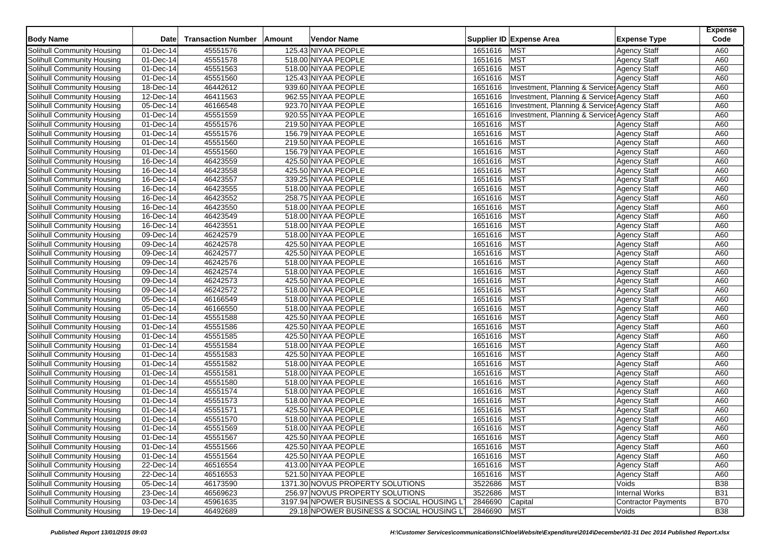| <b>Body Name</b>                  | <b>Date</b>             | <b>Transaction Number</b> | Amount | <b>Vendor Name</b>                          |             | Supplier ID Expense Area                     | <b>Expense Type</b>        | <b>Expense</b><br>Code |
|-----------------------------------|-------------------------|---------------------------|--------|---------------------------------------------|-------------|----------------------------------------------|----------------------------|------------------------|
| Solihull Community Housing        | 01-Dec-14               | 45551576                  |        | 125.43 NIYAA PEOPLE                         | 1651616     | <b>MST</b>                                   | <b>Agency Staff</b>        | A60                    |
| Solihull Community Housing        | 01-Dec-14               | 45551578                  |        | 518.00 NIYAA PEOPLE                         | 1651616     | <b>MST</b>                                   | <b>Agency Staff</b>        | A60                    |
| Solihull Community Housing        | 01-Dec-14               | 45551563                  |        | 518.00 NIYAA PEOPLE                         | 1651616     | <b>MST</b>                                   | <b>Agency Staff</b>        | A60                    |
| Solihull Community Housing        | 01-Dec-14               | 45551560                  |        | 125.43 NIYAA PEOPLE                         | 1651616     | <b>MST</b>                                   | <b>Agency Staff</b>        | A60                    |
| Solihull Community Housing        | 18-Dec-14               | 46442612                  |        | 939.60 NIYAA PEOPLE                         | 1651616     | Investment, Planning & Service: Agency Staff |                            | A60                    |
| Solihull Community Housing        | 12-Dec-14               | 46411563                  |        | 962.55 NIYAA PEOPLE                         | 1651616     | Investment, Planning & Service: Agency Staff |                            | A60                    |
| Solihull Community Housing        | $\overline{05}$ -Dec-14 | 46166548                  |        | 923.70 NIYAA PEOPLE                         | 1651616     | Investment, Planning & Service: Agency Staff |                            | A60                    |
| <b>Solihull Community Housing</b> | 01-Dec-14               | 45551559                  |        | 920.55 NIYAA PEOPLE                         | 1651616     | Investment, Planning & Service: Agency Staff |                            | A60                    |
| Solihull Community Housing        | 01-Dec-14               | 45551576                  |        | 219.50 NIYAA PEOPLE                         | 1651616     | <b>MST</b>                                   | <b>Agency Staff</b>        | A60                    |
| Solihull Community Housing        | $\overline{01-Dec-14}$  | 45551576                  |        | 156.79 NIYAA PEOPLE                         | 1651616     | <b>MST</b>                                   | <b>Agency Staff</b>        | A60                    |
| Solihull Community Housing        | 01-Dec-14               | 45551560                  |        | 219.50 NIYAA PEOPLE                         | 1651616     | <b>MST</b>                                   | <b>Agency Staff</b>        | A60                    |
| Solihull Community Housing        | 01-Dec-14               | 45551560                  |        | 156.79 NIYAA PEOPLE                         | 1651616     | <b>MST</b>                                   | <b>Agency Staff</b>        | A60                    |
| Solihull Community Housing        | 16-Dec-14               | 46423559                  |        | 425.50 NIYAA PEOPLE                         | 1651616     | <b>MST</b>                                   | <b>Agency Staff</b>        | A60                    |
| Solihull Community Housing        | 16-Dec-14               | 46423558                  |        | 425.50 NIYAA PEOPLE                         | 1651616     | <b>MST</b>                                   | <b>Agency Staff</b>        | A60                    |
| Solihull Community Housing        | 16-Dec-14               | 46423557                  |        | 339.25 NIYAA PEOPLE                         | 1651616     | <b>MST</b>                                   | Agency Staff               | A60                    |
| Solihull Community Housing        | $16$ -Dec-14            | 46423555                  |        | 518.00 NIYAA PEOPLE                         | 1651616     | <b>MST</b>                                   | <b>Agency Staff</b>        | A60                    |
| Solihull Community Housing        | 16-Dec-14               | 46423552                  |        | 258.75 NIYAA PEOPLE                         | 1651616     | <b>MST</b>                                   | Agency Staff               | A60                    |
| Solihull Community Housing        | 16-Dec-14               | 46423550                  |        | 518.00 NIYAA PEOPLE                         | 1651616     | <b>MST</b>                                   | Agency Staff               | A60                    |
| Solihull Community Housing        | 16-Dec-14               | 46423549                  |        | 518.00 NIYAA PEOPLE                         | 1651616     | <b>MST</b>                                   | <b>Agency Staff</b>        | A60                    |
| Solihull Community Housing        | $16$ -Dec-14            | 46423551                  |        | 518.00 NIYAA PEOPLE                         | 1651616     | <b>MST</b>                                   | <b>Agency Staff</b>        | A60                    |
| Solihull Community Housing        | 09-Dec-14               | 46242579                  |        | 518.00 NIYAA PEOPLE                         | 1651616     | <b>MST</b>                                   | <b>Agency Staff</b>        | A60                    |
| Solihull Community Housing        | 09-Dec-14               | 46242578                  |        | 425.50 NIYAA PEOPLE                         | 1651616     | <b>MST</b>                                   |                            | A60                    |
|                                   |                         | 46242577                  |        | 425.50 NIYAA PEOPLE                         | 1651616     | <b>MST</b>                                   | <b>Agency Staff</b>        | A60                    |
| Solihull Community Housing        | 09-Dec-14               |                           |        |                                             |             |                                              | Agency Staff               |                        |
| Solihull Community Housing        | 09-Dec-14               | 46242576                  |        | 518.00 NIYAA PEOPLE                         | 1651616     | <b>MST</b>                                   | <b>Agency Staff</b>        | A60                    |
| Solihull Community Housing        | $\overline{09}$ -Dec-14 | 46242574                  |        | 518.00 NIYAA PEOPLE                         | 1651616     | <b>MST</b>                                   | <b>Agency Staff</b>        | A60                    |
| <b>Solihull Community Housing</b> | 09-Dec-14               | 46242573                  |        | 425.50 NIYAA PEOPLE                         | 1651616     | <b>MST</b>                                   | <b>Agency Staff</b>        | A60                    |
| Solihull Community Housing        | 09-Dec-14               | 46242572                  |        | 518.00 NIYAA PEOPLE                         | 1651616     | <b>MST</b>                                   | <b>Agency Staff</b>        | A60                    |
| Solihull Community Housing        | 05-Dec-14               | 46166549                  |        | 518.00 NIYAA PEOPLE                         | 1651616     | <b>MST</b>                                   | <b>Agency Staff</b>        | A60                    |
| Solihull Community Housing        | 05-Dec-14               | 46166550                  |        | 518.00 NIYAA PEOPLE                         | 1651616     | <b>MST</b>                                   | <b>Agency Staff</b>        | A60                    |
| Solihull Community Housing        | 01-Dec-14               | 45551588                  |        | 425.50 NIYAA PEOPLE                         | 1651616     | <b>MST</b>                                   | <b>Agency Staff</b>        | A60                    |
| Solihull Community Housing        | 01-Dec-14               | 45551586                  |        | 425.50 NIYAA PEOPLE                         | 1651616     | <b>MST</b>                                   | <b>Agency Staff</b>        | A60                    |
| Solihull Community Housing        | 01-Dec-14               | 45551585                  |        | 425.50 NIYAA PEOPLE                         | 1651616     | <b>MST</b>                                   | <b>Agency Staff</b>        | A60                    |
| Solihull Community Housing        | 01-Dec-14               | 45551584                  |        | 518.00 NIYAA PEOPLE                         | 1651616     | <b>MST</b>                                   | <b>Agency Staff</b>        | A60                    |
| Solihull Community Housing        | 01-Dec-14               | 45551583                  |        | 425.50 NIYAA PEOPLE                         | 1651616     | <b>MST</b>                                   | <b>Agency Staff</b>        | A60                    |
| Solihull Community Housing        | 01-Dec-14               | 45551582                  |        | 518.00 NIYAA PEOPLE                         | 1651616     | <b>MST</b>                                   | <b>Agency Staff</b>        | A60                    |
| <b>Solihull Community Housing</b> | 01-Dec-14               | 45551581                  |        | 518.00 NIYAA PEOPLE                         | 1651616     | <b>MST</b>                                   | <b>Agency Staff</b>        | A60                    |
| Solihull Community Housing        | 01-Dec-14               | 45551580                  |        | 518.00 NIYAA PEOPLE                         | 1651616     | <b>MST</b>                                   | <b>Agency Staff</b>        | A60                    |
| Solihull Community Housing        | 01-Dec-14               | 45551574                  |        | 518.00 NIYAA PEOPLE                         | 1651616     | <b>MST</b>                                   | <b>Agency Staff</b>        | A60                    |
| Solihull Community Housing        | 01-Dec-14               | 45551573                  |        | 518.00 NIYAA PEOPLE                         | 1651616     | <b>MST</b>                                   | <b>Agency Staff</b>        | A60                    |
| Solihull Community Housing        | 01-Dec-14               | 45551571                  |        | 425.50 NIYAA PEOPLE                         | 1651616     | <b>MST</b>                                   | <b>Agency Staff</b>        | A60                    |
| Solihull Community Housing        | 01-Dec-14               | 45551570                  |        | 518.00 NIYAA PEOPLE                         | 1651616     | <b>MST</b>                                   | <b>Agency Staff</b>        | A60                    |
| Solihull Community Housing        | 01-Dec-14               | 45551569                  |        | 518.00 NIYAA PEOPLE                         | 1651616     | <b>MST</b>                                   | <b>Agency Staff</b>        | A60                    |
| Solihull Community Housing        | 01-Dec-14               | 45551567                  |        | 425.50 NIYAA PEOPLE                         | 1651616     | <b>MST</b>                                   | <b>Agency Staff</b>        | A60                    |
| Solihull Community Housing        | 01-Dec-14               | 45551566                  |        | 425.50 NIYAA PEOPLE                         | 1651616 MST |                                              | <b>Agency Staff</b>        | A60                    |
| Solihull Community Housing        | 01-Dec-14               | 45551564                  |        | 425.50 NIYAA PEOPLE                         | 1651616 MST |                                              | <b>Agency Staff</b>        | A60                    |
| Solihull Community Housing        | 22-Dec-14               | 46516554                  |        | 413.00 NIYAA PEOPLE                         | 1651616 MST |                                              | <b>Agency Staff</b>        | A60                    |
| Solihull Community Housing        | 22-Dec-14               | 46516553                  |        | 521.50 NIYAA PEOPLE                         | 1651616 MST |                                              | <b>Agency Staff</b>        | A60                    |
| Solihull Community Housing        | 05-Dec-14               | 46173590                  |        | 1371.30 NOVUS PROPERTY SOLUTIONS            | 3522686     | <b>MST</b>                                   | Voids                      | <b>B38</b>             |
| Solihull Community Housing        | 23-Dec-14               | 46569623                  |        | 256.97 NOVUS PROPERTY SOLUTIONS             | 3522686     | <b>MST</b>                                   | <b>Internal Works</b>      | <b>B31</b>             |
| <b>Solihull Community Housing</b> | 03-Dec-14               | 45961635                  |        | 3197.94 NPOWER BUSINESS & SOCIAL HOUSING LT | 2846690     | Capital                                      | <b>Contractor Payments</b> | <b>B70</b>             |
| Solihull Community Housing        | 19-Dec-14               | 46492689                  |        | 29.18 NPOWER BUSINESS & SOCIAL HOUSING LT   | 2846690 MST |                                              | Voids                      | <b>B38</b>             |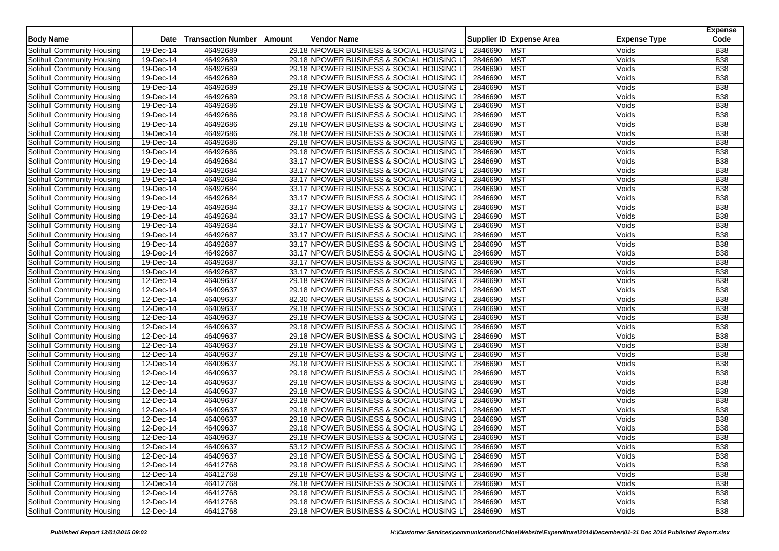| <b>Body Name</b>           | Date                    | <b>Transaction Number</b> | Amount | Vendor Name                               |             | Supplier ID Expense Area | <b>Expense Type</b> | <b>Expense</b><br>Code |
|----------------------------|-------------------------|---------------------------|--------|-------------------------------------------|-------------|--------------------------|---------------------|------------------------|
| Solihull Community Housing | $\overline{19}$ -Dec-14 | 46492689                  |        | 29.18 NPOWER BUSINESS & SOCIAL HOUSING L  | 2846690     | <b>MST</b>               | Voids               | <b>B38</b>             |
| Solihull Community Housing | 19-Dec-14               | 46492689                  |        | 29.18 NPOWER BUSINESS & SOCIAL HOUSING LT | 2846690     | <b>MST</b>               | Voids               | <b>B38</b>             |
| Solihull Community Housing | 19-Dec-14               | 46492689                  |        | 29.18 NPOWER BUSINESS & SOCIAL HOUSING LT | 2846690     | <b>MST</b>               | Voids               | <b>B38</b>             |
| Solihull Community Housing | 19-Dec-14               | 46492689                  |        | 29.18 NPOWER BUSINESS & SOCIAL HOUSING LT | 2846690     | <b>MST</b>               | Voids               | <b>B38</b>             |
| Solihull Community Housing | 19-Dec-14               | 46492689                  |        | 29.18 NPOWER BUSINESS & SOCIAL HOUSING LT | 2846690     | <b>MST</b>               | Voids               | <b>B38</b>             |
| Solihull Community Housing | 19-Dec-14               | 46492689                  |        | 29.18 NPOWER BUSINESS & SOCIAL HOUSING LT | 2846690     | <b>MST</b>               | Voids               | <b>B38</b>             |
| Solihull Community Housing | 19-Dec-14               | 46492686                  |        | 29.18 NPOWER BUSINESS & SOCIAL HOUSING LT | 2846690     | <b>MST</b>               | Voids               | <b>B38</b>             |
| Solihull Community Housing | 19-Dec-14               | 46492686                  |        | 29.18 NPOWER BUSINESS & SOCIAL HOUSING LT | 2846690     | <b>MST</b>               | Voids               | <b>B</b> 38            |
| Solihull Community Housing | 19-Dec-14               | 46492686                  |        | 29.18 NPOWER BUSINESS & SOCIAL HOUSING LT | 2846690     | <b>MST</b>               | Voids               | <b>B38</b>             |
| Solihull Community Housing | 19-Dec-14               | 46492686                  |        | 29.18 NPOWER BUSINESS & SOCIAL HOUSING LT | 2846690     | <b>MST</b>               | Voids               | <b>B38</b>             |
| Solihull Community Housing | 19-Dec-14               | 46492686                  |        | 29.18 NPOWER BUSINESS & SOCIAL HOUSING LT | 2846690     | <b>MST</b>               | Voids               | <b>B38</b>             |
| Solihull Community Housing | 19-Dec-14               | 46492686                  |        | 29.18 NPOWER BUSINESS & SOCIAL HOUSING LT | 2846690     | <b>MST</b>               | Voids               | <b>B38</b>             |
| Solihull Community Housing | 19-Dec-14               | 46492684                  |        | 33.17 NPOWER BUSINESS & SOCIAL HOUSING L  | 2846690     | <b>MST</b>               | Voids               | <b>B38</b>             |
| Solihull Community Housing | 19-Dec-14               | 46492684                  |        | 33.17 NPOWER BUSINESS & SOCIAL HOUSING LT | 2846690     | <b>MST</b>               | Voids               | <b>B38</b>             |
| Solihull Community Housing | 19-Dec-14               | 46492684                  |        | 33.17 NPOWER BUSINESS & SOCIAL HOUSING LT | 2846690     | <b>MST</b>               | Voids               | <b>B38</b>             |
| Solihull Community Housing | 19-Dec-14               | 46492684                  |        | 33.17 NPOWER BUSINESS & SOCIAL HOUSING LT | 2846690     | <b>MST</b>               | Voids               | <b>B38</b>             |
| Solihull Community Housing | 19-Dec-14               | 46492684                  |        | 33.17 NPOWER BUSINESS & SOCIAL HOUSING LT | 2846690     | <b>MST</b>               | Voids               | <b>B38</b>             |
| Solihull Community Housing | 19-Dec-14               | 46492684                  |        | 33.17 NPOWER BUSINESS & SOCIAL HOUSING LT | 2846690     | <b>MST</b>               | Voids               | <b>B38</b>             |
| Solihull Community Housing | 19-Dec-14               | 46492684                  |        | 33.17 NPOWER BUSINESS & SOCIAL HOUSING L  | 2846690     | <b>MST</b>               | Voids               | <b>B</b> 38            |
| Solihull Community Housing | $19-Dec-14$             | 46492684                  |        | 33.17 NPOWER BUSINESS & SOCIAL HOUSING LT | 2846690     | <b>MST</b>               | Voids               | <b>B38</b>             |
| Solihull Community Housing | 19-Dec-14               | 46492687                  |        | 33.17 NPOWER BUSINESS & SOCIAL HOUSING LT | 2846690     | <b>MST</b>               | Voids               | <b>B38</b>             |
| Solihull Community Housing | 19-Dec-14               | 46492687                  |        | 33.17 NPOWER BUSINESS & SOCIAL HOUSING LT | 2846690     | <b>MST</b>               | Voids               | <b>B38</b>             |
| Solihull Community Housing | 19-Dec-14               | 46492687                  |        | 33.17 NPOWER BUSINESS & SOCIAL HOUSING LT | 2846690     | <b>MST</b>               | Voids               | <b>B38</b>             |
| Solihull Community Housing | 19-Dec-14               | 46492687                  |        | 33.17 NPOWER BUSINESS & SOCIAL HOUSING LT | 2846690     | <b>MST</b>               | Voids               | <b>B38</b>             |
| Solihull Community Housing | 19-Dec-14               | 46492687                  |        | 33.17 NPOWER BUSINESS & SOCIAL HOUSING LT | 2846690     | <b>MST</b>               | Voids               | <b>B38</b>             |
| Solihull Community Housing | 12-Dec-14               | 46409637                  |        | 29.18 NPOWER BUSINESS & SOCIAL HOUSING LT | 2846690     | <b>MST</b>               | Voids               | <b>B38</b>             |
| Solihull Community Housing | 12-Dec-14               | 46409637                  |        | 29.18 NPOWER BUSINESS & SOCIAL HOUSING LT | 2846690     | <b>MST</b>               | Voids               | <b>B38</b>             |
| Solihull Community Housing | 12-Dec-14               | 46409637                  |        | 82.30 NPOWER BUSINESS & SOCIAL HOUSING LT | 2846690     | <b>MST</b>               | Voids               | <b>B38</b>             |
| Solihull Community Housing | 12-Dec-14               | 46409637                  |        | 29.18 NPOWER BUSINESS & SOCIAL HOUSING LT | 2846690     | <b>MST</b>               | Voids               | <b>B38</b>             |
| Solihull Community Housing | 12-Dec-14               | 46409637                  |        | 29.18 NPOWER BUSINESS & SOCIAL HOUSING LT | 2846690     | <b>MST</b>               | Voids               | <b>B38</b>             |
| Solihull Community Housing | 12-Dec-14               | 46409637                  |        | 29.18 NPOWER BUSINESS & SOCIAL HOUSING LT | 2846690     | <b>MST</b>               | Voids               | <b>B</b> 38            |
| Solihull Community Housing | 12-Dec-14               | 46409637                  |        | 29.18 NPOWER BUSINESS & SOCIAL HOUSING LT | 2846690     | <b>MST</b>               | Voids               | <b>B38</b>             |
| Solihull Community Housing | 12-Dec-14               | 46409637                  |        | 29.18 NPOWER BUSINESS & SOCIAL HOUSING LT | 2846690     | <b>MST</b>               | Voids               | <b>B38</b>             |
| Solihull Community Housing | 12-Dec-14               | 46409637                  |        | 29.18 NPOWER BUSINESS & SOCIAL HOUSING LT | 2846690     | <b>MST</b>               | Voids               | <b>B38</b>             |
| Solihull Community Housing | $\overline{12}$ -Dec-14 | 46409637                  |        | 29.18 NPOWER BUSINESS & SOCIAL HOUSING L  | 2846690     | <b>MST</b>               | Voids               | <b>B38</b>             |
| Solihull Community Housing | 12-Dec-14               | 46409637                  |        | 29.18 NPOWER BUSINESS & SOCIAL HOUSING LT | 2846690     | <b>MST</b>               | Voids               | <b>B38</b>             |
| Solihull Community Housing | 12-Dec-14               | 46409637                  |        | 29.18 NPOWER BUSINESS & SOCIAL HOUSING LT | 2846690     | <b>MST</b>               | Voids               | <b>B38</b>             |
| Solihull Community Housing | 12-Dec-14               | 46409637                  |        | 29.18 NPOWER BUSINESS & SOCIAL HOUSING L  | 2846690     | <b>MST</b>               | Voids               | <b>B38</b>             |
| Solihull Community Housing | 12-Dec-14               | 46409637                  |        | 29.18 NPOWER BUSINESS & SOCIAL HOUSING LT | 2846690     | <b>MST</b>               | Voids               | <b>B38</b>             |
| Solihull Community Housing | 12-Dec-14               | 46409637                  |        | 29.18 NPOWER BUSINESS & SOCIAL HOUSING LT | 2846690     | <b>MST</b>               | Voids               | <b>B38</b>             |
| Solihull Community Housing | 12-Dec-14               | 46409637                  |        | 29.18 NPOWER BUSINESS & SOCIAL HOUSING L  | 2846690     | <b>MST</b>               | Voids               | <b>B38</b>             |
| Solihull Community Housing | 12-Dec-14               | 46409637                  |        | 29.18 NPOWER BUSINESS & SOCIAL HOUSING LT | 2846690     | <b>MST</b>               | Voids               | <b>B38</b>             |
| Solihull Community Housing | 12-Dec-14               | 46409637                  |        | 29.18 NPOWER BUSINESS & SOCIAL HOUSING LT | 2846690     | <b>MST</b>               | Voids               | <b>B38</b>             |
| Solihull Community Housing | 12-Dec-14               | 46409637                  |        | 53.12 NPOWER BUSINESS & SOCIAL HOUSING LT | 2846690 MST |                          | Voids               | <b>B38</b>             |
| Solihull Community Housing | 12-Dec-14               | 46409637                  |        | 29.18 NPOWER BUSINESS & SOCIAL HOUSING LT | 2846690     | <b>MST</b>               | Voids               | <b>B38</b>             |
| Solihull Community Housing | 12-Dec-14               | 46412768                  |        | 29.18 NPOWER BUSINESS & SOCIAL HOUSING LT | 2846690     | <b>MST</b>               | Voids               | <b>B38</b>             |
| Solihull Community Housing | 12-Dec-14               | 46412768                  |        | 29.18 NPOWER BUSINESS & SOCIAL HOUSING LT | 2846690     | <b>MST</b>               | Voids               | <b>B38</b>             |
| Solihull Community Housing | 12-Dec-14               | 46412768                  |        | 29.18 NPOWER BUSINESS & SOCIAL HOUSING LT | 2846690     | <b>MST</b>               | Voids               | <b>B38</b>             |
| Solihull Community Housing | 12-Dec-14               | 46412768                  |        | 29.18 NPOWER BUSINESS & SOCIAL HOUSING LT | 2846690     | <b>MST</b>               | Voids               | <b>B38</b>             |
| Solihull Community Housing | 12-Dec-14               | 46412768                  |        | 29.18 NPOWER BUSINESS & SOCIAL HOUSING LT | 2846690     | <b>MST</b>               | Voids               | <b>B38</b>             |
| Solihull Community Housing | 12-Dec-14               | 46412768                  |        | 29.18 NPOWER BUSINESS & SOCIAL HOUSING LT | 2846690 MST |                          | Voids               | <b>B38</b>             |
|                            |                         |                           |        |                                           |             |                          |                     |                        |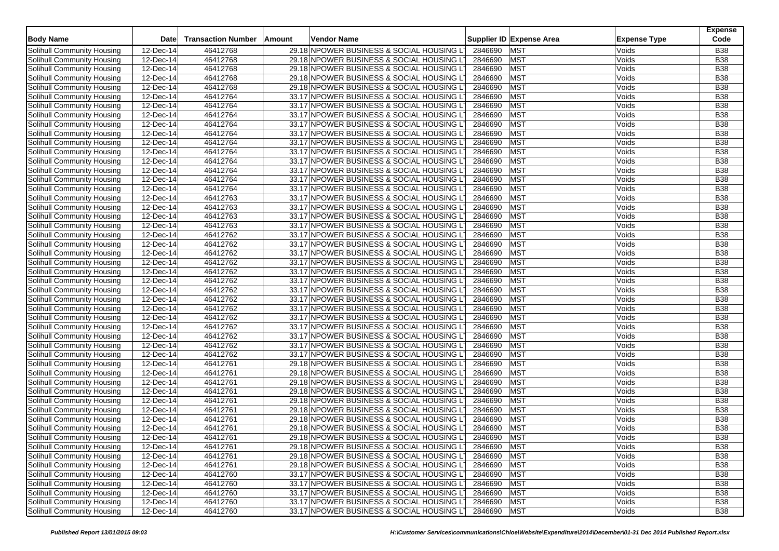| <b>Body Name</b>           | Date                    | <b>Transaction Number</b> | Amount | Vendor Name                               |             | Supplier ID Expense Area | <b>Expense Type</b> | <b>Expense</b><br>Code |
|----------------------------|-------------------------|---------------------------|--------|-------------------------------------------|-------------|--------------------------|---------------------|------------------------|
| Solihull Community Housing | 12-Dec-14               | 46412768                  |        | 29.18 NPOWER BUSINESS & SOCIAL HOUSING L  | 2846690     | <b>MST</b>               | Voids               | <b>B38</b>             |
| Solihull Community Housing | 12-Dec-14               | 46412768                  |        | 29.18 NPOWER BUSINESS & SOCIAL HOUSING LT | 2846690     | <b>MST</b>               | Voids               | <b>B38</b>             |
| Solihull Community Housing | 12-Dec-14               | 46412768                  |        | 29.18 NPOWER BUSINESS & SOCIAL HOUSING LT | 2846690     | <b>MST</b>               | Voids               | <b>B38</b>             |
| Solihull Community Housing | 12-Dec-14               | 46412768                  |        | 29.18 NPOWER BUSINESS & SOCIAL HOUSING LT | 2846690     | <b>MST</b>               | Voids               | <b>B38</b>             |
| Solihull Community Housing | 12-Dec-14               | 46412768                  |        | 29.18 NPOWER BUSINESS & SOCIAL HOUSING LT | 2846690     | <b>MST</b>               | Voids               | <b>B38</b>             |
| Solihull Community Housing | 12-Dec-14               | 46412764                  |        | 33.17 NPOWER BUSINESS & SOCIAL HOUSING LT | 2846690     | <b>MST</b>               | Voids               | <b>B38</b>             |
| Solihull Community Housing | 12-Dec-14               | 46412764                  |        | 33.17 NPOWER BUSINESS & SOCIAL HOUSING LT | 2846690     | <b>MST</b>               | Voids               | <b>B38</b>             |
| Solihull Community Housing | 12-Dec-14               | 46412764                  |        | 33.17 NPOWER BUSINESS & SOCIAL HOUSING LT | 2846690     | <b>MST</b>               | Voids               | <b>B</b> 38            |
| Solihull Community Housing | 12-Dec-14               | 46412764                  |        | 33.17 NPOWER BUSINESS & SOCIAL HOUSING LT | 2846690     | <b>MST</b>               | Voids               | <b>B38</b>             |
| Solihull Community Housing | 12-Dec-14               | 46412764                  |        | 33.17 NPOWER BUSINESS & SOCIAL HOUSING LT | 2846690     | <b>MST</b>               | Voids               | <b>B38</b>             |
| Solihull Community Housing | 12-Dec-14               | 46412764                  |        | 33.17 NPOWER BUSINESS & SOCIAL HOUSING LT | 2846690     | <b>MST</b>               | Voids               | <b>B38</b>             |
| Solihull Community Housing | 12-Dec-14               | 46412764                  |        | 33.17 NPOWER BUSINESS & SOCIAL HOUSING LT | 2846690     | <b>MST</b>               | Voids               | <b>B38</b>             |
| Solihull Community Housing | 12-Dec-14               | 46412764                  |        | 33.17 NPOWER BUSINESS & SOCIAL HOUSING L  | 2846690     | <b>MST</b>               | Voids               | <b>B38</b>             |
| Solihull Community Housing | 12-Dec-14               | 46412764                  |        | 33.17 NPOWER BUSINESS & SOCIAL HOUSING LT | 2846690     | <b>MST</b>               | Voids               | <b>B38</b>             |
| Solihull Community Housing | 12-Dec-14               | 46412764                  |        | 33.17 NPOWER BUSINESS & SOCIAL HOUSING LT | 2846690     | <b>MST</b>               | Voids               | <b>B38</b>             |
| Solihull Community Housing | $12-Dec-14$             | 46412764                  |        | 33.17 NPOWER BUSINESS & SOCIAL HOUSING LT | 2846690     | <b>MST</b>               | Voids               | <b>B</b> 38            |
| Solihull Community Housing | 12-Dec-14               | 46412763                  |        | 33.17 NPOWER BUSINESS & SOCIAL HOUSING LT | 2846690     | <b>MST</b>               | Voids               | <b>B38</b>             |
| Solihull Community Housing | 12-Dec-14               | 46412763                  |        | 33.17 NPOWER BUSINESS & SOCIAL HOUSING LT | 2846690     | <b>MST</b>               | Voids               | <b>B38</b>             |
| Solihull Community Housing | 12-Dec-14               | 46412763                  |        | 33.17 NPOWER BUSINESS & SOCIAL HOUSING L  | 2846690     | <b>MST</b>               | Voids               | <b>B</b> 38            |
| Solihull Community Housing | 12-Dec-14               | 46412763                  |        | 33.17 NPOWER BUSINESS & SOCIAL HOUSING LT | 2846690     | <b>MST</b>               | Voids               | <b>B38</b>             |
| Solihull Community Housing | 12-Dec-14               | 46412762                  |        | 33.17 NPOWER BUSINESS & SOCIAL HOUSING LT | 2846690     | <b>MST</b>               | Voids               | <b>B38</b>             |
| Solihull Community Housing | 12-Dec-14               | 46412762                  |        | 33.17 NPOWER BUSINESS & SOCIAL HOUSING LT | 2846690     | <b>MST</b>               | Voids               | <b>B38</b>             |
| Solihull Community Housing | 12-Dec-14               | 46412762                  |        | 33.17 NPOWER BUSINESS & SOCIAL HOUSING LT | 2846690     | <b>MST</b>               | Voids               | <b>B38</b>             |
| Solihull Community Housing | 12-Dec-14               | 46412762                  |        | 33.17 NPOWER BUSINESS & SOCIAL HOUSING LT | 2846690     | <b>MST</b>               | Voids               | <b>B38</b>             |
| Solihull Community Housing | 12-Dec-14               | 46412762                  |        | 33.17 NPOWER BUSINESS & SOCIAL HOUSING LT | 2846690     | <b>MST</b>               | Voids               | <b>B38</b>             |
| Solihull Community Housing | 12-Dec-14               | 46412762                  |        | 33.17 NPOWER BUSINESS & SOCIAL HOUSING LT | 2846690     | <b>MST</b>               | Voids               | <b>B38</b>             |
| Solihull Community Housing | 12-Dec-14               | 46412762                  |        | 33.17 NPOWER BUSINESS & SOCIAL HOUSING LT | 2846690     | <b>MST</b>               | Voids               | <b>B38</b>             |
| Solihull Community Housing | 12-Dec-14               | 46412762                  |        | 33.17 NPOWER BUSINESS & SOCIAL HOUSING LT | 2846690     | <b>MST</b>               | Voids               | <b>B38</b>             |
| Solihull Community Housing | 12-Dec-14               | 46412762                  |        | 33.17 NPOWER BUSINESS & SOCIAL HOUSING LT | 2846690     | <b>MST</b>               | Voids               | <b>B38</b>             |
| Solihull Community Housing | 12-Dec-14               | 46412762                  |        | 33.17 NPOWER BUSINESS & SOCIAL HOUSING LT | 2846690     | <b>MST</b>               | Voids               | <b>B38</b>             |
| Solihull Community Housing | 12-Dec-14               | 46412762                  |        | 33.17 NPOWER BUSINESS & SOCIAL HOUSING LT | 2846690     | <b>MST</b>               | Voids               | <b>B</b> 38            |
| Solihull Community Housing | 12-Dec-14               | 46412762                  |        | 33.17 NPOWER BUSINESS & SOCIAL HOUSING LT | 2846690     | <b>MST</b>               | Voids               | <b>B38</b>             |
| Solihull Community Housing | 12-Dec-14               | 46412762                  |        | 33.17 NPOWER BUSINESS & SOCIAL HOUSING LT | 2846690     | <b>MST</b>               | Voids               | <b>B38</b>             |
| Solihull Community Housing | 12-Dec-14               | 46412762                  |        | 33.17 NPOWER BUSINESS & SOCIAL HOUSING LT | 2846690     | <b>MST</b>               | Voids               | <b>B38</b>             |
| Solihull Community Housing | $\overline{12}$ -Dec-14 | 46412761                  |        | 29.18 NPOWER BUSINESS & SOCIAL HOUSING L  | 2846690     | <b>MST</b>               | Voids               | <b>B38</b>             |
| Solihull Community Housing | 12-Dec-14               | 46412761                  |        | 29.18 NPOWER BUSINESS & SOCIAL HOUSING LT | 2846690     | <b>MST</b>               | Voids               | <b>B38</b>             |
| Solihull Community Housing | 12-Dec-14               | 46412761                  |        | 29.18 NPOWER BUSINESS & SOCIAL HOUSING LT | 2846690     | <b>MST</b>               | Voids               | <b>B38</b>             |
| Solihull Community Housing | 12-Dec-14               | 46412761                  |        | 29.18 NPOWER BUSINESS & SOCIAL HOUSING L  | 2846690     | <b>MST</b>               | Voids               | <b>B38</b>             |
| Solihull Community Housing | 12-Dec-14               | 46412761                  |        | 29.18 NPOWER BUSINESS & SOCIAL HOUSING LT | 2846690     | <b>MST</b>               | Voids               | <b>B38</b>             |
| Solihull Community Housing | 12-Dec-14               | 46412761                  |        | 29.18 NPOWER BUSINESS & SOCIAL HOUSING LT | 2846690     | <b>MST</b>               | Voids               | <b>B38</b>             |
| Solihull Community Housing | 12-Dec-14               | 46412761                  |        | 29.18 NPOWER BUSINESS & SOCIAL HOUSING L  | 2846690     | <b>MST</b>               | Voids               | <b>B38</b>             |
| Solihull Community Housing | 12-Dec-14               | 46412761                  |        | 29.18 NPOWER BUSINESS & SOCIAL HOUSING LT | 2846690     | <b>MST</b>               | Voids               | <b>B38</b>             |
| Solihull Community Housing | 12-Dec-14               | 46412761                  |        | 29.18 NPOWER BUSINESS & SOCIAL HOUSING LT | 2846690     | <b>MST</b>               | Voids               | <b>B38</b>             |
| Solihull Community Housing | 12-Dec-14               | 46412761                  |        | 29.18 NPOWER BUSINESS & SOCIAL HOUSING LT | 2846690 MST |                          | Voids               | <b>B38</b>             |
| Solihull Community Housing | 12-Dec-14               | 46412761                  |        | 29.18 NPOWER BUSINESS & SOCIAL HOUSING LT | 2846690     | <b>MST</b>               | Voids               | <b>B38</b>             |
| Solihull Community Housing | 12-Dec-14               | 46412761                  |        | 29.18 NPOWER BUSINESS & SOCIAL HOUSING LT | 2846690     | <b>MST</b>               | Voids               | <b>B38</b>             |
| Solihull Community Housing | 12-Dec-14               | 46412760                  |        | 33.17 NPOWER BUSINESS & SOCIAL HOUSING LT | 2846690     | <b>MST</b>               | Voids               | <b>B38</b>             |
| Solihull Community Housing | 12-Dec-14               | 46412760                  |        | 33.17 NPOWER BUSINESS & SOCIAL HOUSING LT | 2846690     | <b>MST</b>               | Voids               | <b>B38</b>             |
| Solihull Community Housing | 12-Dec-14               | 46412760                  |        | 33.17 NPOWER BUSINESS & SOCIAL HOUSING LT | 2846690     | <b>MST</b>               | Voids               | <b>B38</b>             |
| Solihull Community Housing | 12-Dec-14               | 46412760                  |        | 33.17 NPOWER BUSINESS & SOCIAL HOUSING LT | 2846690     | <b>MST</b>               | Voids               | <b>B38</b>             |
| Solihull Community Housing | 12-Dec-14               | 46412760                  |        | 33.17 NPOWER BUSINESS & SOCIAL HOUSING LT | 2846690 MST |                          | Voids               | <b>B38</b>             |
|                            |                         |                           |        |                                           |             |                          |                     |                        |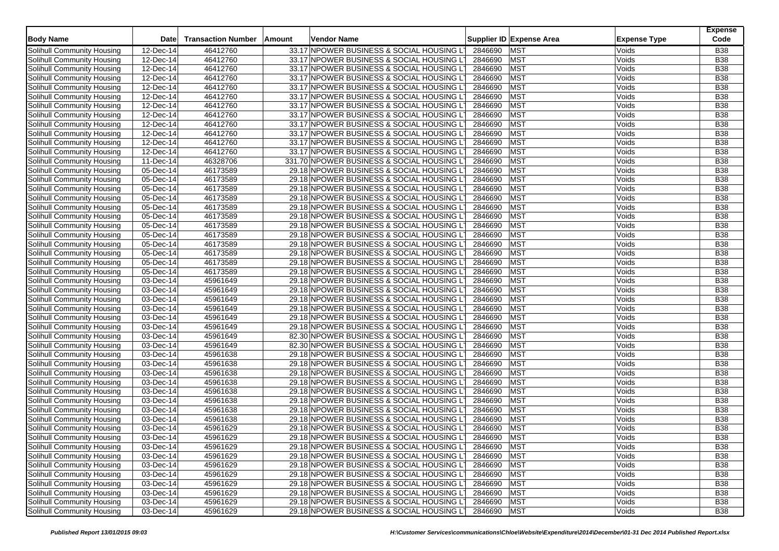| <b>Body Name</b>                                         | <b>Date</b>             | <b>Transaction Number</b> | Amount | <b>Vendor Name</b>                        |             | Supplier ID Expense Area | <b>Expense Type</b> | <b>Expense</b><br>Code |
|----------------------------------------------------------|-------------------------|---------------------------|--------|-------------------------------------------|-------------|--------------------------|---------------------|------------------------|
| Solihull Community Housing                               | 12-Dec-14               | 46412760                  |        | 33.17 NPOWER BUSINESS & SOCIAL HOUSING L  | 2846690     | <b>MST</b>               | Voids               | <b>B38</b>             |
| Solihull Community Housing                               | 12-Dec-14               | 46412760                  |        | 33.17 NPOWER BUSINESS & SOCIAL HOUSING LT | 2846690     | <b>MST</b>               | Voids               | <b>B38</b>             |
| Solihull Community Housing                               | 12-Dec-14               | 46412760                  |        | 33.17 NPOWER BUSINESS & SOCIAL HOUSING L  | 2846690     | <b>MST</b>               | Voids               | <b>B38</b>             |
| Solihull Community Housing                               | $\overline{12}$ -Dec-14 | 46412760                  |        | 33.17 NPOWER BUSINESS & SOCIAL HOUSING LT | 2846690     | <b>MST</b>               | Voids               | <b>B38</b>             |
| Solihull Community Housing                               | 12-Dec-14               | 46412760                  |        | 33.17 NPOWER BUSINESS & SOCIAL HOUSING LT | 2846690     | <b>MST</b>               | Voids               | <b>B38</b>             |
| Solihull Community Housing                               | 12-Dec-14               | 46412760                  |        | 33.17 NPOWER BUSINESS & SOCIAL HOUSING LT | 2846690     | <b>MST</b>               | Voids               | <b>B38</b>             |
| Solihull Community Housing                               | $12$ -Dec-14            | 46412760                  |        | 33.17 NPOWER BUSINESS & SOCIAL HOUSING L  | 2846690     | <b>MST</b>               | Voids               | <b>B38</b>             |
| Solihull Community Housing                               | 12-Dec-14               | 46412760                  |        | 33.17 NPOWER BUSINESS & SOCIAL HOUSING LT | 2846690     | <b>MST</b>               | Voids               | <b>B</b> 38            |
| Solihull Community Housing                               | 12-Dec-14               | 46412760                  |        | 33.17 NPOWER BUSINESS & SOCIAL HOUSING LT | 2846690     | <b>MST</b>               | Voids               | <b>B38</b>             |
| Solihull Community Housing                               | $12$ -Dec-14            | 46412760                  |        | 33.17 NPOWER BUSINESS & SOCIAL HOUSING L  | 2846690     | <b>MST</b>               | Voids               | <b>B38</b>             |
| Solihull Community Housing                               | 12-Dec-14               | 46412760                  |        | 33.17 NPOWER BUSINESS & SOCIAL HOUSING LT | 2846690     | <b>MST</b>               | Voids               | <b>B38</b>             |
| Solihull Community Housing                               | 12-Dec-14               | 46412760                  |        | 33.17 NPOWER BUSINESS & SOCIAL HOUSING LT | 2846690     | <b>MST</b>               | Voids               | <b>B38</b>             |
| Solihull Community Housing                               | 11-Dec-14               | 46328706                  |        | 331.70 NPOWER BUSINESS & SOCIAL HOUSING L | 2846690     | <b>MST</b>               | Voids               | <b>B38</b>             |
| Solihull Community Housing                               | 05-Dec-14               | 46173589                  |        | 29.18 NPOWER BUSINESS & SOCIAL HOUSING LT | 2846690     | <b>MST</b>               | Voids               | <b>B38</b>             |
| Solihull Community Housing                               | 05-Dec-14               | 46173589                  |        | 29.18 NPOWER BUSINESS & SOCIAL HOUSING LT | 2846690     | <b>MST</b>               | Voids               | <b>B38</b>             |
| Solihull Community Housing                               | 05-Dec-14               | 46173589                  |        | 29.18 NPOWER BUSINESS & SOCIAL HOUSING LT | 2846690     | <b>MST</b>               | Voids               | <b>B</b> 38            |
| Solihull Community Housing                               | 05-Dec-14               | 46173589                  |        | 29.18 NPOWER BUSINESS & SOCIAL HOUSING LT | 2846690     | <b>MST</b>               | Voids               | <b>B38</b>             |
| Solihull Community Housing                               | 05-Dec-14               | 46173589                  |        | 29.18 NPOWER BUSINESS & SOCIAL HOUSING LT | 2846690     | <b>MST</b>               | Voids               | <b>B38</b>             |
| Solihull Community Housing                               | 05-Dec-14               | 46173589                  |        | 29.18 NPOWER BUSINESS & SOCIAL HOUSING L  | 2846690     | <b>MST</b>               | Voids               | <b>B</b> 38            |
| Solihull Community Housing                               | 05-Dec-14               | 46173589                  |        | 29.18 NPOWER BUSINESS & SOCIAL HOUSING LT | 2846690     | <b>MST</b>               | Voids               | <b>B38</b>             |
| Solihull Community Housing                               | 05-Dec-14               | 46173589                  |        | 29.18 NPOWER BUSINESS & SOCIAL HOUSING LT | 2846690     | <b>MST</b>               | Voids               | <b>B38</b>             |
|                                                          | 05-Dec-14               | 46173589                  |        | 29.18 NPOWER BUSINESS & SOCIAL HOUSING LT | 2846690     | <b>MST</b>               | Voids               | <b>B38</b>             |
| Solihull Community Housing<br>Solihull Community Housing |                         | 46173589                  |        |                                           | 2846690     | <b>MST</b>               | Voids               | <b>B38</b>             |
|                                                          | 05-Dec-14               |                           |        | 29.18 NPOWER BUSINESS & SOCIAL HOUSING L  |             |                          |                     |                        |
| Solihull Community Housing                               | 05-Dec-14               | 46173589                  |        | 29.18 NPOWER BUSINESS & SOCIAL HOUSING LT | 2846690     | <b>MST</b>               | Voids               | <b>B38</b>             |
| Solihull Community Housing                               | 05-Dec-14               | 46173589                  |        | 29.18 NPOWER BUSINESS & SOCIAL HOUSING LT | 2846690     | <b>MST</b>               | Voids               | <b>B38</b>             |
| Solihull Community Housing                               | 03-Dec-14               | 45961649                  |        | 29.18 NPOWER BUSINESS & SOCIAL HOUSING LT | 2846690     | <b>MST</b>               | Voids               | <b>B38</b>             |
| Solihull Community Housing                               | $\overline{03}$ -Dec-14 | 45961649                  |        | 29.18 NPOWER BUSINESS & SOCIAL HOUSING LT | 2846690     | <b>MST</b>               | Voids               | <b>B38</b>             |
| Solihull Community Housing                               | 03-Dec-14               | 45961649                  |        | 29.18 NPOWER BUSINESS & SOCIAL HOUSING LT | 2846690     | <b>MST</b>               | Voids               | <b>B38</b>             |
| Solihull Community Housing                               | 03-Dec-14               | 45961649                  |        | 29.18 NPOWER BUSINESS & SOCIAL HOUSING LT | 2846690     | <b>MST</b>               | Voids               | <b>B38</b>             |
| Solihull Community Housing                               | 03-Dec-14               | 45961649                  |        | 29.18 NPOWER BUSINESS & SOCIAL HOUSING LT | 2846690     | <b>MST</b>               | Voids               | <b>B38</b>             |
| Solihull Community Housing                               | 03-Dec-14               | 45961649                  |        | 29.18 NPOWER BUSINESS & SOCIAL HOUSING LT | 2846690     | <b>MST</b>               | Voids               | <b>B</b> 38            |
| Solihull Community Housing                               | 03-Dec-14               | 45961649                  |        | 82.30 NPOWER BUSINESS & SOCIAL HOUSING LT | 2846690     | <b>MST</b>               | Voids               | <b>B38</b>             |
| Solihull Community Housing                               | 03-Dec-14               | 45961649                  |        | 82.30 NPOWER BUSINESS & SOCIAL HOUSING LT | 2846690     | <b>MST</b>               | Voids               | <b>B38</b>             |
| Solihull Community Housing                               | 03-Dec-14               | 45961638                  |        | 29.18 NPOWER BUSINESS & SOCIAL HOUSING LT | 2846690     | <b>MST</b>               | Voids               | <b>B38</b>             |
| Solihull Community Housing                               | 03-Dec-14               | 45961638                  |        | 29.18 NPOWER BUSINESS & SOCIAL HOUSING L  | 2846690     | <b>MST</b>               | Voids               | <b>B38</b>             |
| Solihull Community Housing                               | 03-Dec-14               | 45961638                  |        | 29.18 NPOWER BUSINESS & SOCIAL HOUSING LT | 2846690     | <b>MST</b>               | Voids               | <b>B</b> 38            |
| Solihull Community Housing                               | 03-Dec-14               | 45961638                  |        | 29.18 NPOWER BUSINESS & SOCIAL HOUSING LT | 2846690     | <b>MST</b>               | Voids               | <b>B38</b>             |
| Solihull Community Housing                               | 03-Dec-14               | 45961638                  |        | 29.18 NPOWER BUSINESS & SOCIAL HOUSING L  | 2846690     | <b>MST</b>               | Voids               | <b>B38</b>             |
| Solihull Community Housing                               | 03-Dec-14               | 45961638                  |        | 29.18 NPOWER BUSINESS & SOCIAL HOUSING LT | 2846690     | <b>MST</b>               | Voids               | <b>B38</b>             |
| Solihull Community Housing                               | 03-Dec-14               | 45961638                  |        | 29.18 NPOWER BUSINESS & SOCIAL HOUSING LT | 2846690     | <b>MST</b>               | Voids               | <b>B38</b>             |
| Solihull Community Housing                               | 03-Dec-14               | 45961638                  |        | 29.18 NPOWER BUSINESS & SOCIAL HOUSING L  | 2846690     | <b>MST</b>               | Voids               | <b>B38</b>             |
| Solihull Community Housing                               | 03-Dec-14               | 45961629                  |        | 29.18 NPOWER BUSINESS & SOCIAL HOUSING LT | 2846690     | <b>MST</b>               | Voids               | <b>B38</b>             |
| Solihull Community Housing                               | 03-Dec-14               | 45961629                  |        | 29.18 NPOWER BUSINESS & SOCIAL HOUSING LT | 2846690     | <b>MST</b>               | Voids               | <b>B38</b>             |
| Solihull Community Housing                               | 03-Dec-14               | 45961629                  |        | 29.18 NPOWER BUSINESS & SOCIAL HOUSING LT | 2846690 MST |                          | Voids               | <b>B38</b>             |
| Solihull Community Housing                               | 03-Dec-14               | 45961629                  |        | 29.18 NPOWER BUSINESS & SOCIAL HOUSING LT | 2846690     | <b>MST</b>               | Voids               | <b>B38</b>             |
| Solihull Community Housing                               | 03-Dec-14               | 45961629                  |        | 29.18 NPOWER BUSINESS & SOCIAL HOUSING LT | 2846690     | <b>MST</b>               | Voids               | <b>B38</b>             |
| Solihull Community Housing                               | 03-Dec-14               | 45961629                  |        | 29.18 NPOWER BUSINESS & SOCIAL HOUSING LT | 2846690     | <b>MST</b>               | Voids               | <b>B38</b>             |
| Solihull Community Housing                               | $\overline{03}$ -Dec-14 | 45961629                  |        | 29.18 NPOWER BUSINESS & SOCIAL HOUSING LT | 2846690     | <b>MST</b>               | Voids               | <b>B38</b>             |
| Solihull Community Housing                               | 03-Dec-14               | 45961629                  |        | 29.18 NPOWER BUSINESS & SOCIAL HOUSING LT | 2846690     | <b>MST</b>               | Voids               | <b>B38</b>             |
| Solihull Community Housing                               | 03-Dec-14               | 45961629                  |        | 29.18 NPOWER BUSINESS & SOCIAL HOUSING LT | 2846690     | <b>MST</b>               | Voids               | <b>B38</b>             |
| Solihull Community Housing                               | 03-Dec-14               | 45961629                  |        | 29.18 NPOWER BUSINESS & SOCIAL HOUSING LT | 2846690 MST |                          | Voids               | <b>B38</b>             |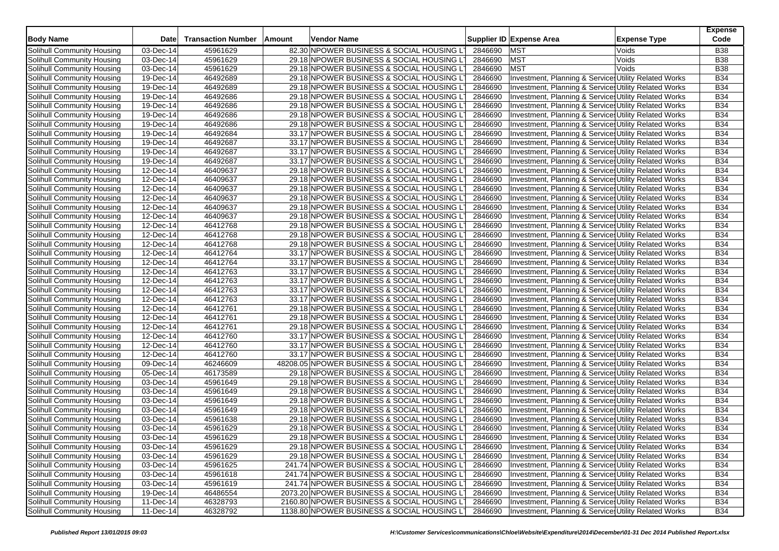| <b>Body Name</b>                  | <b>Date</b>             | <b>Transaction Number</b> | Amount | <b>Vendor Name</b>                           |                    | Supplier ID Expense Area                                                                                       | <b>Expense Type</b> | <b>Expense</b><br>Code |
|-----------------------------------|-------------------------|---------------------------|--------|----------------------------------------------|--------------------|----------------------------------------------------------------------------------------------------------------|---------------------|------------------------|
| Solihull Community Housing        | 03-Dec-14               | 45961629                  |        | 82.30 NPOWER BUSINESS & SOCIAL HOUSING LT    | 2846690            | <b>MST</b>                                                                                                     | Voids               | <b>B38</b>             |
| Solihull Community Housing        | 03-Dec-14               | 45961629                  |        | 29.18 NPOWER BUSINESS & SOCIAL HOUSING LT    | 2846690            | <b>MST</b>                                                                                                     | Voids               | <b>B38</b>             |
| Solihull Community Housing        | 03-Dec-14               | 45961629                  |        | 29.18 NPOWER BUSINESS & SOCIAL HOUSING LT    | 2846690            | <b>MST</b>                                                                                                     | Voids               | <b>B38</b>             |
| Solihull Community Housing        | 19-Dec-14               | 46492689                  |        | 29.18 NPOWER BUSINESS & SOCIAL HOUSING LT    | 2846690            | Investment, Planning & Service: Utility Related Works                                                          |                     | <b>B34</b>             |
| Solihull Community Housing        | 19-Dec-14               | 46492689                  |        | 29.18 NPOWER BUSINESS & SOCIAL HOUSING LT    | 2846690            | Investment, Planning & Service: Utility Related Works                                                          |                     | <b>B34</b>             |
| Solihull Community Housing        | 19-Dec-14               | 46492686                  |        | 29.18 NPOWER BUSINESS & SOCIAL HOUSING LT    | 2846690            | Investment, Planning & Services Utility Related Works                                                          |                     | <b>B34</b>             |
| Solihull Community Housing        | 19-Dec-14               | 46492686                  |        | 29.18 NPOWER BUSINESS & SOCIAL HOUSING LT    | 2846690            | Investment, Planning & Services Utility Related Works                                                          |                     | <b>B34</b>             |
| Solihull Community Housing        | 19-Dec-14               | 46492686                  |        | 29.18 NPOWER BUSINESS & SOCIAL HOUSING LT    | 2846690            | Investment, Planning & Services Utility Related Works                                                          |                     | <b>B34</b>             |
| Solihull Community Housing        | 19-Dec-14               | 46492686                  |        | 29.18 NPOWER BUSINESS & SOCIAL HOUSING LT    | 2846690            | Investment, Planning & Services Utility Related Works                                                          |                     | <b>B34</b>             |
| Solihull Community Housing        | $19$ -Dec-14            | 46492684                  |        | 33.17 NPOWER BUSINESS & SOCIAL HOUSING LT    | 2846690            | Investment, Planning & Services Utility Related Works                                                          |                     | <b>B34</b>             |
| Solihull Community Housing        | 19-Dec-14               | 46492687                  |        | 33.17 NPOWER BUSINESS & SOCIAL HOUSING LT    | 2846690            | Investment, Planning & Services Utility Related Works                                                          |                     | <b>B34</b>             |
| Solihull Community Housing        | 19-Dec-14               | 46492687                  |        | 33.17 NPOWER BUSINESS & SOCIAL HOUSING LT    | 2846690            | Investment, Planning & Services Utility Related Works                                                          |                     | <b>B34</b>             |
| Solihull Community Housing        | 19-Dec-14               | 46492687                  |        | 33.17 NPOWER BUSINESS & SOCIAL HOUSING LT    | 2846690            | Investment, Planning & Services Utility Related Works                                                          |                     | <b>B34</b>             |
| Solihull Community Housing        | 12-Dec-14               | 46409637                  |        | 29.18 NPOWER BUSINESS & SOCIAL HOUSING LT    | 2846690            | Investment, Planning & Service Utility Related Works                                                           |                     | <b>B34</b>             |
| Solihull Community Housing        | 12-Dec-14               | 46409637                  |        | 29.18 NPOWER BUSINESS & SOCIAL HOUSING LT    | 2846690            | Investment, Planning & Services Utility Related Works                                                          |                     | <b>B34</b>             |
| Solihull Community Housing        | 12-Dec-14               | 46409637                  |        | 29.18 NPOWER BUSINESS & SOCIAL HOUSING LT    | 2846690            | Investment, Planning & Services Utility Related Works                                                          |                     | <b>B34</b>             |
| Solihull Community Housing        | 12-Dec-14               | 46409637                  |        | 29.18 NPOWER BUSINESS & SOCIAL HOUSING LT    | 2846690            | Investment, Planning & Service Utility Related Works                                                           |                     | <b>B34</b>             |
| Solihull Community Housing        | 12-Dec-14               | 46409637                  |        | 29.18 NPOWER BUSINESS & SOCIAL HOUSING LT    | 2846690            | Investment, Planning & Services Utility Related Works                                                          |                     | <b>B34</b>             |
| Solihull Community Housing        | 12-Dec-14               | 46409637                  |        | 29.18 NPOWER BUSINESS & SOCIAL HOUSING LT    | 2846690            | Investment, Planning & Services Utility Related Works                                                          |                     | <b>B34</b>             |
| Solihull Community Housing        | 12-Dec-14               | 46412768                  |        | 29.18 NPOWER BUSINESS & SOCIAL HOUSING LT    | 2846690            | Investment, Planning & Services Utility Related Works                                                          |                     | <b>B34</b>             |
| Solihull Community Housing        | 12-Dec-14               | 46412768                  |        | 29.18 NPOWER BUSINESS & SOCIAL HOUSING LT    | 2846690            | Investment, Planning & Service: Utility Related Works                                                          |                     | <b>B34</b>             |
| Solihull Community Housing        | 12-Dec-14               | 46412768                  |        | 29.18 NPOWER BUSINESS & SOCIAL HOUSING LT    | 2846690            | Investment, Planning & Services Utility Related Works                                                          |                     | <b>B34</b>             |
| Solihull Community Housing        | 12-Dec-14               | 46412764                  |        | 33.17 NPOWER BUSINESS & SOCIAL HOUSING LT    | 2846690            | Investment, Planning & Services Utility Related Works                                                          |                     | <b>B34</b>             |
| Solihull Community Housing        | 12-Dec-14               | 46412764                  |        | 33.17 NPOWER BUSINESS & SOCIAL HOUSING LT    | 2846690            | Investment, Planning & Services Utility Related Works                                                          |                     | <b>B34</b>             |
| Solihull Community Housing        | 12-Dec-14               | 46412763                  |        | 33.17 NPOWER BUSINESS & SOCIAL HOUSING LT    | 2846690            | Investment, Planning & Services Utility Related Works                                                          |                     | <b>B34</b>             |
| Solihull Community Housing        | 12-Dec-14               | 46412763                  |        | 33.17 NPOWER BUSINESS & SOCIAL HOUSING LT    | 2846690            | Investment, Planning & Services Utility Related Works                                                          |                     | <b>B34</b>             |
| Solihull Community Housing        | 12-Dec-14               | 46412763                  |        | 33.17 NPOWER BUSINESS & SOCIAL HOUSING LT    | 2846690            | Investment, Planning & Services Utility Related Works                                                          |                     | <b>B34</b>             |
| Solihull Community Housing        | 12-Dec-14               | 46412763                  |        | 33.17 NPOWER BUSINESS & SOCIAL HOUSING LT    | 2846690            | Investment, Planning & Services Utility Related Works                                                          |                     | <b>B34</b>             |
| Solihull Community Housing        | 12-Dec-14               | 46412761                  |        | 29.18 NPOWER BUSINESS & SOCIAL HOUSING LT    | 2846690            | Investment, Planning & Services Utility Related Works                                                          |                     | <b>B34</b>             |
| Solihull Community Housing        | 12-Dec-14               | 46412761                  |        | 29.18 NPOWER BUSINESS & SOCIAL HOUSING LT    | 2846690            | Investment, Planning & Services Utility Related Works                                                          |                     | <b>B34</b>             |
| Solihull Community Housing        | $\overline{12}$ -Dec-14 | 46412761                  |        | 29.18 NPOWER BUSINESS & SOCIAL HOUSING LT    | 2846690            | Investment, Planning & Service Utility Related Works                                                           |                     | <b>B34</b>             |
| Solihull Community Housing        | 12-Dec-14               | 46412760                  |        | 33.17 NPOWER BUSINESS & SOCIAL HOUSING LT    | 2846690            | Investment, Planning & Services Utility Related Works                                                          |                     | <b>B34</b>             |
| Solihull Community Housing        | $\overline{12}$ -Dec-14 | 46412760                  |        | 33.17 NPOWER BUSINESS & SOCIAL HOUSING LT    | 2846690            | <b>Investment, Planning &amp; Service: Utility Related Works</b>                                               |                     | <b>B34</b>             |
| Solihull Community Housing        | $12$ -Dec-14            | 46412760                  |        | 33.17 NPOWER BUSINESS & SOCIAL HOUSING LT    | 2846690            | Investment, Planning & Services Utility Related Works                                                          |                     | <b>B34</b>             |
| Solihull Community Housing        | 09-Dec-14               | 46246609                  |        | 48208.05 NPOWER BUSINESS & SOCIAL HOUSING LT | 2846690            | Investment, Planning & Services Utility Related Works                                                          |                     | <b>B34</b>             |
| Solihull Community Housing        | 05-Dec-14               | 46173589                  |        | 29.18 NPOWER BUSINESS & SOCIAL HOUSING LT    | 2846690            | Investment, Planning & Services Utility Related Works                                                          |                     | <b>B34</b>             |
| Solihull Community Housing        | 03-Dec-14               | 45961649                  |        | 29.18 NPOWER BUSINESS & SOCIAL HOUSING LT    | 2846690            | Investment, Planning & Service Utility Related Works                                                           |                     | <b>B34</b>             |
| Solihull Community Housing        | 03-Dec-14               | 45961649                  |        | 29.18 NPOWER BUSINESS & SOCIAL HOUSING LT    | 2846690            | Investment, Planning & Services Utility Related Works                                                          |                     | <b>B34</b>             |
| Solihull Community Housing        | 03-Dec-14               | 45961649                  |        | 29.18 NPOWER BUSINESS & SOCIAL HOUSING LT    | 2846690            | Investment, Planning & Services Utility Related Works                                                          |                     | <b>B34</b>             |
| Solihull Community Housing        | 03-Dec-14               | 45961649                  |        | 29.18 NPOWER BUSINESS & SOCIAL HOUSING LT    | 2846690            | Investment, Planning & Service Utility Related Works                                                           |                     | <b>B34</b>             |
| Solihull Community Housing        | 03-Dec-14               | 45961638                  |        | 29.18 NPOWER BUSINESS & SOCIAL HOUSING LT    | 2846690            | Investment, Planning & Services Utility Related Works                                                          |                     | <b>B34</b>             |
| Solihull Community Housing        | $\overline{03}$ -Dec-14 | 45961629                  |        | 29.18 NPOWER BUSINESS & SOCIAL HOUSING LT    | 2846690            |                                                                                                                |                     | <b>B34</b>             |
| Solihull Community Housing        | $03$ -Dec-14            |                           |        | 29.18 NPOWER BUSINESS & SOCIAL HOUSING LT    |                    | Investment, Planning & Services Utility Related Works<br>Investment, Planning & Services Utility Related Works |                     | <b>B34</b>             |
| Solihull Community Housing        | 03-Dec-14               | 45961629                  |        |                                              | 2846690            |                                                                                                                |                     |                        |
|                                   |                         | 45961629                  |        | 29.18 NPOWER BUSINESS & SOCIAL HOUSING LT    | 2846690            | Investment, Planning & Services Utility Related Works                                                          |                     | <b>B34</b>             |
| Solihull Community Housing        | 03-Dec-14               | 45961629                  |        | 29.18 NPOWER BUSINESS & SOCIAL HOUSING LT    | 2846690            | Investment, Planning & Services Utility Related Works<br>Investment, Planning & Services Utility Related Works |                     | <b>B34</b>             |
| Solihull Community Housing        | $03$ -Dec-14            | 45961625                  |        | 241.74 NPOWER BUSINESS & SOCIAL HOUSING LT   | 2846690            |                                                                                                                |                     | <b>B34</b>             |
| Solihull Community Housing        | 03-Dec-14               | 45961618                  |        | 241.74 NPOWER BUSINESS & SOCIAL HOUSING LT   | 2846690<br>2846690 | Investment, Planning & Services Utility Related Works                                                          |                     | <b>B34</b>             |
| Solihull Community Housing        | 03-Dec-14               | 45961619                  |        | 241.74 NPOWER BUSINESS & SOCIAL HOUSING LT   |                    | Investment, Planning & Services Utility Related Works                                                          |                     | <b>B34</b>             |
| Solihull Community Housing        | 19-Dec-14               | 46486554                  |        | 2073.20 NPOWER BUSINESS & SOCIAL HOUSING LT  | 2846690            | <b>Investment, Planning &amp; Service: Utility Related Works</b>                                               |                     | <b>B34</b>             |
| <b>Solihull Community Housing</b> | 11-Dec-14               | 46328793                  |        | 2160.80 NPOWER BUSINESS & SOCIAL HOUSING LT  | 2846690            | Investment, Planning & Services Utility Related Works                                                          |                     | <b>B34</b>             |
| Solihull Community Housing        | 11-Dec-14               | 46328792                  |        | 1138.80 NPOWER BUSINESS & SOCIAL HOUSING LT  | 2846690            | Investment, Planning & Services Utility Related Works                                                          |                     | <b>B34</b>             |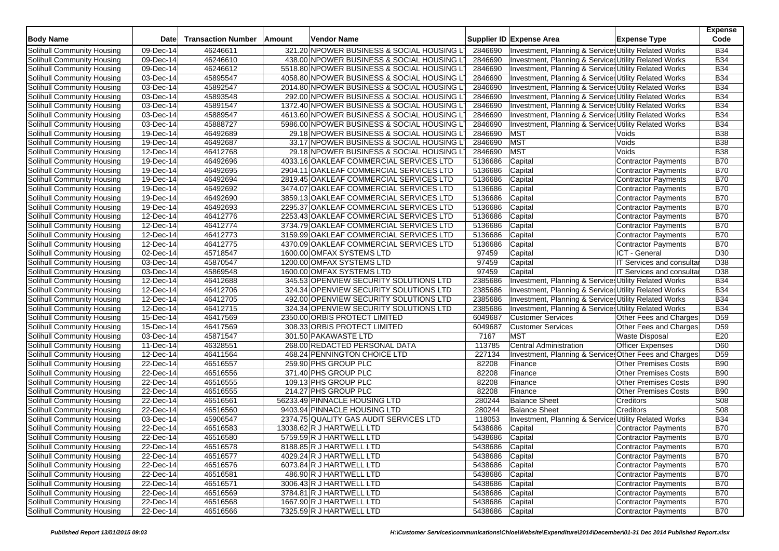| <b>Body Name</b>                                         | <b>Date</b>             | <b>Transaction Number</b> | Amount | <b>Vendor Name</b>                          |         | Supplier ID Expense Area                              | <b>Expense Type</b>              | <b>Expense</b><br>Code |
|----------------------------------------------------------|-------------------------|---------------------------|--------|---------------------------------------------|---------|-------------------------------------------------------|----------------------------------|------------------------|
| Solihull Community Housing                               | 09-Dec-14               | 46246611                  |        | 321.20 NPOWER BUSINESS & SOCIAL HOUSING L   | 2846690 | Investment, Planning & Services Utility Related Works |                                  | <b>B34</b>             |
| Solihull Community Housing                               | 09-Dec-14               | 46246610                  |        | 438.00 NPOWER BUSINESS & SOCIAL HOUSING LT  | 2846690 | Investment, Planning & Services Utility Related Works |                                  | <b>B34</b>             |
| Solihull Community Housing                               | 09-Dec-14               | 46246612                  |        | 5518.80 NPOWER BUSINESS & SOCIAL HOUSING LT | 2846690 | Investment, Planning & Services Utility Related Works |                                  | <b>B34</b>             |
| Solihull Community Housing                               | 03-Dec-14               | 45895547                  |        | 4058.80 NPOWER BUSINESS & SOCIAL HOUSING LT | 2846690 | Investment, Planning & Services Utility Related Works |                                  | <b>B34</b>             |
| Solihull Community Housing                               | $\overline{03}$ -Dec-14 | 45892547                  |        | 2014.80 NPOWER BUSINESS & SOCIAL HOUSING L7 | 2846690 | Investment, Planning & Services Utility Related Works |                                  | <b>B34</b>             |
| Solihull Community Housing                               | 03-Dec-14               | 45893548                  |        | 292.00 NPOWER BUSINESS & SOCIAL HOUSING LT  | 2846690 | Investment, Planning & Services Utility Related Works |                                  | <b>B34</b>             |
| Solihull Community Housing                               | $\overline{03}$ -Dec-14 | 45891547                  |        | 1372.40 NPOWER BUSINESS & SOCIAL HOUSING L  | 2846690 | Investment, Planning & Services Utility Related Works |                                  | <b>B34</b>             |
| Solihull Community Housing                               | 03-Dec-14               | 45889547                  |        | 4613.60 NPOWER BUSINESS & SOCIAL HOUSING L  | 2846690 | Investment, Planning & Services Utility Related Works |                                  | <b>B34</b>             |
| Solihull Community Housing                               | 03-Dec-14               | 45888727                  |        | 5986.00 NPOWER BUSINESS & SOCIAL HOUSING LT | 2846690 | Investment, Planning & Services Utility Related Works |                                  | <b>B34</b>             |
| Solihull Community Housing                               | 19-Dec-14               | 46492689                  |        | 29.18 NPOWER BUSINESS & SOCIAL HOUSING LT   | 2846690 | <b>MST</b>                                            | Voids                            | <b>B38</b>             |
| Solihull Community Housing                               | $19-Dec-14$             | 46492687                  |        | 33.17 NPOWER BUSINESS & SOCIAL HOUSING L    | 2846690 | <b>MST</b>                                            | Voids                            | <b>B38</b>             |
| Solihull Community Housing                               | 12-Dec-14               | 46412768                  |        | 29.18 NPOWER BUSINESS & SOCIAL HOUSING LT   | 2846690 | <b>MST</b>                                            | Voids                            | <b>B38</b>             |
| Solihull Community Housing                               | 19-Dec-14               | 46492696                  |        | 4033.16 OAKLEAF COMMERCIAL SERVICES LTD     | 5136686 | Capital                                               | <b>Contractor Payments</b>       | <b>B70</b>             |
| Solihull Community Housing                               | 19-Dec-14               | 46492695                  |        | 2904.11 OAKLEAF COMMERCIAL SERVICES LTD     | 5136686 | Capital                                               | <b>Contractor Payments</b>       | <b>B70</b>             |
| Solihull Community Housing                               | $19-Dec-14$             | 46492694                  |        | 2819.45 OAKLEAF COMMERCIAL SERVICES LTD     | 5136686 | Capital                                               | <b>Contractor Payments</b>       | <b>B70</b>             |
| Solihull Community Housing                               | 19-Dec-14               | 46492692                  |        | 3474.07 OAKLEAF COMMERCIAL SERVICES LTD     | 5136686 | Capital                                               | <b>Contractor Payments</b>       | <b>B70</b>             |
| Solihull Community Housing                               | $19-Dec-14$             | 46492690                  |        | 3859.13 OAKLEAF COMMERCIAL SERVICES LTD     | 5136686 | Capital                                               | Contractor Payments              | <b>B70</b>             |
| Solihull Community Housing                               | $19-Dec-14$             | 46492693                  |        | 2295.37 OAKLEAF COMMERCIAL SERVICES LTD     | 5136686 | Capital                                               | <b>Contractor Payments</b>       | <b>B70</b>             |
| Solihull Community Housing                               | 12-Dec-14               | 46412776                  |        | 2253.43 OAKLEAF COMMERCIAL SERVICES LTD     | 5136686 | Capital                                               | <b>Contractor Payments</b>       | <b>B70</b>             |
| Solihull Community Housing                               | 12-Dec-14               | 46412774                  |        | 3734.79 OAKLEAF COMMERCIAL SERVICES LTD     | 5136686 | Capital                                               | <b>Contractor Payments</b>       | <b>B70</b>             |
| Solihull Community Housing                               | 12-Dec-14               | 46412773                  |        | 3159.99 OAKLEAF COMMERCIAL SERVICES LTD     | 5136686 | Capital                                               | <b>Contractor Payments</b>       | <b>B70</b>             |
| Solihull Community Housing                               | 12-Dec-14               | 46412775                  |        | 4370.09 OAKLEAF COMMERCIAL SERVICES LTD     | 5136686 | Capital                                               | <b>Contractor Payments</b>       | <b>B70</b>             |
| Solihull Community Housing                               | 02-Dec-14               | 45718547                  |        | 1600.00 OMFAX SYSTEMS LTD                   | 97459   | Capital                                               | ICT - General                    | D <sub>30</sub>        |
| Solihull Community Housing                               | 03-Dec-14               | 45870547                  |        | 1200.00 OMFAX SYSTEMS LTD                   | 97459   | Capital                                               | <b>IT Services and consultar</b> | D38                    |
| Solihull Community Housing                               | 03-Dec-14               | 45869548                  |        | 1600.00 OMFAX SYSTEMS LTD                   | 97459   | Capital                                               | <b>IT Services and consultar</b> | D38                    |
| Solihull Community Housing                               | 12-Dec-14               | 46412688                  |        | 345.53 OPENVIEW SECURITY SOLUTIONS LTD      | 2385686 | Investment, Planning & Services Utility Related Works |                                  | <b>B34</b>             |
| Solihull Community Housing                               | 12-Dec-14               | 46412706                  |        | 324.34 OPENVIEW SECURITY SOLUTIONS LTD      | 2385686 | Investment, Planning & Services Utility Related Works |                                  | <b>B34</b>             |
| Solihull Community Housing                               | 12-Dec-14               | 46412705                  |        | 492.00 OPENVIEW SECURITY SOLUTIONS LTD      | 2385686 | Investment, Planning & Services Utility Related Works |                                  | <b>B34</b>             |
| Solihull Community Housing                               | 12-Dec-14               | 46412715                  |        | 324.34 OPENVIEW SECURITY SOLUTIONS LTD      | 2385686 | Investment, Planning & Service Utility Related Works  |                                  | <b>B34</b>             |
| Solihull Community Housing                               | 15-Dec-14               | 46417569                  |        | 2350.00 ORBIS PROTECT LIMITED               | 6049687 | <b>Customer Services</b>                              | Other Fees and Charges           | D <sub>59</sub>        |
| Solihull Community Housing                               | 15-Dec-14               | 46417569                  |        | 308.33 ORBIS PROTECT LIMITED                | 6049687 | <b>Customer Services</b>                              | Other Fees and Charges           | D <sub>59</sub>        |
| Solihull Community Housing                               | 03-Dec-14               | 45871547                  |        | 301.50 PAKAWASTE LTD                        | 7167    | <b>MST</b>                                            | <b>Waste Disposal</b>            | E20                    |
| Solihull Community Housing                               | 11-Dec-14               | 46328551                  |        | 268.00 REDACTED PERSONAL DATA               | 113785  | Central Administration                                | <b>Officer Expenses</b>          | D60                    |
| Solihull Community Housing                               | 12-Dec-14               | 46411564                  |        | 468.24 PENNINGTON CHOICE LTD                | 227134  | Investment, Planning & Service Other Fees and Charges |                                  | D <sub>59</sub>        |
|                                                          | $22$ -Dec-14            | 46516557                  |        | 259.90 PHS GROUP PLC                        | 82208   | Finance                                               | Other Premises Costs             | <b>B90</b>             |
| Solihull Community Housing<br>Solihull Community Housing | $22-Dec-14$             | 46516556                  |        | 371.40 PHS GROUP PLC                        | 82208   | Finance                                               | <b>Other Premises Costs</b>      | <b>B90</b>             |
| Solihull Community Housing                               | 22-Dec-14               | 46516555                  |        | 109.13 PHS GROUP PLC                        | 82208   | Finance                                               | <b>Other Premises Costs</b>      | <b>B90</b>             |
| Solihull Community Housing                               | 22-Dec-14               | 46516555                  |        | 214.27 PHS GROUP PLC                        | 82208   | Finance                                               | <b>Other Premises Costs</b>      | <b>B90</b>             |
| Solihull Community Housing                               | $22$ -Dec-14            | 46516561                  |        | 56233.49 PINNACLE HOUSING LTD               | 280244  | <b>Balance Sheet</b>                                  | <b>Creditors</b>                 | <b>S08</b>             |
| Solihull Community Housing                               | 22-Dec-14               | 46516560                  |        | 9403.94 PINNACLE HOUSING LTD                | 280244  | <b>Balance Sheet</b>                                  | Creditors                        | <b>S08</b>             |
|                                                          |                         |                           |        |                                             | 118053  | Investment, Planning & Services Utility Related Works |                                  | <b>B34</b>             |
| Solihull Community Housing                               | 03-Dec-14<br>22-Dec-14  | 45906547<br>46516583      |        | 2374.75 QUALITY GAS AUDIT SERVICES LTD      | 5438686 |                                                       |                                  | <b>B70</b>             |
| Solihull Community Housing                               |                         |                           |        | 13038.62 R J HARTWELL LTD                   |         | Capital                                               | <b>Contractor Payments</b>       |                        |
| Solihull Community Housing                               | 22-Dec-14               | 46516580                  |        | 5759.59 R J HARTWELL LTD                    | 5438686 | Capital                                               | <b>Contractor Payments</b>       | <b>B70</b>             |
| Solihull Community Housing                               | 22-Dec-14               | 46516578                  |        | 8188.85 R J HARTWELL LTD                    | 5438686 | Capital                                               | <b>Contractor Payments</b>       | <b>B70</b>             |
| Solihull Community Housing                               | 22-Dec-14               | 46516577                  |        | 4029.24 R J HARTWELL LTD                    | 5438686 | Capital                                               | Contractor Payments              | <b>B70</b>             |
| Solihull Community Housing                               | 22-Dec-14               | 46516576                  |        | 6073.84 R J HARTWELL LTD                    | 5438686 | Capital                                               | Contractor Payments              | <b>B70</b>             |
| Solihull Community Housing                               | 22-Dec-14               | 46516581                  |        | 486.90 R J HARTWELL LTD                     | 5438686 | Capital                                               | Contractor Payments              | <b>B70</b>             |
| Solihull Community Housing                               | 22-Dec-14               | 46516571                  |        | 3006.43 R J HARTWELL LTD                    | 5438686 | Capital                                               | Contractor Payments              | <b>B70</b>             |
| Solihull Community Housing                               | 22-Dec-14               | 46516569                  |        | 3784.81 R J HARTWELL LTD                    | 5438686 | Capital                                               | <b>Contractor Payments</b>       | <b>B70</b>             |
| Solihull Community Housing                               | 22-Dec-14               | 46516568                  |        | 1667.90 R J HARTWELL LTD                    | 5438686 | Capital                                               | Contractor Payments              | <b>B70</b>             |
| Solihull Community Housing                               | 22-Dec-14               | 46516566                  |        | 7325.59 R J HARTWELL LTD                    | 5438686 | Capital                                               | Contractor Payments              | <b>B70</b>             |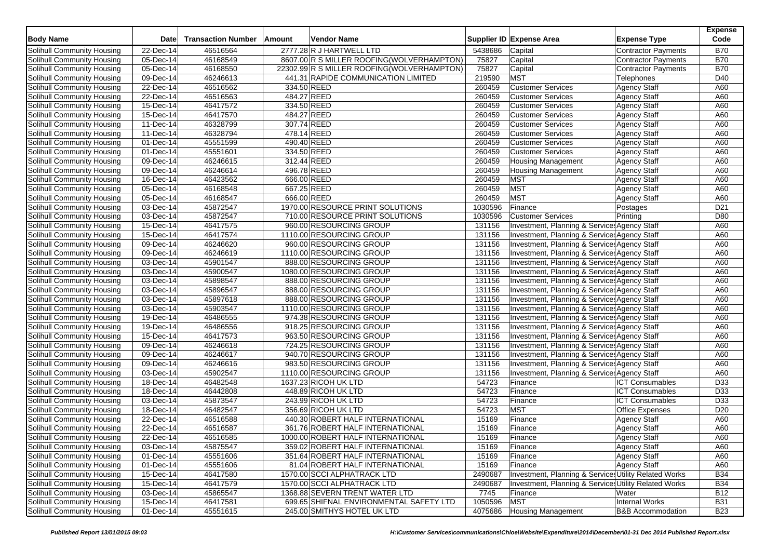| <b>Body Name</b>                                         | <b>Date</b>                          | <b>Transaction Number</b> | Amount | <b>Vendor Name</b>                         |         | Supplier ID Expense Area                                                                    | <b>Expense Type</b>          | <b>Expense</b><br>Code |
|----------------------------------------------------------|--------------------------------------|---------------------------|--------|--------------------------------------------|---------|---------------------------------------------------------------------------------------------|------------------------------|------------------------|
| Solihull Community Housing                               | 22-Dec-14                            | 46516564                  |        | 2777.28 R J HARTWELL LTD                   | 5438686 | Capital                                                                                     | Contractor Payments          | <b>B70</b>             |
| Solihull Community Housing                               | 05-Dec-14                            | 46168549                  |        | 8607.00 R S MILLER ROOFING(WOLVERHAMPTON)  | 75827   | Capital                                                                                     | <b>Contractor Payments</b>   | <b>B70</b>             |
| Solihull Community Housing                               | 05-Dec-14                            | 46168550                  |        | 22302.99 R S MILLER ROOFING(WOLVERHAMPTON) | 75827   | Capital                                                                                     | <b>Contractor Payments</b>   | <b>B70</b>             |
| Solihull Community Housing                               | $\overline{09-Dec-14}$               | 46246613                  |        | 441.31 RAPIDE COMMUNICATION LIMITED        | 219590  | <b>MST</b>                                                                                  | Telephones                   | D40                    |
| Solihull Community Housing                               | 22-Dec-14                            | 46516562                  |        | 334.50 REED                                | 260459  | <b>Customer Services</b>                                                                    | <b>Agency Staff</b>          | A60                    |
| Solihull Community Housing                               | 22-Dec-14                            | 46516563                  |        | 484.27 REED                                | 260459  | <b>Customer Services</b>                                                                    | <b>Agency Staff</b>          | A60                    |
| Solihull Community Housing                               | $15$ -Dec-14                         | 46417572                  |        | 334.50 REED                                | 260459  | <b>Customer Services</b>                                                                    | <b>Agency Staff</b>          | A60                    |
| Solihull Community Housing                               | 15-Dec-14                            | 46417570                  |        | 484.27 REED                                | 260459  | <b>Customer Services</b>                                                                    | <b>Agency Staff</b>          | A60                    |
| Solihull Community Housing                               | 11-Dec-14                            | 46328799                  |        | 307.74 REED                                | 260459  | <b>Customer Services</b>                                                                    | <b>Agency Staff</b>          | A60                    |
| Solihull Community Housing                               | $11-Dec-14$                          | 46328794                  |        | 478.14 REED                                | 260459  | <b>Customer Services</b>                                                                    | <b>Agency Staff</b>          | A60                    |
| Solihull Community Housing                               | 01-Dec-14                            | 45551599                  |        | 490.40 REED                                | 260459  | <b>Customer Services</b>                                                                    | Agency Staff                 | A60                    |
| Solihull Community Housing                               | 01-Dec-14                            | 45551601                  |        | 334.50 REED                                | 260459  | <b>Customer Services</b>                                                                    | <b>Agency Staff</b>          | A60                    |
| Solihull Community Housing                               | 09-Dec-14                            | 46246615                  |        | 312.44 REED                                | 260459  | <b>Housing Management</b>                                                                   | <b>Agency Staff</b>          | A60                    |
| Solihull Community Housing                               | $\overline{09-Dec-14}$               | 46246614                  |        | 496.78 REED                                | 260459  | <b>Housing Management</b>                                                                   | Agency Staff                 | A60                    |
| Solihull Community Housing                               | 16-Dec-14                            | 46423562                  |        | 666.00 REED                                | 260459  | <b>MST</b>                                                                                  | <b>Agency Staff</b>          | A60                    |
| Solihull Community Housing                               | 05-Dec-14                            | 46168548                  |        | 667.25 REED                                | 260459  | <b>MST</b>                                                                                  | <b>Agency Staff</b>          | A60                    |
| Solihull Community Housing                               | 05-Dec-14                            | 46168547                  |        | 666.00 REED                                | 260459  | <b>MST</b>                                                                                  | Agency Staff                 | A60                    |
| Solihull Community Housing                               | 03-Dec-14                            | 45872547                  |        | 1970.00 RESOURCE PRINT SOLUTIONS           | 1030596 | Finance                                                                                     | Postages                     | D <sub>21</sub>        |
| Solihull Community Housing                               | $\overline{03}$ -Dec-14              | 45872547                  |        | 710.00 RESOURCE PRINT SOLUTIONS            | 1030596 | <b>Customer Services</b>                                                                    | Printing                     | D80                    |
| Solihull Community Housing                               | 15-Dec-14                            | 46417575                  |        | 960.00 RESOURCING GROUP                    | 131156  | Investment, Planning & Service: Agency Staff                                                |                              | A60                    |
| Solihull Community Housing                               | 15-Dec-14                            | 46417574                  |        | 1110.00 RESOURCING GROUP                   | 131156  | Investment, Planning & Service: Agency Staff                                                |                              | A60                    |
| Solihull Community Housing                               | 09-Dec-14                            | 46246620                  |        | 960.00 RESOURCING GROUP                    | 131156  | Investment, Planning & Services Agency Staff                                                |                              | A60                    |
| Solihull Community Housing                               | $\overline{09}$ -Dec-14              | 46246619                  |        | 1110.00 RESOURCING GROUP                   | 131156  | Investment, Planning & Service: Agency Staff                                                |                              | A60                    |
| Solihull Community Housing                               | 03-Dec-14                            | 45901547                  |        | 888.00 RESOURCING GROUP                    | 131156  | Investment, Planning & Service Agency Staff                                                 |                              | A60                    |
| Solihull Community Housing                               | 03-Dec-14                            | 45900547                  |        | 1080.00 RESOURCING GROUP                   | 131156  | Investment, Planning & Service: Agency Staff                                                |                              | A60                    |
|                                                          |                                      | 45898547                  |        | 888.00 RESOURCING GROUP                    | 131156  |                                                                                             |                              |                        |
| Solihull Community Housing<br>Solihull Community Housing | $\overline{03}$ -Dec-14<br>03-Dec-14 | 45896547                  |        | 888.00 RESOURCING GROUP                    | 131156  | Investment, Planning & Service: Agency Staff<br>Investment, Planning & Service Agency Staff |                              | A60<br>A60             |
|                                                          |                                      |                           |        | 888.00 RESOURCING GROUP                    | 131156  |                                                                                             |                              |                        |
| Solihull Community Housing                               | 03-Dec-14                            | 45897618<br>45903547      |        |                                            |         | Investment, Planning & Service: Agency Staff                                                |                              | A60                    |
| Solihull Community Housing                               | 03-Dec-14                            |                           |        | 1110.00 RESOURCING GROUP                   | 131156  | Investment, Planning & Service, Agency Staff                                                |                              | A60                    |
| Solihull Community Housing                               | 19-Dec-14                            | 46486555                  |        | 974.38 RESOURCING GROUP                    | 131156  | Investment, Planning & Service Agency Staff                                                 |                              | A60                    |
| Solihull Community Housing                               | 19-Dec-14                            | 46486556                  |        | 918.25 RESOURCING GROUP                    | 131156  | Investment, Planning & Services Agency Staff                                                |                              | A60                    |
| Solihull Community Housing                               | 15-Dec-14                            | 46417573                  |        | 963.50 RESOURCING GROUP                    | 131156  | Investment, Planning & Service: Agency Staff                                                |                              | A60                    |
| Solihull Community Housing                               | 09-Dec-14                            | 46246618                  |        | 724.25 RESOURCING GROUP                    | 131156  | Investment, Planning & Service Agency Staff                                                 |                              | A60                    |
| Solihull Community Housing                               | 09-Dec-14                            | 46246617                  |        | 940.70 RESOURCING GROUP                    | 131156  | Investment, Planning & Service: Agency Staff                                                |                              | A60                    |
| Solihull Community Housing                               | 09-Dec-14                            | 46246616                  |        | 983.50 RESOURCING GROUP                    | 131156  | Investment, Planning & Service: Agency Staff                                                |                              | A60                    |
| <b>Solihull Community Housing</b>                        | 03-Dec-14                            | 45902547                  |        | 1110.00 RESOURCING GROUP                   | 131156  | Investment, Planning & Service: Agency Staff                                                |                              | A60                    |
| Solihull Community Housing                               | 18-Dec-14                            | 46482548                  |        | 1637.23 RICOH UK LTD                       | 54723   | Finance                                                                                     | <b>ICT Consumables</b>       | D33                    |
| Solihull Community Housing                               | 18-Dec-14                            | 46442808                  |        | 448.89 RICOH UK LTD                        | 54723   | Finance                                                                                     | <b>ICT</b> Consumables       | D33                    |
| Solihull Community Housing                               | 03-Dec-14                            | 45873547                  |        | 243.99 RICOH UK LTD                        | 54723   | Finance                                                                                     | <b>ICT Consumables</b>       | D33                    |
| Solihull Community Housing                               | 18-Dec-14                            | 46482547                  |        | 356.69 RICOH UK LTD                        | 54723   | <b>MST</b>                                                                                  | <b>Office Expenses</b>       | D <sub>20</sub>        |
| Solihull Community Housing                               | 22-Dec-14                            | 46516588                  |        | 440.30 ROBERT HALF INTERNATIONAL           | 15169   | Finance                                                                                     | <b>Agency Staff</b>          | A60                    |
| Solihull Community Housing                               | 22-Dec-14                            | 46516587                  |        | 361.76 ROBERT HALF INTERNATIONAL           | 15169   | Finance                                                                                     | <b>Agency Staff</b>          | A60                    |
| Solihull Community Housing                               | 22-Dec-14                            | 46516585                  |        | 1000.00 ROBERT HALF INTERNATIONAL          | 15169   | Finance                                                                                     | Agency Staff                 | A60                    |
| Solihull Community Housing                               | 03-Dec-14                            | 45875547                  |        | 359.02 ROBERT HALF INTERNATIONAL           | 15169   | Finance                                                                                     | <b>Agency Staff</b>          | A60                    |
| Solihull Community Housing                               | 01-Dec-14                            | 45551606                  |        | 351.64 ROBERT HALF INTERNATIONAL           | 15169   | Finance                                                                                     | <b>Agency Staff</b>          | A60                    |
| Solihull Community Housing                               | 01-Dec-14                            | 45551606                  |        | 81.04 ROBERT HALF INTERNATIONAL            | 15169   | Finance                                                                                     | <b>Agency Staff</b>          | A60                    |
| Solihull Community Housing                               | 15-Dec-14                            | 46417580                  |        | 1570.00 SCCI ALPHATRACK LTD                | 2490687 | Investment, Planning & Services Utility Related Works                                       |                              | <b>B34</b>             |
| Solihull Community Housing                               | 15-Dec-14                            | 46417579                  |        | 1570.00 SCCI ALPHATRACK LTD                | 2490687 | Investment, Planning & Services Utility Related Works                                       |                              | <b>B34</b>             |
| Solihull Community Housing                               | 03-Dec-14                            | 45865547                  |        | 1368.88 SEVERN TRENT WATER LTD             | 7745    | Finance                                                                                     | Water                        | <b>B12</b>             |
| Solihull Community Housing                               | 15-Dec-14                            | 46417581                  |        | 699.65 SHIFNAL ENVIRONMENTAL SAFETY LTD    | 1050596 | <b>MST</b>                                                                                  | Internal Works               | <b>B31</b>             |
| Solihull Community Housing                               | 01-Dec-14                            | 45551615                  |        | 245.00 SMITHYS HOTEL UK LTD                | 4075686 | Housing Management                                                                          | <b>B&amp;B Accommodation</b> | <b>B23</b>             |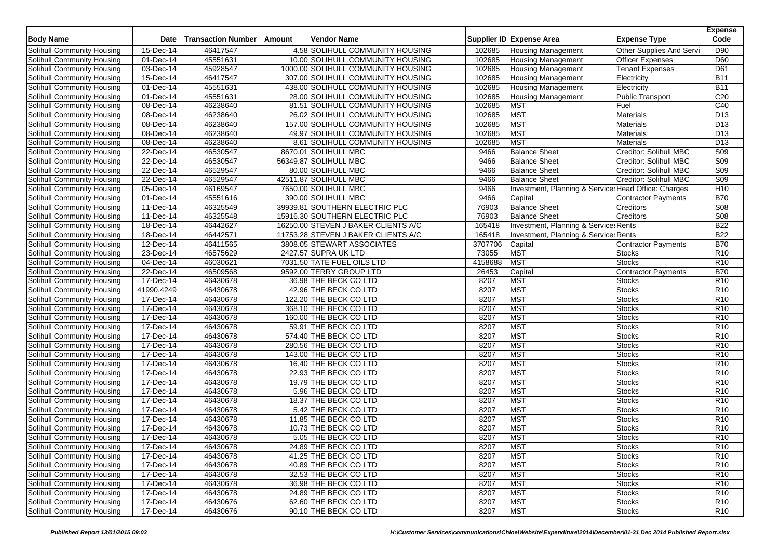| 4.58 SOLIHULL COMMUNITY HOUSING<br>15-Dec-14<br>46417547<br><b>Housing Management</b><br>Other Supplies And Servi<br>D90<br>102685<br>45551631<br>10.00 SOLIHULL COMMUNITY HOUSING<br>102685<br>D60<br>Solihull Community Housing<br>01-Dec-14<br><b>Officer Expenses</b><br><b>Housing Management</b><br>45928547<br>102685<br>03-Dec-14<br>1000.00 SOLIHULL COMMUNITY HOUSING<br><b>Tenant Expenses</b><br>D61<br>Solihull Community Housing<br><b>Housing Management</b><br>Solihull Community Housing<br>15-Dec-14<br>46417547<br>307.00 SOLIHULL COMMUNITY HOUSING<br>102685<br><b>Housing Management</b><br>Electricity<br><b>B11</b><br>45551631<br>102685<br><b>B11</b><br>Solihull Community Housing<br>01-Dec-14<br>438.00 SOLIHULL COMMUNITY HOUSING<br>Electricity<br><b>Housing Management</b><br>45551631<br>28.00 SOLIHULL COMMUNITY HOUSING<br>102685<br>C <sub>20</sub><br>Solihull Community Housing<br>01-Dec-14<br><b>Public Transport</b><br><b>Housing Management</b><br>102685<br><b>MST</b><br>C40<br>Solihull Community Housing<br>08-Dec-14<br>46238640<br>81.51 SOLIHULL COMMUNITY HOUSING<br>Fuel<br><b>MST</b><br>46238640<br>102685<br>Solihull Community Housing<br>08-Dec-14<br>26.02 SOLIHULL COMMUNITY HOUSING<br>Materials<br>D <sub>13</sub><br><b>MST</b><br>46238640<br>102685<br><b>Materials</b><br>D <sub>13</sub><br>Solihull Community Housing<br>08-Dec-14<br>157.00 SOLIHULL COMMUNITY HOUSING<br><b>MST</b><br>D <sub>13</sub><br>Solihull Community Housing<br>08-Dec-14<br>46238640<br>49.97 SOLIHULL COMMUNITY HOUSING<br>102685<br>Materials<br><b>MST</b><br>46238640<br>102685<br>D <sub>13</sub><br>Solihull Community Housing<br>08-Dec-14<br>8.61 SOLIHULL COMMUNITY HOUSING<br>Materials<br>46530547<br>8670.01 SOLIHULL MBC<br><b>Balance Sheet</b><br>Creditor: Solihull MBC<br><b>S09</b><br>Solihull Community Housing<br>22-Dec-14<br>9466<br>46530547<br>S <sub>09</sub><br>Solihull Community Housing<br>22-Dec-14<br>56349.87 SOLIHULL MBC<br>9466<br><b>Balance Sheet</b><br>Creditor: Solihull MBC<br>S <sub>09</sub><br>46529547<br><b>Balance Sheet</b><br>Creditor: Solihull MBC<br>Solihull Community Housing<br>22-Dec-14<br>80.00 SOLIHULL MBC<br>9466<br>46529547<br>S <sub>09</sub><br>22-Dec-14<br>42511.87 SOLIHULL MBC<br>9466<br><b>Balance Sheet</b><br>Creditor: Solihull MBC<br>46169547<br>H10<br>Solihull Community Housing<br>05-Dec-14<br>7650.00 SOLIHULL MBC<br>9466<br>Investment, Planning & Service: Head Office: Charges<br>45551616<br>390.00 SOLIHULL MBC<br>9466<br><b>B70</b><br>Solihull Community Housing<br>01-Dec-14<br>Capital<br><b>Contractor Payments</b><br>46325549<br>39939.81 SOUTHERN ELECTRIC PLC<br><b>Balance Sheet</b><br><b>S08</b><br>Solihull Community Housing<br>11-Dec-14<br>76903<br>Creditors<br>46325548<br>15916.30 SOUTHERN ELECTRIC PLC<br>76903<br><b>Balance Sheet</b><br>S <sub>08</sub><br>Solihull Community Housing<br>11-Dec-14<br>Creditors<br>46442627<br>165418<br><b>B22</b><br>Solihull Community Housing<br>18-Dec-14<br>16250.00 STEVEN J BAKER CLIENTS A/C<br>Investment, Planning & Services Rents<br>46442571<br>165418<br><b>B22</b><br>Solihull Community Housing<br>18-Dec-14<br>11753.28 STEVEN J BAKER CLIENTS A/C<br>Investment, Planning & Service: Rents<br>46411565<br><b>B70</b><br>Solihull Community Housing<br>12-Dec-14<br>3808.05 STEWART ASSOCIATES<br>3707706<br>Capital<br>Contractor Payments<br><b>MST</b><br>46575629<br>73055<br>R <sub>10</sub><br>Solihull Community Housing<br>23-Dec-14<br>2427.57 SUPRA UK LTD<br>Stocks<br><b>MST</b><br>46030621<br>7031.50 TATE FUEL OILS LTD<br>Solihull Community Housing<br>04-Dec-14<br>4158688<br><b>Stocks</b><br>R <sub>10</sub><br>46509568<br><b>B70</b><br>Solihull Community Housing<br>22-Dec-14<br>9592.00 TERRY GROUP LTD<br>26453<br>Contractor Payments<br>Capital<br>46430678<br>8207<br><b>MST</b><br>R <sub>10</sub><br>Solihull Community Housing<br>17-Dec-14<br>36.98 THE BECK CO LTD<br><b>Stocks</b><br>46430678<br>8207<br><b>MST</b><br>R <sub>10</sub><br>Solihull Community Housing<br>41990.4249<br>42.96 THE BECK CO LTD<br>Stocks<br><b>MST</b><br>R10<br>Solihull Community Housing<br>$17 - Dec-14$<br>46430678<br>8207<br><b>Stocks</b><br>122.20 THE BECK CO LTD<br>46430678<br><b>MST</b><br>R <sub>10</sub><br>17-Dec-14<br>368.10 THE BECK CO LTD<br>8207<br>Stocks<br>Solihull Community Housing<br>46430678<br>8207<br><b>MST</b><br>R <sub>10</sub><br>Solihull Community Housing<br>17-Dec-14<br>160.00 THE BECK CO LTD<br>Stocks<br>46430678<br><b>MST</b><br>R10<br>Solihull Community Housing<br>17-Dec-14<br>59.91 THE BECK CO LTD<br>8207<br>Stocks<br><b>MST</b><br>Solihull Community Housing<br>17-Dec-14<br>46430678<br>8207<br><b>Stocks</b><br>R <sub>10</sub><br>574.40 THE BECK CO LTD<br>46430678<br>8207<br>MST<br>R10<br>Solihull Community Housing<br>17-Dec-14<br>280.56 THE BECK CO LTD<br><b>Stocks</b><br><b>MST</b><br>R10<br>Solihull Community Housing<br>$\overline{17}$ -Dec-14<br>46430678<br>8207<br><b>Stocks</b><br>143.00 THE BECK CO LTD<br>MST<br>Solihull Community Housing<br>17-Dec-14<br>46430678<br>16.40 THE BECK CO LTD<br>8207<br><b>Stocks</b><br>R <sub>10</sub><br>46430678<br>8207<br><b>MST</b><br>R <sub>10</sub><br>Solihull Community Housing<br>17-Dec-14<br>22.93 THE BECK CO LTD<br><b>Stocks</b><br>8207<br><b>MST</b><br>R10<br>Solihull Community Housing<br>17-Dec-14<br>46430678<br>19.79 THE BECK CO LTD<br><b>Stocks</b><br><b>MST</b><br>Solihull Community Housing<br>17-Dec-14<br>46430678<br>5.96 THE BECK CO LTD<br>8207<br><b>Stocks</b><br>R <sub>10</sub><br>46430678<br>8207<br><b>MST</b><br>R10<br>Solihull Community Housing<br>17-Dec-14<br>18.37 THE BECK CO LTD<br><b>Stocks</b><br><b>MST</b><br>R10<br>Solihull Community Housing<br>$\overline{17}$ -Dec-14<br>46430678<br>8207<br><b>Stocks</b><br>5.42 THE BECK CO LTD<br><b>MST</b><br>Solihull Community Housing<br>17-Dec-14<br>46430678<br>11.85 THE BECK CO LTD<br>8207<br><b>Stocks</b><br>R <sub>10</sub><br><b>MST</b><br>17-Dec-14<br>46430678<br>8207<br>R10<br>Solihull Community Housing<br>10.73 THE BECK CO LTD<br><b>Stocks</b><br><b>MST</b><br>Solihull Community Housing<br>46430678<br>8207<br><b>Stocks</b><br>R <sub>10</sub><br>17-Dec-14<br>5.05 THE BECK CO LTD<br>Solihull Community Housing<br>46430678<br>24.89 THE BECK CO LTD<br><b>MST</b><br><b>Stocks</b><br>R <sub>10</sub><br>17-Dec-14<br>8207<br>Solihull Community Housing<br>17-Dec-14<br>46430678<br>41.25 THE BECK CO LTD<br>8207<br><b>MST</b><br>R <sub>10</sub><br><b>Stocks</b><br>Solihull Community Housing<br><b>MST</b><br>17-Dec-14<br>46430678<br>40.89 THE BECK CO LTD<br>8207<br><b>Stocks</b><br>R <sub>10</sub><br>46430678<br><b>MST</b><br>Solihull Community Housing<br>17-Dec-14<br>32.53 THE BECK CO LTD<br>8207<br><b>Stocks</b><br>R <sub>10</sub><br><b>MST</b><br>Solihull Community Housing<br>17-Dec-14<br>46430678<br>8207<br>R <sub>10</sub><br>36.98 THE BECK CO LTD<br><b>Stocks</b><br><b>MST</b><br>Solihull Community Housing<br>17-Dec-14<br>46430678<br>24.89 THE BECK CO LTD<br>8207<br><b>Stocks</b><br>R <sub>10</sub><br>Solihull Community Housing<br>17-Dec-14<br>46430676<br>62.60 THE BECK CO LTD<br>8207<br><b>MST</b><br>R <sub>10</sub><br><b>Stocks</b><br><b>MST</b><br>17-Dec-14<br>46430676<br>90.10 THE BECK CO LTD<br>8207<br>R <sub>10</sub><br><b>Stocks</b> | <b>Body Name</b>           | <b>Date</b> | <b>Transaction Number</b> | Amount | <b>Vendor Name</b> | Supplier ID Expense Area | <b>Expense Type</b> | <b>Expense</b><br>Code |
|-----------------------------------------------------------------------------------------------------------------------------------------------------------------------------------------------------------------------------------------------------------------------------------------------------------------------------------------------------------------------------------------------------------------------------------------------------------------------------------------------------------------------------------------------------------------------------------------------------------------------------------------------------------------------------------------------------------------------------------------------------------------------------------------------------------------------------------------------------------------------------------------------------------------------------------------------------------------------------------------------------------------------------------------------------------------------------------------------------------------------------------------------------------------------------------------------------------------------------------------------------------------------------------------------------------------------------------------------------------------------------------------------------------------------------------------------------------------------------------------------------------------------------------------------------------------------------------------------------------------------------------------------------------------------------------------------------------------------------------------------------------------------------------------------------------------------------------------------------------------------------------------------------------------------------------------------------------------------------------------------------------------------------------------------------------------------------------------------------------------------------------------------------------------------------------------------------------------------------------------------------------------------------------------------------------------------------------------------------------------------------------------------------------------------------------------------------------------------------------------------------------------------------------------------------------------------------------------------------------------------------------------------------------------------------------------------------------------------------------------------------------------------------------------------------------------------------------------------------------------------------------------------------------------------------------------------------------------------------------------------------------------------------------------------------------------------------------------------------------------------------------------------------------------------------------------------------------------------------------------------------------------------------------------------------------------------------------------------------------------------------------------------------------------------------------------------------------------------------------------------------------------------------------------------------------------------------------------------------------------------------------------------------------------------------------------------------------------------------------------------------------------------------------------------------------------------------------------------------------------------------------------------------------------------------------------------------------------------------------------------------------------------------------------------------------------------------------------------------------------------------------------------------------------------------------------------------------------------------------------------------------------------------------------------------------------------------------------------------------------------------------------------------------------------------------------------------------------------------------------------------------------------------------------------------------------------------------------------------------------------------------------------------------------------------------------------------------------------------------------------------------------------------------------------------------------------------------------------------------------------------------------------------------------------------------------------------------------------------------------------------------------------------------------------------------------------------------------------------------------------------------------------------------------------------------------------------------------------------------------------------------------------------------------------------------------------------------------------------------------------------------------------------------------------------------------------------------------------------------------------------------------------------------------------------------------------------------------------------------------------------------------------------------------------------------------------------------------------------------------------------------------------------------------------------------------------------------------------------------------------------------------------------------------------------------------------------------------------------------------------------------------------------------------------------------------------------------------------------------------------------------------------------------------------------------------------------------------------------------------------------------------------------------------------------------------------------------------------------------------------------------------------------------------------------------------------------------------------------------------------------------------------------------------------------------------------------------------------------------------------------------------------------------------------------------------------------------------------------------------------------------------------------------------------------------------------------------------------------------------------------------------------------------------------------------------------------------------------------------------------------------------------------------------------------------------------------------------------------------------------------------------------------------------------------------------------------------------------------------------------------------------------------------------------------------------------------------------------------------------------------------------------------------------------------------------------------------------------------------------------|----------------------------|-------------|---------------------------|--------|--------------------|--------------------------|---------------------|------------------------|
|                                                                                                                                                                                                                                                                                                                                                                                                                                                                                                                                                                                                                                                                                                                                                                                                                                                                                                                                                                                                                                                                                                                                                                                                                                                                                                                                                                                                                                                                                                                                                                                                                                                                                                                                                                                                                                                                                                                                                                                                                                                                                                                                                                                                                                                                                                                                                                                                                                                                                                                                                                                                                                                                                                                                                                                                                                                                                                                                                                                                                                                                                                                                                                                                                                                                                                                                                                                                                                                                                                                                                                                                                                                                                                                                                                                                                                                                                                                                                                                                                                                                                                                                                                                                                                                                                                                                                                                                                                                                                                                                                                                                                                                                                                                                                                                                                                                                                                                                                                                                                                                                                                                                                                                                                                                                                                                                                                                                                                                                                                                                                                                                                                                                                                                                                                                                                                                                                                                                                                                                                                                                                                                                                                                                                                                                                                                                                                                                                                                                                                                                                                                                                                                                                                                                                                                                                                                                                                                                                                                                                                                                                                                                                                                                                                                                                                                                                                                                                                                                                               | Solihull Community Housing |             |                           |        |                    |                          |                     |                        |
|                                                                                                                                                                                                                                                                                                                                                                                                                                                                                                                                                                                                                                                                                                                                                                                                                                                                                                                                                                                                                                                                                                                                                                                                                                                                                                                                                                                                                                                                                                                                                                                                                                                                                                                                                                                                                                                                                                                                                                                                                                                                                                                                                                                                                                                                                                                                                                                                                                                                                                                                                                                                                                                                                                                                                                                                                                                                                                                                                                                                                                                                                                                                                                                                                                                                                                                                                                                                                                                                                                                                                                                                                                                                                                                                                                                                                                                                                                                                                                                                                                                                                                                                                                                                                                                                                                                                                                                                                                                                                                                                                                                                                                                                                                                                                                                                                                                                                                                                                                                                                                                                                                                                                                                                                                                                                                                                                                                                                                                                                                                                                                                                                                                                                                                                                                                                                                                                                                                                                                                                                                                                                                                                                                                                                                                                                                                                                                                                                                                                                                                                                                                                                                                                                                                                                                                                                                                                                                                                                                                                                                                                                                                                                                                                                                                                                                                                                                                                                                                                                               |                            |             |                           |        |                    |                          |                     |                        |
|                                                                                                                                                                                                                                                                                                                                                                                                                                                                                                                                                                                                                                                                                                                                                                                                                                                                                                                                                                                                                                                                                                                                                                                                                                                                                                                                                                                                                                                                                                                                                                                                                                                                                                                                                                                                                                                                                                                                                                                                                                                                                                                                                                                                                                                                                                                                                                                                                                                                                                                                                                                                                                                                                                                                                                                                                                                                                                                                                                                                                                                                                                                                                                                                                                                                                                                                                                                                                                                                                                                                                                                                                                                                                                                                                                                                                                                                                                                                                                                                                                                                                                                                                                                                                                                                                                                                                                                                                                                                                                                                                                                                                                                                                                                                                                                                                                                                                                                                                                                                                                                                                                                                                                                                                                                                                                                                                                                                                                                                                                                                                                                                                                                                                                                                                                                                                                                                                                                                                                                                                                                                                                                                                                                                                                                                                                                                                                                                                                                                                                                                                                                                                                                                                                                                                                                                                                                                                                                                                                                                                                                                                                                                                                                                                                                                                                                                                                                                                                                                                               |                            |             |                           |        |                    |                          |                     |                        |
|                                                                                                                                                                                                                                                                                                                                                                                                                                                                                                                                                                                                                                                                                                                                                                                                                                                                                                                                                                                                                                                                                                                                                                                                                                                                                                                                                                                                                                                                                                                                                                                                                                                                                                                                                                                                                                                                                                                                                                                                                                                                                                                                                                                                                                                                                                                                                                                                                                                                                                                                                                                                                                                                                                                                                                                                                                                                                                                                                                                                                                                                                                                                                                                                                                                                                                                                                                                                                                                                                                                                                                                                                                                                                                                                                                                                                                                                                                                                                                                                                                                                                                                                                                                                                                                                                                                                                                                                                                                                                                                                                                                                                                                                                                                                                                                                                                                                                                                                                                                                                                                                                                                                                                                                                                                                                                                                                                                                                                                                                                                                                                                                                                                                                                                                                                                                                                                                                                                                                                                                                                                                                                                                                                                                                                                                                                                                                                                                                                                                                                                                                                                                                                                                                                                                                                                                                                                                                                                                                                                                                                                                                                                                                                                                                                                                                                                                                                                                                                                                                               |                            |             |                           |        |                    |                          |                     |                        |
|                                                                                                                                                                                                                                                                                                                                                                                                                                                                                                                                                                                                                                                                                                                                                                                                                                                                                                                                                                                                                                                                                                                                                                                                                                                                                                                                                                                                                                                                                                                                                                                                                                                                                                                                                                                                                                                                                                                                                                                                                                                                                                                                                                                                                                                                                                                                                                                                                                                                                                                                                                                                                                                                                                                                                                                                                                                                                                                                                                                                                                                                                                                                                                                                                                                                                                                                                                                                                                                                                                                                                                                                                                                                                                                                                                                                                                                                                                                                                                                                                                                                                                                                                                                                                                                                                                                                                                                                                                                                                                                                                                                                                                                                                                                                                                                                                                                                                                                                                                                                                                                                                                                                                                                                                                                                                                                                                                                                                                                                                                                                                                                                                                                                                                                                                                                                                                                                                                                                                                                                                                                                                                                                                                                                                                                                                                                                                                                                                                                                                                                                                                                                                                                                                                                                                                                                                                                                                                                                                                                                                                                                                                                                                                                                                                                                                                                                                                                                                                                                                               |                            |             |                           |        |                    |                          |                     |                        |
|                                                                                                                                                                                                                                                                                                                                                                                                                                                                                                                                                                                                                                                                                                                                                                                                                                                                                                                                                                                                                                                                                                                                                                                                                                                                                                                                                                                                                                                                                                                                                                                                                                                                                                                                                                                                                                                                                                                                                                                                                                                                                                                                                                                                                                                                                                                                                                                                                                                                                                                                                                                                                                                                                                                                                                                                                                                                                                                                                                                                                                                                                                                                                                                                                                                                                                                                                                                                                                                                                                                                                                                                                                                                                                                                                                                                                                                                                                                                                                                                                                                                                                                                                                                                                                                                                                                                                                                                                                                                                                                                                                                                                                                                                                                                                                                                                                                                                                                                                                                                                                                                                                                                                                                                                                                                                                                                                                                                                                                                                                                                                                                                                                                                                                                                                                                                                                                                                                                                                                                                                                                                                                                                                                                                                                                                                                                                                                                                                                                                                                                                                                                                                                                                                                                                                                                                                                                                                                                                                                                                                                                                                                                                                                                                                                                                                                                                                                                                                                                                                               |                            |             |                           |        |                    |                          |                     |                        |
|                                                                                                                                                                                                                                                                                                                                                                                                                                                                                                                                                                                                                                                                                                                                                                                                                                                                                                                                                                                                                                                                                                                                                                                                                                                                                                                                                                                                                                                                                                                                                                                                                                                                                                                                                                                                                                                                                                                                                                                                                                                                                                                                                                                                                                                                                                                                                                                                                                                                                                                                                                                                                                                                                                                                                                                                                                                                                                                                                                                                                                                                                                                                                                                                                                                                                                                                                                                                                                                                                                                                                                                                                                                                                                                                                                                                                                                                                                                                                                                                                                                                                                                                                                                                                                                                                                                                                                                                                                                                                                                                                                                                                                                                                                                                                                                                                                                                                                                                                                                                                                                                                                                                                                                                                                                                                                                                                                                                                                                                                                                                                                                                                                                                                                                                                                                                                                                                                                                                                                                                                                                                                                                                                                                                                                                                                                                                                                                                                                                                                                                                                                                                                                                                                                                                                                                                                                                                                                                                                                                                                                                                                                                                                                                                                                                                                                                                                                                                                                                                                               |                            |             |                           |        |                    |                          |                     |                        |
|                                                                                                                                                                                                                                                                                                                                                                                                                                                                                                                                                                                                                                                                                                                                                                                                                                                                                                                                                                                                                                                                                                                                                                                                                                                                                                                                                                                                                                                                                                                                                                                                                                                                                                                                                                                                                                                                                                                                                                                                                                                                                                                                                                                                                                                                                                                                                                                                                                                                                                                                                                                                                                                                                                                                                                                                                                                                                                                                                                                                                                                                                                                                                                                                                                                                                                                                                                                                                                                                                                                                                                                                                                                                                                                                                                                                                                                                                                                                                                                                                                                                                                                                                                                                                                                                                                                                                                                                                                                                                                                                                                                                                                                                                                                                                                                                                                                                                                                                                                                                                                                                                                                                                                                                                                                                                                                                                                                                                                                                                                                                                                                                                                                                                                                                                                                                                                                                                                                                                                                                                                                                                                                                                                                                                                                                                                                                                                                                                                                                                                                                                                                                                                                                                                                                                                                                                                                                                                                                                                                                                                                                                                                                                                                                                                                                                                                                                                                                                                                                                               |                            |             |                           |        |                    |                          |                     |                        |
|                                                                                                                                                                                                                                                                                                                                                                                                                                                                                                                                                                                                                                                                                                                                                                                                                                                                                                                                                                                                                                                                                                                                                                                                                                                                                                                                                                                                                                                                                                                                                                                                                                                                                                                                                                                                                                                                                                                                                                                                                                                                                                                                                                                                                                                                                                                                                                                                                                                                                                                                                                                                                                                                                                                                                                                                                                                                                                                                                                                                                                                                                                                                                                                                                                                                                                                                                                                                                                                                                                                                                                                                                                                                                                                                                                                                                                                                                                                                                                                                                                                                                                                                                                                                                                                                                                                                                                                                                                                                                                                                                                                                                                                                                                                                                                                                                                                                                                                                                                                                                                                                                                                                                                                                                                                                                                                                                                                                                                                                                                                                                                                                                                                                                                                                                                                                                                                                                                                                                                                                                                                                                                                                                                                                                                                                                                                                                                                                                                                                                                                                                                                                                                                                                                                                                                                                                                                                                                                                                                                                                                                                                                                                                                                                                                                                                                                                                                                                                                                                                               |                            |             |                           |        |                    |                          |                     |                        |
|                                                                                                                                                                                                                                                                                                                                                                                                                                                                                                                                                                                                                                                                                                                                                                                                                                                                                                                                                                                                                                                                                                                                                                                                                                                                                                                                                                                                                                                                                                                                                                                                                                                                                                                                                                                                                                                                                                                                                                                                                                                                                                                                                                                                                                                                                                                                                                                                                                                                                                                                                                                                                                                                                                                                                                                                                                                                                                                                                                                                                                                                                                                                                                                                                                                                                                                                                                                                                                                                                                                                                                                                                                                                                                                                                                                                                                                                                                                                                                                                                                                                                                                                                                                                                                                                                                                                                                                                                                                                                                                                                                                                                                                                                                                                                                                                                                                                                                                                                                                                                                                                                                                                                                                                                                                                                                                                                                                                                                                                                                                                                                                                                                                                                                                                                                                                                                                                                                                                                                                                                                                                                                                                                                                                                                                                                                                                                                                                                                                                                                                                                                                                                                                                                                                                                                                                                                                                                                                                                                                                                                                                                                                                                                                                                                                                                                                                                                                                                                                                                               |                            |             |                           |        |                    |                          |                     |                        |
|                                                                                                                                                                                                                                                                                                                                                                                                                                                                                                                                                                                                                                                                                                                                                                                                                                                                                                                                                                                                                                                                                                                                                                                                                                                                                                                                                                                                                                                                                                                                                                                                                                                                                                                                                                                                                                                                                                                                                                                                                                                                                                                                                                                                                                                                                                                                                                                                                                                                                                                                                                                                                                                                                                                                                                                                                                                                                                                                                                                                                                                                                                                                                                                                                                                                                                                                                                                                                                                                                                                                                                                                                                                                                                                                                                                                                                                                                                                                                                                                                                                                                                                                                                                                                                                                                                                                                                                                                                                                                                                                                                                                                                                                                                                                                                                                                                                                                                                                                                                                                                                                                                                                                                                                                                                                                                                                                                                                                                                                                                                                                                                                                                                                                                                                                                                                                                                                                                                                                                                                                                                                                                                                                                                                                                                                                                                                                                                                                                                                                                                                                                                                                                                                                                                                                                                                                                                                                                                                                                                                                                                                                                                                                                                                                                                                                                                                                                                                                                                                                               |                            |             |                           |        |                    |                          |                     |                        |
|                                                                                                                                                                                                                                                                                                                                                                                                                                                                                                                                                                                                                                                                                                                                                                                                                                                                                                                                                                                                                                                                                                                                                                                                                                                                                                                                                                                                                                                                                                                                                                                                                                                                                                                                                                                                                                                                                                                                                                                                                                                                                                                                                                                                                                                                                                                                                                                                                                                                                                                                                                                                                                                                                                                                                                                                                                                                                                                                                                                                                                                                                                                                                                                                                                                                                                                                                                                                                                                                                                                                                                                                                                                                                                                                                                                                                                                                                                                                                                                                                                                                                                                                                                                                                                                                                                                                                                                                                                                                                                                                                                                                                                                                                                                                                                                                                                                                                                                                                                                                                                                                                                                                                                                                                                                                                                                                                                                                                                                                                                                                                                                                                                                                                                                                                                                                                                                                                                                                                                                                                                                                                                                                                                                                                                                                                                                                                                                                                                                                                                                                                                                                                                                                                                                                                                                                                                                                                                                                                                                                                                                                                                                                                                                                                                                                                                                                                                                                                                                                                               |                            |             |                           |        |                    |                          |                     |                        |
|                                                                                                                                                                                                                                                                                                                                                                                                                                                                                                                                                                                                                                                                                                                                                                                                                                                                                                                                                                                                                                                                                                                                                                                                                                                                                                                                                                                                                                                                                                                                                                                                                                                                                                                                                                                                                                                                                                                                                                                                                                                                                                                                                                                                                                                                                                                                                                                                                                                                                                                                                                                                                                                                                                                                                                                                                                                                                                                                                                                                                                                                                                                                                                                                                                                                                                                                                                                                                                                                                                                                                                                                                                                                                                                                                                                                                                                                                                                                                                                                                                                                                                                                                                                                                                                                                                                                                                                                                                                                                                                                                                                                                                                                                                                                                                                                                                                                                                                                                                                                                                                                                                                                                                                                                                                                                                                                                                                                                                                                                                                                                                                                                                                                                                                                                                                                                                                                                                                                                                                                                                                                                                                                                                                                                                                                                                                                                                                                                                                                                                                                                                                                                                                                                                                                                                                                                                                                                                                                                                                                                                                                                                                                                                                                                                                                                                                                                                                                                                                                                               |                            |             |                           |        |                    |                          |                     |                        |
|                                                                                                                                                                                                                                                                                                                                                                                                                                                                                                                                                                                                                                                                                                                                                                                                                                                                                                                                                                                                                                                                                                                                                                                                                                                                                                                                                                                                                                                                                                                                                                                                                                                                                                                                                                                                                                                                                                                                                                                                                                                                                                                                                                                                                                                                                                                                                                                                                                                                                                                                                                                                                                                                                                                                                                                                                                                                                                                                                                                                                                                                                                                                                                                                                                                                                                                                                                                                                                                                                                                                                                                                                                                                                                                                                                                                                                                                                                                                                                                                                                                                                                                                                                                                                                                                                                                                                                                                                                                                                                                                                                                                                                                                                                                                                                                                                                                                                                                                                                                                                                                                                                                                                                                                                                                                                                                                                                                                                                                                                                                                                                                                                                                                                                                                                                                                                                                                                                                                                                                                                                                                                                                                                                                                                                                                                                                                                                                                                                                                                                                                                                                                                                                                                                                                                                                                                                                                                                                                                                                                                                                                                                                                                                                                                                                                                                                                                                                                                                                                                               |                            |             |                           |        |                    |                          |                     |                        |
|                                                                                                                                                                                                                                                                                                                                                                                                                                                                                                                                                                                                                                                                                                                                                                                                                                                                                                                                                                                                                                                                                                                                                                                                                                                                                                                                                                                                                                                                                                                                                                                                                                                                                                                                                                                                                                                                                                                                                                                                                                                                                                                                                                                                                                                                                                                                                                                                                                                                                                                                                                                                                                                                                                                                                                                                                                                                                                                                                                                                                                                                                                                                                                                                                                                                                                                                                                                                                                                                                                                                                                                                                                                                                                                                                                                                                                                                                                                                                                                                                                                                                                                                                                                                                                                                                                                                                                                                                                                                                                                                                                                                                                                                                                                                                                                                                                                                                                                                                                                                                                                                                                                                                                                                                                                                                                                                                                                                                                                                                                                                                                                                                                                                                                                                                                                                                                                                                                                                                                                                                                                                                                                                                                                                                                                                                                                                                                                                                                                                                                                                                                                                                                                                                                                                                                                                                                                                                                                                                                                                                                                                                                                                                                                                                                                                                                                                                                                                                                                                                               | Solihull Community Housing |             |                           |        |                    |                          |                     |                        |
|                                                                                                                                                                                                                                                                                                                                                                                                                                                                                                                                                                                                                                                                                                                                                                                                                                                                                                                                                                                                                                                                                                                                                                                                                                                                                                                                                                                                                                                                                                                                                                                                                                                                                                                                                                                                                                                                                                                                                                                                                                                                                                                                                                                                                                                                                                                                                                                                                                                                                                                                                                                                                                                                                                                                                                                                                                                                                                                                                                                                                                                                                                                                                                                                                                                                                                                                                                                                                                                                                                                                                                                                                                                                                                                                                                                                                                                                                                                                                                                                                                                                                                                                                                                                                                                                                                                                                                                                                                                                                                                                                                                                                                                                                                                                                                                                                                                                                                                                                                                                                                                                                                                                                                                                                                                                                                                                                                                                                                                                                                                                                                                                                                                                                                                                                                                                                                                                                                                                                                                                                                                                                                                                                                                                                                                                                                                                                                                                                                                                                                                                                                                                                                                                                                                                                                                                                                                                                                                                                                                                                                                                                                                                                                                                                                                                                                                                                                                                                                                                                               |                            |             |                           |        |                    |                          |                     |                        |
|                                                                                                                                                                                                                                                                                                                                                                                                                                                                                                                                                                                                                                                                                                                                                                                                                                                                                                                                                                                                                                                                                                                                                                                                                                                                                                                                                                                                                                                                                                                                                                                                                                                                                                                                                                                                                                                                                                                                                                                                                                                                                                                                                                                                                                                                                                                                                                                                                                                                                                                                                                                                                                                                                                                                                                                                                                                                                                                                                                                                                                                                                                                                                                                                                                                                                                                                                                                                                                                                                                                                                                                                                                                                                                                                                                                                                                                                                                                                                                                                                                                                                                                                                                                                                                                                                                                                                                                                                                                                                                                                                                                                                                                                                                                                                                                                                                                                                                                                                                                                                                                                                                                                                                                                                                                                                                                                                                                                                                                                                                                                                                                                                                                                                                                                                                                                                                                                                                                                                                                                                                                                                                                                                                                                                                                                                                                                                                                                                                                                                                                                                                                                                                                                                                                                                                                                                                                                                                                                                                                                                                                                                                                                                                                                                                                                                                                                                                                                                                                                                               |                            |             |                           |        |                    |                          |                     |                        |
|                                                                                                                                                                                                                                                                                                                                                                                                                                                                                                                                                                                                                                                                                                                                                                                                                                                                                                                                                                                                                                                                                                                                                                                                                                                                                                                                                                                                                                                                                                                                                                                                                                                                                                                                                                                                                                                                                                                                                                                                                                                                                                                                                                                                                                                                                                                                                                                                                                                                                                                                                                                                                                                                                                                                                                                                                                                                                                                                                                                                                                                                                                                                                                                                                                                                                                                                                                                                                                                                                                                                                                                                                                                                                                                                                                                                                                                                                                                                                                                                                                                                                                                                                                                                                                                                                                                                                                                                                                                                                                                                                                                                                                                                                                                                                                                                                                                                                                                                                                                                                                                                                                                                                                                                                                                                                                                                                                                                                                                                                                                                                                                                                                                                                                                                                                                                                                                                                                                                                                                                                                                                                                                                                                                                                                                                                                                                                                                                                                                                                                                                                                                                                                                                                                                                                                                                                                                                                                                                                                                                                                                                                                                                                                                                                                                                                                                                                                                                                                                                                               |                            |             |                           |        |                    |                          |                     |                        |
|                                                                                                                                                                                                                                                                                                                                                                                                                                                                                                                                                                                                                                                                                                                                                                                                                                                                                                                                                                                                                                                                                                                                                                                                                                                                                                                                                                                                                                                                                                                                                                                                                                                                                                                                                                                                                                                                                                                                                                                                                                                                                                                                                                                                                                                                                                                                                                                                                                                                                                                                                                                                                                                                                                                                                                                                                                                                                                                                                                                                                                                                                                                                                                                                                                                                                                                                                                                                                                                                                                                                                                                                                                                                                                                                                                                                                                                                                                                                                                                                                                                                                                                                                                                                                                                                                                                                                                                                                                                                                                                                                                                                                                                                                                                                                                                                                                                                                                                                                                                                                                                                                                                                                                                                                                                                                                                                                                                                                                                                                                                                                                                                                                                                                                                                                                                                                                                                                                                                                                                                                                                                                                                                                                                                                                                                                                                                                                                                                                                                                                                                                                                                                                                                                                                                                                                                                                                                                                                                                                                                                                                                                                                                                                                                                                                                                                                                                                                                                                                                                               |                            |             |                           |        |                    |                          |                     |                        |
|                                                                                                                                                                                                                                                                                                                                                                                                                                                                                                                                                                                                                                                                                                                                                                                                                                                                                                                                                                                                                                                                                                                                                                                                                                                                                                                                                                                                                                                                                                                                                                                                                                                                                                                                                                                                                                                                                                                                                                                                                                                                                                                                                                                                                                                                                                                                                                                                                                                                                                                                                                                                                                                                                                                                                                                                                                                                                                                                                                                                                                                                                                                                                                                                                                                                                                                                                                                                                                                                                                                                                                                                                                                                                                                                                                                                                                                                                                                                                                                                                                                                                                                                                                                                                                                                                                                                                                                                                                                                                                                                                                                                                                                                                                                                                                                                                                                                                                                                                                                                                                                                                                                                                                                                                                                                                                                                                                                                                                                                                                                                                                                                                                                                                                                                                                                                                                                                                                                                                                                                                                                                                                                                                                                                                                                                                                                                                                                                                                                                                                                                                                                                                                                                                                                                                                                                                                                                                                                                                                                                                                                                                                                                                                                                                                                                                                                                                                                                                                                                                               |                            |             |                           |        |                    |                          |                     |                        |
|                                                                                                                                                                                                                                                                                                                                                                                                                                                                                                                                                                                                                                                                                                                                                                                                                                                                                                                                                                                                                                                                                                                                                                                                                                                                                                                                                                                                                                                                                                                                                                                                                                                                                                                                                                                                                                                                                                                                                                                                                                                                                                                                                                                                                                                                                                                                                                                                                                                                                                                                                                                                                                                                                                                                                                                                                                                                                                                                                                                                                                                                                                                                                                                                                                                                                                                                                                                                                                                                                                                                                                                                                                                                                                                                                                                                                                                                                                                                                                                                                                                                                                                                                                                                                                                                                                                                                                                                                                                                                                                                                                                                                                                                                                                                                                                                                                                                                                                                                                                                                                                                                                                                                                                                                                                                                                                                                                                                                                                                                                                                                                                                                                                                                                                                                                                                                                                                                                                                                                                                                                                                                                                                                                                                                                                                                                                                                                                                                                                                                                                                                                                                                                                                                                                                                                                                                                                                                                                                                                                                                                                                                                                                                                                                                                                                                                                                                                                                                                                                                               |                            |             |                           |        |                    |                          |                     |                        |
|                                                                                                                                                                                                                                                                                                                                                                                                                                                                                                                                                                                                                                                                                                                                                                                                                                                                                                                                                                                                                                                                                                                                                                                                                                                                                                                                                                                                                                                                                                                                                                                                                                                                                                                                                                                                                                                                                                                                                                                                                                                                                                                                                                                                                                                                                                                                                                                                                                                                                                                                                                                                                                                                                                                                                                                                                                                                                                                                                                                                                                                                                                                                                                                                                                                                                                                                                                                                                                                                                                                                                                                                                                                                                                                                                                                                                                                                                                                                                                                                                                                                                                                                                                                                                                                                                                                                                                                                                                                                                                                                                                                                                                                                                                                                                                                                                                                                                                                                                                                                                                                                                                                                                                                                                                                                                                                                                                                                                                                                                                                                                                                                                                                                                                                                                                                                                                                                                                                                                                                                                                                                                                                                                                                                                                                                                                                                                                                                                                                                                                                                                                                                                                                                                                                                                                                                                                                                                                                                                                                                                                                                                                                                                                                                                                                                                                                                                                                                                                                                                               |                            |             |                           |        |                    |                          |                     |                        |
|                                                                                                                                                                                                                                                                                                                                                                                                                                                                                                                                                                                                                                                                                                                                                                                                                                                                                                                                                                                                                                                                                                                                                                                                                                                                                                                                                                                                                                                                                                                                                                                                                                                                                                                                                                                                                                                                                                                                                                                                                                                                                                                                                                                                                                                                                                                                                                                                                                                                                                                                                                                                                                                                                                                                                                                                                                                                                                                                                                                                                                                                                                                                                                                                                                                                                                                                                                                                                                                                                                                                                                                                                                                                                                                                                                                                                                                                                                                                                                                                                                                                                                                                                                                                                                                                                                                                                                                                                                                                                                                                                                                                                                                                                                                                                                                                                                                                                                                                                                                                                                                                                                                                                                                                                                                                                                                                                                                                                                                                                                                                                                                                                                                                                                                                                                                                                                                                                                                                                                                                                                                                                                                                                                                                                                                                                                                                                                                                                                                                                                                                                                                                                                                                                                                                                                                                                                                                                                                                                                                                                                                                                                                                                                                                                                                                                                                                                                                                                                                                                               |                            |             |                           |        |                    |                          |                     |                        |
|                                                                                                                                                                                                                                                                                                                                                                                                                                                                                                                                                                                                                                                                                                                                                                                                                                                                                                                                                                                                                                                                                                                                                                                                                                                                                                                                                                                                                                                                                                                                                                                                                                                                                                                                                                                                                                                                                                                                                                                                                                                                                                                                                                                                                                                                                                                                                                                                                                                                                                                                                                                                                                                                                                                                                                                                                                                                                                                                                                                                                                                                                                                                                                                                                                                                                                                                                                                                                                                                                                                                                                                                                                                                                                                                                                                                                                                                                                                                                                                                                                                                                                                                                                                                                                                                                                                                                                                                                                                                                                                                                                                                                                                                                                                                                                                                                                                                                                                                                                                                                                                                                                                                                                                                                                                                                                                                                                                                                                                                                                                                                                                                                                                                                                                                                                                                                                                                                                                                                                                                                                                                                                                                                                                                                                                                                                                                                                                                                                                                                                                                                                                                                                                                                                                                                                                                                                                                                                                                                                                                                                                                                                                                                                                                                                                                                                                                                                                                                                                                                               |                            |             |                           |        |                    |                          |                     |                        |
|                                                                                                                                                                                                                                                                                                                                                                                                                                                                                                                                                                                                                                                                                                                                                                                                                                                                                                                                                                                                                                                                                                                                                                                                                                                                                                                                                                                                                                                                                                                                                                                                                                                                                                                                                                                                                                                                                                                                                                                                                                                                                                                                                                                                                                                                                                                                                                                                                                                                                                                                                                                                                                                                                                                                                                                                                                                                                                                                                                                                                                                                                                                                                                                                                                                                                                                                                                                                                                                                                                                                                                                                                                                                                                                                                                                                                                                                                                                                                                                                                                                                                                                                                                                                                                                                                                                                                                                                                                                                                                                                                                                                                                                                                                                                                                                                                                                                                                                                                                                                                                                                                                                                                                                                                                                                                                                                                                                                                                                                                                                                                                                                                                                                                                                                                                                                                                                                                                                                                                                                                                                                                                                                                                                                                                                                                                                                                                                                                                                                                                                                                                                                                                                                                                                                                                                                                                                                                                                                                                                                                                                                                                                                                                                                                                                                                                                                                                                                                                                                                               |                            |             |                           |        |                    |                          |                     |                        |
|                                                                                                                                                                                                                                                                                                                                                                                                                                                                                                                                                                                                                                                                                                                                                                                                                                                                                                                                                                                                                                                                                                                                                                                                                                                                                                                                                                                                                                                                                                                                                                                                                                                                                                                                                                                                                                                                                                                                                                                                                                                                                                                                                                                                                                                                                                                                                                                                                                                                                                                                                                                                                                                                                                                                                                                                                                                                                                                                                                                                                                                                                                                                                                                                                                                                                                                                                                                                                                                                                                                                                                                                                                                                                                                                                                                                                                                                                                                                                                                                                                                                                                                                                                                                                                                                                                                                                                                                                                                                                                                                                                                                                                                                                                                                                                                                                                                                                                                                                                                                                                                                                                                                                                                                                                                                                                                                                                                                                                                                                                                                                                                                                                                                                                                                                                                                                                                                                                                                                                                                                                                                                                                                                                                                                                                                                                                                                                                                                                                                                                                                                                                                                                                                                                                                                                                                                                                                                                                                                                                                                                                                                                                                                                                                                                                                                                                                                                                                                                                                                               |                            |             |                           |        |                    |                          |                     |                        |
|                                                                                                                                                                                                                                                                                                                                                                                                                                                                                                                                                                                                                                                                                                                                                                                                                                                                                                                                                                                                                                                                                                                                                                                                                                                                                                                                                                                                                                                                                                                                                                                                                                                                                                                                                                                                                                                                                                                                                                                                                                                                                                                                                                                                                                                                                                                                                                                                                                                                                                                                                                                                                                                                                                                                                                                                                                                                                                                                                                                                                                                                                                                                                                                                                                                                                                                                                                                                                                                                                                                                                                                                                                                                                                                                                                                                                                                                                                                                                                                                                                                                                                                                                                                                                                                                                                                                                                                                                                                                                                                                                                                                                                                                                                                                                                                                                                                                                                                                                                                                                                                                                                                                                                                                                                                                                                                                                                                                                                                                                                                                                                                                                                                                                                                                                                                                                                                                                                                                                                                                                                                                                                                                                                                                                                                                                                                                                                                                                                                                                                                                                                                                                                                                                                                                                                                                                                                                                                                                                                                                                                                                                                                                                                                                                                                                                                                                                                                                                                                                                               |                            |             |                           |        |                    |                          |                     |                        |
|                                                                                                                                                                                                                                                                                                                                                                                                                                                                                                                                                                                                                                                                                                                                                                                                                                                                                                                                                                                                                                                                                                                                                                                                                                                                                                                                                                                                                                                                                                                                                                                                                                                                                                                                                                                                                                                                                                                                                                                                                                                                                                                                                                                                                                                                                                                                                                                                                                                                                                                                                                                                                                                                                                                                                                                                                                                                                                                                                                                                                                                                                                                                                                                                                                                                                                                                                                                                                                                                                                                                                                                                                                                                                                                                                                                                                                                                                                                                                                                                                                                                                                                                                                                                                                                                                                                                                                                                                                                                                                                                                                                                                                                                                                                                                                                                                                                                                                                                                                                                                                                                                                                                                                                                                                                                                                                                                                                                                                                                                                                                                                                                                                                                                                                                                                                                                                                                                                                                                                                                                                                                                                                                                                                                                                                                                                                                                                                                                                                                                                                                                                                                                                                                                                                                                                                                                                                                                                                                                                                                                                                                                                                                                                                                                                                                                                                                                                                                                                                                                               |                            |             |                           |        |                    |                          |                     |                        |
|                                                                                                                                                                                                                                                                                                                                                                                                                                                                                                                                                                                                                                                                                                                                                                                                                                                                                                                                                                                                                                                                                                                                                                                                                                                                                                                                                                                                                                                                                                                                                                                                                                                                                                                                                                                                                                                                                                                                                                                                                                                                                                                                                                                                                                                                                                                                                                                                                                                                                                                                                                                                                                                                                                                                                                                                                                                                                                                                                                                                                                                                                                                                                                                                                                                                                                                                                                                                                                                                                                                                                                                                                                                                                                                                                                                                                                                                                                                                                                                                                                                                                                                                                                                                                                                                                                                                                                                                                                                                                                                                                                                                                                                                                                                                                                                                                                                                                                                                                                                                                                                                                                                                                                                                                                                                                                                                                                                                                                                                                                                                                                                                                                                                                                                                                                                                                                                                                                                                                                                                                                                                                                                                                                                                                                                                                                                                                                                                                                                                                                                                                                                                                                                                                                                                                                                                                                                                                                                                                                                                                                                                                                                                                                                                                                                                                                                                                                                                                                                                                               |                            |             |                           |        |                    |                          |                     |                        |
|                                                                                                                                                                                                                                                                                                                                                                                                                                                                                                                                                                                                                                                                                                                                                                                                                                                                                                                                                                                                                                                                                                                                                                                                                                                                                                                                                                                                                                                                                                                                                                                                                                                                                                                                                                                                                                                                                                                                                                                                                                                                                                                                                                                                                                                                                                                                                                                                                                                                                                                                                                                                                                                                                                                                                                                                                                                                                                                                                                                                                                                                                                                                                                                                                                                                                                                                                                                                                                                                                                                                                                                                                                                                                                                                                                                                                                                                                                                                                                                                                                                                                                                                                                                                                                                                                                                                                                                                                                                                                                                                                                                                                                                                                                                                                                                                                                                                                                                                                                                                                                                                                                                                                                                                                                                                                                                                                                                                                                                                                                                                                                                                                                                                                                                                                                                                                                                                                                                                                                                                                                                                                                                                                                                                                                                                                                                                                                                                                                                                                                                                                                                                                                                                                                                                                                                                                                                                                                                                                                                                                                                                                                                                                                                                                                                                                                                                                                                                                                                                                               |                            |             |                           |        |                    |                          |                     |                        |
|                                                                                                                                                                                                                                                                                                                                                                                                                                                                                                                                                                                                                                                                                                                                                                                                                                                                                                                                                                                                                                                                                                                                                                                                                                                                                                                                                                                                                                                                                                                                                                                                                                                                                                                                                                                                                                                                                                                                                                                                                                                                                                                                                                                                                                                                                                                                                                                                                                                                                                                                                                                                                                                                                                                                                                                                                                                                                                                                                                                                                                                                                                                                                                                                                                                                                                                                                                                                                                                                                                                                                                                                                                                                                                                                                                                                                                                                                                                                                                                                                                                                                                                                                                                                                                                                                                                                                                                                                                                                                                                                                                                                                                                                                                                                                                                                                                                                                                                                                                                                                                                                                                                                                                                                                                                                                                                                                                                                                                                                                                                                                                                                                                                                                                                                                                                                                                                                                                                                                                                                                                                                                                                                                                                                                                                                                                                                                                                                                                                                                                                                                                                                                                                                                                                                                                                                                                                                                                                                                                                                                                                                                                                                                                                                                                                                                                                                                                                                                                                                                               |                            |             |                           |        |                    |                          |                     |                        |
|                                                                                                                                                                                                                                                                                                                                                                                                                                                                                                                                                                                                                                                                                                                                                                                                                                                                                                                                                                                                                                                                                                                                                                                                                                                                                                                                                                                                                                                                                                                                                                                                                                                                                                                                                                                                                                                                                                                                                                                                                                                                                                                                                                                                                                                                                                                                                                                                                                                                                                                                                                                                                                                                                                                                                                                                                                                                                                                                                                                                                                                                                                                                                                                                                                                                                                                                                                                                                                                                                                                                                                                                                                                                                                                                                                                                                                                                                                                                                                                                                                                                                                                                                                                                                                                                                                                                                                                                                                                                                                                                                                                                                                                                                                                                                                                                                                                                                                                                                                                                                                                                                                                                                                                                                                                                                                                                                                                                                                                                                                                                                                                                                                                                                                                                                                                                                                                                                                                                                                                                                                                                                                                                                                                                                                                                                                                                                                                                                                                                                                                                                                                                                                                                                                                                                                                                                                                                                                                                                                                                                                                                                                                                                                                                                                                                                                                                                                                                                                                                                               |                            |             |                           |        |                    |                          |                     |                        |
|                                                                                                                                                                                                                                                                                                                                                                                                                                                                                                                                                                                                                                                                                                                                                                                                                                                                                                                                                                                                                                                                                                                                                                                                                                                                                                                                                                                                                                                                                                                                                                                                                                                                                                                                                                                                                                                                                                                                                                                                                                                                                                                                                                                                                                                                                                                                                                                                                                                                                                                                                                                                                                                                                                                                                                                                                                                                                                                                                                                                                                                                                                                                                                                                                                                                                                                                                                                                                                                                                                                                                                                                                                                                                                                                                                                                                                                                                                                                                                                                                                                                                                                                                                                                                                                                                                                                                                                                                                                                                                                                                                                                                                                                                                                                                                                                                                                                                                                                                                                                                                                                                                                                                                                                                                                                                                                                                                                                                                                                                                                                                                                                                                                                                                                                                                                                                                                                                                                                                                                                                                                                                                                                                                                                                                                                                                                                                                                                                                                                                                                                                                                                                                                                                                                                                                                                                                                                                                                                                                                                                                                                                                                                                                                                                                                                                                                                                                                                                                                                                               |                            |             |                           |        |                    |                          |                     |                        |
|                                                                                                                                                                                                                                                                                                                                                                                                                                                                                                                                                                                                                                                                                                                                                                                                                                                                                                                                                                                                                                                                                                                                                                                                                                                                                                                                                                                                                                                                                                                                                                                                                                                                                                                                                                                                                                                                                                                                                                                                                                                                                                                                                                                                                                                                                                                                                                                                                                                                                                                                                                                                                                                                                                                                                                                                                                                                                                                                                                                                                                                                                                                                                                                                                                                                                                                                                                                                                                                                                                                                                                                                                                                                                                                                                                                                                                                                                                                                                                                                                                                                                                                                                                                                                                                                                                                                                                                                                                                                                                                                                                                                                                                                                                                                                                                                                                                                                                                                                                                                                                                                                                                                                                                                                                                                                                                                                                                                                                                                                                                                                                                                                                                                                                                                                                                                                                                                                                                                                                                                                                                                                                                                                                                                                                                                                                                                                                                                                                                                                                                                                                                                                                                                                                                                                                                                                                                                                                                                                                                                                                                                                                                                                                                                                                                                                                                                                                                                                                                                                               |                            |             |                           |        |                    |                          |                     |                        |
|                                                                                                                                                                                                                                                                                                                                                                                                                                                                                                                                                                                                                                                                                                                                                                                                                                                                                                                                                                                                                                                                                                                                                                                                                                                                                                                                                                                                                                                                                                                                                                                                                                                                                                                                                                                                                                                                                                                                                                                                                                                                                                                                                                                                                                                                                                                                                                                                                                                                                                                                                                                                                                                                                                                                                                                                                                                                                                                                                                                                                                                                                                                                                                                                                                                                                                                                                                                                                                                                                                                                                                                                                                                                                                                                                                                                                                                                                                                                                                                                                                                                                                                                                                                                                                                                                                                                                                                                                                                                                                                                                                                                                                                                                                                                                                                                                                                                                                                                                                                                                                                                                                                                                                                                                                                                                                                                                                                                                                                                                                                                                                                                                                                                                                                                                                                                                                                                                                                                                                                                                                                                                                                                                                                                                                                                                                                                                                                                                                                                                                                                                                                                                                                                                                                                                                                                                                                                                                                                                                                                                                                                                                                                                                                                                                                                                                                                                                                                                                                                                               |                            |             |                           |        |                    |                          |                     |                        |
|                                                                                                                                                                                                                                                                                                                                                                                                                                                                                                                                                                                                                                                                                                                                                                                                                                                                                                                                                                                                                                                                                                                                                                                                                                                                                                                                                                                                                                                                                                                                                                                                                                                                                                                                                                                                                                                                                                                                                                                                                                                                                                                                                                                                                                                                                                                                                                                                                                                                                                                                                                                                                                                                                                                                                                                                                                                                                                                                                                                                                                                                                                                                                                                                                                                                                                                                                                                                                                                                                                                                                                                                                                                                                                                                                                                                                                                                                                                                                                                                                                                                                                                                                                                                                                                                                                                                                                                                                                                                                                                                                                                                                                                                                                                                                                                                                                                                                                                                                                                                                                                                                                                                                                                                                                                                                                                                                                                                                                                                                                                                                                                                                                                                                                                                                                                                                                                                                                                                                                                                                                                                                                                                                                                                                                                                                                                                                                                                                                                                                                                                                                                                                                                                                                                                                                                                                                                                                                                                                                                                                                                                                                                                                                                                                                                                                                                                                                                                                                                                                               |                            |             |                           |        |                    |                          |                     |                        |
|                                                                                                                                                                                                                                                                                                                                                                                                                                                                                                                                                                                                                                                                                                                                                                                                                                                                                                                                                                                                                                                                                                                                                                                                                                                                                                                                                                                                                                                                                                                                                                                                                                                                                                                                                                                                                                                                                                                                                                                                                                                                                                                                                                                                                                                                                                                                                                                                                                                                                                                                                                                                                                                                                                                                                                                                                                                                                                                                                                                                                                                                                                                                                                                                                                                                                                                                                                                                                                                                                                                                                                                                                                                                                                                                                                                                                                                                                                                                                                                                                                                                                                                                                                                                                                                                                                                                                                                                                                                                                                                                                                                                                                                                                                                                                                                                                                                                                                                                                                                                                                                                                                                                                                                                                                                                                                                                                                                                                                                                                                                                                                                                                                                                                                                                                                                                                                                                                                                                                                                                                                                                                                                                                                                                                                                                                                                                                                                                                                                                                                                                                                                                                                                                                                                                                                                                                                                                                                                                                                                                                                                                                                                                                                                                                                                                                                                                                                                                                                                                                               |                            |             |                           |        |                    |                          |                     |                        |
|                                                                                                                                                                                                                                                                                                                                                                                                                                                                                                                                                                                                                                                                                                                                                                                                                                                                                                                                                                                                                                                                                                                                                                                                                                                                                                                                                                                                                                                                                                                                                                                                                                                                                                                                                                                                                                                                                                                                                                                                                                                                                                                                                                                                                                                                                                                                                                                                                                                                                                                                                                                                                                                                                                                                                                                                                                                                                                                                                                                                                                                                                                                                                                                                                                                                                                                                                                                                                                                                                                                                                                                                                                                                                                                                                                                                                                                                                                                                                                                                                                                                                                                                                                                                                                                                                                                                                                                                                                                                                                                                                                                                                                                                                                                                                                                                                                                                                                                                                                                                                                                                                                                                                                                                                                                                                                                                                                                                                                                                                                                                                                                                                                                                                                                                                                                                                                                                                                                                                                                                                                                                                                                                                                                                                                                                                                                                                                                                                                                                                                                                                                                                                                                                                                                                                                                                                                                                                                                                                                                                                                                                                                                                                                                                                                                                                                                                                                                                                                                                                               |                            |             |                           |        |                    |                          |                     |                        |
|                                                                                                                                                                                                                                                                                                                                                                                                                                                                                                                                                                                                                                                                                                                                                                                                                                                                                                                                                                                                                                                                                                                                                                                                                                                                                                                                                                                                                                                                                                                                                                                                                                                                                                                                                                                                                                                                                                                                                                                                                                                                                                                                                                                                                                                                                                                                                                                                                                                                                                                                                                                                                                                                                                                                                                                                                                                                                                                                                                                                                                                                                                                                                                                                                                                                                                                                                                                                                                                                                                                                                                                                                                                                                                                                                                                                                                                                                                                                                                                                                                                                                                                                                                                                                                                                                                                                                                                                                                                                                                                                                                                                                                                                                                                                                                                                                                                                                                                                                                                                                                                                                                                                                                                                                                                                                                                                                                                                                                                                                                                                                                                                                                                                                                                                                                                                                                                                                                                                                                                                                                                                                                                                                                                                                                                                                                                                                                                                                                                                                                                                                                                                                                                                                                                                                                                                                                                                                                                                                                                                                                                                                                                                                                                                                                                                                                                                                                                                                                                                                               |                            |             |                           |        |                    |                          |                     |                        |
|                                                                                                                                                                                                                                                                                                                                                                                                                                                                                                                                                                                                                                                                                                                                                                                                                                                                                                                                                                                                                                                                                                                                                                                                                                                                                                                                                                                                                                                                                                                                                                                                                                                                                                                                                                                                                                                                                                                                                                                                                                                                                                                                                                                                                                                                                                                                                                                                                                                                                                                                                                                                                                                                                                                                                                                                                                                                                                                                                                                                                                                                                                                                                                                                                                                                                                                                                                                                                                                                                                                                                                                                                                                                                                                                                                                                                                                                                                                                                                                                                                                                                                                                                                                                                                                                                                                                                                                                                                                                                                                                                                                                                                                                                                                                                                                                                                                                                                                                                                                                                                                                                                                                                                                                                                                                                                                                                                                                                                                                                                                                                                                                                                                                                                                                                                                                                                                                                                                                                                                                                                                                                                                                                                                                                                                                                                                                                                                                                                                                                                                                                                                                                                                                                                                                                                                                                                                                                                                                                                                                                                                                                                                                                                                                                                                                                                                                                                                                                                                                                               |                            |             |                           |        |                    |                          |                     |                        |
|                                                                                                                                                                                                                                                                                                                                                                                                                                                                                                                                                                                                                                                                                                                                                                                                                                                                                                                                                                                                                                                                                                                                                                                                                                                                                                                                                                                                                                                                                                                                                                                                                                                                                                                                                                                                                                                                                                                                                                                                                                                                                                                                                                                                                                                                                                                                                                                                                                                                                                                                                                                                                                                                                                                                                                                                                                                                                                                                                                                                                                                                                                                                                                                                                                                                                                                                                                                                                                                                                                                                                                                                                                                                                                                                                                                                                                                                                                                                                                                                                                                                                                                                                                                                                                                                                                                                                                                                                                                                                                                                                                                                                                                                                                                                                                                                                                                                                                                                                                                                                                                                                                                                                                                                                                                                                                                                                                                                                                                                                                                                                                                                                                                                                                                                                                                                                                                                                                                                                                                                                                                                                                                                                                                                                                                                                                                                                                                                                                                                                                                                                                                                                                                                                                                                                                                                                                                                                                                                                                                                                                                                                                                                                                                                                                                                                                                                                                                                                                                                                               |                            |             |                           |        |                    |                          |                     |                        |
|                                                                                                                                                                                                                                                                                                                                                                                                                                                                                                                                                                                                                                                                                                                                                                                                                                                                                                                                                                                                                                                                                                                                                                                                                                                                                                                                                                                                                                                                                                                                                                                                                                                                                                                                                                                                                                                                                                                                                                                                                                                                                                                                                                                                                                                                                                                                                                                                                                                                                                                                                                                                                                                                                                                                                                                                                                                                                                                                                                                                                                                                                                                                                                                                                                                                                                                                                                                                                                                                                                                                                                                                                                                                                                                                                                                                                                                                                                                                                                                                                                                                                                                                                                                                                                                                                                                                                                                                                                                                                                                                                                                                                                                                                                                                                                                                                                                                                                                                                                                                                                                                                                                                                                                                                                                                                                                                                                                                                                                                                                                                                                                                                                                                                                                                                                                                                                                                                                                                                                                                                                                                                                                                                                                                                                                                                                                                                                                                                                                                                                                                                                                                                                                                                                                                                                                                                                                                                                                                                                                                                                                                                                                                                                                                                                                                                                                                                                                                                                                                                               |                            |             |                           |        |                    |                          |                     |                        |
|                                                                                                                                                                                                                                                                                                                                                                                                                                                                                                                                                                                                                                                                                                                                                                                                                                                                                                                                                                                                                                                                                                                                                                                                                                                                                                                                                                                                                                                                                                                                                                                                                                                                                                                                                                                                                                                                                                                                                                                                                                                                                                                                                                                                                                                                                                                                                                                                                                                                                                                                                                                                                                                                                                                                                                                                                                                                                                                                                                                                                                                                                                                                                                                                                                                                                                                                                                                                                                                                                                                                                                                                                                                                                                                                                                                                                                                                                                                                                                                                                                                                                                                                                                                                                                                                                                                                                                                                                                                                                                                                                                                                                                                                                                                                                                                                                                                                                                                                                                                                                                                                                                                                                                                                                                                                                                                                                                                                                                                                                                                                                                                                                                                                                                                                                                                                                                                                                                                                                                                                                                                                                                                                                                                                                                                                                                                                                                                                                                                                                                                                                                                                                                                                                                                                                                                                                                                                                                                                                                                                                                                                                                                                                                                                                                                                                                                                                                                                                                                                                               |                            |             |                           |        |                    |                          |                     |                        |
|                                                                                                                                                                                                                                                                                                                                                                                                                                                                                                                                                                                                                                                                                                                                                                                                                                                                                                                                                                                                                                                                                                                                                                                                                                                                                                                                                                                                                                                                                                                                                                                                                                                                                                                                                                                                                                                                                                                                                                                                                                                                                                                                                                                                                                                                                                                                                                                                                                                                                                                                                                                                                                                                                                                                                                                                                                                                                                                                                                                                                                                                                                                                                                                                                                                                                                                                                                                                                                                                                                                                                                                                                                                                                                                                                                                                                                                                                                                                                                                                                                                                                                                                                                                                                                                                                                                                                                                                                                                                                                                                                                                                                                                                                                                                                                                                                                                                                                                                                                                                                                                                                                                                                                                                                                                                                                                                                                                                                                                                                                                                                                                                                                                                                                                                                                                                                                                                                                                                                                                                                                                                                                                                                                                                                                                                                                                                                                                                                                                                                                                                                                                                                                                                                                                                                                                                                                                                                                                                                                                                                                                                                                                                                                                                                                                                                                                                                                                                                                                                                               |                            |             |                           |        |                    |                          |                     |                        |
|                                                                                                                                                                                                                                                                                                                                                                                                                                                                                                                                                                                                                                                                                                                                                                                                                                                                                                                                                                                                                                                                                                                                                                                                                                                                                                                                                                                                                                                                                                                                                                                                                                                                                                                                                                                                                                                                                                                                                                                                                                                                                                                                                                                                                                                                                                                                                                                                                                                                                                                                                                                                                                                                                                                                                                                                                                                                                                                                                                                                                                                                                                                                                                                                                                                                                                                                                                                                                                                                                                                                                                                                                                                                                                                                                                                                                                                                                                                                                                                                                                                                                                                                                                                                                                                                                                                                                                                                                                                                                                                                                                                                                                                                                                                                                                                                                                                                                                                                                                                                                                                                                                                                                                                                                                                                                                                                                                                                                                                                                                                                                                                                                                                                                                                                                                                                                                                                                                                                                                                                                                                                                                                                                                                                                                                                                                                                                                                                                                                                                                                                                                                                                                                                                                                                                                                                                                                                                                                                                                                                                                                                                                                                                                                                                                                                                                                                                                                                                                                                                               |                            |             |                           |        |                    |                          |                     |                        |
|                                                                                                                                                                                                                                                                                                                                                                                                                                                                                                                                                                                                                                                                                                                                                                                                                                                                                                                                                                                                                                                                                                                                                                                                                                                                                                                                                                                                                                                                                                                                                                                                                                                                                                                                                                                                                                                                                                                                                                                                                                                                                                                                                                                                                                                                                                                                                                                                                                                                                                                                                                                                                                                                                                                                                                                                                                                                                                                                                                                                                                                                                                                                                                                                                                                                                                                                                                                                                                                                                                                                                                                                                                                                                                                                                                                                                                                                                                                                                                                                                                                                                                                                                                                                                                                                                                                                                                                                                                                                                                                                                                                                                                                                                                                                                                                                                                                                                                                                                                                                                                                                                                                                                                                                                                                                                                                                                                                                                                                                                                                                                                                                                                                                                                                                                                                                                                                                                                                                                                                                                                                                                                                                                                                                                                                                                                                                                                                                                                                                                                                                                                                                                                                                                                                                                                                                                                                                                                                                                                                                                                                                                                                                                                                                                                                                                                                                                                                                                                                                                               |                            |             |                           |        |                    |                          |                     |                        |
|                                                                                                                                                                                                                                                                                                                                                                                                                                                                                                                                                                                                                                                                                                                                                                                                                                                                                                                                                                                                                                                                                                                                                                                                                                                                                                                                                                                                                                                                                                                                                                                                                                                                                                                                                                                                                                                                                                                                                                                                                                                                                                                                                                                                                                                                                                                                                                                                                                                                                                                                                                                                                                                                                                                                                                                                                                                                                                                                                                                                                                                                                                                                                                                                                                                                                                                                                                                                                                                                                                                                                                                                                                                                                                                                                                                                                                                                                                                                                                                                                                                                                                                                                                                                                                                                                                                                                                                                                                                                                                                                                                                                                                                                                                                                                                                                                                                                                                                                                                                                                                                                                                                                                                                                                                                                                                                                                                                                                                                                                                                                                                                                                                                                                                                                                                                                                                                                                                                                                                                                                                                                                                                                                                                                                                                                                                                                                                                                                                                                                                                                                                                                                                                                                                                                                                                                                                                                                                                                                                                                                                                                                                                                                                                                                                                                                                                                                                                                                                                                                               |                            |             |                           |        |                    |                          |                     |                        |
|                                                                                                                                                                                                                                                                                                                                                                                                                                                                                                                                                                                                                                                                                                                                                                                                                                                                                                                                                                                                                                                                                                                                                                                                                                                                                                                                                                                                                                                                                                                                                                                                                                                                                                                                                                                                                                                                                                                                                                                                                                                                                                                                                                                                                                                                                                                                                                                                                                                                                                                                                                                                                                                                                                                                                                                                                                                                                                                                                                                                                                                                                                                                                                                                                                                                                                                                                                                                                                                                                                                                                                                                                                                                                                                                                                                                                                                                                                                                                                                                                                                                                                                                                                                                                                                                                                                                                                                                                                                                                                                                                                                                                                                                                                                                                                                                                                                                                                                                                                                                                                                                                                                                                                                                                                                                                                                                                                                                                                                                                                                                                                                                                                                                                                                                                                                                                                                                                                                                                                                                                                                                                                                                                                                                                                                                                                                                                                                                                                                                                                                                                                                                                                                                                                                                                                                                                                                                                                                                                                                                                                                                                                                                                                                                                                                                                                                                                                                                                                                                                               |                            |             |                           |        |                    |                          |                     |                        |
|                                                                                                                                                                                                                                                                                                                                                                                                                                                                                                                                                                                                                                                                                                                                                                                                                                                                                                                                                                                                                                                                                                                                                                                                                                                                                                                                                                                                                                                                                                                                                                                                                                                                                                                                                                                                                                                                                                                                                                                                                                                                                                                                                                                                                                                                                                                                                                                                                                                                                                                                                                                                                                                                                                                                                                                                                                                                                                                                                                                                                                                                                                                                                                                                                                                                                                                                                                                                                                                                                                                                                                                                                                                                                                                                                                                                                                                                                                                                                                                                                                                                                                                                                                                                                                                                                                                                                                                                                                                                                                                                                                                                                                                                                                                                                                                                                                                                                                                                                                                                                                                                                                                                                                                                                                                                                                                                                                                                                                                                                                                                                                                                                                                                                                                                                                                                                                                                                                                                                                                                                                                                                                                                                                                                                                                                                                                                                                                                                                                                                                                                                                                                                                                                                                                                                                                                                                                                                                                                                                                                                                                                                                                                                                                                                                                                                                                                                                                                                                                                                               |                            |             |                           |        |                    |                          |                     |                        |
|                                                                                                                                                                                                                                                                                                                                                                                                                                                                                                                                                                                                                                                                                                                                                                                                                                                                                                                                                                                                                                                                                                                                                                                                                                                                                                                                                                                                                                                                                                                                                                                                                                                                                                                                                                                                                                                                                                                                                                                                                                                                                                                                                                                                                                                                                                                                                                                                                                                                                                                                                                                                                                                                                                                                                                                                                                                                                                                                                                                                                                                                                                                                                                                                                                                                                                                                                                                                                                                                                                                                                                                                                                                                                                                                                                                                                                                                                                                                                                                                                                                                                                                                                                                                                                                                                                                                                                                                                                                                                                                                                                                                                                                                                                                                                                                                                                                                                                                                                                                                                                                                                                                                                                                                                                                                                                                                                                                                                                                                                                                                                                                                                                                                                                                                                                                                                                                                                                                                                                                                                                                                                                                                                                                                                                                                                                                                                                                                                                                                                                                                                                                                                                                                                                                                                                                                                                                                                                                                                                                                                                                                                                                                                                                                                                                                                                                                                                                                                                                                                               |                            |             |                           |        |                    |                          |                     |                        |
|                                                                                                                                                                                                                                                                                                                                                                                                                                                                                                                                                                                                                                                                                                                                                                                                                                                                                                                                                                                                                                                                                                                                                                                                                                                                                                                                                                                                                                                                                                                                                                                                                                                                                                                                                                                                                                                                                                                                                                                                                                                                                                                                                                                                                                                                                                                                                                                                                                                                                                                                                                                                                                                                                                                                                                                                                                                                                                                                                                                                                                                                                                                                                                                                                                                                                                                                                                                                                                                                                                                                                                                                                                                                                                                                                                                                                                                                                                                                                                                                                                                                                                                                                                                                                                                                                                                                                                                                                                                                                                                                                                                                                                                                                                                                                                                                                                                                                                                                                                                                                                                                                                                                                                                                                                                                                                                                                                                                                                                                                                                                                                                                                                                                                                                                                                                                                                                                                                                                                                                                                                                                                                                                                                                                                                                                                                                                                                                                                                                                                                                                                                                                                                                                                                                                                                                                                                                                                                                                                                                                                                                                                                                                                                                                                                                                                                                                                                                                                                                                                               | Solihull Community Housing |             |                           |        |                    |                          |                     |                        |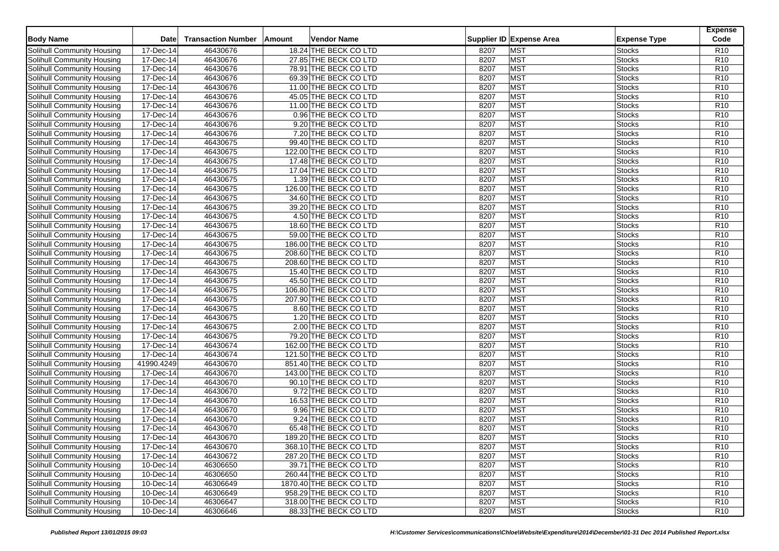| <b>Body Name</b>                  | <b>Date</b> | <b>Transaction Number</b> | Vendor Name<br><b>Amount</b> |      | Supplier ID Expense Area | <b>Expense Type</b> | <b>Expense</b><br>Code |
|-----------------------------------|-------------|---------------------------|------------------------------|------|--------------------------|---------------------|------------------------|
| Solihull Community Housing        | 17-Dec-14   | 46430676                  | 18.24 THE BECK CO LTD        | 8207 | <b>MST</b>               | Stocks              | R <sub>10</sub>        |
| Solihull Community Housing        | 17-Dec-14   | 46430676                  | 27.85 THE BECK CO LTD        | 8207 | <b>MST</b>               | <b>Stocks</b>       | R <sub>10</sub>        |
| Solihull Community Housing        | 17-Dec-14   | 46430676                  | 78.91 THE BECK CO LTD        | 8207 | <b>MST</b>               | <b>Stocks</b>       | R <sub>10</sub>        |
| Solihull Community Housing        | 17-Dec-14   | 46430676                  | 69.39 THE BECK CO LTD        | 8207 | <b>MST</b>               | <b>Stocks</b>       | R10                    |
| Solihull Community Housing        | 17-Dec-14   | 46430676                  | 11.00 THE BECK CO LTD        | 8207 | <b>MST</b>               | <b>Stocks</b>       | R10                    |
| Solihull Community Housing        | 17-Dec-14   | 46430676                  | 45.05 THE BECK CO LTD        | 8207 | <b>MST</b>               | <b>Stocks</b>       | R <sub>10</sub>        |
| Solihull Community Housing        | 17-Dec-14   | 46430676                  | 11.00 THE BECK CO LTD        | 8207 | <b>MST</b>               | <b>Stocks</b>       | R10                    |
| Solihull Community Housing        | 17-Dec-14   | 46430676                  | 0.96 THE BECK CO LTD         | 8207 | <b>MST</b>               | <b>Stocks</b>       | R <sub>10</sub>        |
| Solihull Community Housing        | 17-Dec-14   | 46430676                  | 9.20 THE BECK CO LTD         | 8207 | <b>MST</b>               | <b>Stocks</b>       | R <sub>10</sub>        |
| Solihull Community Housing        | 17-Dec-14   | 46430676                  | 7.20 THE BECK CO LTD         | 8207 | <b>MST</b>               | <b>Stocks</b>       | R10                    |
| Solihull Community Housing        | 17-Dec-14   | 46430675                  | 99.40 THE BECK CO LTD        | 8207 | <b>MST</b>               | <b>Stocks</b>       | R10                    |
| Solihull Community Housing        | 17-Dec-14   | 46430675                  | 122.00 THE BECK CO LTD       | 8207 | <b>MST</b>               | <b>Stocks</b>       | R <sub>10</sub>        |
| Solihull Community Housing        | 17-Dec-14   | 46430675                  | 17.48 THE BECK CO LTD        | 8207 | <b>MST</b>               | <b>Stocks</b>       | R10                    |
| Solihull Community Housing        | 17-Dec-14   | 46430675                  | 17.04 THE BECK CO LTD        | 8207 | <b>MST</b>               | Stocks              | R10                    |
| Solihull Community Housing        | 17-Dec-14   | 46430675                  | 1.39 THE BECK CO LTD         | 8207 | <b>MST</b>               | <b>Stocks</b>       | R <sub>10</sub>        |
| Solihull Community Housing        | 17-Dec-14   | 46430675                  | 126.00 THE BECK CO LTD       | 8207 | <b>MST</b>               | <b>Stocks</b>       | R10                    |
| Solihull Community Housing        | 17-Dec-14   | 46430675                  | 34.60 THE BECK CO LTD        | 8207 | <b>MST</b>               | <b>Stocks</b>       | R10                    |
| Solihull Community Housing        | 17-Dec-14   | 46430675                  | 39.20 THE BECK CO LTD        | 8207 | <b>MST</b>               | <b>Stocks</b>       | R <sub>10</sub>        |
| Solihull Community Housing        | 17-Dec-14   | 46430675                  | 4.50 THE BECK CO LTD         | 8207 | <b>MST</b>               | <b>Stocks</b>       | R10                    |
| Solihull Community Housing        | 17-Dec-14   | 46430675                  | 18.60 THE BECK CO LTD        | 8207 | <b>MST</b>               | Stocks              | R <sub>10</sub>        |
| Solihull Community Housing        | 17-Dec-14   | 46430675                  | 59.00 THE BECK CO LTD        | 8207 | <b>MST</b>               | <b>Stocks</b>       | R <sub>10</sub>        |
| Solihull Community Housing        | 17-Dec-14   | 46430675                  | 186.00 THE BECK CO LTD       | 8207 | <b>MST</b>               | <b>Stocks</b>       | R10                    |
| Solihull Community Housing        | 17-Dec-14   | 46430675                  | 208.60 THE BECK CO LTD       | 8207 | <b>MST</b>               | <b>Stocks</b>       | R10                    |
| Solihull Community Housing        | 17-Dec-14   | 46430675                  | 208.60 THE BECK CO LTD       | 8207 | <b>MST</b>               | <b>Stocks</b>       | R <sub>10</sub>        |
| Solihull Community Housing        | 17-Dec-14   | 46430675                  | 15.40 THE BECK CO LTD        | 8207 | <b>MST</b>               | <b>Stocks</b>       | R <sub>10</sub>        |
| Solihull Community Housing        | 17-Dec-14   | 46430675                  | 45.50 THE BECK CO LTD        | 8207 | <b>MST</b>               | Stocks              | R <sub>10</sub>        |
| Solihull Community Housing        | 17-Dec-14   | 46430675                  | 106.80 THE BECK CO LTD       | 8207 | <b>MST</b>               | <b>Stocks</b>       | R10                    |
| Solihull Community Housing        | 17-Dec-14   | 46430675                  | 207.90 THE BECK CO LTD       | 8207 | <b>MST</b>               | <b>Stocks</b>       | R <sub>10</sub>        |
| Solihull Community Housing        | 17-Dec-14   | 46430675                  | 8.60 THE BECK CO LTD         | 8207 | <b>MST</b>               | <b>Stocks</b>       | R <sub>10</sub>        |
| Solihull Community Housing        | 17-Dec-14   | 46430675                  | 1.20 THE BECK CO LTD         | 8207 | <b>MST</b>               | <b>Stocks</b>       | R <sub>10</sub>        |
| <b>Solihull Community Housing</b> | 17-Dec-14   | 46430675                  | 2.00 THE BECK CO LTD         | 8207 | <b>MST</b>               | <b>Stocks</b>       | R <sub>10</sub>        |
| Solihull Community Housing        | 17-Dec-14   | 46430675                  | 79.20 THE BECK CO LTD        | 8207 | <b>MST</b>               | <b>Stocks</b>       | R10                    |
| Solihull Community Housing        | 17-Dec-14   | 46430674                  | 162.00 THE BECK CO LTD       | 8207 | <b>MST</b>               | <b>Stocks</b>       | R <sub>10</sub>        |
| Solihull Community Housing        | 17-Dec-14   | 46430674                  | 121.50 THE BECK CO LTD       | 8207 | <b>MST</b>               | <b>Stocks</b>       | R <sub>10</sub>        |
| Solihull Community Housing        | 41990.4249  | 46430670                  | 851.40 THE BECK CO LTD       | 8207 | <b>MST</b>               | <b>Stocks</b>       | R <sub>10</sub>        |
| Solihull Community Housing        | 17-Dec-14   | 46430670                  | 143.00 THE BECK CO LTD       | 8207 | <b>MST</b>               | <b>Stocks</b>       | R <sub>10</sub>        |
| <b>Solihull Community Housing</b> | 17-Dec-14   | 46430670                  | 90.10 THE BECK CO LTD        | 8207 | <b>MST</b>               | <b>Stocks</b>       | R <sub>10</sub>        |
| Solihull Community Housing        | 17-Dec-14   | 46430670                  | 9.72 THE BECK CO LTD         | 8207 | <b>MST</b>               | <b>Stocks</b>       | R10                    |
| Solihull Community Housing        | 17-Dec-14   | 46430670                  | 16.53 THE BECK CO LTD        | 8207 | <b>MST</b>               | <b>Stocks</b>       | R <sub>10</sub>        |
| Solihull Community Housing        | 17-Dec-14   | 46430670                  | 9.96 THE BECK CO LTD         | 8207 | <b>MST</b>               | <b>Stocks</b>       | R10                    |
| Solihull Community Housing        | 17-Dec-14   | 46430670                  | 9.24 THE BECK CO LTD         | 8207 | <b>MST</b>               | <b>Stocks</b>       | R10                    |
| Solihull Community Housing        | 17-Dec-14   | 46430670                  | 65.48 THE BECK CO LTD        | 8207 | <b>MST</b>               | <b>Stocks</b>       | R10                    |
| <b>Solihull Community Housing</b> | 17-Dec-14   | 46430670                  | 189.20 THE BECK CO LTD       | 8207 | <b>MST</b>               | <b>Stocks</b>       | R <sub>10</sub>        |
| Solihull Community Housing        | 17-Dec-14   | 46430670                  | 368.10 THE BECK CO LTD       | 8207 | <b>MST</b>               | <b>Stocks</b>       | R <sub>10</sub>        |
| Solihull Community Housing        | 17-Dec-14   | 46430672                  | 287.20 THE BECK CO LTD       | 8207 | <b>MST</b>               | <b>Stocks</b>       | R <sub>10</sub>        |
| Solihull Community Housing        | 10-Dec-14   | 46306650                  | 39.71 THE BECK CO LTD        | 8207 | <b>MST</b>               | <b>Stocks</b>       | R <sub>10</sub>        |
| Solihull Community Housing        | 10-Dec-14   | 46306650                  | 260.44 THE BECK CO LTD       | 8207 | <b>MST</b>               | <b>Stocks</b>       | R <sub>10</sub>        |
| Solihull Community Housing        | 10-Dec-14   | 46306649                  | 1870.40 THE BECK CO LTD      | 8207 | <b>MST</b>               | <b>Stocks</b>       | R <sub>10</sub>        |
| Solihull Community Housing        | 10-Dec-14   | 46306649                  | 958.29 THE BECK CO LTD       | 8207 | <b>MST</b>               | <b>Stocks</b>       | R <sub>10</sub>        |
| Solihull Community Housing        | 10-Dec-14   | 46306647                  | 318.00 THE BECK CO LTD       | 8207 | <b>MST</b>               | <b>Stocks</b>       | R <sub>10</sub>        |
| Solihull Community Housing        | 10-Dec-14   | 46306646                  | 88.33 THE BECK CO LTD        | 8207 | <b>MST</b>               | <b>Stocks</b>       | R <sub>10</sub>        |
|                                   |             |                           |                              |      |                          |                     |                        |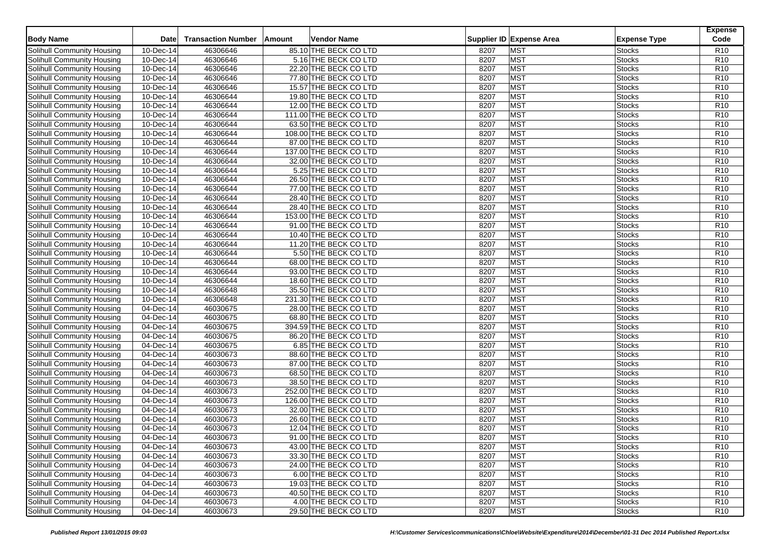| 85.10 THE BECK CO LTD<br><b>MST</b><br>R <sub>10</sub><br>Solihull Community Housing<br>10-Dec-14<br>46306646<br>8207<br>Stocks<br>46306646<br>8207<br><b>MST</b><br>R10<br>Solihull Community Housing<br>10-Dec-14<br>5.16 THE BECK CO LTD<br><b>Stocks</b><br>46306646<br>8207<br><b>MST</b><br>10-Dec-14<br>22.20 THE BECK CO LTD<br><b>Stocks</b><br>R <sub>10</sub><br>Solihull Community Housing<br>46306646<br><b>MST</b><br>R10<br>Solihull Community Housing<br>10-Dec-14<br>77.80 THE BECK CO LTD<br>8207<br><b>Stocks</b><br><b>MST</b><br>46306646<br>R10<br>Solihull Community Housing<br>10-Dec-14<br>15.57 THE BECK CO LTD<br>8207<br><b>Stocks</b><br>46306644<br><b>MST</b><br>10-Dec-14<br>19.80 THE BECK CO LTD<br>8207<br><b>Stocks</b><br>R <sub>10</sub><br>Solihull Community Housing<br>46306644<br><b>MST</b><br>R10<br>Solihull Community Housing<br>10-Dec-14<br>12.00 THE BECK CO LTD<br>8207<br><b>Stocks</b><br>46306644<br><b>MST</b><br>R <sub>10</sub><br>Solihull Community Housing<br>10-Dec-14<br>111.00 THE BECK CO LTD<br>8207<br>Stocks<br>46306644<br>8207<br><b>MST</b><br>Solihull Community Housing<br>10-Dec-14<br>63.50 THE BECK CO LTD<br><b>Stocks</b><br>R <sub>10</sub><br>46306644<br><b>MST</b><br>R10<br>Solihull Community Housing<br>10-Dec-14<br>108.00 THE BECK CO LTD<br>8207<br><b>Stocks</b><br><b>MST</b><br>46306644<br>R10<br>Solihull Community Housing<br>10-Dec-14<br>87.00 THE BECK CO LTD<br>8207<br><b>Stocks</b><br>46306644<br>8207<br><b>MST</b><br>Solihull Community Housing<br>10-Dec-14<br>137.00 THE BECK CO LTD<br><b>Stocks</b><br>R <sub>10</sub><br>46306644<br><b>MST</b><br>R10<br>Solihull Community Housing<br>10-Dec-14<br>32.00 THE BECK CO LTD<br>8207<br><b>Stocks</b><br><b>MST</b><br>46306644<br>8207<br>R10<br>Solihull Community Housing<br>10-Dec-14<br>5.25 THE BECK CO LTD<br>Stocks<br>46306644<br>8207<br><b>MST</b><br>Solihull Community Housing<br>10-Dec-14<br>26.50 THE BECK CO LTD<br><b>Stocks</b><br>R <sub>10</sub><br>46306644<br>8207<br><b>MST</b><br>R10<br>10-Dec-14<br>77.00 THE BECK CO LTD<br><b>Stocks</b><br>Solihull Community Housing<br><b>MST</b><br>10-Dec-14<br>46306644<br>8207<br>R10<br>Solihull Community Housing<br>28.40 THE BECK CO LTD<br><b>Stocks</b><br>46306644<br>8207<br><b>MST</b><br>Solihull Community Housing<br>10-Dec-14<br>28.40 THE BECK CO LTD<br><b>Stocks</b><br>R <sub>10</sub><br>46306644<br>8207<br><b>MST</b><br>R10<br>Solihull Community Housing<br>10-Dec-14<br>153.00 THE BECK CO LTD<br><b>Stocks</b><br>46306644<br><b>MST</b><br>R10<br>10-Dec-14<br>91.00 THE BECK CO LTD<br>8207<br>Stocks<br>Solihull Community Housing<br>46306644<br>8207<br><b>MST</b><br>R <sub>10</sub><br>Solihull Community Housing<br>10-Dec-14<br>10.40 THE BECK CO LTD<br><b>Stocks</b><br>46306644<br>8207<br><b>MST</b><br>R10<br>11.20 THE BECK CO LTD<br>Solihull Community Housing<br>10-Dec-14<br><b>Stocks</b><br>46306644<br><b>MST</b><br>R10<br>Solihull Community Housing<br>10-Dec-14<br>5.50 THE BECK CO LTD<br>8207<br><b>Stocks</b><br>46306644<br>8207<br><b>MST</b><br>R <sub>10</sub><br>Solihull Community Housing<br>10-Dec-14<br>68.00 THE BECK CO LTD<br><b>Stocks</b><br>46306644<br>8207<br><b>MST</b><br>R <sub>10</sub><br>Solihull Community Housing<br>10-Dec-14<br>93.00 THE BECK CO LTD<br><b>Stocks</b><br>46306644<br><b>MST</b><br>Solihull Community Housing<br>10-Dec-14<br>18.60 THE BECK CO LTD<br>8207<br>Stocks<br>R <sub>10</sub><br>46306648<br><b>MST</b><br>R10<br>Solihull Community Housing<br>10-Dec-14<br>35.50 THE BECK CO LTD<br>8207<br><b>Stocks</b><br>46306648<br>8207<br><b>MST</b><br>R <sub>10</sub><br>Solihull Community Housing<br>10-Dec-14<br>231.30 THE BECK CO LTD<br><b>Stocks</b><br>46030675<br><b>MST</b><br>04-Dec-14<br>28.00 THE BECK CO LTD<br>8207<br><b>Stocks</b><br>R <sub>10</sub><br>Solihull Community Housing<br>46030675<br>8207<br><b>MST</b><br>Solihull Community Housing<br>04-Dec-14<br>68.80 THE BECK CO LTD<br><b>Stocks</b><br>R <sub>10</sub><br>46030675<br>8207<br><b>MST</b><br>R <sub>10</sub><br>Solihull Community Housing<br>04-Dec-14<br>394.59 THE BECK CO LTD<br><b>Stocks</b><br>46030675<br><b>MST</b><br>R10<br>Solihull Community Housing<br>04-Dec-14<br>86.20 THE BECK CO LTD<br>8207<br><b>Stocks</b><br>46030675<br>8207<br><b>MST</b><br>R <sub>10</sub><br>Solihull Community Housing<br>04-Dec-14<br>6.85 THE BECK CO LTD<br><b>Stocks</b><br><b>MST</b><br>46030673<br>8207<br><b>Stocks</b><br>R <sub>10</sub><br>Solihull Community Housing<br>04-Dec-14<br>88.60 THE BECK CO LTD<br>46030673<br>8207<br><b>MST</b><br>R <sub>10</sub><br>Solihull Community Housing<br>04-Dec-14<br>87.00 THE BECK CO LTD<br><b>Stocks</b><br>46030673<br>8207<br><b>MST</b><br>R <sub>10</sub><br>04-Dec-14<br>68.50 THE BECK CO LTD<br>Solihull Community Housing<br>Stocks<br>46030673<br><b>MST</b><br>R <sub>10</sub><br><b>Solihull Community Housing</b><br>38.50 THE BECK CO LTD<br>8207<br><b>Stocks</b><br>04-Dec-14<br>46030673<br>8207<br><b>MST</b><br>R <sub>10</sub><br>Solihull Community Housing<br>04-Dec-14<br>252.00 THE BECK CO LTD<br><b>Stocks</b><br>46030673<br><b>MST</b><br>R10<br>Solihull Community Housing<br>04-Dec-14<br>126.00 THE BECK CO LTD<br>8207<br><b>Stocks</b><br><b>MST</b><br>R10<br><b>Solihull Community Housing</b><br>04-Dec-14<br>46030673<br>32.00 THE BECK CO LTD<br>8207<br><b>Stocks</b><br>46030673<br>26.60 THE BECK CO LTD<br>8207<br><b>MST</b><br>R10<br>Solihull Community Housing<br>04-Dec-14<br><b>Stocks</b><br><b>MST</b><br>04-Dec-14<br>46030673<br>8207<br>R10<br>Solihull Community Housing<br>12.04 THE BECK CO LTD<br><b>Stocks</b><br>46030673<br><b>MST</b><br><b>Solihull Community Housing</b><br>04-Dec-14<br>91.00 THE BECK CO LTD<br>8207<br><b>Stocks</b><br>R <sub>10</sub><br>Solihull Community Housing<br>43.00 THE BECK CO LTD<br><b>MST</b><br>R <sub>10</sub><br>04-Dec-14<br>46030673<br>8207<br><b>Stocks</b><br>04-Dec-14<br>Solihull Community Housing<br>46030673<br>33.30 THE BECK CO LTD<br>8207<br><b>MST</b><br>R <sub>10</sub><br><b>Stocks</b><br>46030673<br><b>MST</b><br>Solihull Community Housing<br>04-Dec-14<br>24.00 THE BECK CO LTD<br>8207<br>R <sub>10</sub><br><b>Stocks</b><br><b>MST</b><br>Solihull Community Housing<br>04-Dec-14<br>46030673<br>6.00 THE BECK CO LTD<br>8207<br><b>Stocks</b><br>R <sub>10</sub><br><b>MST</b><br>Solihull Community Housing<br>04-Dec-14<br>46030673<br>19.03 THE BECK CO LTD<br>R <sub>10</sub><br>8207<br><b>Stocks</b><br>46030673<br><b>MST</b><br>Solihull Community Housing<br>04-Dec-14<br>40.50 THE BECK CO LTD<br>8207<br>R <sub>10</sub><br><b>Stocks</b><br><b>MST</b><br>Solihull Community Housing<br>04-Dec-14<br>46030673<br>4.00 THE BECK CO LTD<br>8207<br><b>Stocks</b><br>R <sub>10</sub><br><b>MST</b><br>Solihull Community Housing<br>04-Dec-14<br>46030673<br>29.50 THE BECK CO LTD<br>8207<br><b>R10</b><br><b>Stocks</b> | <b>Body Name</b> | <b>Date</b> | <b>Transaction Number</b> | Vendor Name<br><b>Amount</b> | Supplier ID Expense Area | <b>Expense Type</b> | <b>Expense</b><br>Code |
|----------------------------------------------------------------------------------------------------------------------------------------------------------------------------------------------------------------------------------------------------------------------------------------------------------------------------------------------------------------------------------------------------------------------------------------------------------------------------------------------------------------------------------------------------------------------------------------------------------------------------------------------------------------------------------------------------------------------------------------------------------------------------------------------------------------------------------------------------------------------------------------------------------------------------------------------------------------------------------------------------------------------------------------------------------------------------------------------------------------------------------------------------------------------------------------------------------------------------------------------------------------------------------------------------------------------------------------------------------------------------------------------------------------------------------------------------------------------------------------------------------------------------------------------------------------------------------------------------------------------------------------------------------------------------------------------------------------------------------------------------------------------------------------------------------------------------------------------------------------------------------------------------------------------------------------------------------------------------------------------------------------------------------------------------------------------------------------------------------------------------------------------------------------------------------------------------------------------------------------------------------------------------------------------------------------------------------------------------------------------------------------------------------------------------------------------------------------------------------------------------------------------------------------------------------------------------------------------------------------------------------------------------------------------------------------------------------------------------------------------------------------------------------------------------------------------------------------------------------------------------------------------------------------------------------------------------------------------------------------------------------------------------------------------------------------------------------------------------------------------------------------------------------------------------------------------------------------------------------------------------------------------------------------------------------------------------------------------------------------------------------------------------------------------------------------------------------------------------------------------------------------------------------------------------------------------------------------------------------------------------------------------------------------------------------------------------------------------------------------------------------------------------------------------------------------------------------------------------------------------------------------------------------------------------------------------------------------------------------------------------------------------------------------------------------------------------------------------------------------------------------------------------------------------------------------------------------------------------------------------------------------------------------------------------------------------------------------------------------------------------------------------------------------------------------------------------------------------------------------------------------------------------------------------------------------------------------------------------------------------------------------------------------------------------------------------------------------------------------------------------------------------------------------------------------------------------------------------------------------------------------------------------------------------------------------------------------------------------------------------------------------------------------------------------------------------------------------------------------------------------------------------------------------------------------------------------------------------------------------------------------------------------------------------------------------------------------------------------------------------------------------------------------------------------------------------------------------------------------------------------------------------------------------------------------------------------------------------------------------------------------------------------------------------------------------------------------------------------------------------------------------------------------------------------------------------------------------------------------------------------------------------------------------------------------------------------------------------------------------------------------------------------------------------------------------------------------------------------------------------------------------------------------------------------------------------------------------------------------------------------------------------------------------------------------------------------------------------------------------------------------------------------------------------------------------------------------------------------------------------------------------------------------------------------------------------------------------------------------------------------------------------------------------------------------------------------------------------------------------------------------------------------------------------------------------------------------------------------------------------------------------------------------------------------------------------------------------------------------------------------------------------------------------------------|------------------|-------------|---------------------------|------------------------------|--------------------------|---------------------|------------------------|
|                                                                                                                                                                                                                                                                                                                                                                                                                                                                                                                                                                                                                                                                                                                                                                                                                                                                                                                                                                                                                                                                                                                                                                                                                                                                                                                                                                                                                                                                                                                                                                                                                                                                                                                                                                                                                                                                                                                                                                                                                                                                                                                                                                                                                                                                                                                                                                                                                                                                                                                                                                                                                                                                                                                                                                                                                                                                                                                                                                                                                                                                                                                                                                                                                                                                                                                                                                                                                                                                                                                                                                                                                                                                                                                                                                                                                                                                                                                                                                                                                                                                                                                                                                                                                                                                                                                                                                                                                                                                                                                                                                                                                                                                                                                                                                                                                                                                                                                                                                                                                                                                                                                                                                                                                                                                                                                                                                                                                                                                                                                                                                                                                                                                                                                                                                                                                                                                                                                                                                                                                                                                                                                                                                                                                                                                                                                                                                                                                                                                                                                                                                                                                                                                                                                                                                                                                                                                                                                                                                                                                                                    |                  |             |                           |                              |                          |                     |                        |
|                                                                                                                                                                                                                                                                                                                                                                                                                                                                                                                                                                                                                                                                                                                                                                                                                                                                                                                                                                                                                                                                                                                                                                                                                                                                                                                                                                                                                                                                                                                                                                                                                                                                                                                                                                                                                                                                                                                                                                                                                                                                                                                                                                                                                                                                                                                                                                                                                                                                                                                                                                                                                                                                                                                                                                                                                                                                                                                                                                                                                                                                                                                                                                                                                                                                                                                                                                                                                                                                                                                                                                                                                                                                                                                                                                                                                                                                                                                                                                                                                                                                                                                                                                                                                                                                                                                                                                                                                                                                                                                                                                                                                                                                                                                                                                                                                                                                                                                                                                                                                                                                                                                                                                                                                                                                                                                                                                                                                                                                                                                                                                                                                                                                                                                                                                                                                                                                                                                                                                                                                                                                                                                                                                                                                                                                                                                                                                                                                                                                                                                                                                                                                                                                                                                                                                                                                                                                                                                                                                                                                                                    |                  |             |                           |                              |                          |                     |                        |
|                                                                                                                                                                                                                                                                                                                                                                                                                                                                                                                                                                                                                                                                                                                                                                                                                                                                                                                                                                                                                                                                                                                                                                                                                                                                                                                                                                                                                                                                                                                                                                                                                                                                                                                                                                                                                                                                                                                                                                                                                                                                                                                                                                                                                                                                                                                                                                                                                                                                                                                                                                                                                                                                                                                                                                                                                                                                                                                                                                                                                                                                                                                                                                                                                                                                                                                                                                                                                                                                                                                                                                                                                                                                                                                                                                                                                                                                                                                                                                                                                                                                                                                                                                                                                                                                                                                                                                                                                                                                                                                                                                                                                                                                                                                                                                                                                                                                                                                                                                                                                                                                                                                                                                                                                                                                                                                                                                                                                                                                                                                                                                                                                                                                                                                                                                                                                                                                                                                                                                                                                                                                                                                                                                                                                                                                                                                                                                                                                                                                                                                                                                                                                                                                                                                                                                                                                                                                                                                                                                                                                                                    |                  |             |                           |                              |                          |                     |                        |
|                                                                                                                                                                                                                                                                                                                                                                                                                                                                                                                                                                                                                                                                                                                                                                                                                                                                                                                                                                                                                                                                                                                                                                                                                                                                                                                                                                                                                                                                                                                                                                                                                                                                                                                                                                                                                                                                                                                                                                                                                                                                                                                                                                                                                                                                                                                                                                                                                                                                                                                                                                                                                                                                                                                                                                                                                                                                                                                                                                                                                                                                                                                                                                                                                                                                                                                                                                                                                                                                                                                                                                                                                                                                                                                                                                                                                                                                                                                                                                                                                                                                                                                                                                                                                                                                                                                                                                                                                                                                                                                                                                                                                                                                                                                                                                                                                                                                                                                                                                                                                                                                                                                                                                                                                                                                                                                                                                                                                                                                                                                                                                                                                                                                                                                                                                                                                                                                                                                                                                                                                                                                                                                                                                                                                                                                                                                                                                                                                                                                                                                                                                                                                                                                                                                                                                                                                                                                                                                                                                                                                                                    |                  |             |                           |                              |                          |                     |                        |
|                                                                                                                                                                                                                                                                                                                                                                                                                                                                                                                                                                                                                                                                                                                                                                                                                                                                                                                                                                                                                                                                                                                                                                                                                                                                                                                                                                                                                                                                                                                                                                                                                                                                                                                                                                                                                                                                                                                                                                                                                                                                                                                                                                                                                                                                                                                                                                                                                                                                                                                                                                                                                                                                                                                                                                                                                                                                                                                                                                                                                                                                                                                                                                                                                                                                                                                                                                                                                                                                                                                                                                                                                                                                                                                                                                                                                                                                                                                                                                                                                                                                                                                                                                                                                                                                                                                                                                                                                                                                                                                                                                                                                                                                                                                                                                                                                                                                                                                                                                                                                                                                                                                                                                                                                                                                                                                                                                                                                                                                                                                                                                                                                                                                                                                                                                                                                                                                                                                                                                                                                                                                                                                                                                                                                                                                                                                                                                                                                                                                                                                                                                                                                                                                                                                                                                                                                                                                                                                                                                                                                                                    |                  |             |                           |                              |                          |                     |                        |
|                                                                                                                                                                                                                                                                                                                                                                                                                                                                                                                                                                                                                                                                                                                                                                                                                                                                                                                                                                                                                                                                                                                                                                                                                                                                                                                                                                                                                                                                                                                                                                                                                                                                                                                                                                                                                                                                                                                                                                                                                                                                                                                                                                                                                                                                                                                                                                                                                                                                                                                                                                                                                                                                                                                                                                                                                                                                                                                                                                                                                                                                                                                                                                                                                                                                                                                                                                                                                                                                                                                                                                                                                                                                                                                                                                                                                                                                                                                                                                                                                                                                                                                                                                                                                                                                                                                                                                                                                                                                                                                                                                                                                                                                                                                                                                                                                                                                                                                                                                                                                                                                                                                                                                                                                                                                                                                                                                                                                                                                                                                                                                                                                                                                                                                                                                                                                                                                                                                                                                                                                                                                                                                                                                                                                                                                                                                                                                                                                                                                                                                                                                                                                                                                                                                                                                                                                                                                                                                                                                                                                                                    |                  |             |                           |                              |                          |                     |                        |
|                                                                                                                                                                                                                                                                                                                                                                                                                                                                                                                                                                                                                                                                                                                                                                                                                                                                                                                                                                                                                                                                                                                                                                                                                                                                                                                                                                                                                                                                                                                                                                                                                                                                                                                                                                                                                                                                                                                                                                                                                                                                                                                                                                                                                                                                                                                                                                                                                                                                                                                                                                                                                                                                                                                                                                                                                                                                                                                                                                                                                                                                                                                                                                                                                                                                                                                                                                                                                                                                                                                                                                                                                                                                                                                                                                                                                                                                                                                                                                                                                                                                                                                                                                                                                                                                                                                                                                                                                                                                                                                                                                                                                                                                                                                                                                                                                                                                                                                                                                                                                                                                                                                                                                                                                                                                                                                                                                                                                                                                                                                                                                                                                                                                                                                                                                                                                                                                                                                                                                                                                                                                                                                                                                                                                                                                                                                                                                                                                                                                                                                                                                                                                                                                                                                                                                                                                                                                                                                                                                                                                                                    |                  |             |                           |                              |                          |                     |                        |
|                                                                                                                                                                                                                                                                                                                                                                                                                                                                                                                                                                                                                                                                                                                                                                                                                                                                                                                                                                                                                                                                                                                                                                                                                                                                                                                                                                                                                                                                                                                                                                                                                                                                                                                                                                                                                                                                                                                                                                                                                                                                                                                                                                                                                                                                                                                                                                                                                                                                                                                                                                                                                                                                                                                                                                                                                                                                                                                                                                                                                                                                                                                                                                                                                                                                                                                                                                                                                                                                                                                                                                                                                                                                                                                                                                                                                                                                                                                                                                                                                                                                                                                                                                                                                                                                                                                                                                                                                                                                                                                                                                                                                                                                                                                                                                                                                                                                                                                                                                                                                                                                                                                                                                                                                                                                                                                                                                                                                                                                                                                                                                                                                                                                                                                                                                                                                                                                                                                                                                                                                                                                                                                                                                                                                                                                                                                                                                                                                                                                                                                                                                                                                                                                                                                                                                                                                                                                                                                                                                                                                                                    |                  |             |                           |                              |                          |                     |                        |
|                                                                                                                                                                                                                                                                                                                                                                                                                                                                                                                                                                                                                                                                                                                                                                                                                                                                                                                                                                                                                                                                                                                                                                                                                                                                                                                                                                                                                                                                                                                                                                                                                                                                                                                                                                                                                                                                                                                                                                                                                                                                                                                                                                                                                                                                                                                                                                                                                                                                                                                                                                                                                                                                                                                                                                                                                                                                                                                                                                                                                                                                                                                                                                                                                                                                                                                                                                                                                                                                                                                                                                                                                                                                                                                                                                                                                                                                                                                                                                                                                                                                                                                                                                                                                                                                                                                                                                                                                                                                                                                                                                                                                                                                                                                                                                                                                                                                                                                                                                                                                                                                                                                                                                                                                                                                                                                                                                                                                                                                                                                                                                                                                                                                                                                                                                                                                                                                                                                                                                                                                                                                                                                                                                                                                                                                                                                                                                                                                                                                                                                                                                                                                                                                                                                                                                                                                                                                                                                                                                                                                                                    |                  |             |                           |                              |                          |                     |                        |
|                                                                                                                                                                                                                                                                                                                                                                                                                                                                                                                                                                                                                                                                                                                                                                                                                                                                                                                                                                                                                                                                                                                                                                                                                                                                                                                                                                                                                                                                                                                                                                                                                                                                                                                                                                                                                                                                                                                                                                                                                                                                                                                                                                                                                                                                                                                                                                                                                                                                                                                                                                                                                                                                                                                                                                                                                                                                                                                                                                                                                                                                                                                                                                                                                                                                                                                                                                                                                                                                                                                                                                                                                                                                                                                                                                                                                                                                                                                                                                                                                                                                                                                                                                                                                                                                                                                                                                                                                                                                                                                                                                                                                                                                                                                                                                                                                                                                                                                                                                                                                                                                                                                                                                                                                                                                                                                                                                                                                                                                                                                                                                                                                                                                                                                                                                                                                                                                                                                                                                                                                                                                                                                                                                                                                                                                                                                                                                                                                                                                                                                                                                                                                                                                                                                                                                                                                                                                                                                                                                                                                                                    |                  |             |                           |                              |                          |                     |                        |
|                                                                                                                                                                                                                                                                                                                                                                                                                                                                                                                                                                                                                                                                                                                                                                                                                                                                                                                                                                                                                                                                                                                                                                                                                                                                                                                                                                                                                                                                                                                                                                                                                                                                                                                                                                                                                                                                                                                                                                                                                                                                                                                                                                                                                                                                                                                                                                                                                                                                                                                                                                                                                                                                                                                                                                                                                                                                                                                                                                                                                                                                                                                                                                                                                                                                                                                                                                                                                                                                                                                                                                                                                                                                                                                                                                                                                                                                                                                                                                                                                                                                                                                                                                                                                                                                                                                                                                                                                                                                                                                                                                                                                                                                                                                                                                                                                                                                                                                                                                                                                                                                                                                                                                                                                                                                                                                                                                                                                                                                                                                                                                                                                                                                                                                                                                                                                                                                                                                                                                                                                                                                                                                                                                                                                                                                                                                                                                                                                                                                                                                                                                                                                                                                                                                                                                                                                                                                                                                                                                                                                                                    |                  |             |                           |                              |                          |                     |                        |
|                                                                                                                                                                                                                                                                                                                                                                                                                                                                                                                                                                                                                                                                                                                                                                                                                                                                                                                                                                                                                                                                                                                                                                                                                                                                                                                                                                                                                                                                                                                                                                                                                                                                                                                                                                                                                                                                                                                                                                                                                                                                                                                                                                                                                                                                                                                                                                                                                                                                                                                                                                                                                                                                                                                                                                                                                                                                                                                                                                                                                                                                                                                                                                                                                                                                                                                                                                                                                                                                                                                                                                                                                                                                                                                                                                                                                                                                                                                                                                                                                                                                                                                                                                                                                                                                                                                                                                                                                                                                                                                                                                                                                                                                                                                                                                                                                                                                                                                                                                                                                                                                                                                                                                                                                                                                                                                                                                                                                                                                                                                                                                                                                                                                                                                                                                                                                                                                                                                                                                                                                                                                                                                                                                                                                                                                                                                                                                                                                                                                                                                                                                                                                                                                                                                                                                                                                                                                                                                                                                                                                                                    |                  |             |                           |                              |                          |                     |                        |
|                                                                                                                                                                                                                                                                                                                                                                                                                                                                                                                                                                                                                                                                                                                                                                                                                                                                                                                                                                                                                                                                                                                                                                                                                                                                                                                                                                                                                                                                                                                                                                                                                                                                                                                                                                                                                                                                                                                                                                                                                                                                                                                                                                                                                                                                                                                                                                                                                                                                                                                                                                                                                                                                                                                                                                                                                                                                                                                                                                                                                                                                                                                                                                                                                                                                                                                                                                                                                                                                                                                                                                                                                                                                                                                                                                                                                                                                                                                                                                                                                                                                                                                                                                                                                                                                                                                                                                                                                                                                                                                                                                                                                                                                                                                                                                                                                                                                                                                                                                                                                                                                                                                                                                                                                                                                                                                                                                                                                                                                                                                                                                                                                                                                                                                                                                                                                                                                                                                                                                                                                                                                                                                                                                                                                                                                                                                                                                                                                                                                                                                                                                                                                                                                                                                                                                                                                                                                                                                                                                                                                                                    |                  |             |                           |                              |                          |                     |                        |
|                                                                                                                                                                                                                                                                                                                                                                                                                                                                                                                                                                                                                                                                                                                                                                                                                                                                                                                                                                                                                                                                                                                                                                                                                                                                                                                                                                                                                                                                                                                                                                                                                                                                                                                                                                                                                                                                                                                                                                                                                                                                                                                                                                                                                                                                                                                                                                                                                                                                                                                                                                                                                                                                                                                                                                                                                                                                                                                                                                                                                                                                                                                                                                                                                                                                                                                                                                                                                                                                                                                                                                                                                                                                                                                                                                                                                                                                                                                                                                                                                                                                                                                                                                                                                                                                                                                                                                                                                                                                                                                                                                                                                                                                                                                                                                                                                                                                                                                                                                                                                                                                                                                                                                                                                                                                                                                                                                                                                                                                                                                                                                                                                                                                                                                                                                                                                                                                                                                                                                                                                                                                                                                                                                                                                                                                                                                                                                                                                                                                                                                                                                                                                                                                                                                                                                                                                                                                                                                                                                                                                                                    |                  |             |                           |                              |                          |                     |                        |
|                                                                                                                                                                                                                                                                                                                                                                                                                                                                                                                                                                                                                                                                                                                                                                                                                                                                                                                                                                                                                                                                                                                                                                                                                                                                                                                                                                                                                                                                                                                                                                                                                                                                                                                                                                                                                                                                                                                                                                                                                                                                                                                                                                                                                                                                                                                                                                                                                                                                                                                                                                                                                                                                                                                                                                                                                                                                                                                                                                                                                                                                                                                                                                                                                                                                                                                                                                                                                                                                                                                                                                                                                                                                                                                                                                                                                                                                                                                                                                                                                                                                                                                                                                                                                                                                                                                                                                                                                                                                                                                                                                                                                                                                                                                                                                                                                                                                                                                                                                                                                                                                                                                                                                                                                                                                                                                                                                                                                                                                                                                                                                                                                                                                                                                                                                                                                                                                                                                                                                                                                                                                                                                                                                                                                                                                                                                                                                                                                                                                                                                                                                                                                                                                                                                                                                                                                                                                                                                                                                                                                                                    |                  |             |                           |                              |                          |                     |                        |
|                                                                                                                                                                                                                                                                                                                                                                                                                                                                                                                                                                                                                                                                                                                                                                                                                                                                                                                                                                                                                                                                                                                                                                                                                                                                                                                                                                                                                                                                                                                                                                                                                                                                                                                                                                                                                                                                                                                                                                                                                                                                                                                                                                                                                                                                                                                                                                                                                                                                                                                                                                                                                                                                                                                                                                                                                                                                                                                                                                                                                                                                                                                                                                                                                                                                                                                                                                                                                                                                                                                                                                                                                                                                                                                                                                                                                                                                                                                                                                                                                                                                                                                                                                                                                                                                                                                                                                                                                                                                                                                                                                                                                                                                                                                                                                                                                                                                                                                                                                                                                                                                                                                                                                                                                                                                                                                                                                                                                                                                                                                                                                                                                                                                                                                                                                                                                                                                                                                                                                                                                                                                                                                                                                                                                                                                                                                                                                                                                                                                                                                                                                                                                                                                                                                                                                                                                                                                                                                                                                                                                                                    |                  |             |                           |                              |                          |                     |                        |
|                                                                                                                                                                                                                                                                                                                                                                                                                                                                                                                                                                                                                                                                                                                                                                                                                                                                                                                                                                                                                                                                                                                                                                                                                                                                                                                                                                                                                                                                                                                                                                                                                                                                                                                                                                                                                                                                                                                                                                                                                                                                                                                                                                                                                                                                                                                                                                                                                                                                                                                                                                                                                                                                                                                                                                                                                                                                                                                                                                                                                                                                                                                                                                                                                                                                                                                                                                                                                                                                                                                                                                                                                                                                                                                                                                                                                                                                                                                                                                                                                                                                                                                                                                                                                                                                                                                                                                                                                                                                                                                                                                                                                                                                                                                                                                                                                                                                                                                                                                                                                                                                                                                                                                                                                                                                                                                                                                                                                                                                                                                                                                                                                                                                                                                                                                                                                                                                                                                                                                                                                                                                                                                                                                                                                                                                                                                                                                                                                                                                                                                                                                                                                                                                                                                                                                                                                                                                                                                                                                                                                                                    |                  |             |                           |                              |                          |                     |                        |
|                                                                                                                                                                                                                                                                                                                                                                                                                                                                                                                                                                                                                                                                                                                                                                                                                                                                                                                                                                                                                                                                                                                                                                                                                                                                                                                                                                                                                                                                                                                                                                                                                                                                                                                                                                                                                                                                                                                                                                                                                                                                                                                                                                                                                                                                                                                                                                                                                                                                                                                                                                                                                                                                                                                                                                                                                                                                                                                                                                                                                                                                                                                                                                                                                                                                                                                                                                                                                                                                                                                                                                                                                                                                                                                                                                                                                                                                                                                                                                                                                                                                                                                                                                                                                                                                                                                                                                                                                                                                                                                                                                                                                                                                                                                                                                                                                                                                                                                                                                                                                                                                                                                                                                                                                                                                                                                                                                                                                                                                                                                                                                                                                                                                                                                                                                                                                                                                                                                                                                                                                                                                                                                                                                                                                                                                                                                                                                                                                                                                                                                                                                                                                                                                                                                                                                                                                                                                                                                                                                                                                                                    |                  |             |                           |                              |                          |                     |                        |
|                                                                                                                                                                                                                                                                                                                                                                                                                                                                                                                                                                                                                                                                                                                                                                                                                                                                                                                                                                                                                                                                                                                                                                                                                                                                                                                                                                                                                                                                                                                                                                                                                                                                                                                                                                                                                                                                                                                                                                                                                                                                                                                                                                                                                                                                                                                                                                                                                                                                                                                                                                                                                                                                                                                                                                                                                                                                                                                                                                                                                                                                                                                                                                                                                                                                                                                                                                                                                                                                                                                                                                                                                                                                                                                                                                                                                                                                                                                                                                                                                                                                                                                                                                                                                                                                                                                                                                                                                                                                                                                                                                                                                                                                                                                                                                                                                                                                                                                                                                                                                                                                                                                                                                                                                                                                                                                                                                                                                                                                                                                                                                                                                                                                                                                                                                                                                                                                                                                                                                                                                                                                                                                                                                                                                                                                                                                                                                                                                                                                                                                                                                                                                                                                                                                                                                                                                                                                                                                                                                                                                                                    |                  |             |                           |                              |                          |                     |                        |
|                                                                                                                                                                                                                                                                                                                                                                                                                                                                                                                                                                                                                                                                                                                                                                                                                                                                                                                                                                                                                                                                                                                                                                                                                                                                                                                                                                                                                                                                                                                                                                                                                                                                                                                                                                                                                                                                                                                                                                                                                                                                                                                                                                                                                                                                                                                                                                                                                                                                                                                                                                                                                                                                                                                                                                                                                                                                                                                                                                                                                                                                                                                                                                                                                                                                                                                                                                                                                                                                                                                                                                                                                                                                                                                                                                                                                                                                                                                                                                                                                                                                                                                                                                                                                                                                                                                                                                                                                                                                                                                                                                                                                                                                                                                                                                                                                                                                                                                                                                                                                                                                                                                                                                                                                                                                                                                                                                                                                                                                                                                                                                                                                                                                                                                                                                                                                                                                                                                                                                                                                                                                                                                                                                                                                                                                                                                                                                                                                                                                                                                                                                                                                                                                                                                                                                                                                                                                                                                                                                                                                                                    |                  |             |                           |                              |                          |                     |                        |
|                                                                                                                                                                                                                                                                                                                                                                                                                                                                                                                                                                                                                                                                                                                                                                                                                                                                                                                                                                                                                                                                                                                                                                                                                                                                                                                                                                                                                                                                                                                                                                                                                                                                                                                                                                                                                                                                                                                                                                                                                                                                                                                                                                                                                                                                                                                                                                                                                                                                                                                                                                                                                                                                                                                                                                                                                                                                                                                                                                                                                                                                                                                                                                                                                                                                                                                                                                                                                                                                                                                                                                                                                                                                                                                                                                                                                                                                                                                                                                                                                                                                                                                                                                                                                                                                                                                                                                                                                                                                                                                                                                                                                                                                                                                                                                                                                                                                                                                                                                                                                                                                                                                                                                                                                                                                                                                                                                                                                                                                                                                                                                                                                                                                                                                                                                                                                                                                                                                                                                                                                                                                                                                                                                                                                                                                                                                                                                                                                                                                                                                                                                                                                                                                                                                                                                                                                                                                                                                                                                                                                                                    |                  |             |                           |                              |                          |                     |                        |
|                                                                                                                                                                                                                                                                                                                                                                                                                                                                                                                                                                                                                                                                                                                                                                                                                                                                                                                                                                                                                                                                                                                                                                                                                                                                                                                                                                                                                                                                                                                                                                                                                                                                                                                                                                                                                                                                                                                                                                                                                                                                                                                                                                                                                                                                                                                                                                                                                                                                                                                                                                                                                                                                                                                                                                                                                                                                                                                                                                                                                                                                                                                                                                                                                                                                                                                                                                                                                                                                                                                                                                                                                                                                                                                                                                                                                                                                                                                                                                                                                                                                                                                                                                                                                                                                                                                                                                                                                                                                                                                                                                                                                                                                                                                                                                                                                                                                                                                                                                                                                                                                                                                                                                                                                                                                                                                                                                                                                                                                                                                                                                                                                                                                                                                                                                                                                                                                                                                                                                                                                                                                                                                                                                                                                                                                                                                                                                                                                                                                                                                                                                                                                                                                                                                                                                                                                                                                                                                                                                                                                                                    |                  |             |                           |                              |                          |                     |                        |
|                                                                                                                                                                                                                                                                                                                                                                                                                                                                                                                                                                                                                                                                                                                                                                                                                                                                                                                                                                                                                                                                                                                                                                                                                                                                                                                                                                                                                                                                                                                                                                                                                                                                                                                                                                                                                                                                                                                                                                                                                                                                                                                                                                                                                                                                                                                                                                                                                                                                                                                                                                                                                                                                                                                                                                                                                                                                                                                                                                                                                                                                                                                                                                                                                                                                                                                                                                                                                                                                                                                                                                                                                                                                                                                                                                                                                                                                                                                                                                                                                                                                                                                                                                                                                                                                                                                                                                                                                                                                                                                                                                                                                                                                                                                                                                                                                                                                                                                                                                                                                                                                                                                                                                                                                                                                                                                                                                                                                                                                                                                                                                                                                                                                                                                                                                                                                                                                                                                                                                                                                                                                                                                                                                                                                                                                                                                                                                                                                                                                                                                                                                                                                                                                                                                                                                                                                                                                                                                                                                                                                                                    |                  |             |                           |                              |                          |                     |                        |
|                                                                                                                                                                                                                                                                                                                                                                                                                                                                                                                                                                                                                                                                                                                                                                                                                                                                                                                                                                                                                                                                                                                                                                                                                                                                                                                                                                                                                                                                                                                                                                                                                                                                                                                                                                                                                                                                                                                                                                                                                                                                                                                                                                                                                                                                                                                                                                                                                                                                                                                                                                                                                                                                                                                                                                                                                                                                                                                                                                                                                                                                                                                                                                                                                                                                                                                                                                                                                                                                                                                                                                                                                                                                                                                                                                                                                                                                                                                                                                                                                                                                                                                                                                                                                                                                                                                                                                                                                                                                                                                                                                                                                                                                                                                                                                                                                                                                                                                                                                                                                                                                                                                                                                                                                                                                                                                                                                                                                                                                                                                                                                                                                                                                                                                                                                                                                                                                                                                                                                                                                                                                                                                                                                                                                                                                                                                                                                                                                                                                                                                                                                                                                                                                                                                                                                                                                                                                                                                                                                                                                                                    |                  |             |                           |                              |                          |                     |                        |
|                                                                                                                                                                                                                                                                                                                                                                                                                                                                                                                                                                                                                                                                                                                                                                                                                                                                                                                                                                                                                                                                                                                                                                                                                                                                                                                                                                                                                                                                                                                                                                                                                                                                                                                                                                                                                                                                                                                                                                                                                                                                                                                                                                                                                                                                                                                                                                                                                                                                                                                                                                                                                                                                                                                                                                                                                                                                                                                                                                                                                                                                                                                                                                                                                                                                                                                                                                                                                                                                                                                                                                                                                                                                                                                                                                                                                                                                                                                                                                                                                                                                                                                                                                                                                                                                                                                                                                                                                                                                                                                                                                                                                                                                                                                                                                                                                                                                                                                                                                                                                                                                                                                                                                                                                                                                                                                                                                                                                                                                                                                                                                                                                                                                                                                                                                                                                                                                                                                                                                                                                                                                                                                                                                                                                                                                                                                                                                                                                                                                                                                                                                                                                                                                                                                                                                                                                                                                                                                                                                                                                                                    |                  |             |                           |                              |                          |                     |                        |
|                                                                                                                                                                                                                                                                                                                                                                                                                                                                                                                                                                                                                                                                                                                                                                                                                                                                                                                                                                                                                                                                                                                                                                                                                                                                                                                                                                                                                                                                                                                                                                                                                                                                                                                                                                                                                                                                                                                                                                                                                                                                                                                                                                                                                                                                                                                                                                                                                                                                                                                                                                                                                                                                                                                                                                                                                                                                                                                                                                                                                                                                                                                                                                                                                                                                                                                                                                                                                                                                                                                                                                                                                                                                                                                                                                                                                                                                                                                                                                                                                                                                                                                                                                                                                                                                                                                                                                                                                                                                                                                                                                                                                                                                                                                                                                                                                                                                                                                                                                                                                                                                                                                                                                                                                                                                                                                                                                                                                                                                                                                                                                                                                                                                                                                                                                                                                                                                                                                                                                                                                                                                                                                                                                                                                                                                                                                                                                                                                                                                                                                                                                                                                                                                                                                                                                                                                                                                                                                                                                                                                                                    |                  |             |                           |                              |                          |                     |                        |
|                                                                                                                                                                                                                                                                                                                                                                                                                                                                                                                                                                                                                                                                                                                                                                                                                                                                                                                                                                                                                                                                                                                                                                                                                                                                                                                                                                                                                                                                                                                                                                                                                                                                                                                                                                                                                                                                                                                                                                                                                                                                                                                                                                                                                                                                                                                                                                                                                                                                                                                                                                                                                                                                                                                                                                                                                                                                                                                                                                                                                                                                                                                                                                                                                                                                                                                                                                                                                                                                                                                                                                                                                                                                                                                                                                                                                                                                                                                                                                                                                                                                                                                                                                                                                                                                                                                                                                                                                                                                                                                                                                                                                                                                                                                                                                                                                                                                                                                                                                                                                                                                                                                                                                                                                                                                                                                                                                                                                                                                                                                                                                                                                                                                                                                                                                                                                                                                                                                                                                                                                                                                                                                                                                                                                                                                                                                                                                                                                                                                                                                                                                                                                                                                                                                                                                                                                                                                                                                                                                                                                                                    |                  |             |                           |                              |                          |                     |                        |
|                                                                                                                                                                                                                                                                                                                                                                                                                                                                                                                                                                                                                                                                                                                                                                                                                                                                                                                                                                                                                                                                                                                                                                                                                                                                                                                                                                                                                                                                                                                                                                                                                                                                                                                                                                                                                                                                                                                                                                                                                                                                                                                                                                                                                                                                                                                                                                                                                                                                                                                                                                                                                                                                                                                                                                                                                                                                                                                                                                                                                                                                                                                                                                                                                                                                                                                                                                                                                                                                                                                                                                                                                                                                                                                                                                                                                                                                                                                                                                                                                                                                                                                                                                                                                                                                                                                                                                                                                                                                                                                                                                                                                                                                                                                                                                                                                                                                                                                                                                                                                                                                                                                                                                                                                                                                                                                                                                                                                                                                                                                                                                                                                                                                                                                                                                                                                                                                                                                                                                                                                                                                                                                                                                                                                                                                                                                                                                                                                                                                                                                                                                                                                                                                                                                                                                                                                                                                                                                                                                                                                                                    |                  |             |                           |                              |                          |                     |                        |
|                                                                                                                                                                                                                                                                                                                                                                                                                                                                                                                                                                                                                                                                                                                                                                                                                                                                                                                                                                                                                                                                                                                                                                                                                                                                                                                                                                                                                                                                                                                                                                                                                                                                                                                                                                                                                                                                                                                                                                                                                                                                                                                                                                                                                                                                                                                                                                                                                                                                                                                                                                                                                                                                                                                                                                                                                                                                                                                                                                                                                                                                                                                                                                                                                                                                                                                                                                                                                                                                                                                                                                                                                                                                                                                                                                                                                                                                                                                                                                                                                                                                                                                                                                                                                                                                                                                                                                                                                                                                                                                                                                                                                                                                                                                                                                                                                                                                                                                                                                                                                                                                                                                                                                                                                                                                                                                                                                                                                                                                                                                                                                                                                                                                                                                                                                                                                                                                                                                                                                                                                                                                                                                                                                                                                                                                                                                                                                                                                                                                                                                                                                                                                                                                                                                                                                                                                                                                                                                                                                                                                                                    |                  |             |                           |                              |                          |                     |                        |
|                                                                                                                                                                                                                                                                                                                                                                                                                                                                                                                                                                                                                                                                                                                                                                                                                                                                                                                                                                                                                                                                                                                                                                                                                                                                                                                                                                                                                                                                                                                                                                                                                                                                                                                                                                                                                                                                                                                                                                                                                                                                                                                                                                                                                                                                                                                                                                                                                                                                                                                                                                                                                                                                                                                                                                                                                                                                                                                                                                                                                                                                                                                                                                                                                                                                                                                                                                                                                                                                                                                                                                                                                                                                                                                                                                                                                                                                                                                                                                                                                                                                                                                                                                                                                                                                                                                                                                                                                                                                                                                                                                                                                                                                                                                                                                                                                                                                                                                                                                                                                                                                                                                                                                                                                                                                                                                                                                                                                                                                                                                                                                                                                                                                                                                                                                                                                                                                                                                                                                                                                                                                                                                                                                                                                                                                                                                                                                                                                                                                                                                                                                                                                                                                                                                                                                                                                                                                                                                                                                                                                                                    |                  |             |                           |                              |                          |                     |                        |
|                                                                                                                                                                                                                                                                                                                                                                                                                                                                                                                                                                                                                                                                                                                                                                                                                                                                                                                                                                                                                                                                                                                                                                                                                                                                                                                                                                                                                                                                                                                                                                                                                                                                                                                                                                                                                                                                                                                                                                                                                                                                                                                                                                                                                                                                                                                                                                                                                                                                                                                                                                                                                                                                                                                                                                                                                                                                                                                                                                                                                                                                                                                                                                                                                                                                                                                                                                                                                                                                                                                                                                                                                                                                                                                                                                                                                                                                                                                                                                                                                                                                                                                                                                                                                                                                                                                                                                                                                                                                                                                                                                                                                                                                                                                                                                                                                                                                                                                                                                                                                                                                                                                                                                                                                                                                                                                                                                                                                                                                                                                                                                                                                                                                                                                                                                                                                                                                                                                                                                                                                                                                                                                                                                                                                                                                                                                                                                                                                                                                                                                                                                                                                                                                                                                                                                                                                                                                                                                                                                                                                                                    |                  |             |                           |                              |                          |                     |                        |
|                                                                                                                                                                                                                                                                                                                                                                                                                                                                                                                                                                                                                                                                                                                                                                                                                                                                                                                                                                                                                                                                                                                                                                                                                                                                                                                                                                                                                                                                                                                                                                                                                                                                                                                                                                                                                                                                                                                                                                                                                                                                                                                                                                                                                                                                                                                                                                                                                                                                                                                                                                                                                                                                                                                                                                                                                                                                                                                                                                                                                                                                                                                                                                                                                                                                                                                                                                                                                                                                                                                                                                                                                                                                                                                                                                                                                                                                                                                                                                                                                                                                                                                                                                                                                                                                                                                                                                                                                                                                                                                                                                                                                                                                                                                                                                                                                                                                                                                                                                                                                                                                                                                                                                                                                                                                                                                                                                                                                                                                                                                                                                                                                                                                                                                                                                                                                                                                                                                                                                                                                                                                                                                                                                                                                                                                                                                                                                                                                                                                                                                                                                                                                                                                                                                                                                                                                                                                                                                                                                                                                                                    |                  |             |                           |                              |                          |                     |                        |
|                                                                                                                                                                                                                                                                                                                                                                                                                                                                                                                                                                                                                                                                                                                                                                                                                                                                                                                                                                                                                                                                                                                                                                                                                                                                                                                                                                                                                                                                                                                                                                                                                                                                                                                                                                                                                                                                                                                                                                                                                                                                                                                                                                                                                                                                                                                                                                                                                                                                                                                                                                                                                                                                                                                                                                                                                                                                                                                                                                                                                                                                                                                                                                                                                                                                                                                                                                                                                                                                                                                                                                                                                                                                                                                                                                                                                                                                                                                                                                                                                                                                                                                                                                                                                                                                                                                                                                                                                                                                                                                                                                                                                                                                                                                                                                                                                                                                                                                                                                                                                                                                                                                                                                                                                                                                                                                                                                                                                                                                                                                                                                                                                                                                                                                                                                                                                                                                                                                                                                                                                                                                                                                                                                                                                                                                                                                                                                                                                                                                                                                                                                                                                                                                                                                                                                                                                                                                                                                                                                                                                                                    |                  |             |                           |                              |                          |                     |                        |
|                                                                                                                                                                                                                                                                                                                                                                                                                                                                                                                                                                                                                                                                                                                                                                                                                                                                                                                                                                                                                                                                                                                                                                                                                                                                                                                                                                                                                                                                                                                                                                                                                                                                                                                                                                                                                                                                                                                                                                                                                                                                                                                                                                                                                                                                                                                                                                                                                                                                                                                                                                                                                                                                                                                                                                                                                                                                                                                                                                                                                                                                                                                                                                                                                                                                                                                                                                                                                                                                                                                                                                                                                                                                                                                                                                                                                                                                                                                                                                                                                                                                                                                                                                                                                                                                                                                                                                                                                                                                                                                                                                                                                                                                                                                                                                                                                                                                                                                                                                                                                                                                                                                                                                                                                                                                                                                                                                                                                                                                                                                                                                                                                                                                                                                                                                                                                                                                                                                                                                                                                                                                                                                                                                                                                                                                                                                                                                                                                                                                                                                                                                                                                                                                                                                                                                                                                                                                                                                                                                                                                                                    |                  |             |                           |                              |                          |                     |                        |
|                                                                                                                                                                                                                                                                                                                                                                                                                                                                                                                                                                                                                                                                                                                                                                                                                                                                                                                                                                                                                                                                                                                                                                                                                                                                                                                                                                                                                                                                                                                                                                                                                                                                                                                                                                                                                                                                                                                                                                                                                                                                                                                                                                                                                                                                                                                                                                                                                                                                                                                                                                                                                                                                                                                                                                                                                                                                                                                                                                                                                                                                                                                                                                                                                                                                                                                                                                                                                                                                                                                                                                                                                                                                                                                                                                                                                                                                                                                                                                                                                                                                                                                                                                                                                                                                                                                                                                                                                                                                                                                                                                                                                                                                                                                                                                                                                                                                                                                                                                                                                                                                                                                                                                                                                                                                                                                                                                                                                                                                                                                                                                                                                                                                                                                                                                                                                                                                                                                                                                                                                                                                                                                                                                                                                                                                                                                                                                                                                                                                                                                                                                                                                                                                                                                                                                                                                                                                                                                                                                                                                                                    |                  |             |                           |                              |                          |                     |                        |
|                                                                                                                                                                                                                                                                                                                                                                                                                                                                                                                                                                                                                                                                                                                                                                                                                                                                                                                                                                                                                                                                                                                                                                                                                                                                                                                                                                                                                                                                                                                                                                                                                                                                                                                                                                                                                                                                                                                                                                                                                                                                                                                                                                                                                                                                                                                                                                                                                                                                                                                                                                                                                                                                                                                                                                                                                                                                                                                                                                                                                                                                                                                                                                                                                                                                                                                                                                                                                                                                                                                                                                                                                                                                                                                                                                                                                                                                                                                                                                                                                                                                                                                                                                                                                                                                                                                                                                                                                                                                                                                                                                                                                                                                                                                                                                                                                                                                                                                                                                                                                                                                                                                                                                                                                                                                                                                                                                                                                                                                                                                                                                                                                                                                                                                                                                                                                                                                                                                                                                                                                                                                                                                                                                                                                                                                                                                                                                                                                                                                                                                                                                                                                                                                                                                                                                                                                                                                                                                                                                                                                                                    |                  |             |                           |                              |                          |                     |                        |
|                                                                                                                                                                                                                                                                                                                                                                                                                                                                                                                                                                                                                                                                                                                                                                                                                                                                                                                                                                                                                                                                                                                                                                                                                                                                                                                                                                                                                                                                                                                                                                                                                                                                                                                                                                                                                                                                                                                                                                                                                                                                                                                                                                                                                                                                                                                                                                                                                                                                                                                                                                                                                                                                                                                                                                                                                                                                                                                                                                                                                                                                                                                                                                                                                                                                                                                                                                                                                                                                                                                                                                                                                                                                                                                                                                                                                                                                                                                                                                                                                                                                                                                                                                                                                                                                                                                                                                                                                                                                                                                                                                                                                                                                                                                                                                                                                                                                                                                                                                                                                                                                                                                                                                                                                                                                                                                                                                                                                                                                                                                                                                                                                                                                                                                                                                                                                                                                                                                                                                                                                                                                                                                                                                                                                                                                                                                                                                                                                                                                                                                                                                                                                                                                                                                                                                                                                                                                                                                                                                                                                                                    |                  |             |                           |                              |                          |                     |                        |
|                                                                                                                                                                                                                                                                                                                                                                                                                                                                                                                                                                                                                                                                                                                                                                                                                                                                                                                                                                                                                                                                                                                                                                                                                                                                                                                                                                                                                                                                                                                                                                                                                                                                                                                                                                                                                                                                                                                                                                                                                                                                                                                                                                                                                                                                                                                                                                                                                                                                                                                                                                                                                                                                                                                                                                                                                                                                                                                                                                                                                                                                                                                                                                                                                                                                                                                                                                                                                                                                                                                                                                                                                                                                                                                                                                                                                                                                                                                                                                                                                                                                                                                                                                                                                                                                                                                                                                                                                                                                                                                                                                                                                                                                                                                                                                                                                                                                                                                                                                                                                                                                                                                                                                                                                                                                                                                                                                                                                                                                                                                                                                                                                                                                                                                                                                                                                                                                                                                                                                                                                                                                                                                                                                                                                                                                                                                                                                                                                                                                                                                                                                                                                                                                                                                                                                                                                                                                                                                                                                                                                                                    |                  |             |                           |                              |                          |                     |                        |
|                                                                                                                                                                                                                                                                                                                                                                                                                                                                                                                                                                                                                                                                                                                                                                                                                                                                                                                                                                                                                                                                                                                                                                                                                                                                                                                                                                                                                                                                                                                                                                                                                                                                                                                                                                                                                                                                                                                                                                                                                                                                                                                                                                                                                                                                                                                                                                                                                                                                                                                                                                                                                                                                                                                                                                                                                                                                                                                                                                                                                                                                                                                                                                                                                                                                                                                                                                                                                                                                                                                                                                                                                                                                                                                                                                                                                                                                                                                                                                                                                                                                                                                                                                                                                                                                                                                                                                                                                                                                                                                                                                                                                                                                                                                                                                                                                                                                                                                                                                                                                                                                                                                                                                                                                                                                                                                                                                                                                                                                                                                                                                                                                                                                                                                                                                                                                                                                                                                                                                                                                                                                                                                                                                                                                                                                                                                                                                                                                                                                                                                                                                                                                                                                                                                                                                                                                                                                                                                                                                                                                                                    |                  |             |                           |                              |                          |                     |                        |
|                                                                                                                                                                                                                                                                                                                                                                                                                                                                                                                                                                                                                                                                                                                                                                                                                                                                                                                                                                                                                                                                                                                                                                                                                                                                                                                                                                                                                                                                                                                                                                                                                                                                                                                                                                                                                                                                                                                                                                                                                                                                                                                                                                                                                                                                                                                                                                                                                                                                                                                                                                                                                                                                                                                                                                                                                                                                                                                                                                                                                                                                                                                                                                                                                                                                                                                                                                                                                                                                                                                                                                                                                                                                                                                                                                                                                                                                                                                                                                                                                                                                                                                                                                                                                                                                                                                                                                                                                                                                                                                                                                                                                                                                                                                                                                                                                                                                                                                                                                                                                                                                                                                                                                                                                                                                                                                                                                                                                                                                                                                                                                                                                                                                                                                                                                                                                                                                                                                                                                                                                                                                                                                                                                                                                                                                                                                                                                                                                                                                                                                                                                                                                                                                                                                                                                                                                                                                                                                                                                                                                                                    |                  |             |                           |                              |                          |                     |                        |
|                                                                                                                                                                                                                                                                                                                                                                                                                                                                                                                                                                                                                                                                                                                                                                                                                                                                                                                                                                                                                                                                                                                                                                                                                                                                                                                                                                                                                                                                                                                                                                                                                                                                                                                                                                                                                                                                                                                                                                                                                                                                                                                                                                                                                                                                                                                                                                                                                                                                                                                                                                                                                                                                                                                                                                                                                                                                                                                                                                                                                                                                                                                                                                                                                                                                                                                                                                                                                                                                                                                                                                                                                                                                                                                                                                                                                                                                                                                                                                                                                                                                                                                                                                                                                                                                                                                                                                                                                                                                                                                                                                                                                                                                                                                                                                                                                                                                                                                                                                                                                                                                                                                                                                                                                                                                                                                                                                                                                                                                                                                                                                                                                                                                                                                                                                                                                                                                                                                                                                                                                                                                                                                                                                                                                                                                                                                                                                                                                                                                                                                                                                                                                                                                                                                                                                                                                                                                                                                                                                                                                                                    |                  |             |                           |                              |                          |                     |                        |
|                                                                                                                                                                                                                                                                                                                                                                                                                                                                                                                                                                                                                                                                                                                                                                                                                                                                                                                                                                                                                                                                                                                                                                                                                                                                                                                                                                                                                                                                                                                                                                                                                                                                                                                                                                                                                                                                                                                                                                                                                                                                                                                                                                                                                                                                                                                                                                                                                                                                                                                                                                                                                                                                                                                                                                                                                                                                                                                                                                                                                                                                                                                                                                                                                                                                                                                                                                                                                                                                                                                                                                                                                                                                                                                                                                                                                                                                                                                                                                                                                                                                                                                                                                                                                                                                                                                                                                                                                                                                                                                                                                                                                                                                                                                                                                                                                                                                                                                                                                                                                                                                                                                                                                                                                                                                                                                                                                                                                                                                                                                                                                                                                                                                                                                                                                                                                                                                                                                                                                                                                                                                                                                                                                                                                                                                                                                                                                                                                                                                                                                                                                                                                                                                                                                                                                                                                                                                                                                                                                                                                                                    |                  |             |                           |                              |                          |                     |                        |
|                                                                                                                                                                                                                                                                                                                                                                                                                                                                                                                                                                                                                                                                                                                                                                                                                                                                                                                                                                                                                                                                                                                                                                                                                                                                                                                                                                                                                                                                                                                                                                                                                                                                                                                                                                                                                                                                                                                                                                                                                                                                                                                                                                                                                                                                                                                                                                                                                                                                                                                                                                                                                                                                                                                                                                                                                                                                                                                                                                                                                                                                                                                                                                                                                                                                                                                                                                                                                                                                                                                                                                                                                                                                                                                                                                                                                                                                                                                                                                                                                                                                                                                                                                                                                                                                                                                                                                                                                                                                                                                                                                                                                                                                                                                                                                                                                                                                                                                                                                                                                                                                                                                                                                                                                                                                                                                                                                                                                                                                                                                                                                                                                                                                                                                                                                                                                                                                                                                                                                                                                                                                                                                                                                                                                                                                                                                                                                                                                                                                                                                                                                                                                                                                                                                                                                                                                                                                                                                                                                                                                                                    |                  |             |                           |                              |                          |                     |                        |
|                                                                                                                                                                                                                                                                                                                                                                                                                                                                                                                                                                                                                                                                                                                                                                                                                                                                                                                                                                                                                                                                                                                                                                                                                                                                                                                                                                                                                                                                                                                                                                                                                                                                                                                                                                                                                                                                                                                                                                                                                                                                                                                                                                                                                                                                                                                                                                                                                                                                                                                                                                                                                                                                                                                                                                                                                                                                                                                                                                                                                                                                                                                                                                                                                                                                                                                                                                                                                                                                                                                                                                                                                                                                                                                                                                                                                                                                                                                                                                                                                                                                                                                                                                                                                                                                                                                                                                                                                                                                                                                                                                                                                                                                                                                                                                                                                                                                                                                                                                                                                                                                                                                                                                                                                                                                                                                                                                                                                                                                                                                                                                                                                                                                                                                                                                                                                                                                                                                                                                                                                                                                                                                                                                                                                                                                                                                                                                                                                                                                                                                                                                                                                                                                                                                                                                                                                                                                                                                                                                                                                                                    |                  |             |                           |                              |                          |                     |                        |
|                                                                                                                                                                                                                                                                                                                                                                                                                                                                                                                                                                                                                                                                                                                                                                                                                                                                                                                                                                                                                                                                                                                                                                                                                                                                                                                                                                                                                                                                                                                                                                                                                                                                                                                                                                                                                                                                                                                                                                                                                                                                                                                                                                                                                                                                                                                                                                                                                                                                                                                                                                                                                                                                                                                                                                                                                                                                                                                                                                                                                                                                                                                                                                                                                                                                                                                                                                                                                                                                                                                                                                                                                                                                                                                                                                                                                                                                                                                                                                                                                                                                                                                                                                                                                                                                                                                                                                                                                                                                                                                                                                                                                                                                                                                                                                                                                                                                                                                                                                                                                                                                                                                                                                                                                                                                                                                                                                                                                                                                                                                                                                                                                                                                                                                                                                                                                                                                                                                                                                                                                                                                                                                                                                                                                                                                                                                                                                                                                                                                                                                                                                                                                                                                                                                                                                                                                                                                                                                                                                                                                                                    |                  |             |                           |                              |                          |                     |                        |
|                                                                                                                                                                                                                                                                                                                                                                                                                                                                                                                                                                                                                                                                                                                                                                                                                                                                                                                                                                                                                                                                                                                                                                                                                                                                                                                                                                                                                                                                                                                                                                                                                                                                                                                                                                                                                                                                                                                                                                                                                                                                                                                                                                                                                                                                                                                                                                                                                                                                                                                                                                                                                                                                                                                                                                                                                                                                                                                                                                                                                                                                                                                                                                                                                                                                                                                                                                                                                                                                                                                                                                                                                                                                                                                                                                                                                                                                                                                                                                                                                                                                                                                                                                                                                                                                                                                                                                                                                                                                                                                                                                                                                                                                                                                                                                                                                                                                                                                                                                                                                                                                                                                                                                                                                                                                                                                                                                                                                                                                                                                                                                                                                                                                                                                                                                                                                                                                                                                                                                                                                                                                                                                                                                                                                                                                                                                                                                                                                                                                                                                                                                                                                                                                                                                                                                                                                                                                                                                                                                                                                                                    |                  |             |                           |                              |                          |                     |                        |
|                                                                                                                                                                                                                                                                                                                                                                                                                                                                                                                                                                                                                                                                                                                                                                                                                                                                                                                                                                                                                                                                                                                                                                                                                                                                                                                                                                                                                                                                                                                                                                                                                                                                                                                                                                                                                                                                                                                                                                                                                                                                                                                                                                                                                                                                                                                                                                                                                                                                                                                                                                                                                                                                                                                                                                                                                                                                                                                                                                                                                                                                                                                                                                                                                                                                                                                                                                                                                                                                                                                                                                                                                                                                                                                                                                                                                                                                                                                                                                                                                                                                                                                                                                                                                                                                                                                                                                                                                                                                                                                                                                                                                                                                                                                                                                                                                                                                                                                                                                                                                                                                                                                                                                                                                                                                                                                                                                                                                                                                                                                                                                                                                                                                                                                                                                                                                                                                                                                                                                                                                                                                                                                                                                                                                                                                                                                                                                                                                                                                                                                                                                                                                                                                                                                                                                                                                                                                                                                                                                                                                                                    |                  |             |                           |                              |                          |                     |                        |
|                                                                                                                                                                                                                                                                                                                                                                                                                                                                                                                                                                                                                                                                                                                                                                                                                                                                                                                                                                                                                                                                                                                                                                                                                                                                                                                                                                                                                                                                                                                                                                                                                                                                                                                                                                                                                                                                                                                                                                                                                                                                                                                                                                                                                                                                                                                                                                                                                                                                                                                                                                                                                                                                                                                                                                                                                                                                                                                                                                                                                                                                                                                                                                                                                                                                                                                                                                                                                                                                                                                                                                                                                                                                                                                                                                                                                                                                                                                                                                                                                                                                                                                                                                                                                                                                                                                                                                                                                                                                                                                                                                                                                                                                                                                                                                                                                                                                                                                                                                                                                                                                                                                                                                                                                                                                                                                                                                                                                                                                                                                                                                                                                                                                                                                                                                                                                                                                                                                                                                                                                                                                                                                                                                                                                                                                                                                                                                                                                                                                                                                                                                                                                                                                                                                                                                                                                                                                                                                                                                                                                                                    |                  |             |                           |                              |                          |                     |                        |
|                                                                                                                                                                                                                                                                                                                                                                                                                                                                                                                                                                                                                                                                                                                                                                                                                                                                                                                                                                                                                                                                                                                                                                                                                                                                                                                                                                                                                                                                                                                                                                                                                                                                                                                                                                                                                                                                                                                                                                                                                                                                                                                                                                                                                                                                                                                                                                                                                                                                                                                                                                                                                                                                                                                                                                                                                                                                                                                                                                                                                                                                                                                                                                                                                                                                                                                                                                                                                                                                                                                                                                                                                                                                                                                                                                                                                                                                                                                                                                                                                                                                                                                                                                                                                                                                                                                                                                                                                                                                                                                                                                                                                                                                                                                                                                                                                                                                                                                                                                                                                                                                                                                                                                                                                                                                                                                                                                                                                                                                                                                                                                                                                                                                                                                                                                                                                                                                                                                                                                                                                                                                                                                                                                                                                                                                                                                                                                                                                                                                                                                                                                                                                                                                                                                                                                                                                                                                                                                                                                                                                                                    |                  |             |                           |                              |                          |                     |                        |
|                                                                                                                                                                                                                                                                                                                                                                                                                                                                                                                                                                                                                                                                                                                                                                                                                                                                                                                                                                                                                                                                                                                                                                                                                                                                                                                                                                                                                                                                                                                                                                                                                                                                                                                                                                                                                                                                                                                                                                                                                                                                                                                                                                                                                                                                                                                                                                                                                                                                                                                                                                                                                                                                                                                                                                                                                                                                                                                                                                                                                                                                                                                                                                                                                                                                                                                                                                                                                                                                                                                                                                                                                                                                                                                                                                                                                                                                                                                                                                                                                                                                                                                                                                                                                                                                                                                                                                                                                                                                                                                                                                                                                                                                                                                                                                                                                                                                                                                                                                                                                                                                                                                                                                                                                                                                                                                                                                                                                                                                                                                                                                                                                                                                                                                                                                                                                                                                                                                                                                                                                                                                                                                                                                                                                                                                                                                                                                                                                                                                                                                                                                                                                                                                                                                                                                                                                                                                                                                                                                                                                                                    |                  |             |                           |                              |                          |                     |                        |
|                                                                                                                                                                                                                                                                                                                                                                                                                                                                                                                                                                                                                                                                                                                                                                                                                                                                                                                                                                                                                                                                                                                                                                                                                                                                                                                                                                                                                                                                                                                                                                                                                                                                                                                                                                                                                                                                                                                                                                                                                                                                                                                                                                                                                                                                                                                                                                                                                                                                                                                                                                                                                                                                                                                                                                                                                                                                                                                                                                                                                                                                                                                                                                                                                                                                                                                                                                                                                                                                                                                                                                                                                                                                                                                                                                                                                                                                                                                                                                                                                                                                                                                                                                                                                                                                                                                                                                                                                                                                                                                                                                                                                                                                                                                                                                                                                                                                                                                                                                                                                                                                                                                                                                                                                                                                                                                                                                                                                                                                                                                                                                                                                                                                                                                                                                                                                                                                                                                                                                                                                                                                                                                                                                                                                                                                                                                                                                                                                                                                                                                                                                                                                                                                                                                                                                                                                                                                                                                                                                                                                                                    |                  |             |                           |                              |                          |                     |                        |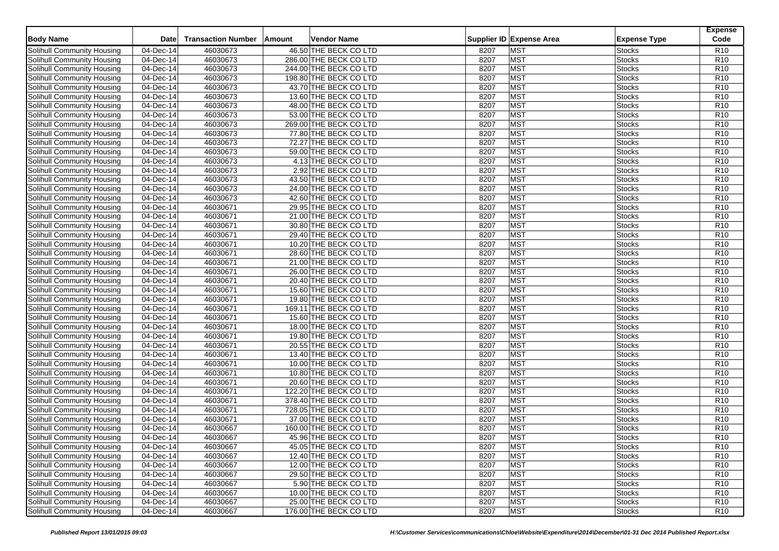| 46.50 THE BECK CO LTD<br><b>MST</b><br>Solihull Community Housing<br>04-Dec-14<br>46030673<br>8207<br>Stocks<br>8207<br><b>MST</b><br>Solihull Community Housing<br>04-Dec-14<br>46030673<br>286.00 THE BECK CO LTD<br><b>Stocks</b><br>46030673<br>8207<br><b>MST</b><br><b>Solihull Community Housing</b><br>04-Dec-14<br>244.00 THE BECK CO LTD<br><b>Stocks</b> | R <sub>10</sub><br>R10<br>R <sub>10</sub><br>R10 |
|---------------------------------------------------------------------------------------------------------------------------------------------------------------------------------------------------------------------------------------------------------------------------------------------------------------------------------------------------------------------|--------------------------------------------------|
|                                                                                                                                                                                                                                                                                                                                                                     |                                                  |
|                                                                                                                                                                                                                                                                                                                                                                     |                                                  |
|                                                                                                                                                                                                                                                                                                                                                                     |                                                  |
| 46030673<br><b>MST</b><br>Solihull Community Housing<br>$\overline{04-D}$ ec-14<br>198.80 THE BECK CO LTD<br>8207<br><b>Stocks</b>                                                                                                                                                                                                                                  |                                                  |
| <b>MST</b><br>46030673<br>Solihull Community Housing<br>04-Dec-14<br>43.70 THE BECK CO LTD<br>8207<br><b>Stocks</b>                                                                                                                                                                                                                                                 | R10                                              |
| 46030673<br><b>MST</b><br>Solihull Community Housing<br>04-Dec-14<br>13.60 THE BECK CO LTD<br>8207<br><b>Stocks</b>                                                                                                                                                                                                                                                 | R <sub>10</sub>                                  |
| 46030673<br><b>MST</b><br>Solihull Community Housing<br>$\overline{04-Dec-14}$<br>48.00 THE BECK CO LTD<br>8207<br><b>Stocks</b>                                                                                                                                                                                                                                    | R10                                              |
| 46030673<br>8207<br><b>MST</b><br>Solihull Community Housing<br>04-Dec-14<br>53.00 THE BECK CO LTD<br>Stocks                                                                                                                                                                                                                                                        | R <sub>10</sub>                                  |
| 46030673<br>8207<br><b>MST</b><br>Solihull Community Housing<br>04-Dec-14<br>269.00 THE BECK CO LTD<br><b>Stocks</b>                                                                                                                                                                                                                                                | R <sub>10</sub>                                  |
| 46030673<br><b>MST</b><br>Solihull Community Housing<br>04-Dec-14<br>77.80 THE BECK CO LTD<br>8207<br><b>Stocks</b>                                                                                                                                                                                                                                                 | R10                                              |
| <b>MST</b><br>46030673<br>Solihull Community Housing<br>04-Dec-14<br>72.27 THE BECK CO LTD<br>8207<br><b>Stocks</b>                                                                                                                                                                                                                                                 | R10                                              |
| 46030673<br>8207<br><b>MST</b><br>Solihull Community Housing<br>04-Dec-14<br>59.00 THE BECK CO LTD<br><b>Stocks</b>                                                                                                                                                                                                                                                 | R <sub>10</sub>                                  |
| 46030673<br><b>MST</b><br>Solihull Community Housing<br>4.13 THE BECK CO LTD<br>8207<br><b>Stocks</b><br>04-Dec-14                                                                                                                                                                                                                                                  | R10                                              |
| <b>MST</b><br>46030673<br>8207<br>Solihull Community Housing<br>04-Dec-14<br>2.92 THE BECK CO LTD<br><b>Stocks</b>                                                                                                                                                                                                                                                  | R10                                              |
| 46030673<br>8207<br><b>MST</b><br>Solihull Community Housing<br>04-Dec-14<br>43.50 THE BECK CO LTD<br><b>Stocks</b>                                                                                                                                                                                                                                                 | R <sub>10</sub>                                  |
| 46030673<br>8207<br><b>MST</b><br>Solihull Community Housing<br>04-Dec-14<br>24.00 THE BECK CO LTD<br><b>Stocks</b>                                                                                                                                                                                                                                                 | R10                                              |
| <b>MST</b><br>46030673<br>8207<br>Solihull Community Housing<br>04-Dec-14<br>42.60 THE BECK CO LTD<br><b>Stocks</b>                                                                                                                                                                                                                                                 | R10                                              |
| 46030671<br>8207<br><b>MST</b><br>Solihull Community Housing<br>04-Dec-14<br>29.95 THE BECK CO LTD<br><b>Stocks</b>                                                                                                                                                                                                                                                 | R <sub>10</sub>                                  |
| 46030671<br>8207<br><b>MST</b><br>Solihull Community Housing<br>04-Dec-14<br>21.00 THE BECK CO LTD<br><b>Stocks</b>                                                                                                                                                                                                                                                 | R10                                              |
| <b>MST</b><br>04-Dec-14<br>46030671<br>30.80 THE BECK CO LTD<br>8207<br><b>Stocks</b><br>Solihull Community Housing                                                                                                                                                                                                                                                 | R10                                              |
| 46030671<br>8207<br><b>MST</b><br>04-Dec-14<br><b>Stocks</b>                                                                                                                                                                                                                                                                                                        | R <sub>10</sub>                                  |
| Solihull Community Housing<br>29.40 THE BECK CO LTD<br>8207<br><b>MST</b><br>46030671<br><b>Stocks</b><br>04-Dec-14                                                                                                                                                                                                                                                 | R10                                              |
| Solihull Community Housing<br>10.20 THE BECK CO LTD                                                                                                                                                                                                                                                                                                                 |                                                  |
| <b>MST</b><br>Solihull Community Housing<br>04-Dec-14<br>46030671<br>28.60 THE BECK CO LTD<br>8207<br><b>Stocks</b>                                                                                                                                                                                                                                                 | R10                                              |
| 46030671<br>21.00 THE BECK CO LTD<br>8207<br><b>MST</b><br>Solihull Community Housing<br>04-Dec-14<br><b>Stocks</b>                                                                                                                                                                                                                                                 | R <sub>10</sub>                                  |
| 46030671<br>8207<br><b>MST</b><br>Solihull Community Housing<br>04-Dec-14<br>26.00 THE BECK CO LTD<br><b>Stocks</b>                                                                                                                                                                                                                                                 | R <sub>10</sub>                                  |
| <b>MST</b><br>Solihull Community Housing<br>$\overline{04}$ -Dec-14<br>46030671<br>20.40 THE BECK CO LTD<br>8207<br>Stocks                                                                                                                                                                                                                                          | R <sub>10</sub>                                  |
| 46030671<br><b>MST</b><br>Solihull Community Housing<br>04-Dec-14<br>15.60 THE BECK CO LTD<br>8207<br><b>Stocks</b>                                                                                                                                                                                                                                                 | R10                                              |
| 46030671<br>8207<br><b>MST</b><br>Solihull Community Housing<br>04-Dec-14<br>19.80 THE BECK CO LTD<br><b>Stocks</b>                                                                                                                                                                                                                                                 | R <sub>10</sub>                                  |
| <b>MST</b><br><b>Solihull Community Housing</b><br>04-Dec-14<br>46030671<br>169.11 THE BECK CO LTD<br>8207<br><b>Stocks</b>                                                                                                                                                                                                                                         | R <sub>10</sub>                                  |
| 8207<br><b>MST</b><br>Solihull Community Housing<br>04-Dec-14<br>46030671<br>15.60 THE BECK CO LTD<br><b>Stocks</b>                                                                                                                                                                                                                                                 | R10                                              |
| 46030671<br>8207<br><b>MST</b><br>Solihull Community Housing<br>04-Dec-14<br>18.00 THE BECK CO LTD<br><b>Stocks</b>                                                                                                                                                                                                                                                 | R <sub>10</sub>                                  |
| <b>MST</b><br>04-Dec-14<br>46030671<br>19.80 THE BECK CO LTD<br>8207<br><b>Stocks</b><br>Solihull Community Housing                                                                                                                                                                                                                                                 | R10                                              |
| 46030671<br>8207<br><b>MST</b><br>Solihull Community Housing<br>04-Dec-14<br>20.55 THE BECK CO LTD<br><b>Stocks</b>                                                                                                                                                                                                                                                 | R <sub>10</sub>                                  |
| <b>MST</b><br>46030671<br>8207<br><b>Stocks</b><br>Solihull Community Housing<br>04-Dec-14<br>13.40 THE BECK CO LTD                                                                                                                                                                                                                                                 | R <sub>10</sub>                                  |
| 46030671<br>8207<br>MST<br>Solihull Community Housing<br>04-Dec-14<br>10.00 THE BECK CO LTD<br><b>Stocks</b>                                                                                                                                                                                                                                                        | R10                                              |
| 46030671<br>8207<br><b>MST</b><br>Solihull Community Housing<br>04-Dec-14<br>10.80 THE BECK CO LTD<br><b>Stocks</b>                                                                                                                                                                                                                                                 | R <sub>10</sub>                                  |
| MST<br>Solihull Community Housing<br>46030671<br>20.60 THE BECK CO LTD<br>8207<br><b>Stocks</b><br>04-Dec-14                                                                                                                                                                                                                                                        | R <sub>10</sub>                                  |
| 46030671<br><b>MST</b><br>Solihull Community Housing<br>04-Dec-14<br>122.20 THE BECK CO LTD<br>8207<br><b>Stocks</b>                                                                                                                                                                                                                                                | R10                                              |
| 46030671<br>8207<br><b>MST</b><br>Solihull Community Housing<br>04-Dec-14<br>378.40 THE BECK CO LTD<br><b>Stocks</b>                                                                                                                                                                                                                                                | R <sub>10</sub>                                  |
| <b>MST</b><br>Solihull Community Housing<br>46030671<br>728.05 THE BECK CO LTD<br>8207<br><b>Stocks</b><br>04-Dec-14                                                                                                                                                                                                                                                | R <sub>10</sub>                                  |
| 8207<br><b>MST</b><br>Solihull Community Housing<br>04-Dec-14<br>46030671<br>37.00 THE BECK CO LTD<br><b>Stocks</b>                                                                                                                                                                                                                                                 | R10                                              |
| <b>MST</b><br>04-Dec-14<br>46030667<br>8207<br>Solihull Community Housing<br>160.00 THE BECK CO LTD<br><b>Stocks</b>                                                                                                                                                                                                                                                | R10                                              |
| <b>MST</b><br>Solihull Community Housing<br>04-Dec-14<br>46030667<br>45.96 THE BECK CO LTD<br>8207<br><b>Stocks</b>                                                                                                                                                                                                                                                 | R <sub>10</sub>                                  |
| Solihull Community Housing<br><b>MST</b><br>04-Dec-14<br>46030667<br>45.05 THE BECK CO LTD<br>8207<br><b>Stocks</b>                                                                                                                                                                                                                                                 | R <sub>10</sub>                                  |
| Solihull Community Housing<br>04-Dec-14<br>46030667<br>12.40 THE BECK CO LTD<br>8207<br><b>MST</b><br><b>Stocks</b>                                                                                                                                                                                                                                                 | R <sub>10</sub>                                  |
| <b>MST</b><br>Solihull Community Housing<br>04-Dec-14<br>46030667<br>12.00 THE BECK CO LTD<br>8207<br><b>Stocks</b>                                                                                                                                                                                                                                                 | R <sub>10</sub>                                  |
| <b>MST</b><br>Solihull Community Housing<br>04-Dec-14<br>46030667<br>29.50 THE BECK CO LTD<br>8207<br><b>Stocks</b>                                                                                                                                                                                                                                                 | R <sub>10</sub>                                  |
| <b>MST</b><br>Solihull Community Housing<br>04-Dec-14<br>46030667<br>5.90 THE BECK CO LTD<br>8207<br><b>Stocks</b>                                                                                                                                                                                                                                                  | R <sub>10</sub>                                  |
| <b>MST</b><br>Solihull Community Housing<br>04-Dec-14<br>46030667<br>10.00 THE BECK CO LTD<br>8207<br><b>Stocks</b>                                                                                                                                                                                                                                                 | R <sub>10</sub>                                  |
| Solihull Community Housing<br>04-Dec-14<br>46030667<br>25.00 THE BECK CO LTD<br>8207<br><b>MST</b><br><b>Stocks</b>                                                                                                                                                                                                                                                 | R <sub>10</sub>                                  |
| <b>MST</b><br>Solihull Community Housing<br>04-Dec-14<br>46030667<br>176.00 THE BECK CO LTD<br>8207<br><b>Stocks</b>                                                                                                                                                                                                                                                | R <sub>10</sub>                                  |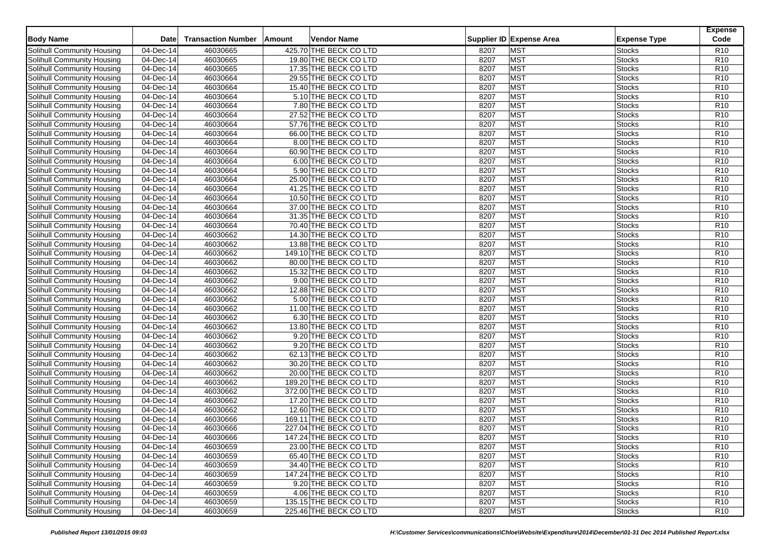| <b>Body Name</b>                  | <b>Date</b>             | <b>Transaction Number</b> | Amount | <b>Vendor Name</b>     |      | Supplier ID Expense Area | <b>Expense Type</b> | <b>Expense</b><br>Code |
|-----------------------------------|-------------------------|---------------------------|--------|------------------------|------|--------------------------|---------------------|------------------------|
| Solihull Community Housing        | 04-Dec-14               | 46030665                  |        | 425.70 THE BECK CO LTD | 8207 | MST                      | Stocks              | R <sub>10</sub>        |
| Solihull Community Housing        | 04-Dec-14               | 46030665                  |        | 19.80 THE BECK CO LTD  | 8207 | MST                      | <b>Stocks</b>       | R10                    |
| <b>Solihull Community Housing</b> | 04-Dec-14               | 46030665                  |        | 17.35 THE BECK CO LTD  | 8207 | <b>MST</b>               | <b>Stocks</b>       | R <sub>10</sub>        |
| Solihull Community Housing        | $\overline{04-D}$ ec-14 | 46030664                  |        | 29.55 THE BECK CO LTD  | 8207 | <b>MST</b>               | <b>Stocks</b>       | R10                    |
| Solihull Community Housing        | 04-Dec-14               | 46030664                  |        | 15.40 THE BECK CO LTD  | 8207 | <b>MST</b>               | <b>Stocks</b>       | R10                    |
| Solihull Community Housing        | 04-Dec-14               | 46030664                  |        | 5.10 THE BECK CO LTD   | 8207 | MST                      | <b>Stocks</b>       | R <sub>10</sub>        |
| Solihull Community Housing        | $\overline{04-Dec-14}$  | 46030664                  |        | 7.80 THE BECK CO LTD   | 8207 | MST                      | <b>Stocks</b>       | R10                    |
| Solihull Community Housing        | 04-Dec-14               | 46030664                  |        | 27.52 THE BECK CO LTD  | 8207 | <b>MST</b>               | Stocks              | R <sub>10</sub>        |
| Solihull Community Housing        | 04-Dec-14               | 46030664                  |        | 57.76 THE BECK CO LTD  | 8207 | MST                      | <b>Stocks</b>       | R <sub>10</sub>        |
| Solihull Community Housing        | 04-Dec-14               | 46030664                  |        | 66.00 THE BECK CO LTD  | 8207 | <b>MST</b>               | <b>Stocks</b>       | R10                    |
| Solihull Community Housing        | 04-Dec-14               | 46030664                  |        | 8.00 THE BECK CO LTD   | 8207 | <b>MST</b>               | <b>Stocks</b>       | R10                    |
| Solihull Community Housing        | 04-Dec-14               | 46030664                  |        | 60.90 THE BECK CO LTD  | 8207 | MST                      | <b>Stocks</b>       | R <sub>10</sub>        |
| Solihull Community Housing        | 04-Dec-14               | 46030664                  |        | 6.00 THE BECK CO LTD   | 8207 | <b>MST</b>               | <b>Stocks</b>       | R10                    |
| Solihull Community Housing        | 04-Dec-14               | 46030664                  |        | 5.90 THE BECK CO LTD   | 8207 | <b>MST</b>               | <b>Stocks</b>       | R10                    |
| Solihull Community Housing        | 04-Dec-14               | 46030664                  |        | 25.00 THE BECK CO LTD  | 8207 | <b>MST</b>               | <b>Stocks</b>       | R <sub>10</sub>        |
| Solihull Community Housing        | 04-Dec-14               | 46030664                  |        | 41.25 THE BECK CO LTD  | 8207 | <b>MST</b>               | <b>Stocks</b>       | R10                    |
| Solihull Community Housing        | 04-Dec-14               | 46030664                  |        | 10.50 THE BECK CO LTD  | 8207 | <b>MST</b>               | <b>Stocks</b>       | R10                    |
| Solihull Community Housing        | 04-Dec-14               | 46030664                  |        | 37.00 THE BECK CO LTD  | 8207 | MST                      | <b>Stocks</b>       | R <sub>10</sub>        |
| Solihull Community Housing        | 04-Dec-14               | 46030664                  |        | 31.35 THE BECK CO LTD  | 8207 | <b>MST</b>               | <b>Stocks</b>       | R10                    |
| Solihull Community Housing        | 04-Dec-14               | 46030664                  |        | 70.40 THE BECK CO LTD  | 8207 | <b>MST</b>               | Stocks              | R10                    |
|                                   | 04-Dec-14               | 46030662                  |        | 14.30 THE BECK CO LTD  | 8207 | <b>MST</b>               | <b>Stocks</b>       | R <sub>10</sub>        |
| Solihull Community Housing        | 04-Dec-14               | 46030662                  |        |                        | 8207 | <b>MST</b>               | <b>Stocks</b>       | R10                    |
| Solihull Community Housing        |                         |                           |        | 13.88 THE BECK CO LTD  |      |                          |                     |                        |
| Solihull Community Housing        | 04-Dec-14               | 46030662                  |        | 149.10 THE BECK CO LTD | 8207 | <b>MST</b>               | Stocks              | R10                    |
| Solihull Community Housing        | 04-Dec-14               | 46030662                  |        | 80.00 THE BECK CO LTD  | 8207 | MST                      | <b>Stocks</b>       | R <sub>10</sub>        |
| Solihull Community Housing        | 04-Dec-14               | 46030662                  |        | 15.32 THE BECK CO LTD  | 8207 | <b>MST</b>               | <b>Stocks</b>       | R <sub>10</sub>        |
| Solihull Community Housing        | 04-Dec-14               | 46030662                  |        | 9.00 THE BECK CO LTD   | 8207 | <b>MST</b>               | Stocks              | R <sub>10</sub>        |
| Solihull Community Housing        | 04-Dec-14               | 46030662                  |        | 12.88 THE BECK CO LTD  | 8207 | <b>MST</b>               | <b>Stocks</b>       | R10                    |
| Solihull Community Housing        | 04-Dec-14               | 46030662                  |        | 5.00 THE BECK CO LTD   | 8207 | <b>MST</b>               | <b>Stocks</b>       | R <sub>10</sub>        |
| <b>Solihull Community Housing</b> | 04-Dec-14               | 46030662                  |        | 11.00 THE BECK CO LTD  | 8207 | <b>MST</b>               | Stocks              | R <sub>10</sub>        |
| Solihull Community Housing        | 04-Dec-14               | 46030662                  |        | 6.30 THE BECK CO LTD   | 8207 | <b>MST</b>               | <b>Stocks</b>       | R10                    |
| Solihull Community Housing        | 04-Dec-14               | 46030662                  |        | 13.80 THE BECK CO LTD  | 8207 | <b>MST</b>               | <b>Stocks</b>       | R <sub>10</sub>        |
| Solihull Community Housing        | 04-Dec-14               | 46030662                  |        | 9.20 THE BECK CO LTD   | 8207 | <b>MST</b>               | Stocks              | R10                    |
| Solihull Community Housing        | 04-Dec-14               | 46030662                  |        | 9.20 THE BECK CO LTD   | 8207 | <b>MST</b>               | <b>Stocks</b>       | R <sub>10</sub>        |
| Solihull Community Housing        | 04-Dec-14               | 46030662                  |        | 62.13 THE BECK CO LTD  | 8207 | <b>MST</b>               | <b>Stocks</b>       | R <sub>10</sub>        |
| Solihull Community Housing        | 04-Dec-14               | 46030662                  |        | 30.20 THE BECK CO LTD  | 8207 | <b>MST</b>               | Stocks              | R10                    |
| Solihull Community Housing        | 04-Dec-14               | 46030662                  |        | 20.00 THE BECK CO LTD  | 8207 | <b>MST</b>               | <b>Stocks</b>       | R <sub>10</sub>        |
| Solihull Community Housing        | 04-Dec-14               | 46030662                  |        | 189.20 THE BECK CO LTD | 8207 | <b>MST</b>               | <b>Stocks</b>       | R <sub>10</sub>        |
| Solihull Community Housing        | 04-Dec-14               | 46030662                  |        | 372.00 THE BECK CO LTD | 8207 | <b>MST</b>               | Stocks              | R10                    |
| Solihull Community Housing        | 04-Dec-14               | 46030662                  |        | 17.20 THE BECK CO LTD  | 8207 | <b>MST</b>               | <b>Stocks</b>       | R <sub>10</sub>        |
| Solihull Community Housing        | 04-Dec-14               | 46030662                  |        | 12.60 THE BECK CO LTD  | 8207 | <b>MST</b>               | <b>Stocks</b>       | R10                    |
| Solihull Community Housing        | 04-Dec-14               | 46030666                  |        | 169.11 THE BECK CO LTD | 8207 | <b>MST</b>               | <b>Stocks</b>       | R10                    |
| Solihull Community Housing        | 04-Dec-14               | 46030666                  |        | 227.04 THE BECK CO LTD | 8207 | <b>MST</b>               | <b>Stocks</b>       | R10                    |
| Solihull Community Housing        | 04-Dec-14               | 46030666                  |        | 147.24 THE BECK CO LTD | 8207 | <b>MST</b>               | <b>Stocks</b>       | R <sub>10</sub>        |
| Solihull Community Housing        | 04-Dec-14               | 46030659                  |        | 23.00 THE BECK CO LTD  | 8207 | <b>MST</b>               | <b>Stocks</b>       | R <sub>10</sub>        |
| Solihull Community Housing        | 04-Dec-14               | 46030659                  |        | 65.40 THE BECK CO LTD  | 8207 | <b>MST</b>               | <b>Stocks</b>       | R <sub>10</sub>        |
| Solihull Community Housing        | 04-Dec-14               | 46030659                  |        | 34.40 THE BECK CO LTD  | 8207 | <b>MST</b>               | <b>Stocks</b>       | R <sub>10</sub>        |
| Solihull Community Housing        | 04-Dec-14               | 46030659                  |        | 147.24 THE BECK CO LTD | 8207 | <b>MST</b>               | <b>Stocks</b>       | R <sub>10</sub>        |
| Solihull Community Housing        | 04-Dec-14               | 46030659                  |        | 9.20 THE BECK CO LTD   | 8207 | <b>MST</b>               | <b>Stocks</b>       | R <sub>10</sub>        |
| Solihull Community Housing        | 04-Dec-14               | 46030659                  |        | 4.06 THE BECK CO LTD   | 8207 | <b>MST</b>               | <b>Stocks</b>       | R <sub>10</sub>        |
| Solihull Community Housing        | 04-Dec-14               | 46030659                  |        | 135.15 THE BECK CO LTD | 8207 | <b>MST</b>               | <b>Stocks</b>       | R <sub>10</sub>        |
| Solihull Community Housing        | 04-Dec-14               | 46030659                  |        | 225.46 THE BECK CO LTD | 8207 | <b>MST</b>               | <b>Stocks</b>       | R <sub>10</sub>        |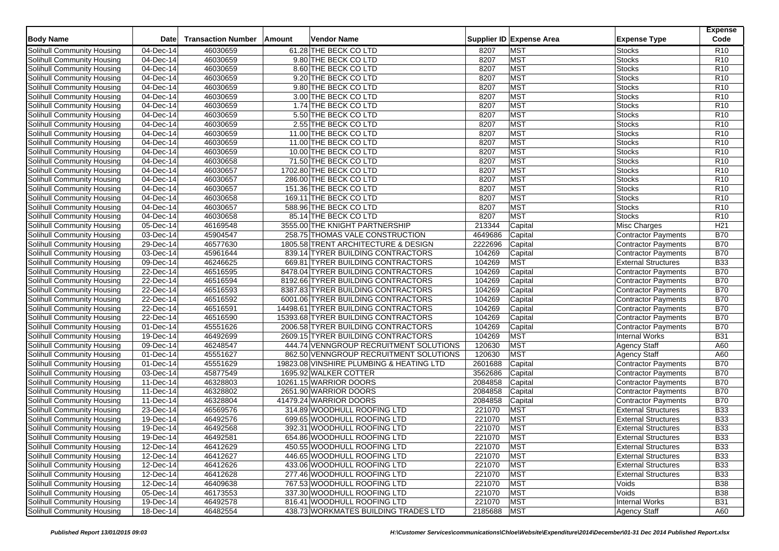| <b>Body Name</b>                  | <b>Date</b>             | <b>Transaction Number</b> | ∣Amount | <b>Vendor Name</b>                       |             | Supplier ID Expense Area | <b>Expense Type</b>        | <b>Expense</b><br>Code |
|-----------------------------------|-------------------------|---------------------------|---------|------------------------------------------|-------------|--------------------------|----------------------------|------------------------|
| Solihull Community Housing        | 04-Dec-14               | 46030659                  |         | 61.28 THE BECK CO LTD                    | 8207        | <b>MST</b>               | Stocks                     | R <sub>10</sub>        |
| Solihull Community Housing        | 04-Dec-14               | 46030659                  |         | 9.80 THE BECK CO LTD                     | 8207        | <b>MST</b>               | <b>Stocks</b>              | R <sub>10</sub>        |
| Solihull Community Housing        | 04-Dec-14               | 46030659                  |         | 8.60 THE BECK CO LTD                     | 8207        | <b>MST</b>               | <b>Stocks</b>              | R <sub>10</sub>        |
| Solihull Community Housing        | $\overline{04-D}$ ec-14 | 46030659                  |         | 9.20 THE BECK CO LTD                     | 8207        | <b>MST</b>               | <b>Stocks</b>              | R <sub>10</sub>        |
| Solihull Community Housing        | 04-Dec-14               | 46030659                  |         | 9.80 THE BECK CO LTD                     | 8207        | <b>MST</b>               | <b>Stocks</b>              | R10                    |
| Solihull Community Housing        | 04-Dec-14               | 46030659                  |         | 3.00 THE BECK CO LTD                     | 8207        | <b>MST</b>               | <b>Stocks</b>              | R <sub>10</sub>        |
| Solihull Community Housing        | $\overline{04-D}$ ec-14 | 46030659                  |         | 1.74 THE BECK CO LTD                     | 8207        | <b>MST</b>               | <b>Stocks</b>              | R <sub>10</sub>        |
| Solihull Community Housing        | 04-Dec-14               | 46030659                  |         | 5.50 THE BECK CO LTD                     | 8207        | MST                      | Stocks                     | R <sub>10</sub>        |
| Solihull Community Housing        | 04-Dec-14               | 46030659                  |         | 2.55 THE BECK CO LTD                     | 8207        | <b>MST</b>               | <b>Stocks</b>              | R <sub>10</sub>        |
| Solihull Community Housing        | $\overline{04-Dec-14}$  | 46030659                  |         | 11.00 THE BECK CO LTD                    | 8207        | <b>MST</b>               | <b>Stocks</b>              | R <sub>10</sub>        |
| Solihull Community Housing        | 04-Dec-14               | 46030659                  |         | 11.00 THE BECK CO LTD                    | 8207        | <b>MST</b>               | <b>Stocks</b>              | R <sub>10</sub>        |
| Solihull Community Housing        | 04-Dec-14               | 46030659                  |         | 10.00 THE BECK CO LTD                    | 8207        | <b>MST</b>               | <b>Stocks</b>              | R <sub>10</sub>        |
| Solihull Community Housing        | 04-Dec-14               | 46030658                  |         | 71.50 THE BECK CO LTD                    | 8207        | <b>MST</b>               | <b>Stocks</b>              | R <sub>10</sub>        |
| Solihull Community Housing        | 04-Dec-14               | 46030657                  |         | 1702.80 THE BECK CO LTD                  | 8207        | <b>MST</b>               | <b>Stocks</b>              | R <sub>10</sub>        |
| Solihull Community Housing        | 04-Dec-14               | 46030657                  |         | 286.00 THE BECK CO LTD                   | 8207        | <b>MST</b>               | <b>Stocks</b>              | R <sub>10</sub>        |
| Solihull Community Housing        | $\overline{04-D}$ ec-14 | 46030657                  |         | 151.36 THE BECK CO LTD                   | 8207        | <b>MST</b>               | <b>Stocks</b>              | R10                    |
| Solihull Community Housing        | 04-Dec-14               | 46030658                  |         | 169.11 THE BECK CO LTD                   | 8207        | <b>MST</b>               | <b>Stocks</b>              | R10                    |
| Solihull Community Housing        | 04-Dec-14               | 46030657                  |         | 588.96 THE BECK CO LTD                   | 8207        | <b>MST</b>               | <b>Stocks</b>              | R <sub>10</sub>        |
| Solihull Community Housing        | 04-Dec-14               | 46030658                  |         | 85.14 THE BECK CO LTD                    | 8207        | <b>MST</b>               | <b>Stocks</b>              | R <sub>10</sub>        |
| Solihull Community Housing        | 05-Dec-14               | 46169548                  |         | 3555.00 THE KNIGHT PARTNERSHIP           | 213344      | Capital                  | <b>Misc Charges</b>        | H <sub>21</sub>        |
| Solihull Community Housing        | 03-Dec-14               | 45904547                  |         | 258.75 THOMAS VALE CONSTRUCTION          | 4649686     | Capital                  | Contractor Payments        | <b>B70</b>             |
| Solihull Community Housing        | 29-Dec-14               | 46577630                  |         | 1805.58 TRENT ARCHITECTURE & DESIGN      | 2222696     | Capital                  | Contractor Payments        | <b>B70</b>             |
| Solihull Community Housing        | 03-Dec-14               | 45961644                  |         | 839.14 TYRER BUILDING CONTRACTORS        | 104269      | Capital                  | <b>Contractor Payments</b> | <b>B70</b>             |
| Solihull Community Housing        | 09-Dec-14               | 46246625                  |         | 669.81 TYRER BUILDING CONTRACTORS        | 104269      | <b>MST</b>               | <b>External Structures</b> | <b>B33</b>             |
| Solihull Community Housing        | 22-Dec-14               | 46516595                  |         | 8478.04 TYRER BUILDING CONTRACTORS       | 104269      | Capital                  | Contractor Payments        | <b>B70</b>             |
| Solihull Community Housing        | 22-Dec-14               | 46516594                  |         | 8192.66 TYRER BUILDING CONTRACTORS       | 104269      | Capital                  | Contractor Payments        | <b>B70</b>             |
| Solihull Community Housing        | 22-Dec-14               | 46516593                  |         | 8387.83 TYRER BUILDING CONTRACTORS       | 104269      | Capital                  | Contractor Payments        | <b>B70</b>             |
| Solihull Community Housing        | 22-Dec-14               | 46516592                  |         | 6001.06 TYRER BUILDING CONTRACTORS       | 104269      | Capital                  | Contractor Payments        | <b>B70</b>             |
| Solihull Community Housing        | 22-Dec-14               | 46516591                  |         | 14498.61 TYRER BUILDING CONTRACTORS      | 104269      | Capital                  | Contractor Payments        | <b>B70</b>             |
| Solihull Community Housing        | 22-Dec-14               | 46516590                  |         | 15393.68 TYRER BUILDING CONTRACTORS      | 104269      | Capital                  | Contractor Payments        | <b>B70</b>             |
| Solihull Community Housing        | 01-Dec-14               | 45551626                  |         | 2006.58 TYRER BUILDING CONTRACTORS       | 104269      | Capital                  | <b>Contractor Payments</b> | <b>B70</b>             |
| Solihull Community Housing        | 19-Dec-14               | 46492699                  |         | 2609.15 TYRER BUILDING CONTRACTORS       | 104269      | <b>MST</b>               | <b>Internal Works</b>      | <b>B31</b>             |
| Solihull Community Housing        | 09-Dec-14               | 46248547                  |         | 444.74 VENNGROUP RECRUITMENT SOLUTIONS   | 120630      | <b>MST</b>               | <b>Agency Staff</b>        | A60                    |
| Solihull Community Housing        | 01-Dec-14               | 45551627                  |         | 862.50 VENNGROUP RECRUITMENT SOLUTIONS   | 120630      | <b>MST</b>               | <b>Agency Staff</b>        | A60                    |
| Solihull Community Housing        | 01-Dec-14               | 45551629                  |         | 19823.08 VINSHIRE PLUMBING & HEATING LTD | 2601688     | Capital                  | <b>Contractor Payments</b> | <b>B70</b>             |
| Solihull Community Housing        | 03-Dec-14               | 45877549                  |         | 1695.92 WALKER COTTER                    | 3562686     | Capital                  | Contractor Payments        | <b>B70</b>             |
| Solihull Community Housing        | 11-Dec-14               | 46328803                  |         | 10261.15 WARRIOR DOORS                   | 2084858     | Capital                  | Contractor Payments        | <b>B70</b>             |
| Solihull Community Housing        | 11-Dec-14               | 46328802                  |         | 2651.90 WARRIOR DOORS                    | 2084858     | Capital                  | <b>Contractor Payments</b> | <b>B70</b>             |
| Solihull Community Housing        | 11-Dec-14               | 46328804                  |         | 41479.24 WARRIOR DOORS                   | 2084858     | Capital                  | <b>Contractor Payments</b> | <b>B70</b>             |
| Solihull Community Housing        | 23-Dec-14               | 46569576                  |         | 314.89 WOODHULL ROOFING LTD              | 221070      | <b>MST</b>               | <b>External Structures</b> | <b>B33</b>             |
| Solihull Community Housing        | 19-Dec-14               | 46492576                  |         | 699.65 WOODHULL ROOFING LTD              | 221070      | <b>MST</b>               | <b>External Structures</b> | <b>B33</b>             |
| Solihull Community Housing        | 19-Dec-14               | 46492568                  |         | 392.31 WOODHULL ROOFING LTD              | 221070      | <b>MST</b>               | <b>External Structures</b> | <b>B33</b>             |
| Solihull Community Housing        | 19-Dec-14               | 46492581                  |         | 654.86 WOODHULL ROOFING LTD              | 221070      | <b>MST</b>               | <b>External Structures</b> | <b>B33</b>             |
| Solihull Community Housing        | 12-Dec-14               | 46412629                  |         | 450.55 WOODHULL ROOFING LTD              | 221070      | <b>MST</b>               | <b>External Structures</b> | <b>B33</b>             |
| Solihull Community Housing        | 12-Dec-14               | 46412627                  |         | 446.65 WOODHULL ROOFING LTD              | 221070      | <b>MST</b>               | <b>External Structures</b> | <b>B33</b>             |
| Solihull Community Housing        | 12-Dec-14               | 46412626                  |         | 433.06 WOODHULL ROOFING LTD              | 221070      | <b>MST</b>               | <b>External Structures</b> | <b>B33</b>             |
| Solihull Community Housing        | 12-Dec-14               | 46412628                  |         | 277.46 WOODHULL ROOFING LTD              | 221070      | <b>MST</b>               | <b>External Structures</b> | <b>B33</b>             |
| Solihull Community Housing        | $12$ -Dec-14            | 46409638                  |         | 767.53 WOODHULL ROOFING LTD              | 221070      | <b>MST</b>               | Voids                      | <b>B38</b>             |
| Solihull Community Housing        | 05-Dec-14               | 46173553                  |         | 337.30 WOODHULL ROOFING LTD              | 221070      | <b>MST</b>               | Voids                      | <b>B38</b>             |
| <b>Solihull Community Housing</b> | 19-Dec-14               | 46492578                  |         | 816.41 WOODHULL ROOFING LTD              | 221070      | <b>MST</b>               | <b>Internal Works</b>      | <b>B31</b>             |
| Solihull Community Housing        | 18-Dec-14               | 46482554                  |         | 438.73 WORKMATES BUILDING TRADES LTD     | 2185688 MST |                          | <b>Agency Staff</b>        | A60                    |